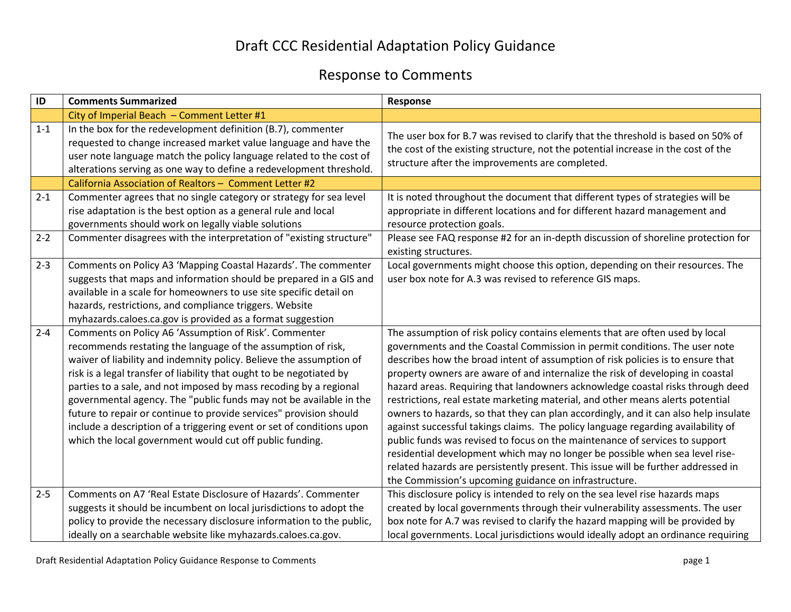## Draft CCC Residential Adaptation Policy Guidance

## Response to Comments

| ID      | <b>Comments Summarized</b>                                                                                                                                                                                                                                                                                                                                                                                                                                                                                                                                                                                                 | Response                                                                                                                                                                                                                                                                                                                                                                                                                                                                                                                                                                                                                                                                                                                                                                                                                                                                                                                                                                                    |
|---------|----------------------------------------------------------------------------------------------------------------------------------------------------------------------------------------------------------------------------------------------------------------------------------------------------------------------------------------------------------------------------------------------------------------------------------------------------------------------------------------------------------------------------------------------------------------------------------------------------------------------------|---------------------------------------------------------------------------------------------------------------------------------------------------------------------------------------------------------------------------------------------------------------------------------------------------------------------------------------------------------------------------------------------------------------------------------------------------------------------------------------------------------------------------------------------------------------------------------------------------------------------------------------------------------------------------------------------------------------------------------------------------------------------------------------------------------------------------------------------------------------------------------------------------------------------------------------------------------------------------------------------|
|         | City of Imperial Beach - Comment Letter #1                                                                                                                                                                                                                                                                                                                                                                                                                                                                                                                                                                                 |                                                                                                                                                                                                                                                                                                                                                                                                                                                                                                                                                                                                                                                                                                                                                                                                                                                                                                                                                                                             |
| $1 - 1$ | In the box for the redevelopment definition (B.7), commenter<br>requested to change increased market value language and have the<br>user note language match the policy language related to the cost of<br>alterations serving as one way to define a redevelopment threshold.                                                                                                                                                                                                                                                                                                                                             | The user box for B.7 was revised to clarify that the threshold is based on 50% of<br>the cost of the existing structure, not the potential increase in the cost of the<br>structure after the improvements are completed.                                                                                                                                                                                                                                                                                                                                                                                                                                                                                                                                                                                                                                                                                                                                                                   |
|         | California Association of Realtors - Comment Letter #2                                                                                                                                                                                                                                                                                                                                                                                                                                                                                                                                                                     |                                                                                                                                                                                                                                                                                                                                                                                                                                                                                                                                                                                                                                                                                                                                                                                                                                                                                                                                                                                             |
| $2 - 1$ | Commenter agrees that no single category or strategy for sea level<br>rise adaptation is the best option as a general rule and local<br>governments should work on legally viable solutions                                                                                                                                                                                                                                                                                                                                                                                                                                | It is noted throughout the document that different types of strategies will be<br>appropriate in different locations and for different hazard management and<br>resource protection goals.                                                                                                                                                                                                                                                                                                                                                                                                                                                                                                                                                                                                                                                                                                                                                                                                  |
| $2 - 2$ | Commenter disagrees with the interpretation of "existing structure"                                                                                                                                                                                                                                                                                                                                                                                                                                                                                                                                                        | Please see FAQ response #2 for an in-depth discussion of shoreline protection for<br>existing structures.                                                                                                                                                                                                                                                                                                                                                                                                                                                                                                                                                                                                                                                                                                                                                                                                                                                                                   |
| $2 - 3$ | Comments on Policy A3 'Mapping Coastal Hazards'. The commenter<br>suggests that maps and information should be prepared in a GIS and<br>available in a scale for homeowners to use site specific detail on<br>hazards, restrictions, and compliance triggers. Website<br>myhazards.caloes.ca.gov is provided as a format suggestion                                                                                                                                                                                                                                                                                        | Local governments might choose this option, depending on their resources. The<br>user box note for A.3 was revised to reference GIS maps.                                                                                                                                                                                                                                                                                                                                                                                                                                                                                                                                                                                                                                                                                                                                                                                                                                                   |
| $2 - 4$ | Comments on Policy A6 'Assumption of Risk'. Commenter<br>recommends restating the language of the assumption of risk,<br>waiver of liability and indemnity policy. Believe the assumption of<br>risk is a legal transfer of liability that ought to be negotiated by<br>parties to a sale, and not imposed by mass recoding by a regional<br>governmental agency. The "public funds may not be available in the<br>future to repair or continue to provide services" provision should<br>include a description of a triggering event or set of conditions upon<br>which the local government would cut off public funding. | The assumption of risk policy contains elements that are often used by local<br>governments and the Coastal Commission in permit conditions. The user note<br>describes how the broad intent of assumption of risk policies is to ensure that<br>property owners are aware of and internalize the risk of developing in coastal<br>hazard areas. Requiring that landowners acknowledge coastal risks through deed<br>restrictions, real estate marketing material, and other means alerts potential<br>owners to hazards, so that they can plan accordingly, and it can also help insulate<br>against successful takings claims. The policy language regarding availability of<br>public funds was revised to focus on the maintenance of services to support<br>residential development which may no longer be possible when sea level rise-<br>related hazards are persistently present. This issue will be further addressed in<br>the Commission's upcoming guidance on infrastructure. |
| $2 - 5$ | Comments on A7 'Real Estate Disclosure of Hazards'. Commenter<br>suggests it should be incumbent on local jurisdictions to adopt the<br>policy to provide the necessary disclosure information to the public,<br>ideally on a searchable website like myhazards.caloes.ca.gov.                                                                                                                                                                                                                                                                                                                                             | This disclosure policy is intended to rely on the sea level rise hazards maps<br>created by local governments through their vulnerability assessments. The user<br>box note for A.7 was revised to clarify the hazard mapping will be provided by<br>local governments. Local jurisdictions would ideally adopt an ordinance requiring                                                                                                                                                                                                                                                                                                                                                                                                                                                                                                                                                                                                                                                      |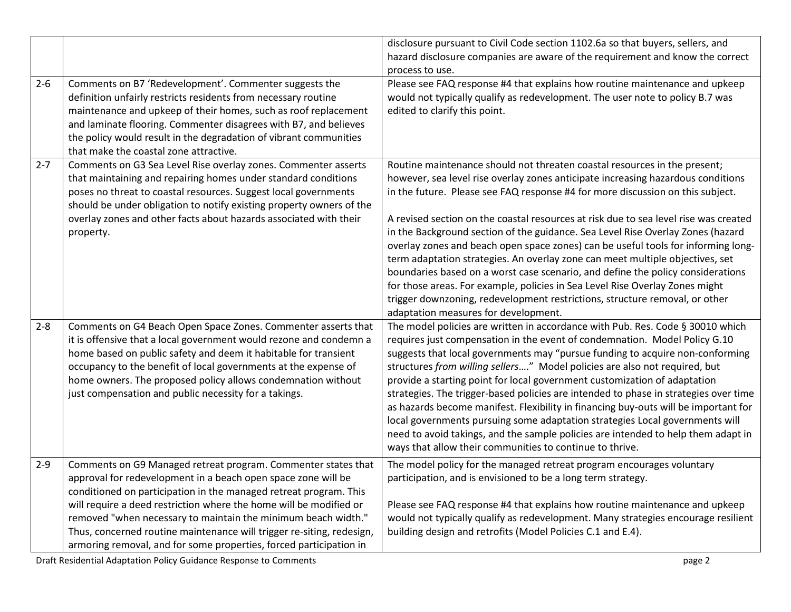|         |                                                                                                                                                                                                                                                                                                                                                                                                                                                                                           | disclosure pursuant to Civil Code section 1102.6a so that buyers, sellers, and<br>hazard disclosure companies are aware of the requirement and know the correct<br>process to use.                                                                                                                                                                                                                                                                                                                                                                                                                                                                                                                                                                                                                                                                                                         |
|---------|-------------------------------------------------------------------------------------------------------------------------------------------------------------------------------------------------------------------------------------------------------------------------------------------------------------------------------------------------------------------------------------------------------------------------------------------------------------------------------------------|--------------------------------------------------------------------------------------------------------------------------------------------------------------------------------------------------------------------------------------------------------------------------------------------------------------------------------------------------------------------------------------------------------------------------------------------------------------------------------------------------------------------------------------------------------------------------------------------------------------------------------------------------------------------------------------------------------------------------------------------------------------------------------------------------------------------------------------------------------------------------------------------|
| $2 - 6$ | Comments on B7 'Redevelopment'. Commenter suggests the<br>definition unfairly restricts residents from necessary routine<br>maintenance and upkeep of their homes, such as roof replacement<br>and laminate flooring. Commenter disagrees with B7, and believes<br>the policy would result in the degradation of vibrant communities<br>that make the coastal zone attractive.                                                                                                            | Please see FAQ response #4 that explains how routine maintenance and upkeep<br>would not typically qualify as redevelopment. The user note to policy B.7 was<br>edited to clarify this point.                                                                                                                                                                                                                                                                                                                                                                                                                                                                                                                                                                                                                                                                                              |
| $2 - 7$ | Comments on G3 Sea Level Rise overlay zones. Commenter asserts<br>that maintaining and repairing homes under standard conditions<br>poses no threat to coastal resources. Suggest local governments<br>should be under obligation to notify existing property owners of the<br>overlay zones and other facts about hazards associated with their<br>property.                                                                                                                             | Routine maintenance should not threaten coastal resources in the present;<br>however, sea level rise overlay zones anticipate increasing hazardous conditions<br>in the future. Please see FAQ response #4 for more discussion on this subject.<br>A revised section on the coastal resources at risk due to sea level rise was created<br>in the Background section of the guidance. Sea Level Rise Overlay Zones (hazard<br>overlay zones and beach open space zones) can be useful tools for informing long-<br>term adaptation strategies. An overlay zone can meet multiple objectives, set<br>boundaries based on a worst case scenario, and define the policy considerations<br>for those areas. For example, policies in Sea Level Rise Overlay Zones might<br>trigger downzoning, redevelopment restrictions, structure removal, or other<br>adaptation measures for development. |
| $2 - 8$ | Comments on G4 Beach Open Space Zones. Commenter asserts that<br>it is offensive that a local government would rezone and condemn a<br>home based on public safety and deem it habitable for transient<br>occupancy to the benefit of local governments at the expense of<br>home owners. The proposed policy allows condemnation without<br>just compensation and public necessity for a takings.                                                                                        | The model policies are written in accordance with Pub. Res. Code § 30010 which<br>requires just compensation in the event of condemnation. Model Policy G.10<br>suggests that local governments may "pursue funding to acquire non-conforming<br>structures from willing sellers" Model policies are also not required, but<br>provide a starting point for local government customization of adaptation<br>strategies. The trigger-based policies are intended to phase in strategies over time<br>as hazards become manifest. Flexibility in financing buy-outs will be important for<br>local governments pursuing some adaptation strategies Local governments will<br>need to avoid takings, and the sample policies are intended to help them adapt in<br>ways that allow their communities to continue to thrive.                                                                   |
| $2 - 9$ | Comments on G9 Managed retreat program. Commenter states that<br>approval for redevelopment in a beach open space zone will be<br>conditioned on participation in the managed retreat program. This<br>will require a deed restriction where the home will be modified or<br>removed "when necessary to maintain the minimum beach width."<br>Thus, concerned routine maintenance will trigger re-siting, redesign,<br>armoring removal, and for some properties, forced participation in | The model policy for the managed retreat program encourages voluntary<br>participation, and is envisioned to be a long term strategy.<br>Please see FAQ response #4 that explains how routine maintenance and upkeep<br>would not typically qualify as redevelopment. Many strategies encourage resilient<br>building design and retrofits (Model Policies C.1 and E.4).                                                                                                                                                                                                                                                                                                                                                                                                                                                                                                                   |

Draft Residential Adaptation Policy Guidance Response to Comments **page 2** page 2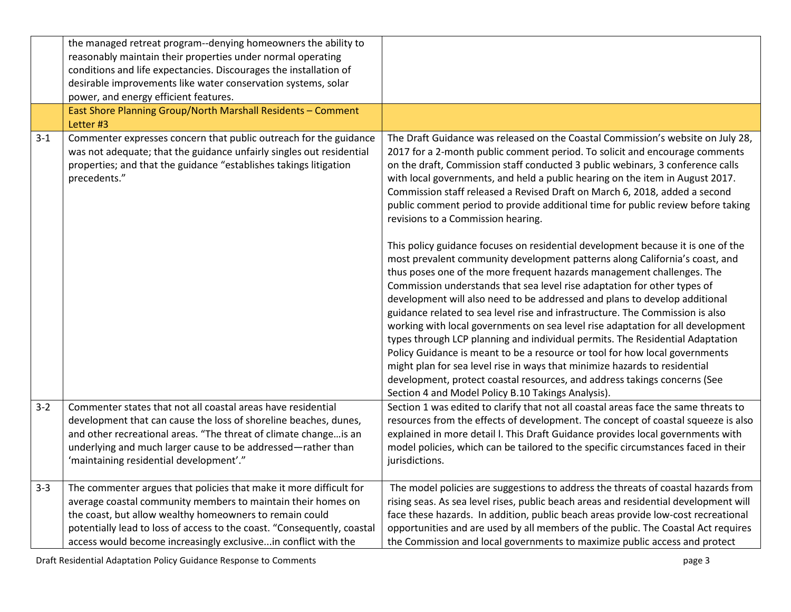|         | the managed retreat program--denying homeowners the ability to<br>reasonably maintain their properties under normal operating<br>conditions and life expectancies. Discourages the installation of<br>desirable improvements like water conservation systems, solar<br>power, and energy efficient features.                               |                                                                                                                                                                                                                                                                                                                                                                                                                                                                                                                                                                                                                                                                                                                                                                                                                                                                                                                                                                                                                                                                                                                                                                                                                                                                                                                                                                                                                                                                                                       |
|---------|--------------------------------------------------------------------------------------------------------------------------------------------------------------------------------------------------------------------------------------------------------------------------------------------------------------------------------------------|-------------------------------------------------------------------------------------------------------------------------------------------------------------------------------------------------------------------------------------------------------------------------------------------------------------------------------------------------------------------------------------------------------------------------------------------------------------------------------------------------------------------------------------------------------------------------------------------------------------------------------------------------------------------------------------------------------------------------------------------------------------------------------------------------------------------------------------------------------------------------------------------------------------------------------------------------------------------------------------------------------------------------------------------------------------------------------------------------------------------------------------------------------------------------------------------------------------------------------------------------------------------------------------------------------------------------------------------------------------------------------------------------------------------------------------------------------------------------------------------------------|
|         | East Shore Planning Group/North Marshall Residents - Comment<br>Letter #3                                                                                                                                                                                                                                                                  |                                                                                                                                                                                                                                                                                                                                                                                                                                                                                                                                                                                                                                                                                                                                                                                                                                                                                                                                                                                                                                                                                                                                                                                                                                                                                                                                                                                                                                                                                                       |
| $3 - 1$ | Commenter expresses concern that public outreach for the guidance<br>was not adequate; that the guidance unfairly singles out residential<br>properties; and that the guidance "establishes takings litigation<br>precedents."                                                                                                             | The Draft Guidance was released on the Coastal Commission's website on July 28,<br>2017 for a 2-month public comment period. To solicit and encourage comments<br>on the draft, Commission staff conducted 3 public webinars, 3 conference calls<br>with local governments, and held a public hearing on the item in August 2017.<br>Commission staff released a Revised Draft on March 6, 2018, added a second<br>public comment period to provide additional time for public review before taking<br>revisions to a Commission hearing.<br>This policy guidance focuses on residential development because it is one of the<br>most prevalent community development patterns along California's coast, and<br>thus poses one of the more frequent hazards management challenges. The<br>Commission understands that sea level rise adaptation for other types of<br>development will also need to be addressed and plans to develop additional<br>guidance related to sea level rise and infrastructure. The Commission is also<br>working with local governments on sea level rise adaptation for all development<br>types through LCP planning and individual permits. The Residential Adaptation<br>Policy Guidance is meant to be a resource or tool for how local governments<br>might plan for sea level rise in ways that minimize hazards to residential<br>development, protect coastal resources, and address takings concerns (See<br>Section 4 and Model Policy B.10 Takings Analysis). |
| $3 - 2$ | Commenter states that not all coastal areas have residential<br>development that can cause the loss of shoreline beaches, dunes,<br>and other recreational areas. "The threat of climate change is an<br>underlying and much larger cause to be addressed-rather than<br>'maintaining residential development'."                           | Section 1 was edited to clarify that not all coastal areas face the same threats to<br>resources from the effects of development. The concept of coastal squeeze is also<br>explained in more detail I. This Draft Guidance provides local governments with<br>model policies, which can be tailored to the specific circumstances faced in their<br>jurisdictions.                                                                                                                                                                                                                                                                                                                                                                                                                                                                                                                                                                                                                                                                                                                                                                                                                                                                                                                                                                                                                                                                                                                                   |
| $3 - 3$ | The commenter argues that policies that make it more difficult for<br>average coastal community members to maintain their homes on<br>the coast, but allow wealthy homeowners to remain could<br>potentially lead to loss of access to the coast. "Consequently, coastal<br>access would become increasingly exclusivein conflict with the | The model policies are suggestions to address the threats of coastal hazards from<br>rising seas. As sea level rises, public beach areas and residential development will<br>face these hazards. In addition, public beach areas provide low-cost recreational<br>opportunities and are used by all members of the public. The Coastal Act requires<br>the Commission and local governments to maximize public access and protect                                                                                                                                                                                                                                                                                                                                                                                                                                                                                                                                                                                                                                                                                                                                                                                                                                                                                                                                                                                                                                                                     |

Draft Residential Adaptation Policy Guidance Response to Comments **page 3** page 3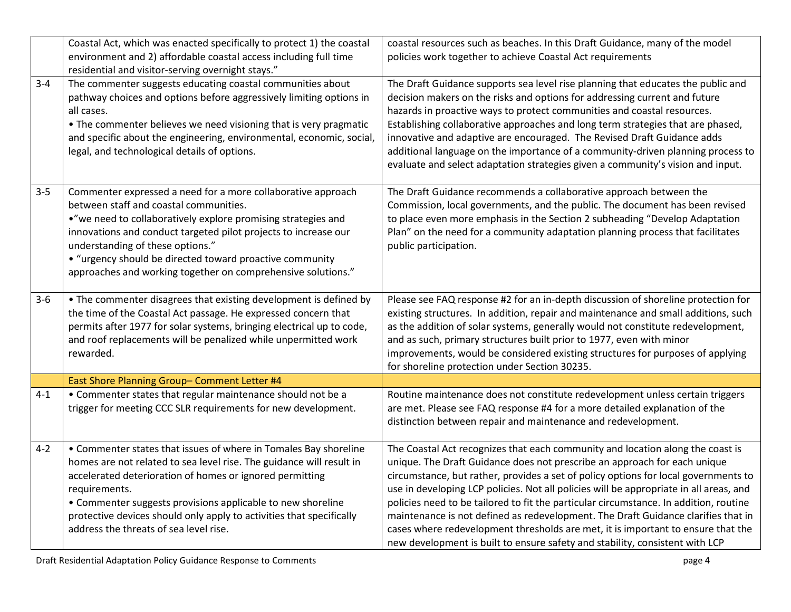|         | Coastal Act, which was enacted specifically to protect 1) the coastal<br>environment and 2) affordable coastal access including full time<br>residential and visitor-serving overnight stays."                                                                                                                                                                                                             | coastal resources such as beaches. In this Draft Guidance, many of the model<br>policies work together to achieve Coastal Act requirements                                                                                                                                                                                                                                                                                                                                                                                                                                                                                                                                                     |
|---------|------------------------------------------------------------------------------------------------------------------------------------------------------------------------------------------------------------------------------------------------------------------------------------------------------------------------------------------------------------------------------------------------------------|------------------------------------------------------------------------------------------------------------------------------------------------------------------------------------------------------------------------------------------------------------------------------------------------------------------------------------------------------------------------------------------------------------------------------------------------------------------------------------------------------------------------------------------------------------------------------------------------------------------------------------------------------------------------------------------------|
| $3 - 4$ | The commenter suggests educating coastal communities about<br>pathway choices and options before aggressively limiting options in<br>all cases.<br>• The commenter believes we need visioning that is very pragmatic<br>and specific about the engineering, environmental, economic, social,<br>legal, and technological details of options.                                                               | The Draft Guidance supports sea level rise planning that educates the public and<br>decision makers on the risks and options for addressing current and future<br>hazards in proactive ways to protect communities and coastal resources.<br>Establishing collaborative approaches and long term strategies that are phased,<br>innovative and adaptive are encouraged. The Revised Draft Guidance adds<br>additional language on the importance of a community-driven planning process to<br>evaluate and select adaptation strategies given a community's vision and input.                                                                                                                  |
| $3 - 5$ | Commenter expressed a need for a more collaborative approach<br>between staff and coastal communities.<br>."we need to collaboratively explore promising strategies and<br>innovations and conduct targeted pilot projects to increase our<br>understanding of these options."<br>• "urgency should be directed toward proactive community<br>approaches and working together on comprehensive solutions." | The Draft Guidance recommends a collaborative approach between the<br>Commission, local governments, and the public. The document has been revised<br>to place even more emphasis in the Section 2 subheading "Develop Adaptation<br>Plan" on the need for a community adaptation planning process that facilitates<br>public participation.                                                                                                                                                                                                                                                                                                                                                   |
| $3 - 6$ | • The commenter disagrees that existing development is defined by<br>the time of the Coastal Act passage. He expressed concern that<br>permits after 1977 for solar systems, bringing electrical up to code,<br>and roof replacements will be penalized while unpermitted work<br>rewarded.                                                                                                                | Please see FAQ response #2 for an in-depth discussion of shoreline protection for<br>existing structures. In addition, repair and maintenance and small additions, such<br>as the addition of solar systems, generally would not constitute redevelopment,<br>and as such, primary structures built prior to 1977, even with minor<br>improvements, would be considered existing structures for purposes of applying<br>for shoreline protection under Section 30235.                                                                                                                                                                                                                          |
|         | East Shore Planning Group- Comment Letter #4                                                                                                                                                                                                                                                                                                                                                               |                                                                                                                                                                                                                                                                                                                                                                                                                                                                                                                                                                                                                                                                                                |
| $4 - 1$ | • Commenter states that regular maintenance should not be a<br>trigger for meeting CCC SLR requirements for new development.                                                                                                                                                                                                                                                                               | Routine maintenance does not constitute redevelopment unless certain triggers<br>are met. Please see FAQ response #4 for a more detailed explanation of the<br>distinction between repair and maintenance and redevelopment.                                                                                                                                                                                                                                                                                                                                                                                                                                                                   |
| $4 - 2$ | • Commenter states that issues of where in Tomales Bay shoreline<br>homes are not related to sea level rise. The guidance will result in<br>accelerated deterioration of homes or ignored permitting<br>requirements.<br>• Commenter suggests provisions applicable to new shoreline<br>protective devices should only apply to activities that specifically<br>address the threats of sea level rise.     | The Coastal Act recognizes that each community and location along the coast is<br>unique. The Draft Guidance does not prescribe an approach for each unique<br>circumstance, but rather, provides a set of policy options for local governments to<br>use in developing LCP policies. Not all policies will be appropriate in all areas, and<br>policies need to be tailored to fit the particular circumstance. In addition, routine<br>maintenance is not defined as redevelopment. The Draft Guidance clarifies that in<br>cases where redevelopment thresholds are met, it is important to ensure that the<br>new development is built to ensure safety and stability, consistent with LCP |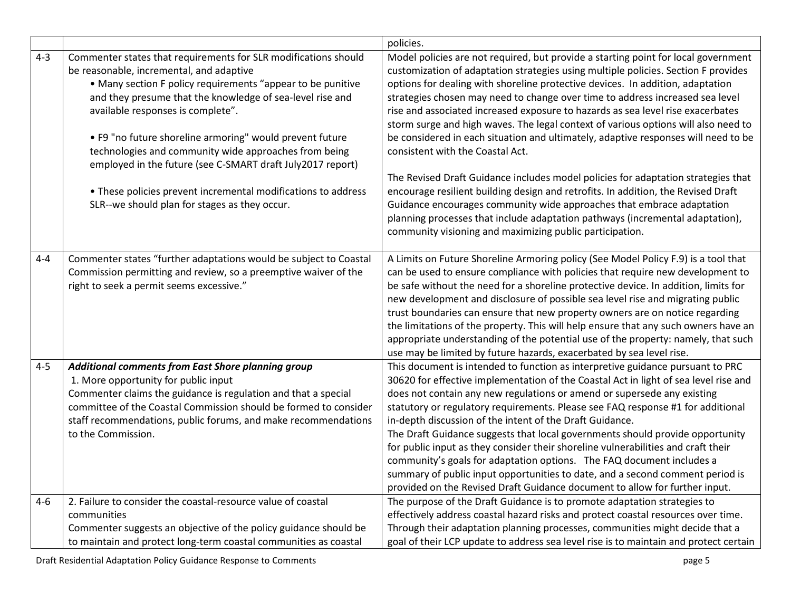|         |                                                                                                                                                                                                                                                                                                                                                                                                                                                                                                                                                                                   | policies.                                                                                                                                                                                                                                                                                                                                                                                                                                                                                                                                                                                                                                                                                                                                                                                                                                                                                                                                                                                                                                      |
|---------|-----------------------------------------------------------------------------------------------------------------------------------------------------------------------------------------------------------------------------------------------------------------------------------------------------------------------------------------------------------------------------------------------------------------------------------------------------------------------------------------------------------------------------------------------------------------------------------|------------------------------------------------------------------------------------------------------------------------------------------------------------------------------------------------------------------------------------------------------------------------------------------------------------------------------------------------------------------------------------------------------------------------------------------------------------------------------------------------------------------------------------------------------------------------------------------------------------------------------------------------------------------------------------------------------------------------------------------------------------------------------------------------------------------------------------------------------------------------------------------------------------------------------------------------------------------------------------------------------------------------------------------------|
| $4 - 3$ | Commenter states that requirements for SLR modifications should<br>be reasonable, incremental, and adaptive<br>• Many section F policy requirements "appear to be punitive<br>and they presume that the knowledge of sea-level rise and<br>available responses is complete".<br>• F9 "no future shoreline armoring" would prevent future<br>technologies and community wide approaches from being<br>employed in the future (see C-SMART draft July2017 report)<br>• These policies prevent incremental modifications to address<br>SLR--we should plan for stages as they occur. | Model policies are not required, but provide a starting point for local government<br>customization of adaptation strategies using multiple policies. Section F provides<br>options for dealing with shoreline protective devices. In addition, adaptation<br>strategies chosen may need to change over time to address increased sea level<br>rise and associated increased exposure to hazards as sea level rise exacerbates<br>storm surge and high waves. The legal context of various options will also need to<br>be considered in each situation and ultimately, adaptive responses will need to be<br>consistent with the Coastal Act.<br>The Revised Draft Guidance includes model policies for adaptation strategies that<br>encourage resilient building design and retrofits. In addition, the Revised Draft<br>Guidance encourages community wide approaches that embrace adaptation<br>planning processes that include adaptation pathways (incremental adaptation),<br>community visioning and maximizing public participation. |
| $4 - 4$ | Commenter states "further adaptations would be subject to Coastal<br>Commission permitting and review, so a preemptive waiver of the<br>right to seek a permit seems excessive."                                                                                                                                                                                                                                                                                                                                                                                                  | A Limits on Future Shoreline Armoring policy (See Model Policy F.9) is a tool that<br>can be used to ensure compliance with policies that require new development to<br>be safe without the need for a shoreline protective device. In addition, limits for<br>new development and disclosure of possible sea level rise and migrating public<br>trust boundaries can ensure that new property owners are on notice regarding<br>the limitations of the property. This will help ensure that any such owners have an<br>appropriate understanding of the potential use of the property: namely, that such<br>use may be limited by future hazards, exacerbated by sea level rise.                                                                                                                                                                                                                                                                                                                                                              |
| $4 - 5$ | Additional comments from East Shore planning group<br>1. More opportunity for public input<br>Commenter claims the guidance is regulation and that a special<br>committee of the Coastal Commission should be formed to consider<br>staff recommendations, public forums, and make recommendations<br>to the Commission.                                                                                                                                                                                                                                                          | This document is intended to function as interpretive guidance pursuant to PRC<br>30620 for effective implementation of the Coastal Act in light of sea level rise and<br>does not contain any new regulations or amend or supersede any existing<br>statutory or regulatory requirements. Please see FAQ response #1 for additional<br>in-depth discussion of the intent of the Draft Guidance.<br>The Draft Guidance suggests that local governments should provide opportunity<br>for public input as they consider their shoreline vulnerabilities and craft their<br>community's goals for adaptation options. The FAQ document includes a<br>summary of public input opportunities to date, and a second comment period is<br>provided on the Revised Draft Guidance document to allow for further input.                                                                                                                                                                                                                                |
| $4 - 6$ | 2. Failure to consider the coastal-resource value of coastal<br>communities<br>Commenter suggests an objective of the policy guidance should be<br>to maintain and protect long-term coastal communities as coastal                                                                                                                                                                                                                                                                                                                                                               | The purpose of the Draft Guidance is to promote adaptation strategies to<br>effectively address coastal hazard risks and protect coastal resources over time.<br>Through their adaptation planning processes, communities might decide that a<br>goal of their LCP update to address sea level rise is to maintain and protect certain                                                                                                                                                                                                                                                                                                                                                                                                                                                                                                                                                                                                                                                                                                         |

Draft Residential Adaptation Policy Guidance Response to Comments **page 1** and the set of the set of the set of the set of the set of the set of the set of the set of the set of the set of the set of the set of the set of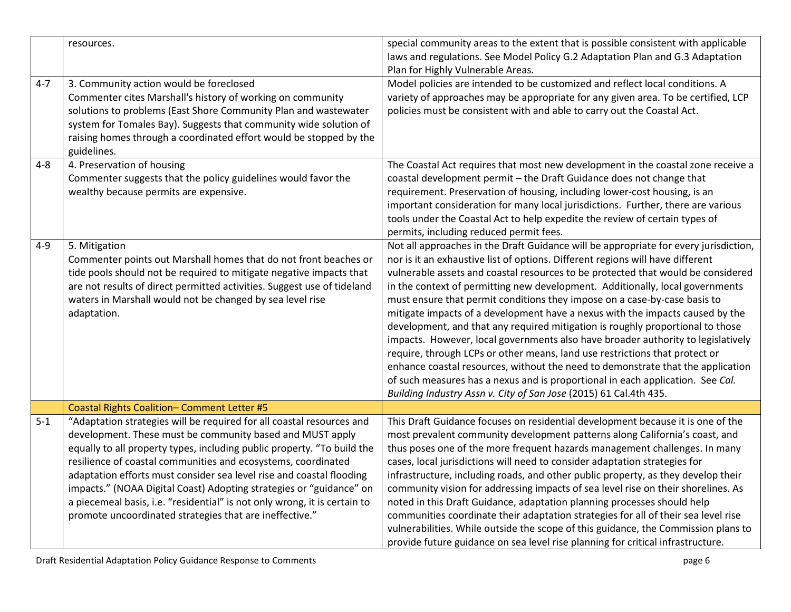|         | resources.                                                                                                                                                                                                                                                                                                                                                                                                                                                                                                                                                            | special community areas to the extent that is possible consistent with applicable<br>laws and regulations. See Model Policy G.2 Adaptation Plan and G.3 Adaptation<br>Plan for Highly Vulnerable Areas.                                                                                                                                                                                                                                                                                                                                                                                                                                                                                                                                                                                                                                                                                                                                                                                                  |
|---------|-----------------------------------------------------------------------------------------------------------------------------------------------------------------------------------------------------------------------------------------------------------------------------------------------------------------------------------------------------------------------------------------------------------------------------------------------------------------------------------------------------------------------------------------------------------------------|----------------------------------------------------------------------------------------------------------------------------------------------------------------------------------------------------------------------------------------------------------------------------------------------------------------------------------------------------------------------------------------------------------------------------------------------------------------------------------------------------------------------------------------------------------------------------------------------------------------------------------------------------------------------------------------------------------------------------------------------------------------------------------------------------------------------------------------------------------------------------------------------------------------------------------------------------------------------------------------------------------|
| $4 - 7$ | 3. Community action would be foreclosed<br>Commenter cites Marshall's history of working on community<br>solutions to problems (East Shore Community Plan and wastewater<br>system for Tomales Bay). Suggests that community wide solution of<br>raising homes through a coordinated effort would be stopped by the<br>guidelines.                                                                                                                                                                                                                                    | Model policies are intended to be customized and reflect local conditions. A<br>variety of approaches may be appropriate for any given area. To be certified, LCP<br>policies must be consistent with and able to carry out the Coastal Act.                                                                                                                                                                                                                                                                                                                                                                                                                                                                                                                                                                                                                                                                                                                                                             |
| $4 - 8$ | 4. Preservation of housing<br>Commenter suggests that the policy guidelines would favor the<br>wealthy because permits are expensive.                                                                                                                                                                                                                                                                                                                                                                                                                                 | The Coastal Act requires that most new development in the coastal zone receive a<br>coastal development permit - the Draft Guidance does not change that<br>requirement. Preservation of housing, including lower-cost housing, is an<br>important consideration for many local jurisdictions. Further, there are various<br>tools under the Coastal Act to help expedite the review of certain types of<br>permits, including reduced permit fees.                                                                                                                                                                                                                                                                                                                                                                                                                                                                                                                                                      |
| $4 - 9$ | 5. Mitigation<br>Commenter points out Marshall homes that do not front beaches or<br>tide pools should not be required to mitigate negative impacts that<br>are not results of direct permitted activities. Suggest use of tideland<br>waters in Marshall would not be changed by sea level rise<br>adaptation.                                                                                                                                                                                                                                                       | Not all approaches in the Draft Guidance will be appropriate for every jurisdiction,<br>nor is it an exhaustive list of options. Different regions will have different<br>vulnerable assets and coastal resources to be protected that would be considered<br>in the context of permitting new development. Additionally, local governments<br>must ensure that permit conditions they impose on a case-by-case basis to<br>mitigate impacts of a development have a nexus with the impacts caused by the<br>development, and that any required mitigation is roughly proportional to those<br>impacts. However, local governments also have broader authority to legislatively<br>require, through LCPs or other means, land use restrictions that protect or<br>enhance coastal resources, without the need to demonstrate that the application<br>of such measures has a nexus and is proportional in each application. See Cal.<br>Building Industry Assn v. City of San Jose (2015) 61 Cal.4th 435. |
|         | Coastal Rights Coalition- Comment Letter #5                                                                                                                                                                                                                                                                                                                                                                                                                                                                                                                           |                                                                                                                                                                                                                                                                                                                                                                                                                                                                                                                                                                                                                                                                                                                                                                                                                                                                                                                                                                                                          |
| $5 - 1$ | "Adaptation strategies will be required for all coastal resources and<br>development. These must be community based and MUST apply<br>equally to all property types, including public property. "To build the<br>resilience of coastal communities and ecosystems, coordinated<br>adaptation efforts must consider sea level rise and coastal flooding<br>impacts." (NOAA Digital Coast) Adopting strategies or "guidance" on<br>a piecemeal basis, i.e. "residential" is not only wrong, it is certain to<br>promote uncoordinated strategies that are ineffective." | This Draft Guidance focuses on residential development because it is one of the<br>most prevalent community development patterns along California's coast, and<br>thus poses one of the more frequent hazards management challenges. In many<br>cases, local jurisdictions will need to consider adaptation strategies for<br>infrastructure, including roads, and other public property, as they develop their<br>community vision for addressing impacts of sea level rise on their shorelines. As<br>noted in this Draft Guidance, adaptation planning processes should help<br>communities coordinate their adaptation strategies for all of their sea level rise<br>vulnerabilities. While outside the scope of this guidance, the Commission plans to<br>provide future guidance on sea level rise planning for critical infrastructure.                                                                                                                                                           |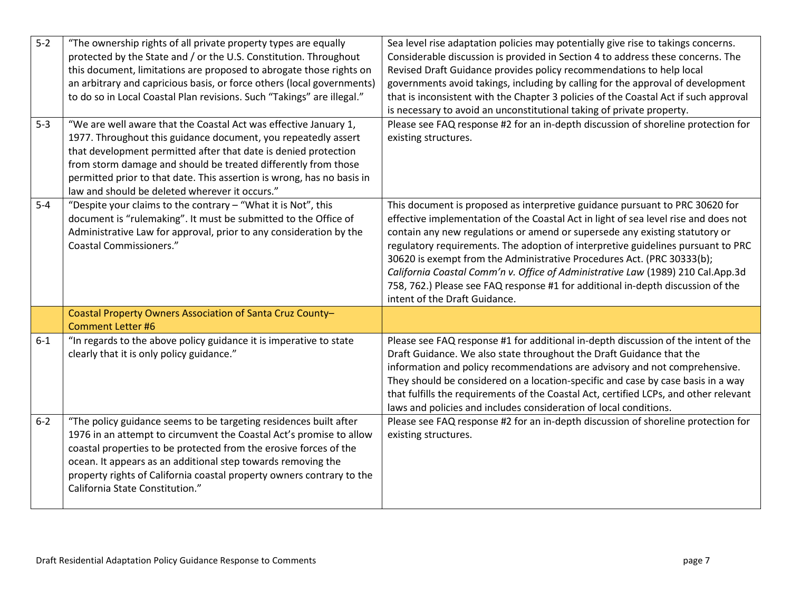| $5-2$<br>$5 - 3$ | "The ownership rights of all private property types are equally<br>protected by the State and / or the U.S. Constitution. Throughout<br>this document, limitations are proposed to abrogate those rights on<br>an arbitrary and capricious basis, or force others (local governments)<br>to do so in Local Coastal Plan revisions. Such "Takings" are illegal."<br>"We are well aware that the Coastal Act was effective January 1, | Sea level rise adaptation policies may potentially give rise to takings concerns.<br>Considerable discussion is provided in Section 4 to address these concerns. The<br>Revised Draft Guidance provides policy recommendations to help local<br>governments avoid takings, including by calling for the approval of development<br>that is inconsistent with the Chapter 3 policies of the Coastal Act if such approval<br>is necessary to avoid an unconstitutional taking of private property.<br>Please see FAQ response #2 for an in-depth discussion of shoreline protection for                                   |
|------------------|-------------------------------------------------------------------------------------------------------------------------------------------------------------------------------------------------------------------------------------------------------------------------------------------------------------------------------------------------------------------------------------------------------------------------------------|-------------------------------------------------------------------------------------------------------------------------------------------------------------------------------------------------------------------------------------------------------------------------------------------------------------------------------------------------------------------------------------------------------------------------------------------------------------------------------------------------------------------------------------------------------------------------------------------------------------------------|
|                  | 1977. Throughout this guidance document, you repeatedly assert<br>that development permitted after that date is denied protection<br>from storm damage and should be treated differently from those<br>permitted prior to that date. This assertion is wrong, has no basis in<br>law and should be deleted wherever it occurs."                                                                                                     | existing structures.                                                                                                                                                                                                                                                                                                                                                                                                                                                                                                                                                                                                    |
| $5-4$            | "Despite your claims to the contrary - "What it is Not", this<br>document is "rulemaking". It must be submitted to the Office of<br>Administrative Law for approval, prior to any consideration by the<br><b>Coastal Commissioners."</b>                                                                                                                                                                                            | This document is proposed as interpretive guidance pursuant to PRC 30620 for<br>effective implementation of the Coastal Act in light of sea level rise and does not<br>contain any new regulations or amend or supersede any existing statutory or<br>regulatory requirements. The adoption of interpretive guidelines pursuant to PRC<br>30620 is exempt from the Administrative Procedures Act. (PRC 30333(b);<br>California Coastal Comm'n v. Office of Administrative Law (1989) 210 Cal.App.3d<br>758, 762.) Please see FAQ response #1 for additional in-depth discussion of the<br>intent of the Draft Guidance. |
|                  | Coastal Property Owners Association of Santa Cruz County-<br><b>Comment Letter #6</b>                                                                                                                                                                                                                                                                                                                                               |                                                                                                                                                                                                                                                                                                                                                                                                                                                                                                                                                                                                                         |
| $6 - 1$          | "In regards to the above policy guidance it is imperative to state<br>clearly that it is only policy guidance."                                                                                                                                                                                                                                                                                                                     | Please see FAQ response #1 for additional in-depth discussion of the intent of the<br>Draft Guidance. We also state throughout the Draft Guidance that the<br>information and policy recommendations are advisory and not comprehensive.<br>They should be considered on a location-specific and case by case basis in a way<br>that fulfills the requirements of the Coastal Act, certified LCPs, and other relevant<br>laws and policies and includes consideration of local conditions.                                                                                                                              |
| $6 - 2$          | "The policy guidance seems to be targeting residences built after<br>1976 in an attempt to circumvent the Coastal Act's promise to allow<br>coastal properties to be protected from the erosive forces of the<br>ocean. It appears as an additional step towards removing the<br>property rights of California coastal property owners contrary to the<br>California State Constitution."                                           | Please see FAQ response #2 for an in-depth discussion of shoreline protection for<br>existing structures.                                                                                                                                                                                                                                                                                                                                                                                                                                                                                                               |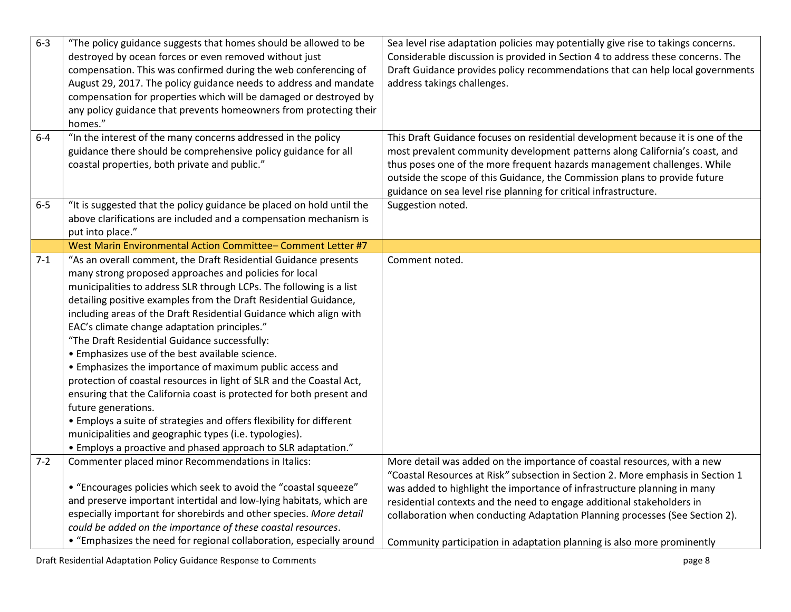| $6 - 3$ | "The policy guidance suggests that homes should be allowed to be<br>destroyed by ocean forces or even removed without just<br>compensation. This was confirmed during the web conferencing of<br>August 29, 2017. The policy guidance needs to address and mandate<br>compensation for properties which will be damaged or destroyed by<br>any policy guidance that prevents homeowners from protecting their<br>homes."                                                                                                                                                                                                                                                                                                                                                                                                                                                                                                             | Sea level rise adaptation policies may potentially give rise to takings concerns.<br>Considerable discussion is provided in Section 4 to address these concerns. The<br>Draft Guidance provides policy recommendations that can help local governments<br>address takings challenges.                                                                                                                                                                                        |
|---------|--------------------------------------------------------------------------------------------------------------------------------------------------------------------------------------------------------------------------------------------------------------------------------------------------------------------------------------------------------------------------------------------------------------------------------------------------------------------------------------------------------------------------------------------------------------------------------------------------------------------------------------------------------------------------------------------------------------------------------------------------------------------------------------------------------------------------------------------------------------------------------------------------------------------------------------|------------------------------------------------------------------------------------------------------------------------------------------------------------------------------------------------------------------------------------------------------------------------------------------------------------------------------------------------------------------------------------------------------------------------------------------------------------------------------|
| $6-4$   | "In the interest of the many concerns addressed in the policy<br>guidance there should be comprehensive policy guidance for all<br>coastal properties, both private and public."                                                                                                                                                                                                                                                                                                                                                                                                                                                                                                                                                                                                                                                                                                                                                     | This Draft Guidance focuses on residential development because it is one of the<br>most prevalent community development patterns along California's coast, and<br>thus poses one of the more frequent hazards management challenges. While                                                                                                                                                                                                                                   |
|         |                                                                                                                                                                                                                                                                                                                                                                                                                                                                                                                                                                                                                                                                                                                                                                                                                                                                                                                                      | outside the scope of this Guidance, the Commission plans to provide future<br>guidance on sea level rise planning for critical infrastructure.                                                                                                                                                                                                                                                                                                                               |
| $6-5$   | "It is suggested that the policy guidance be placed on hold until the<br>above clarifications are included and a compensation mechanism is<br>put into place."                                                                                                                                                                                                                                                                                                                                                                                                                                                                                                                                                                                                                                                                                                                                                                       | Suggestion noted.                                                                                                                                                                                                                                                                                                                                                                                                                                                            |
|         | West Marin Environmental Action Committee-Comment Letter #7                                                                                                                                                                                                                                                                                                                                                                                                                                                                                                                                                                                                                                                                                                                                                                                                                                                                          |                                                                                                                                                                                                                                                                                                                                                                                                                                                                              |
| $7 - 1$ | "As an overall comment, the Draft Residential Guidance presents<br>many strong proposed approaches and policies for local<br>municipalities to address SLR through LCPs. The following is a list<br>detailing positive examples from the Draft Residential Guidance,<br>including areas of the Draft Residential Guidance which align with<br>EAC's climate change adaptation principles."<br>"The Draft Residential Guidance successfully:<br>• Emphasizes use of the best available science.<br>• Emphasizes the importance of maximum public access and<br>protection of coastal resources in light of SLR and the Coastal Act,<br>ensuring that the California coast is protected for both present and<br>future generations.<br>• Employs a suite of strategies and offers flexibility for different<br>municipalities and geographic types (i.e. typologies).<br>• Employs a proactive and phased approach to SLR adaptation." | Comment noted.                                                                                                                                                                                                                                                                                                                                                                                                                                                               |
| $7 - 2$ | Commenter placed minor Recommendations in Italics:<br>• "Encourages policies which seek to avoid the "coastal squeeze"<br>and preserve important intertidal and low-lying habitats, which are<br>especially important for shorebirds and other species. More detail<br>could be added on the importance of these coastal resources.<br>• "Emphasizes the need for regional collaboration, especially around                                                                                                                                                                                                                                                                                                                                                                                                                                                                                                                          | More detail was added on the importance of coastal resources, with a new<br>"Coastal Resources at Risk" subsection in Section 2. More emphasis in Section 1<br>was added to highlight the importance of infrastructure planning in many<br>residential contexts and the need to engage additional stakeholders in<br>collaboration when conducting Adaptation Planning processes (See Section 2).<br>Community participation in adaptation planning is also more prominently |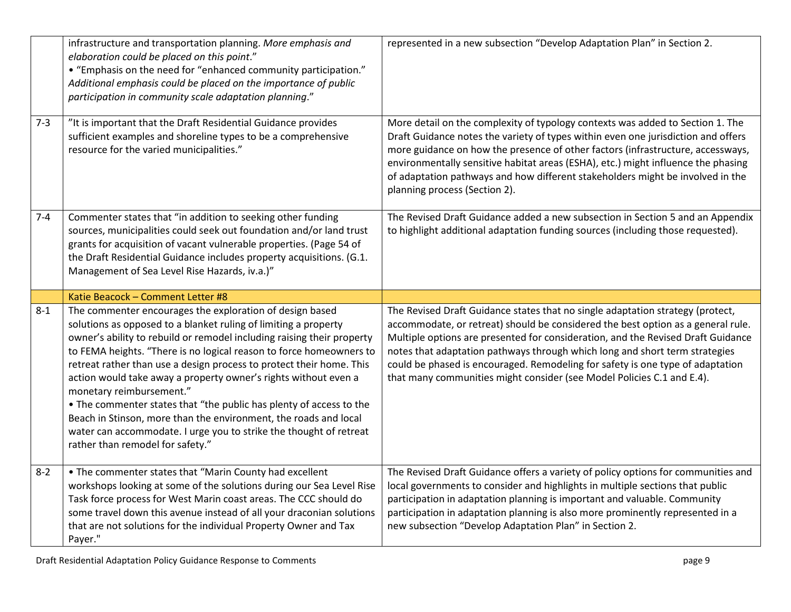|         | infrastructure and transportation planning. More emphasis and<br>elaboration could be placed on this point."<br>• "Emphasis on the need for "enhanced community participation."<br>Additional emphasis could be placed on the importance of public<br>participation in community scale adaptation planning."                                                                                                                                                                                                                                                                                                                                                                                             | represented in a new subsection "Develop Adaptation Plan" in Section 2.                                                                                                                                                                                                                                                                                                                                                                                                                           |
|---------|----------------------------------------------------------------------------------------------------------------------------------------------------------------------------------------------------------------------------------------------------------------------------------------------------------------------------------------------------------------------------------------------------------------------------------------------------------------------------------------------------------------------------------------------------------------------------------------------------------------------------------------------------------------------------------------------------------|---------------------------------------------------------------------------------------------------------------------------------------------------------------------------------------------------------------------------------------------------------------------------------------------------------------------------------------------------------------------------------------------------------------------------------------------------------------------------------------------------|
| $7 - 3$ | "It is important that the Draft Residential Guidance provides<br>sufficient examples and shoreline types to be a comprehensive<br>resource for the varied municipalities."                                                                                                                                                                                                                                                                                                                                                                                                                                                                                                                               | More detail on the complexity of typology contexts was added to Section 1. The<br>Draft Guidance notes the variety of types within even one jurisdiction and offers<br>more guidance on how the presence of other factors (infrastructure, accessways,<br>environmentally sensitive habitat areas (ESHA), etc.) might influence the phasing<br>of adaptation pathways and how different stakeholders might be involved in the<br>planning process (Section 2).                                    |
| $7 - 4$ | Commenter states that "in addition to seeking other funding<br>sources, municipalities could seek out foundation and/or land trust<br>grants for acquisition of vacant vulnerable properties. (Page 54 of<br>the Draft Residential Guidance includes property acquisitions. (G.1.<br>Management of Sea Level Rise Hazards, iv.a.)"                                                                                                                                                                                                                                                                                                                                                                       | The Revised Draft Guidance added a new subsection in Section 5 and an Appendix<br>to highlight additional adaptation funding sources (including those requested).                                                                                                                                                                                                                                                                                                                                 |
|         |                                                                                                                                                                                                                                                                                                                                                                                                                                                                                                                                                                                                                                                                                                          |                                                                                                                                                                                                                                                                                                                                                                                                                                                                                                   |
|         | Katie Beacock - Comment Letter #8                                                                                                                                                                                                                                                                                                                                                                                                                                                                                                                                                                                                                                                                        |                                                                                                                                                                                                                                                                                                                                                                                                                                                                                                   |
| $8 - 1$ | The commenter encourages the exploration of design based<br>solutions as opposed to a blanket ruling of limiting a property<br>owner's ability to rebuild or remodel including raising their property<br>to FEMA heights. "There is no logical reason to force homeowners to<br>retreat rather than use a design process to protect their home. This<br>action would take away a property owner's rights without even a<br>monetary reimbursement."<br>. The commenter states that "the public has plenty of access to the<br>Beach in Stinson, more than the environment, the roads and local<br>water can accommodate. I urge you to strike the thought of retreat<br>rather than remodel for safety." | The Revised Draft Guidance states that no single adaptation strategy (protect,<br>accommodate, or retreat) should be considered the best option as a general rule.<br>Multiple options are presented for consideration, and the Revised Draft Guidance<br>notes that adaptation pathways through which long and short term strategies<br>could be phased is encouraged. Remodeling for safety is one type of adaptation<br>that many communities might consider (see Model Policies C.1 and E.4). |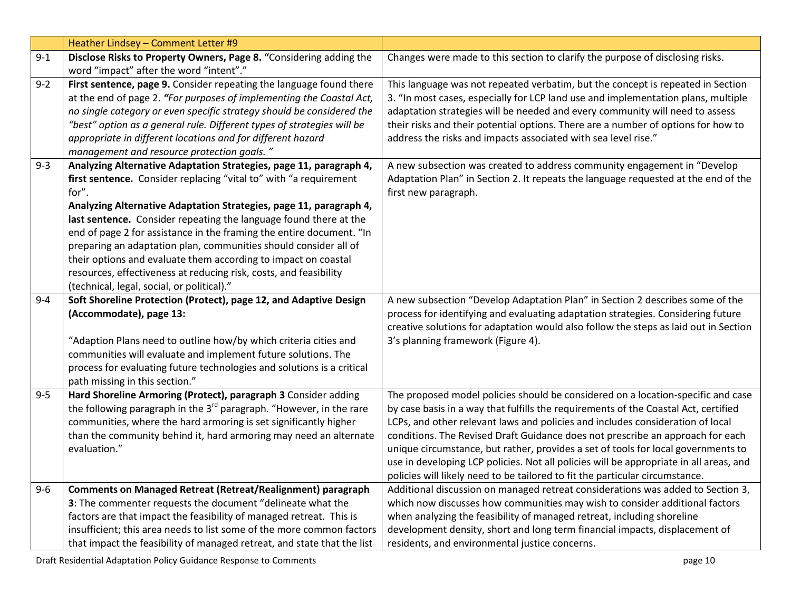|         | Heather Lindsey - Comment Letter #9                                                                                                              |                                                                                                                                                                       |
|---------|--------------------------------------------------------------------------------------------------------------------------------------------------|-----------------------------------------------------------------------------------------------------------------------------------------------------------------------|
| $9 - 1$ | Disclose Risks to Property Owners, Page 8. "Considering adding the                                                                               | Changes were made to this section to clarify the purpose of disclosing risks.                                                                                         |
|         | word "impact" after the word "intent"."                                                                                                          |                                                                                                                                                                       |
| $9 - 2$ | First sentence, page 9. Consider repeating the language found there                                                                              | This language was not repeated verbatim, but the concept is repeated in Section                                                                                       |
|         | at the end of page 2. "For purposes of implementing the Coastal Act,                                                                             | 3. "In most cases, especially for LCP land use and implementation plans, multiple                                                                                     |
|         | no single category or even specific strategy should be considered the                                                                            | adaptation strategies will be needed and every community will need to assess                                                                                          |
|         | "best" option as a general rule. Different types of strategies will be                                                                           | their risks and their potential options. There are a number of options for how to                                                                                     |
|         | appropriate in different locations and for different hazard                                                                                      | address the risks and impacts associated with sea level rise."                                                                                                        |
|         | management and resource protection goals."                                                                                                       |                                                                                                                                                                       |
| $9 - 3$ | Analyzing Alternative Adaptation Strategies, page 11, paragraph 4,                                                                               | A new subsection was created to address community engagement in "Develop                                                                                              |
|         | first sentence. Consider replacing "vital to" with "a requirement                                                                                | Adaptation Plan" in Section 2. It repeats the language requested at the end of the                                                                                    |
|         | for".                                                                                                                                            | first new paragraph.                                                                                                                                                  |
|         | Analyzing Alternative Adaptation Strategies, page 11, paragraph 4,                                                                               |                                                                                                                                                                       |
|         | last sentence. Consider repeating the language found there at the                                                                                |                                                                                                                                                                       |
|         | end of page 2 for assistance in the framing the entire document. "In                                                                             |                                                                                                                                                                       |
|         | preparing an adaptation plan, communities should consider all of                                                                                 |                                                                                                                                                                       |
|         | their options and evaluate them according to impact on coastal                                                                                   |                                                                                                                                                                       |
|         | resources, effectiveness at reducing risk, costs, and feasibility                                                                                |                                                                                                                                                                       |
|         | (technical, legal, social, or political)."                                                                                                       |                                                                                                                                                                       |
| $9 - 4$ | Soft Shoreline Protection (Protect), page 12, and Adaptive Design                                                                                | A new subsection "Develop Adaptation Plan" in Section 2 describes some of the                                                                                         |
|         | (Accommodate), page 13:                                                                                                                          | process for identifying and evaluating adaptation strategies. Considering future                                                                                      |
|         |                                                                                                                                                  | creative solutions for adaptation would also follow the steps as laid out in Section                                                                                  |
|         | "Adaption Plans need to outline how/by which criteria cities and                                                                                 | 3's planning framework (Figure 4).                                                                                                                                    |
|         | communities will evaluate and implement future solutions. The                                                                                    |                                                                                                                                                                       |
|         | process for evaluating future technologies and solutions is a critical                                                                           |                                                                                                                                                                       |
|         | path missing in this section."                                                                                                                   |                                                                                                                                                                       |
| $9 - 5$ | Hard Shoreline Armoring (Protect), paragraph 3 Consider adding                                                                                   | The proposed model policies should be considered on a location-specific and case                                                                                      |
|         | the following paragraph in the $3^{rd}$ paragraph. "However, in the rare                                                                         | by case basis in a way that fulfills the requirements of the Coastal Act, certified<br>LCPs, and other relevant laws and policies and includes consideration of local |
|         | communities, where the hard armoring is set significantly higher                                                                                 |                                                                                                                                                                       |
|         |                                                                                                                                                  |                                                                                                                                                                       |
|         | than the community behind it, hard armoring may need an alternate                                                                                | conditions. The Revised Draft Guidance does not prescribe an approach for each                                                                                        |
|         | evaluation."                                                                                                                                     | unique circumstance, but rather, provides a set of tools for local governments to                                                                                     |
|         |                                                                                                                                                  | use in developing LCP policies. Not all policies will be appropriate in all areas, and                                                                                |
|         |                                                                                                                                                  | policies will likely need to be tailored to fit the particular circumstance.                                                                                          |
| $9 - 6$ | <b>Comments on Managed Retreat (Retreat/Realignment) paragraph</b>                                                                               | Additional discussion on managed retreat considerations was added to Section 3,                                                                                       |
|         | 3: The commenter requests the document "delineate what the                                                                                       | which now discusses how communities may wish to consider additional factors                                                                                           |
|         | factors are that impact the feasibility of managed retreat. This is                                                                              | when analyzing the feasibility of managed retreat, including shoreline                                                                                                |
|         | insufficient; this area needs to list some of the more common factors<br>that impact the feasibility of managed retreat, and state that the list | development density, short and long term financial impacts, displacement of<br>residents, and environmental justice concerns.                                         |

Draft Residential Adaptation Policy Guidance Response to Comments **page 10** and the set of the set of the set of the set of the set of the set of the set of the set of the set of the set of the set of the set of the set of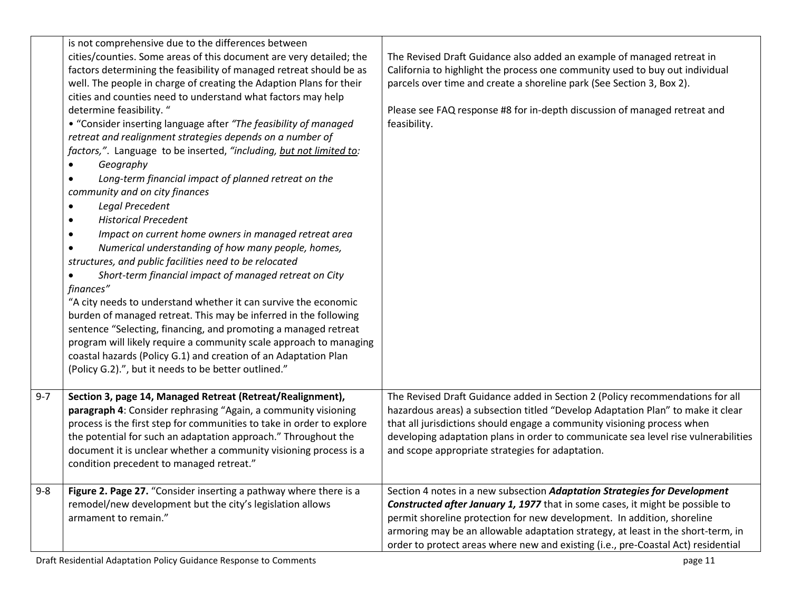|         | is not comprehensive due to the differences between<br>cities/counties. Some areas of this document are very detailed; the<br>factors determining the feasibility of managed retreat should be as<br>well. The people in charge of creating the Adaption Plans for their<br>cities and counties need to understand what factors may help<br>determine feasibility. "<br>• "Consider inserting language after "The feasibility of managed<br>retreat and realignment strategies depends on a number of<br>factors,". Language to be inserted, "including, but not limited to:<br>Geography<br>$\bullet$<br>Long-term financial impact of planned retreat on the<br>$\bullet$<br>community and on city finances<br>Legal Precedent<br>$\bullet$<br><b>Historical Precedent</b><br>$\bullet$<br>Impact on current home owners in managed retreat area<br>$\bullet$<br>Numerical understanding of how many people, homes,<br>$\bullet$<br>structures, and public facilities need to be relocated<br>Short-term financial impact of managed retreat on City<br>$\bullet$<br>finances"<br>"A city needs to understand whether it can survive the economic<br>burden of managed retreat. This may be inferred in the following | The Revised Draft Guidance also added an example of managed retreat in<br>California to highlight the process one community used to buy out individual<br>parcels over time and create a shoreline park (See Section 3, Box 2).<br>Please see FAQ response #8 for in-depth discussion of managed retreat and<br>feasibility.                                                                                   |
|---------|-------------------------------------------------------------------------------------------------------------------------------------------------------------------------------------------------------------------------------------------------------------------------------------------------------------------------------------------------------------------------------------------------------------------------------------------------------------------------------------------------------------------------------------------------------------------------------------------------------------------------------------------------------------------------------------------------------------------------------------------------------------------------------------------------------------------------------------------------------------------------------------------------------------------------------------------------------------------------------------------------------------------------------------------------------------------------------------------------------------------------------------------------------------------------------------------------------------------------|----------------------------------------------------------------------------------------------------------------------------------------------------------------------------------------------------------------------------------------------------------------------------------------------------------------------------------------------------------------------------------------------------------------|
|         | coastal hazards (Policy G.1) and creation of an Adaptation Plan<br>(Policy G.2).", but it needs to be better outlined."                                                                                                                                                                                                                                                                                                                                                                                                                                                                                                                                                                                                                                                                                                                                                                                                                                                                                                                                                                                                                                                                                                 |                                                                                                                                                                                                                                                                                                                                                                                                                |
| $9 - 7$ | Section 3, page 14, Managed Retreat (Retreat/Realignment),<br>paragraph 4: Consider rephrasing "Again, a community visioning<br>process is the first step for communities to take in order to explore<br>the potential for such an adaptation approach." Throughout the<br>document it is unclear whether a community visioning process is a<br>condition precedent to managed retreat."                                                                                                                                                                                                                                                                                                                                                                                                                                                                                                                                                                                                                                                                                                                                                                                                                                | The Revised Draft Guidance added in Section 2 (Policy recommendations for all<br>hazardous areas) a subsection titled "Develop Adaptation Plan" to make it clear<br>that all jurisdictions should engage a community visioning process when<br>developing adaptation plans in order to communicate sea level rise vulnerabilities<br>and scope appropriate strategies for adaptation.                          |
| $9 - 8$ | Figure 2. Page 27. "Consider inserting a pathway where there is a<br>remodel/new development but the city's legislation allows<br>armament to remain."                                                                                                                                                                                                                                                                                                                                                                                                                                                                                                                                                                                                                                                                                                                                                                                                                                                                                                                                                                                                                                                                  | Section 4 notes in a new subsection Adaptation Strategies for Development<br>Constructed after January 1, 1977 that in some cases, it might be possible to<br>permit shoreline protection for new development. In addition, shoreline<br>armoring may be an allowable adaptation strategy, at least in the short-term, in<br>order to protect areas where new and existing (i.e., pre-Coastal Act) residential |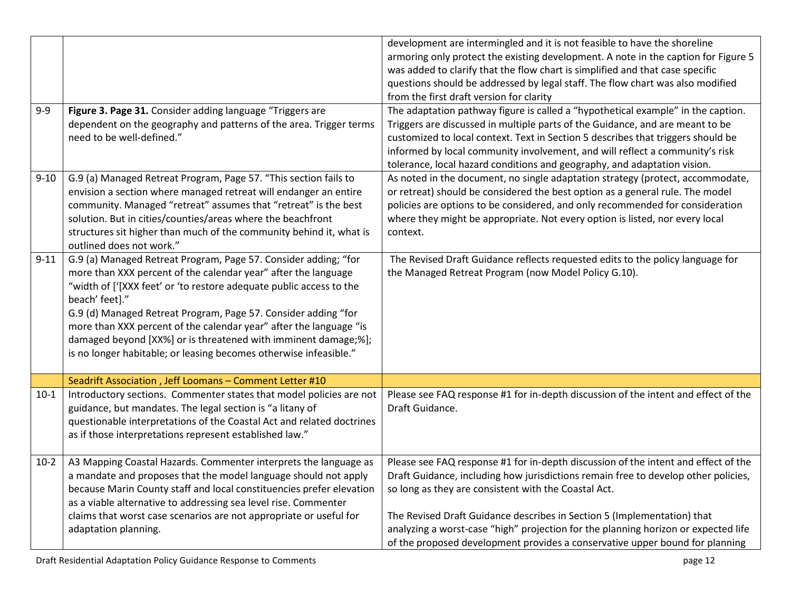| $9-9$    | Figure 3. Page 31. Consider adding language "Triggers are<br>dependent on the geography and patterns of the area. Trigger terms<br>need to be well-defined."                                                                                                                                                                                                                                                                                                                                              | development are intermingled and it is not feasible to have the shoreline<br>armoring only protect the existing development. A note in the caption for Figure 5<br>was added to clarify that the flow chart is simplified and that case specific<br>questions should be addressed by legal staff. The flow chart was also modified<br>from the first draft version for clarity<br>The adaptation pathway figure is called a "hypothetical example" in the caption.<br>Triggers are discussed in multiple parts of the Guidance, and are meant to be<br>customized to local context. Text in Section 5 describes that triggers should be<br>informed by local community involvement, and will reflect a community's risk<br>tolerance, local hazard conditions and geography, and adaptation vision. |
|----------|-----------------------------------------------------------------------------------------------------------------------------------------------------------------------------------------------------------------------------------------------------------------------------------------------------------------------------------------------------------------------------------------------------------------------------------------------------------------------------------------------------------|-----------------------------------------------------------------------------------------------------------------------------------------------------------------------------------------------------------------------------------------------------------------------------------------------------------------------------------------------------------------------------------------------------------------------------------------------------------------------------------------------------------------------------------------------------------------------------------------------------------------------------------------------------------------------------------------------------------------------------------------------------------------------------------------------------|
| $9 - 10$ | G.9 (a) Managed Retreat Program, Page 57. "This section fails to<br>envision a section where managed retreat will endanger an entire<br>community. Managed "retreat" assumes that "retreat" is the best<br>solution. But in cities/counties/areas where the beachfront<br>structures sit higher than much of the community behind it, what is<br>outlined does not work."                                                                                                                                 | As noted in the document, no single adaptation strategy (protect, accommodate,<br>or retreat) should be considered the best option as a general rule. The model<br>policies are options to be considered, and only recommended for consideration<br>where they might be appropriate. Not every option is listed, nor every local<br>context.                                                                                                                                                                                                                                                                                                                                                                                                                                                        |
| $9 - 11$ | G.9 (a) Managed Retreat Program, Page 57. Consider adding; "for<br>more than XXX percent of the calendar year" after the language<br>"width of ['[XXX feet' or 'to restore adequate public access to the<br>beach' feet]."<br>G.9 (d) Managed Retreat Program, Page 57. Consider adding "for<br>more than XXX percent of the calendar year" after the language "is<br>damaged beyond [XX%] or is threatened with imminent damage;%];<br>is no longer habitable; or leasing becomes otherwise infeasible." | The Revised Draft Guidance reflects requested edits to the policy language for<br>the Managed Retreat Program (now Model Policy G.10).                                                                                                                                                                                                                                                                                                                                                                                                                                                                                                                                                                                                                                                              |
|          | Seadrift Association, Jeff Loomans - Comment Letter #10                                                                                                                                                                                                                                                                                                                                                                                                                                                   |                                                                                                                                                                                                                                                                                                                                                                                                                                                                                                                                                                                                                                                                                                                                                                                                     |
| $10-1$   | Introductory sections. Commenter states that model policies are not<br>guidance, but mandates. The legal section is "a litany of<br>questionable interpretations of the Coastal Act and related doctrines<br>as if those interpretations represent established law."                                                                                                                                                                                                                                      | Please see FAQ response #1 for in-depth discussion of the intent and effect of the<br>Draft Guidance.                                                                                                                                                                                                                                                                                                                                                                                                                                                                                                                                                                                                                                                                                               |
| $10-2$   | A3 Mapping Coastal Hazards. Commenter interprets the language as<br>a mandate and proposes that the model language should not apply<br>because Marin County staff and local constituencies prefer elevation<br>as a viable alternative to addressing sea level rise. Commenter<br>claims that worst case scenarios are not appropriate or useful for<br>adaptation planning.                                                                                                                              | Please see FAQ response #1 for in-depth discussion of the intent and effect of the<br>Draft Guidance, including how jurisdictions remain free to develop other policies,<br>so long as they are consistent with the Coastal Act.<br>The Revised Draft Guidance describes in Section 5 (Implementation) that<br>analyzing a worst-case "high" projection for the planning horizon or expected life<br>of the proposed development provides a conservative upper bound for planning                                                                                                                                                                                                                                                                                                                   |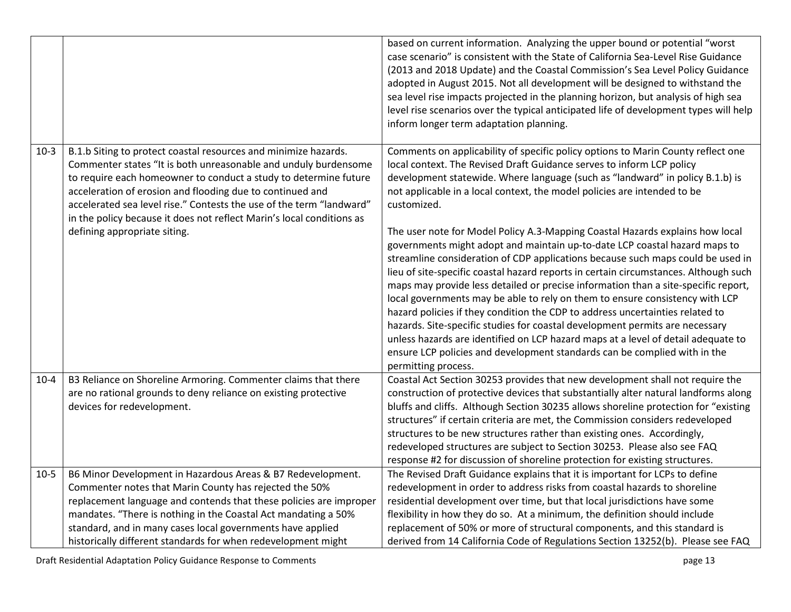|          |                                                                                                                                                                                                                                                                                                                                                                                                                                                      | based on current information. Analyzing the upper bound or potential "worst<br>case scenario" is consistent with the State of California Sea-Level Rise Guidance<br>(2013 and 2018 Update) and the Coastal Commission's Sea Level Policy Guidance<br>adopted in August 2015. Not all development will be designed to withstand the<br>sea level rise impacts projected in the planning horizon, but analysis of high sea<br>level rise scenarios over the typical anticipated life of development types will help<br>inform longer term adaptation planning.                                                                                                                                                                                                                                                                                                                                                                                                                                                                                                                                                                                                                                                    |
|----------|------------------------------------------------------------------------------------------------------------------------------------------------------------------------------------------------------------------------------------------------------------------------------------------------------------------------------------------------------------------------------------------------------------------------------------------------------|-----------------------------------------------------------------------------------------------------------------------------------------------------------------------------------------------------------------------------------------------------------------------------------------------------------------------------------------------------------------------------------------------------------------------------------------------------------------------------------------------------------------------------------------------------------------------------------------------------------------------------------------------------------------------------------------------------------------------------------------------------------------------------------------------------------------------------------------------------------------------------------------------------------------------------------------------------------------------------------------------------------------------------------------------------------------------------------------------------------------------------------------------------------------------------------------------------------------|
| $10-3$   | B.1.b Siting to protect coastal resources and minimize hazards.<br>Commenter states "It is both unreasonable and unduly burdensome<br>to require each homeowner to conduct a study to determine future<br>acceleration of erosion and flooding due to continued and<br>accelerated sea level rise." Contests the use of the term "landward"<br>in the policy because it does not reflect Marin's local conditions as<br>defining appropriate siting. | Comments on applicability of specific policy options to Marin County reflect one<br>local context. The Revised Draft Guidance serves to inform LCP policy<br>development statewide. Where language (such as "landward" in policy B.1.b) is<br>not applicable in a local context, the model policies are intended to be<br>customized.<br>The user note for Model Policy A.3-Mapping Coastal Hazards explains how local<br>governments might adopt and maintain up-to-date LCP coastal hazard maps to<br>streamline consideration of CDP applications because such maps could be used in<br>lieu of site-specific coastal hazard reports in certain circumstances. Although such<br>maps may provide less detailed or precise information than a site-specific report,<br>local governments may be able to rely on them to ensure consistency with LCP<br>hazard policies if they condition the CDP to address uncertainties related to<br>hazards. Site-specific studies for coastal development permits are necessary<br>unless hazards are identified on LCP hazard maps at a level of detail adequate to<br>ensure LCP policies and development standards can be complied with in the<br>permitting process. |
| $10 - 4$ | B3 Reliance on Shoreline Armoring. Commenter claims that there<br>are no rational grounds to deny reliance on existing protective<br>devices for redevelopment.                                                                                                                                                                                                                                                                                      | Coastal Act Section 30253 provides that new development shall not require the<br>construction of protective devices that substantially alter natural landforms along<br>bluffs and cliffs. Although Section 30235 allows shoreline protection for "existing<br>structures" if certain criteria are met, the Commission considers redeveloped<br>structures to be new structures rather than existing ones. Accordingly,<br>redeveloped structures are subject to Section 30253. Please also see FAQ<br>response #2 for discussion of shoreline protection for existing structures.                                                                                                                                                                                                                                                                                                                                                                                                                                                                                                                                                                                                                              |
| $10-5$   | B6 Minor Development in Hazardous Areas & B7 Redevelopment.<br>Commenter notes that Marin County has rejected the 50%<br>replacement language and contends that these policies are improper<br>mandates. "There is nothing in the Coastal Act mandating a 50%<br>standard, and in many cases local governments have applied<br>historically different standards for when redevelopment might                                                         | The Revised Draft Guidance explains that it is important for LCPs to define<br>redevelopment in order to address risks from coastal hazards to shoreline<br>residential development over time, but that local jurisdictions have some<br>flexibility in how they do so. At a minimum, the definition should include<br>replacement of 50% or more of structural components, and this standard is<br>derived from 14 California Code of Regulations Section 13252(b). Please see FAQ                                                                                                                                                                                                                                                                                                                                                                                                                                                                                                                                                                                                                                                                                                                             |

Draft Residential Adaptation Policy Guidance Response to Comments **page 13** page 13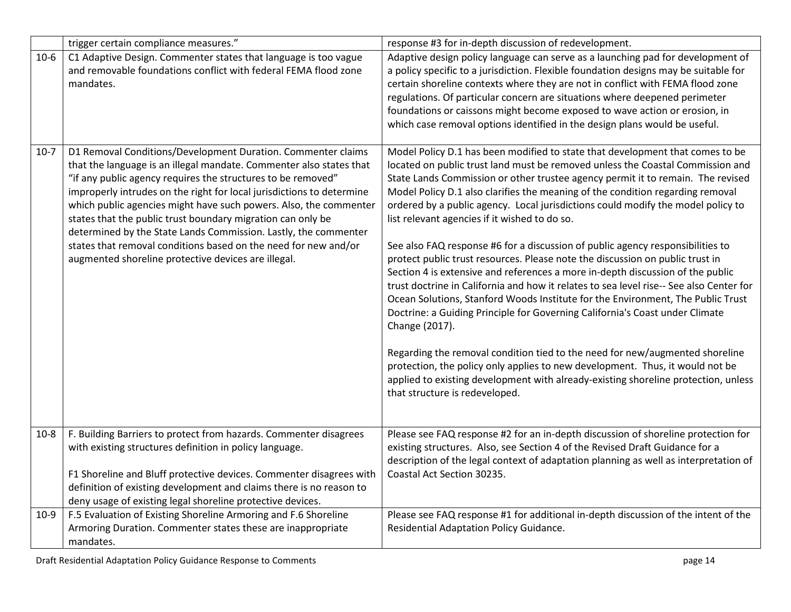|        | trigger certain compliance measures."                                                                                                                                                                                                                                                                                                                                                                                                                                                                                                                                                                         | response #3 for in-depth discussion of redevelopment.                                                                                                                                                                                                                                                                                                                                                                                                                                                                                                                                                                                                                                                                                                                                                                                                                                                                                                                                                                                                                                                                                                                                                                                                                                                   |
|--------|---------------------------------------------------------------------------------------------------------------------------------------------------------------------------------------------------------------------------------------------------------------------------------------------------------------------------------------------------------------------------------------------------------------------------------------------------------------------------------------------------------------------------------------------------------------------------------------------------------------|---------------------------------------------------------------------------------------------------------------------------------------------------------------------------------------------------------------------------------------------------------------------------------------------------------------------------------------------------------------------------------------------------------------------------------------------------------------------------------------------------------------------------------------------------------------------------------------------------------------------------------------------------------------------------------------------------------------------------------------------------------------------------------------------------------------------------------------------------------------------------------------------------------------------------------------------------------------------------------------------------------------------------------------------------------------------------------------------------------------------------------------------------------------------------------------------------------------------------------------------------------------------------------------------------------|
| $10-6$ | C1 Adaptive Design. Commenter states that language is too vague<br>and removable foundations conflict with federal FEMA flood zone<br>mandates.                                                                                                                                                                                                                                                                                                                                                                                                                                                               | Adaptive design policy language can serve as a launching pad for development of<br>a policy specific to a jurisdiction. Flexible foundation designs may be suitable for<br>certain shoreline contexts where they are not in conflict with FEMA flood zone<br>regulations. Of particular concern are situations where deepened perimeter<br>foundations or caissons might become exposed to wave action or erosion, in<br>which case removal options identified in the design plans would be useful.                                                                                                                                                                                                                                                                                                                                                                                                                                                                                                                                                                                                                                                                                                                                                                                                     |
| $10-7$ | D1 Removal Conditions/Development Duration. Commenter claims<br>that the language is an illegal mandate. Commenter also states that<br>"if any public agency requires the structures to be removed"<br>improperly intrudes on the right for local jurisdictions to determine<br>which public agencies might have such powers. Also, the commenter<br>states that the public trust boundary migration can only be<br>determined by the State Lands Commission. Lastly, the commenter<br>states that removal conditions based on the need for new and/or<br>augmented shoreline protective devices are illegal. | Model Policy D.1 has been modified to state that development that comes to be<br>located on public trust land must be removed unless the Coastal Commission and<br>State Lands Commission or other trustee agency permit it to remain. The revised<br>Model Policy D.1 also clarifies the meaning of the condition regarding removal<br>ordered by a public agency. Local jurisdictions could modify the model policy to<br>list relevant agencies if it wished to do so.<br>See also FAQ response #6 for a discussion of public agency responsibilities to<br>protect public trust resources. Please note the discussion on public trust in<br>Section 4 is extensive and references a more in-depth discussion of the public<br>trust doctrine in California and how it relates to sea level rise-- See also Center for<br>Ocean Solutions, Stanford Woods Institute for the Environment, The Public Trust<br>Doctrine: a Guiding Principle for Governing California's Coast under Climate<br>Change (2017).<br>Regarding the removal condition tied to the need for new/augmented shoreline<br>protection, the policy only applies to new development. Thus, it would not be<br>applied to existing development with already-existing shoreline protection, unless<br>that structure is redeveloped. |
| $10-8$ | F. Building Barriers to protect from hazards. Commenter disagrees<br>with existing structures definition in policy language.<br>F1 Shoreline and Bluff protective devices. Commenter disagrees with<br>definition of existing development and claims there is no reason to<br>deny usage of existing legal shoreline protective devices.                                                                                                                                                                                                                                                                      | Please see FAQ response #2 for an in-depth discussion of shoreline protection for<br>existing structures. Also, see Section 4 of the Revised Draft Guidance for a<br>description of the legal context of adaptation planning as well as interpretation of<br>Coastal Act Section 30235.                                                                                                                                                                                                                                                                                                                                                                                                                                                                                                                                                                                                                                                                                                                                                                                                                                                                                                                                                                                                                 |
| $10-9$ | F.5 Evaluation of Existing Shoreline Armoring and F.6 Shoreline<br>Armoring Duration. Commenter states these are inappropriate<br>mandates.                                                                                                                                                                                                                                                                                                                                                                                                                                                                   | Please see FAQ response #1 for additional in-depth discussion of the intent of the<br>Residential Adaptation Policy Guidance.                                                                                                                                                                                                                                                                                                                                                                                                                                                                                                                                                                                                                                                                                                                                                                                                                                                                                                                                                                                                                                                                                                                                                                           |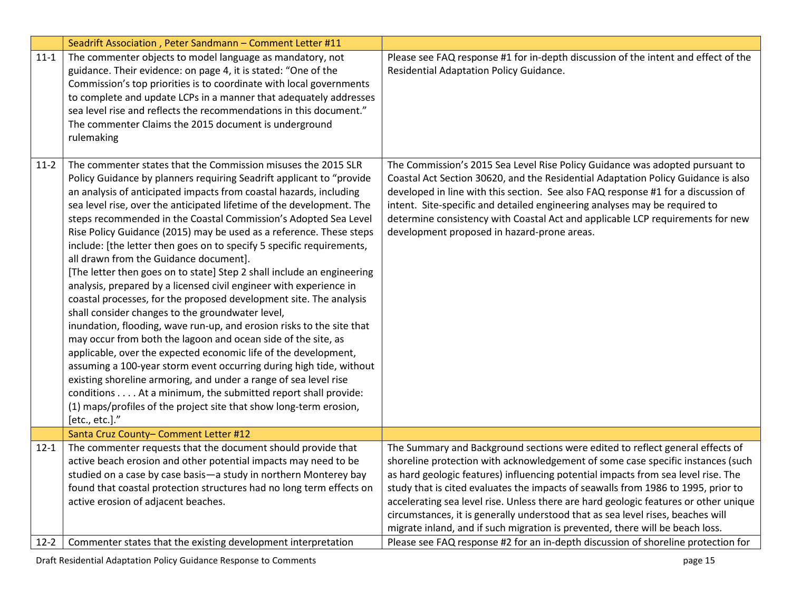|          | Seadrift Association, Peter Sandmann - Comment Letter #11                                                                                                                                                                                                                                                                                                                                                                                                                                                                                                                                                                                                                                                                                                                                                                                                                                                                                                                                                                                                                                                                                                                                                                                                                                                                                   |                                                                                                                                                                                                                                                                                                                                                                                                                                                                                                                                                                                                        |
|----------|---------------------------------------------------------------------------------------------------------------------------------------------------------------------------------------------------------------------------------------------------------------------------------------------------------------------------------------------------------------------------------------------------------------------------------------------------------------------------------------------------------------------------------------------------------------------------------------------------------------------------------------------------------------------------------------------------------------------------------------------------------------------------------------------------------------------------------------------------------------------------------------------------------------------------------------------------------------------------------------------------------------------------------------------------------------------------------------------------------------------------------------------------------------------------------------------------------------------------------------------------------------------------------------------------------------------------------------------|--------------------------------------------------------------------------------------------------------------------------------------------------------------------------------------------------------------------------------------------------------------------------------------------------------------------------------------------------------------------------------------------------------------------------------------------------------------------------------------------------------------------------------------------------------------------------------------------------------|
| $11-1$   | The commenter objects to model language as mandatory, not<br>guidance. Their evidence: on page 4, it is stated: "One of the<br>Commission's top priorities is to coordinate with local governments<br>to complete and update LCPs in a manner that adequately addresses<br>sea level rise and reflects the recommendations in this document."<br>The commenter Claims the 2015 document is underground<br>rulemaking                                                                                                                                                                                                                                                                                                                                                                                                                                                                                                                                                                                                                                                                                                                                                                                                                                                                                                                        | Please see FAQ response #1 for in-depth discussion of the intent and effect of the<br>Residential Adaptation Policy Guidance.                                                                                                                                                                                                                                                                                                                                                                                                                                                                          |
| $11-2$   | The commenter states that the Commission misuses the 2015 SLR<br>Policy Guidance by planners requiring Seadrift applicant to "provide<br>an analysis of anticipated impacts from coastal hazards, including<br>sea level rise, over the anticipated lifetime of the development. The<br>steps recommended in the Coastal Commission's Adopted Sea Level<br>Rise Policy Guidance (2015) may be used as a reference. These steps<br>include: [the letter then goes on to specify 5 specific requirements,<br>all drawn from the Guidance document].<br>[The letter then goes on to state] Step 2 shall include an engineering<br>analysis, prepared by a licensed civil engineer with experience in<br>coastal processes, for the proposed development site. The analysis<br>shall consider changes to the groundwater level,<br>inundation, flooding, wave run-up, and erosion risks to the site that<br>may occur from both the lagoon and ocean side of the site, as<br>applicable, over the expected economic life of the development,<br>assuming a 100-year storm event occurring during high tide, without<br>existing shoreline armoring, and under a range of sea level rise<br>conditions At a minimum, the submitted report shall provide:<br>(1) maps/profiles of the project site that show long-term erosion,<br>[etc., etc.]." | The Commission's 2015 Sea Level Rise Policy Guidance was adopted pursuant to<br>Coastal Act Section 30620, and the Residential Adaptation Policy Guidance is also<br>developed in line with this section. See also FAQ response #1 for a discussion of<br>intent. Site-specific and detailed engineering analyses may be required to<br>determine consistency with Coastal Act and applicable LCP requirements for new<br>development proposed in hazard-prone areas.                                                                                                                                  |
|          | Santa Cruz County- Comment Letter #12                                                                                                                                                                                                                                                                                                                                                                                                                                                                                                                                                                                                                                                                                                                                                                                                                                                                                                                                                                                                                                                                                                                                                                                                                                                                                                       |                                                                                                                                                                                                                                                                                                                                                                                                                                                                                                                                                                                                        |
| $12 - 1$ | The commenter requests that the document should provide that<br>active beach erosion and other potential impacts may need to be<br>studied on a case by case basis-a study in northern Monterey bay<br>found that coastal protection structures had no long term effects on<br>active erosion of adjacent beaches.                                                                                                                                                                                                                                                                                                                                                                                                                                                                                                                                                                                                                                                                                                                                                                                                                                                                                                                                                                                                                          | The Summary and Background sections were edited to reflect general effects of<br>shoreline protection with acknowledgement of some case specific instances (such<br>as hard geologic features) influencing potential impacts from sea level rise. The<br>study that is cited evaluates the impacts of seawalls from 1986 to 1995, prior to<br>accelerating sea level rise. Unless there are hard geologic features or other unique<br>circumstances, it is generally understood that as sea level rises, beaches will<br>migrate inland, and if such migration is prevented, there will be beach loss. |
| $12 - 2$ | Commenter states that the existing development interpretation                                                                                                                                                                                                                                                                                                                                                                                                                                                                                                                                                                                                                                                                                                                                                                                                                                                                                                                                                                                                                                                                                                                                                                                                                                                                               | Please see FAQ response #2 for an in-depth discussion of shoreline protection for                                                                                                                                                                                                                                                                                                                                                                                                                                                                                                                      |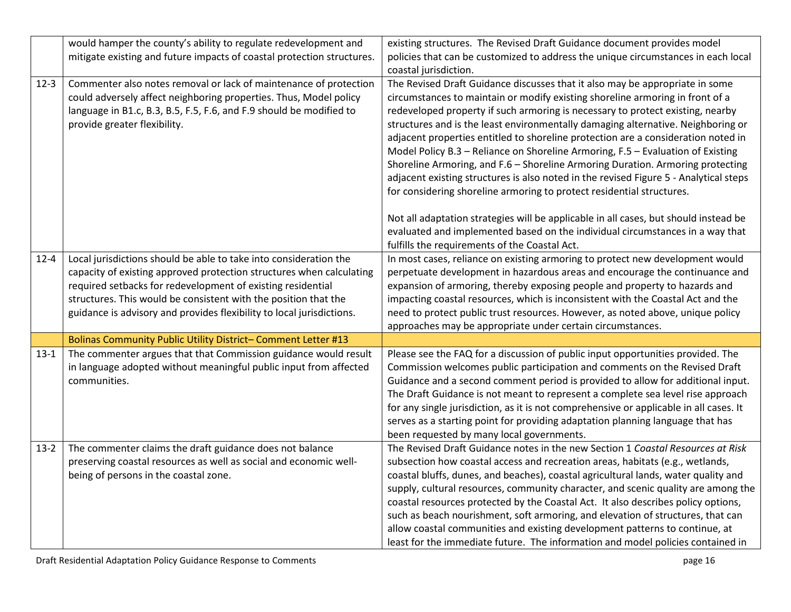|          | would hamper the county's ability to regulate redevelopment and                                                                                                                                                                                                                                                                                      | existing structures. The Revised Draft Guidance document provides model                                                                                                                                                                                                                                                                                                                                                                                                                                                                                                                                                                                                                                                                                         |
|----------|------------------------------------------------------------------------------------------------------------------------------------------------------------------------------------------------------------------------------------------------------------------------------------------------------------------------------------------------------|-----------------------------------------------------------------------------------------------------------------------------------------------------------------------------------------------------------------------------------------------------------------------------------------------------------------------------------------------------------------------------------------------------------------------------------------------------------------------------------------------------------------------------------------------------------------------------------------------------------------------------------------------------------------------------------------------------------------------------------------------------------------|
|          | mitigate existing and future impacts of coastal protection structures.                                                                                                                                                                                                                                                                               | policies that can be customized to address the unique circumstances in each local                                                                                                                                                                                                                                                                                                                                                                                                                                                                                                                                                                                                                                                                               |
|          |                                                                                                                                                                                                                                                                                                                                                      | coastal jurisdiction.                                                                                                                                                                                                                                                                                                                                                                                                                                                                                                                                                                                                                                                                                                                                           |
| $12 - 3$ | Commenter also notes removal or lack of maintenance of protection<br>could adversely affect neighboring properties. Thus, Model policy<br>language in B1.c, B.3, B.5, F.5, F.6, and F.9 should be modified to<br>provide greater flexibility.                                                                                                        | The Revised Draft Guidance discusses that it also may be appropriate in some<br>circumstances to maintain or modify existing shoreline armoring in front of a<br>redeveloped property if such armoring is necessary to protect existing, nearby<br>structures and is the least environmentally damaging alternative. Neighboring or<br>adjacent properties entitled to shoreline protection are a consideration noted in<br>Model Policy B.3 - Reliance on Shoreline Armoring, F.5 - Evaluation of Existing<br>Shoreline Armoring, and F.6 - Shoreline Armoring Duration. Armoring protecting<br>adjacent existing structures is also noted in the revised Figure 5 - Analytical steps<br>for considering shoreline armoring to protect residential structures. |
|          |                                                                                                                                                                                                                                                                                                                                                      | Not all adaptation strategies will be applicable in all cases, but should instead be<br>evaluated and implemented based on the individual circumstances in a way that<br>fulfills the requirements of the Coastal Act.                                                                                                                                                                                                                                                                                                                                                                                                                                                                                                                                          |
| $12 - 4$ | Local jurisdictions should be able to take into consideration the<br>capacity of existing approved protection structures when calculating<br>required setbacks for redevelopment of existing residential<br>structures. This would be consistent with the position that the<br>guidance is advisory and provides flexibility to local jurisdictions. | In most cases, reliance on existing armoring to protect new development would<br>perpetuate development in hazardous areas and encourage the continuance and<br>expansion of armoring, thereby exposing people and property to hazards and<br>impacting coastal resources, which is inconsistent with the Coastal Act and the<br>need to protect public trust resources. However, as noted above, unique policy<br>approaches may be appropriate under certain circumstances.                                                                                                                                                                                                                                                                                   |
|          | Bolinas Community Public Utility District-Comment Letter #13                                                                                                                                                                                                                                                                                         |                                                                                                                                                                                                                                                                                                                                                                                                                                                                                                                                                                                                                                                                                                                                                                 |
| $13 - 1$ | The commenter argues that that Commission guidance would result<br>in language adopted without meaningful public input from affected<br>communities.                                                                                                                                                                                                 | Please see the FAQ for a discussion of public input opportunities provided. The<br>Commission welcomes public participation and comments on the Revised Draft<br>Guidance and a second comment period is provided to allow for additional input.<br>The Draft Guidance is not meant to represent a complete sea level rise approach<br>for any single jurisdiction, as it is not comprehensive or applicable in all cases. It<br>serves as a starting point for providing adaptation planning language that has<br>been requested by many local governments.                                                                                                                                                                                                    |
| $13-2$   | The commenter claims the draft guidance does not balance<br>preserving coastal resources as well as social and economic well-<br>being of persons in the coastal zone.                                                                                                                                                                               | The Revised Draft Guidance notes in the new Section 1 Coastal Resources at Risk<br>subsection how coastal access and recreation areas, habitats (e.g., wetlands,<br>coastal bluffs, dunes, and beaches), coastal agricultural lands, water quality and<br>supply, cultural resources, community character, and scenic quality are among the<br>coastal resources protected by the Coastal Act. It also describes policy options,<br>such as beach nourishment, soft armoring, and elevation of structures, that can<br>allow coastal communities and existing development patterns to continue, at<br>least for the immediate future. The information and model policies contained in                                                                           |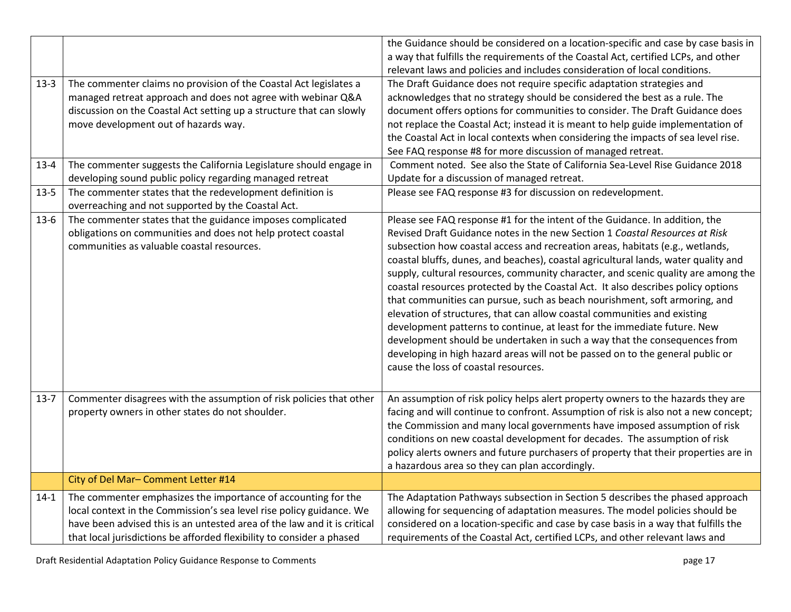|          |                                                                                                                                   | the Guidance should be considered on a location-specific and case by case basis in                                                                               |
|----------|-----------------------------------------------------------------------------------------------------------------------------------|------------------------------------------------------------------------------------------------------------------------------------------------------------------|
|          |                                                                                                                                   | a way that fulfills the requirements of the Coastal Act, certified LCPs, and other<br>relevant laws and policies and includes consideration of local conditions. |
|          |                                                                                                                                   | The Draft Guidance does not require specific adaptation strategies and                                                                                           |
| $13-3$   | The commenter claims no provision of the Coastal Act legislates a<br>managed retreat approach and does not agree with webinar Q&A | acknowledges that no strategy should be considered the best as a rule. The                                                                                       |
|          | discussion on the Coastal Act setting up a structure that can slowly                                                              | document offers options for communities to consider. The Draft Guidance does                                                                                     |
|          | move development out of hazards way.                                                                                              | not replace the Coastal Act; instead it is meant to help guide implementation of                                                                                 |
|          |                                                                                                                                   | the Coastal Act in local contexts when considering the impacts of sea level rise.                                                                                |
|          |                                                                                                                                   | See FAQ response #8 for more discussion of managed retreat.                                                                                                      |
| $13 - 4$ | The commenter suggests the California Legislature should engage in                                                                | Comment noted. See also the State of California Sea-Level Rise Guidance 2018                                                                                     |
|          | developing sound public policy regarding managed retreat                                                                          | Update for a discussion of managed retreat.                                                                                                                      |
| $13-5$   | The commenter states that the redevelopment definition is                                                                         | Please see FAQ response #3 for discussion on redevelopment.                                                                                                      |
|          | overreaching and not supported by the Coastal Act.                                                                                |                                                                                                                                                                  |
| $13-6$   | The commenter states that the guidance imposes complicated                                                                        | Please see FAQ response #1 for the intent of the Guidance. In addition, the                                                                                      |
|          | obligations on communities and does not help protect coastal                                                                      | Revised Draft Guidance notes in the new Section 1 Coastal Resources at Risk                                                                                      |
|          | communities as valuable coastal resources.                                                                                        | subsection how coastal access and recreation areas, habitats (e.g., wetlands,                                                                                    |
|          |                                                                                                                                   | coastal bluffs, dunes, and beaches), coastal agricultural lands, water quality and                                                                               |
|          |                                                                                                                                   | supply, cultural resources, community character, and scenic quality are among the                                                                                |
|          |                                                                                                                                   | coastal resources protected by the Coastal Act. It also describes policy options                                                                                 |
|          |                                                                                                                                   | that communities can pursue, such as beach nourishment, soft armoring, and                                                                                       |
|          |                                                                                                                                   | elevation of structures, that can allow coastal communities and existing                                                                                         |
|          |                                                                                                                                   | development patterns to continue, at least for the immediate future. New                                                                                         |
|          |                                                                                                                                   | development should be undertaken in such a way that the consequences from                                                                                        |
|          |                                                                                                                                   | developing in high hazard areas will not be passed on to the general public or                                                                                   |
|          |                                                                                                                                   | cause the loss of coastal resources.                                                                                                                             |
|          |                                                                                                                                   |                                                                                                                                                                  |
| $13 - 7$ | Commenter disagrees with the assumption of risk policies that other                                                               | An assumption of risk policy helps alert property owners to the hazards they are                                                                                 |
|          | property owners in other states do not shoulder.                                                                                  | facing and will continue to confront. Assumption of risk is also not a new concept;                                                                              |
|          |                                                                                                                                   | the Commission and many local governments have imposed assumption of risk                                                                                        |
|          |                                                                                                                                   | conditions on new coastal development for decades. The assumption of risk                                                                                        |
|          |                                                                                                                                   | policy alerts owners and future purchasers of property that their properties are in                                                                              |
|          |                                                                                                                                   | a hazardous area so they can plan accordingly.                                                                                                                   |
|          | City of Del Mar- Comment Letter #14                                                                                               |                                                                                                                                                                  |
| $14-1$   | The commenter emphasizes the importance of accounting for the                                                                     | The Adaptation Pathways subsection in Section 5 describes the phased approach                                                                                    |
|          | local context in the Commission's sea level rise policy guidance. We                                                              | allowing for sequencing of adaptation measures. The model policies should be                                                                                     |
|          | have been advised this is an untested area of the law and it is critical                                                          | considered on a location-specific and case by case basis in a way that fulfills the                                                                              |
|          | that local jurisdictions be afforded flexibility to consider a phased                                                             | requirements of the Coastal Act, certified LCPs, and other relevant laws and                                                                                     |

Draft Residential Adaptation Policy Guidance Response to Comments **page 17** and the set of the set of the set of the set of the set of the set of the set of the set of the set of the set of the set of the set of the set of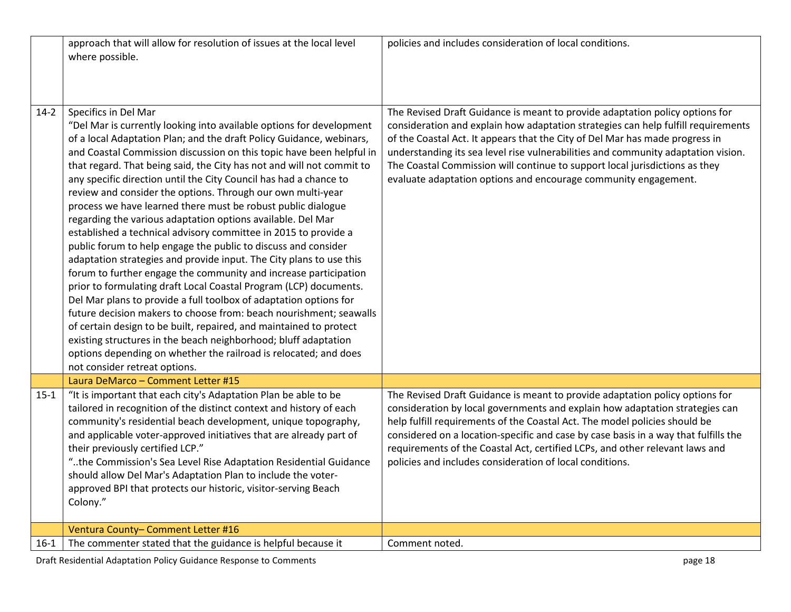|        | approach that will allow for resolution of issues at the local level<br>where possible.                                                                                                                                                                                                                                                                                                                                                                                                                                                                                                                                                                                                                                                                                                                                                                                                                                                                                                                                                                                                                                                                                                                                                                                                                                                | policies and includes consideration of local conditions.                                                                                                                                                                                                                                                                                                                                                                                                                                 |
|--------|----------------------------------------------------------------------------------------------------------------------------------------------------------------------------------------------------------------------------------------------------------------------------------------------------------------------------------------------------------------------------------------------------------------------------------------------------------------------------------------------------------------------------------------------------------------------------------------------------------------------------------------------------------------------------------------------------------------------------------------------------------------------------------------------------------------------------------------------------------------------------------------------------------------------------------------------------------------------------------------------------------------------------------------------------------------------------------------------------------------------------------------------------------------------------------------------------------------------------------------------------------------------------------------------------------------------------------------|------------------------------------------------------------------------------------------------------------------------------------------------------------------------------------------------------------------------------------------------------------------------------------------------------------------------------------------------------------------------------------------------------------------------------------------------------------------------------------------|
| $14-2$ | Specifics in Del Mar<br>"Del Mar is currently looking into available options for development<br>of a local Adaptation Plan; and the draft Policy Guidance, webinars,<br>and Coastal Commission discussion on this topic have been helpful in<br>that regard. That being said, the City has not and will not commit to<br>any specific direction until the City Council has had a chance to<br>review and consider the options. Through our own multi-year<br>process we have learned there must be robust public dialogue<br>regarding the various adaptation options available. Del Mar<br>established a technical advisory committee in 2015 to provide a<br>public forum to help engage the public to discuss and consider<br>adaptation strategies and provide input. The City plans to use this<br>forum to further engage the community and increase participation<br>prior to formulating draft Local Coastal Program (LCP) documents.<br>Del Mar plans to provide a full toolbox of adaptation options for<br>future decision makers to choose from: beach nourishment; seawalls<br>of certain design to be built, repaired, and maintained to protect<br>existing structures in the beach neighborhood; bluff adaptation<br>options depending on whether the railroad is relocated; and does<br>not consider retreat options. | The Revised Draft Guidance is meant to provide adaptation policy options for<br>consideration and explain how adaptation strategies can help fulfill requirements<br>of the Coastal Act. It appears that the City of Del Mar has made progress in<br>understanding its sea level rise vulnerabilities and community adaptation vision.<br>The Coastal Commission will continue to support local jurisdictions as they<br>evaluate adaptation options and encourage community engagement. |
|        | Laura DeMarco - Comment Letter #15                                                                                                                                                                                                                                                                                                                                                                                                                                                                                                                                                                                                                                                                                                                                                                                                                                                                                                                                                                                                                                                                                                                                                                                                                                                                                                     |                                                                                                                                                                                                                                                                                                                                                                                                                                                                                          |
| $15-1$ | "It is important that each city's Adaptation Plan be able to be<br>tailored in recognition of the distinct context and history of each<br>community's residential beach development, unique topography,<br>and applicable voter-approved initiatives that are already part of<br>their previously certified LCP."<br>"the Commission's Sea Level Rise Adaptation Residential Guidance<br>should allow Del Mar's Adaptation Plan to include the voter-<br>approved BPI that protects our historic, visitor-serving Beach<br>Colony."                                                                                                                                                                                                                                                                                                                                                                                                                                                                                                                                                                                                                                                                                                                                                                                                    | The Revised Draft Guidance is meant to provide adaptation policy options for<br>consideration by local governments and explain how adaptation strategies can<br>help fulfill requirements of the Coastal Act. The model policies should be<br>considered on a location-specific and case by case basis in a way that fulfills the<br>requirements of the Coastal Act, certified LCPs, and other relevant laws and<br>policies and includes consideration of local conditions.            |
|        | Ventura County-Comment Letter #16                                                                                                                                                                                                                                                                                                                                                                                                                                                                                                                                                                                                                                                                                                                                                                                                                                                                                                                                                                                                                                                                                                                                                                                                                                                                                                      |                                                                                                                                                                                                                                                                                                                                                                                                                                                                                          |
| 16-1   | The commenter stated that the guidance is helpful because it                                                                                                                                                                                                                                                                                                                                                                                                                                                                                                                                                                                                                                                                                                                                                                                                                                                                                                                                                                                                                                                                                                                                                                                                                                                                           | Comment noted.                                                                                                                                                                                                                                                                                                                                                                                                                                                                           |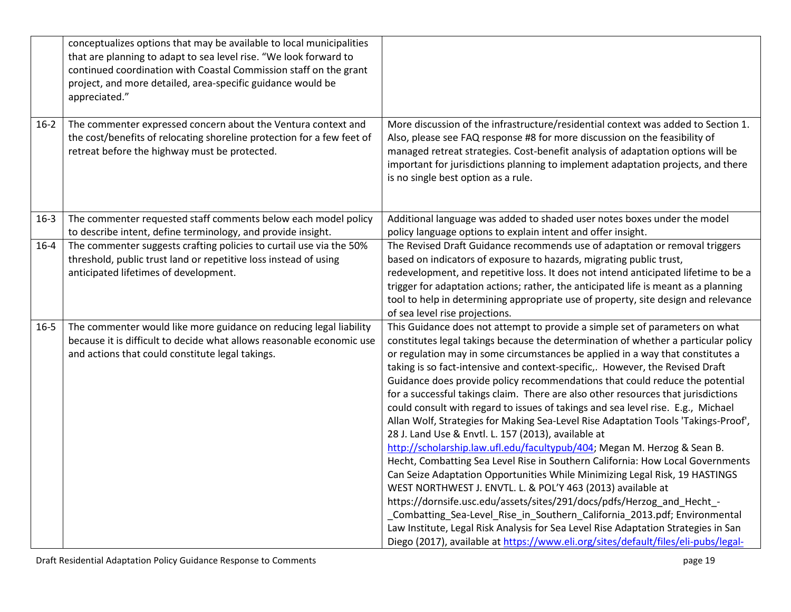|          | conceptualizes options that may be available to local municipalities<br>that are planning to adapt to sea level rise. "We look forward to<br>continued coordination with Coastal Commission staff on the grant<br>project, and more detailed, area-specific guidance would be<br>appreciated." |                                                                                                                                                                                                                                                                                                                                                                                                                                                                                                                                                                                                                                                                                                                                                                                                                                                                                                                                                                                                                                                                                                                                                                                                                                                                                                                                                                                            |
|----------|------------------------------------------------------------------------------------------------------------------------------------------------------------------------------------------------------------------------------------------------------------------------------------------------|--------------------------------------------------------------------------------------------------------------------------------------------------------------------------------------------------------------------------------------------------------------------------------------------------------------------------------------------------------------------------------------------------------------------------------------------------------------------------------------------------------------------------------------------------------------------------------------------------------------------------------------------------------------------------------------------------------------------------------------------------------------------------------------------------------------------------------------------------------------------------------------------------------------------------------------------------------------------------------------------------------------------------------------------------------------------------------------------------------------------------------------------------------------------------------------------------------------------------------------------------------------------------------------------------------------------------------------------------------------------------------------------|
| $16 - 2$ | The commenter expressed concern about the Ventura context and<br>the cost/benefits of relocating shoreline protection for a few feet of<br>retreat before the highway must be protected.                                                                                                       | More discussion of the infrastructure/residential context was added to Section 1.<br>Also, please see FAQ response #8 for more discussion on the feasibility of<br>managed retreat strategies. Cost-benefit analysis of adaptation options will be<br>important for jurisdictions planning to implement adaptation projects, and there<br>is no single best option as a rule.                                                                                                                                                                                                                                                                                                                                                                                                                                                                                                                                                                                                                                                                                                                                                                                                                                                                                                                                                                                                              |
| $16-3$   | The commenter requested staff comments below each model policy<br>to describe intent, define terminology, and provide insight.                                                                                                                                                                 | Additional language was added to shaded user notes boxes under the model<br>policy language options to explain intent and offer insight.                                                                                                                                                                                                                                                                                                                                                                                                                                                                                                                                                                                                                                                                                                                                                                                                                                                                                                                                                                                                                                                                                                                                                                                                                                                   |
| $16 - 4$ | The commenter suggests crafting policies to curtail use via the 50%<br>threshold, public trust land or repetitive loss instead of using<br>anticipated lifetimes of development.                                                                                                               | The Revised Draft Guidance recommends use of adaptation or removal triggers<br>based on indicators of exposure to hazards, migrating public trust,<br>redevelopment, and repetitive loss. It does not intend anticipated lifetime to be a<br>trigger for adaptation actions; rather, the anticipated life is meant as a planning<br>tool to help in determining appropriate use of property, site design and relevance<br>of sea level rise projections.                                                                                                                                                                                                                                                                                                                                                                                                                                                                                                                                                                                                                                                                                                                                                                                                                                                                                                                                   |
| $16 - 5$ | The commenter would like more guidance on reducing legal liability<br>because it is difficult to decide what allows reasonable economic use<br>and actions that could constitute legal takings.                                                                                                | This Guidance does not attempt to provide a simple set of parameters on what<br>constitutes legal takings because the determination of whether a particular policy<br>or regulation may in some circumstances be applied in a way that constitutes a<br>taking is so fact-intensive and context-specific,. However, the Revised Draft<br>Guidance does provide policy recommendations that could reduce the potential<br>for a successful takings claim. There are also other resources that jurisdictions<br>could consult with regard to issues of takings and sea level rise. E.g., Michael<br>Allan Wolf, Strategies for Making Sea-Level Rise Adaptation Tools 'Takings-Proof',<br>28 J. Land Use & Envtl. L. 157 (2013), available at<br>http://scholarship.law.ufl.edu/facultypub/404; Megan M. Herzog & Sean B.<br>Hecht, Combatting Sea Level Rise in Southern California: How Local Governments<br>Can Seize Adaptation Opportunities While Minimizing Legal Risk, 19 HASTINGS<br>WEST NORTHWEST J. ENVTL. L. & POL'Y 463 (2013) available at<br>https://dornsife.usc.edu/assets/sites/291/docs/pdfs/Herzog_and_Hecht_-<br>_Combatting_Sea-Level_Rise_in_Southern_California_2013.pdf; Environmental<br>Law Institute, Legal Risk Analysis for Sea Level Rise Adaptation Strategies in San<br>Diego (2017), available at https://www.eli.org/sites/default/files/eli-pubs/legal- |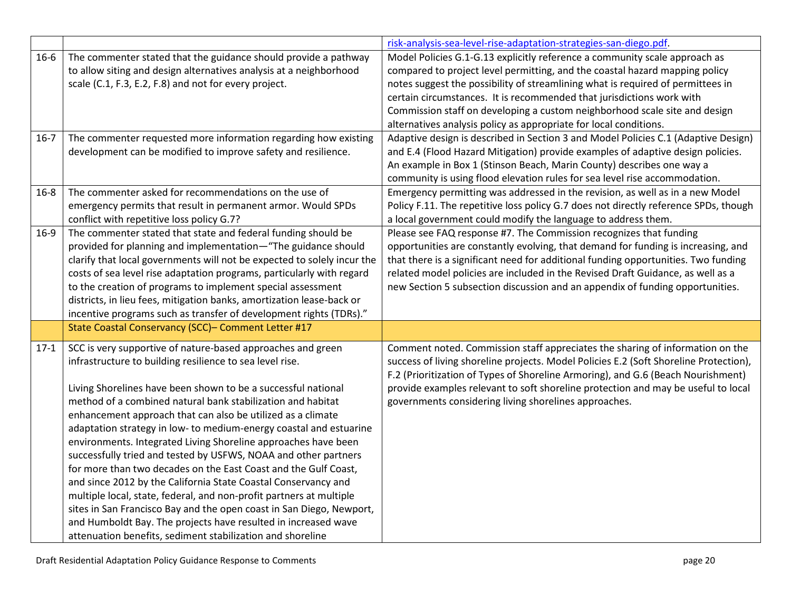|          |                                                                                                                                                                                                                                                                                                                                                                                                                                                                                                                                                                                                                                                                                                                                                                                                                                                                                                                                                       | risk-analysis-sea-level-rise-adaptation-strategies-san-diego.pdf.                                                                                                                                                                                                                                                                                                                                                                                                        |
|----------|-------------------------------------------------------------------------------------------------------------------------------------------------------------------------------------------------------------------------------------------------------------------------------------------------------------------------------------------------------------------------------------------------------------------------------------------------------------------------------------------------------------------------------------------------------------------------------------------------------------------------------------------------------------------------------------------------------------------------------------------------------------------------------------------------------------------------------------------------------------------------------------------------------------------------------------------------------|--------------------------------------------------------------------------------------------------------------------------------------------------------------------------------------------------------------------------------------------------------------------------------------------------------------------------------------------------------------------------------------------------------------------------------------------------------------------------|
| $16 - 6$ | The commenter stated that the guidance should provide a pathway<br>to allow siting and design alternatives analysis at a neighborhood<br>scale (C.1, F.3, E.2, F.8) and not for every project.                                                                                                                                                                                                                                                                                                                                                                                                                                                                                                                                                                                                                                                                                                                                                        | Model Policies G.1-G.13 explicitly reference a community scale approach as<br>compared to project level permitting, and the coastal hazard mapping policy<br>notes suggest the possibility of streamlining what is required of permittees in<br>certain circumstances. It is recommended that jurisdictions work with<br>Commission staff on developing a custom neighborhood scale site and design<br>alternatives analysis policy as appropriate for local conditions. |
| $16-7$   | The commenter requested more information regarding how existing<br>development can be modified to improve safety and resilience.                                                                                                                                                                                                                                                                                                                                                                                                                                                                                                                                                                                                                                                                                                                                                                                                                      | Adaptive design is described in Section 3 and Model Policies C.1 (Adaptive Design)<br>and E.4 (Flood Hazard Mitigation) provide examples of adaptive design policies.<br>An example in Box 1 (Stinson Beach, Marin County) describes one way a<br>community is using flood elevation rules for sea level rise accommodation.                                                                                                                                             |
| $16 - 8$ | The commenter asked for recommendations on the use of<br>emergency permits that result in permanent armor. Would SPDs<br>conflict with repetitive loss policy G.7?                                                                                                                                                                                                                                                                                                                                                                                                                                                                                                                                                                                                                                                                                                                                                                                    | Emergency permitting was addressed in the revision, as well as in a new Model<br>Policy F.11. The repetitive loss policy G.7 does not directly reference SPDs, though<br>a local government could modify the language to address them.                                                                                                                                                                                                                                   |
| $16-9$   | The commenter stated that state and federal funding should be<br>provided for planning and implementation-"The guidance should<br>clarify that local governments will not be expected to solely incur the<br>costs of sea level rise adaptation programs, particularly with regard<br>to the creation of programs to implement special assessment<br>districts, in lieu fees, mitigation banks, amortization lease-back or<br>incentive programs such as transfer of development rights (TDRs)."                                                                                                                                                                                                                                                                                                                                                                                                                                                      | Please see FAQ response #7. The Commission recognizes that funding<br>opportunities are constantly evolving, that demand for funding is increasing, and<br>that there is a significant need for additional funding opportunities. Two funding<br>related model policies are included in the Revised Draft Guidance, as well as a<br>new Section 5 subsection discussion and an appendix of funding opportunities.                                                        |
|          | State Coastal Conservancy (SCC)- Comment Letter #17                                                                                                                                                                                                                                                                                                                                                                                                                                                                                                                                                                                                                                                                                                                                                                                                                                                                                                   |                                                                                                                                                                                                                                                                                                                                                                                                                                                                          |
| $17-1$   | SCC is very supportive of nature-based approaches and green<br>infrastructure to building resilience to sea level rise.<br>Living Shorelines have been shown to be a successful national<br>method of a combined natural bank stabilization and habitat<br>enhancement approach that can also be utilized as a climate<br>adaptation strategy in low- to medium-energy coastal and estuarine<br>environments. Integrated Living Shoreline approaches have been<br>successfully tried and tested by USFWS, NOAA and other partners<br>for more than two decades on the East Coast and the Gulf Coast,<br>and since 2012 by the California State Coastal Conservancy and<br>multiple local, state, federal, and non-profit partners at multiple<br>sites in San Francisco Bay and the open coast in San Diego, Newport,<br>and Humboldt Bay. The projects have resulted in increased wave<br>attenuation benefits, sediment stabilization and shoreline | Comment noted. Commission staff appreciates the sharing of information on the<br>success of living shoreline projects. Model Policies E.2 (Soft Shoreline Protection),<br>F.2 (Prioritization of Types of Shoreline Armoring), and G.6 (Beach Nourishment)<br>provide examples relevant to soft shoreline protection and may be useful to local<br>governments considering living shorelines approaches.                                                                 |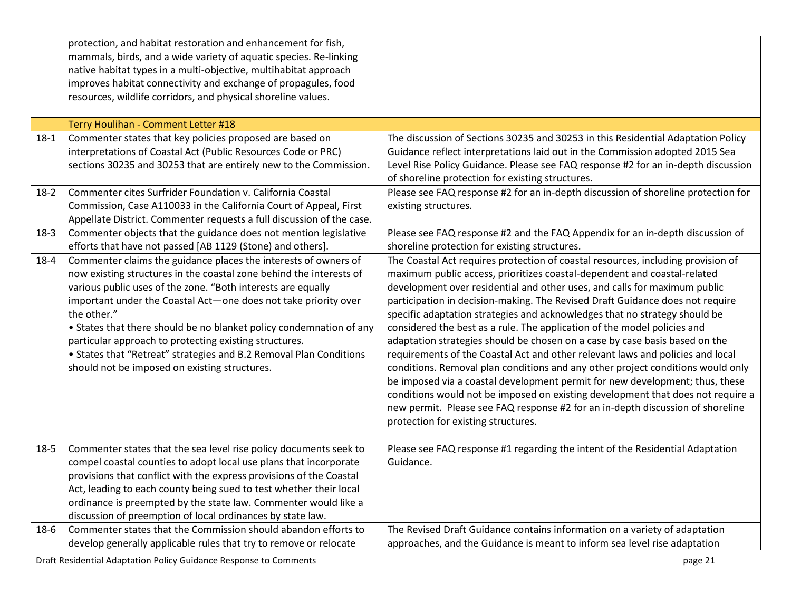|          | protection, and habitat restoration and enhancement for fish,<br>mammals, birds, and a wide variety of aquatic species. Re-linking<br>native habitat types in a multi-objective, multihabitat approach<br>improves habitat connectivity and exchange of propagules, food<br>resources, wildlife corridors, and physical shoreline values.                                                                                                                                                                                                        |                                                                                                                                                                                                                                                                                                                                                                                                                                                                                                                                                                                                                                                                                                                                                                                                                                                                                                                                                                                                                                      |
|----------|--------------------------------------------------------------------------------------------------------------------------------------------------------------------------------------------------------------------------------------------------------------------------------------------------------------------------------------------------------------------------------------------------------------------------------------------------------------------------------------------------------------------------------------------------|--------------------------------------------------------------------------------------------------------------------------------------------------------------------------------------------------------------------------------------------------------------------------------------------------------------------------------------------------------------------------------------------------------------------------------------------------------------------------------------------------------------------------------------------------------------------------------------------------------------------------------------------------------------------------------------------------------------------------------------------------------------------------------------------------------------------------------------------------------------------------------------------------------------------------------------------------------------------------------------------------------------------------------------|
|          | Terry Houlihan - Comment Letter #18                                                                                                                                                                                                                                                                                                                                                                                                                                                                                                              |                                                                                                                                                                                                                                                                                                                                                                                                                                                                                                                                                                                                                                                                                                                                                                                                                                                                                                                                                                                                                                      |
| $18 - 1$ | Commenter states that key policies proposed are based on<br>interpretations of Coastal Act (Public Resources Code or PRC)<br>sections 30235 and 30253 that are entirely new to the Commission.                                                                                                                                                                                                                                                                                                                                                   | The discussion of Sections 30235 and 30253 in this Residential Adaptation Policy<br>Guidance reflect interpretations laid out in the Commission adopted 2015 Sea<br>Level Rise Policy Guidance. Please see FAQ response #2 for an in-depth discussion<br>of shoreline protection for existing structures.                                                                                                                                                                                                                                                                                                                                                                                                                                                                                                                                                                                                                                                                                                                            |
| $18-2$   | Commenter cites Surfrider Foundation v. California Coastal<br>Commission, Case A110033 in the California Court of Appeal, First<br>Appellate District. Commenter requests a full discussion of the case.                                                                                                                                                                                                                                                                                                                                         | Please see FAQ response #2 for an in-depth discussion of shoreline protection for<br>existing structures.                                                                                                                                                                                                                                                                                                                                                                                                                                                                                                                                                                                                                                                                                                                                                                                                                                                                                                                            |
| $18-3$   | Commenter objects that the guidance does not mention legislative<br>efforts that have not passed [AB 1129 (Stone) and others].                                                                                                                                                                                                                                                                                                                                                                                                                   | Please see FAQ response #2 and the FAQ Appendix for an in-depth discussion of<br>shoreline protection for existing structures.                                                                                                                                                                                                                                                                                                                                                                                                                                                                                                                                                                                                                                                                                                                                                                                                                                                                                                       |
| $18 - 4$ | Commenter claims the guidance places the interests of owners of<br>now existing structures in the coastal zone behind the interests of<br>various public uses of the zone. "Both interests are equally<br>important under the Coastal Act-one does not take priority over<br>the other."<br>• States that there should be no blanket policy condemnation of any<br>particular approach to protecting existing structures.<br>• States that "Retreat" strategies and B.2 Removal Plan Conditions<br>should not be imposed on existing structures. | The Coastal Act requires protection of coastal resources, including provision of<br>maximum public access, prioritizes coastal-dependent and coastal-related<br>development over residential and other uses, and calls for maximum public<br>participation in decision-making. The Revised Draft Guidance does not require<br>specific adaptation strategies and acknowledges that no strategy should be<br>considered the best as a rule. The application of the model policies and<br>adaptation strategies should be chosen on a case by case basis based on the<br>requirements of the Coastal Act and other relevant laws and policies and local<br>conditions. Removal plan conditions and any other project conditions would only<br>be imposed via a coastal development permit for new development; thus, these<br>conditions would not be imposed on existing development that does not require a<br>new permit. Please see FAQ response #2 for an in-depth discussion of shoreline<br>protection for existing structures. |
| $18 - 5$ | Commenter states that the sea level rise policy documents seek to<br>compel coastal counties to adopt local use plans that incorporate<br>provisions that conflict with the express provisions of the Coastal<br>Act, leading to each county being sued to test whether their local<br>ordinance is preempted by the state law. Commenter would like a<br>discussion of preemption of local ordinances by state law.                                                                                                                             | Please see FAQ response #1 regarding the intent of the Residential Adaptation<br>Guidance.                                                                                                                                                                                                                                                                                                                                                                                                                                                                                                                                                                                                                                                                                                                                                                                                                                                                                                                                           |
| $18-6$   | Commenter states that the Commission should abandon efforts to<br>develop generally applicable rules that try to remove or relocate                                                                                                                                                                                                                                                                                                                                                                                                              | The Revised Draft Guidance contains information on a variety of adaptation<br>approaches, and the Guidance is meant to inform sea level rise adaptation                                                                                                                                                                                                                                                                                                                                                                                                                                                                                                                                                                                                                                                                                                                                                                                                                                                                              |

Draft Residential Adaptation Policy Guidance Response to Comments **page 21** page 21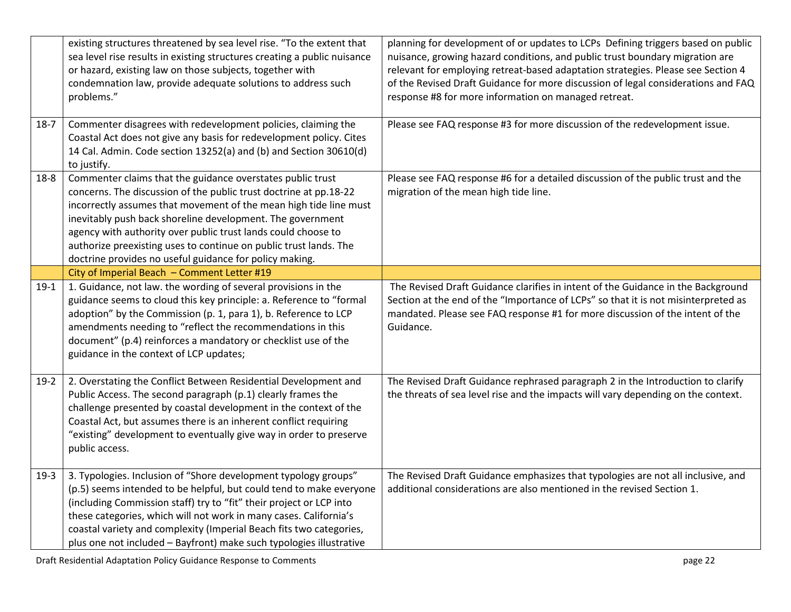|          | existing structures threatened by sea level rise. "To the extent that<br>sea level rise results in existing structures creating a public nuisance<br>or hazard, existing law on those subjects, together with<br>condemnation law, provide adequate solutions to address such<br>problems."                                                                                                                                                                         | planning for development of or updates to LCPs Defining triggers based on public<br>nuisance, growing hazard conditions, and public trust boundary migration are<br>relevant for employing retreat-based adaptation strategies. Please see Section 4<br>of the Revised Draft Guidance for more discussion of legal considerations and FAQ<br>response #8 for more information on managed retreat. |
|----------|---------------------------------------------------------------------------------------------------------------------------------------------------------------------------------------------------------------------------------------------------------------------------------------------------------------------------------------------------------------------------------------------------------------------------------------------------------------------|---------------------------------------------------------------------------------------------------------------------------------------------------------------------------------------------------------------------------------------------------------------------------------------------------------------------------------------------------------------------------------------------------|
| $18-7$   | Commenter disagrees with redevelopment policies, claiming the<br>Coastal Act does not give any basis for redevelopment policy. Cites<br>14 Cal. Admin. Code section 13252(a) and (b) and Section 30610(d)<br>to justify.                                                                                                                                                                                                                                            | Please see FAQ response #3 for more discussion of the redevelopment issue.                                                                                                                                                                                                                                                                                                                        |
| $18 - 8$ | Commenter claims that the guidance overstates public trust<br>concerns. The discussion of the public trust doctrine at pp.18-22<br>incorrectly assumes that movement of the mean high tide line must<br>inevitably push back shoreline development. The government<br>agency with authority over public trust lands could choose to<br>authorize preexisting uses to continue on public trust lands. The<br>doctrine provides no useful guidance for policy making. | Please see FAQ response #6 for a detailed discussion of the public trust and the<br>migration of the mean high tide line.                                                                                                                                                                                                                                                                         |
|          | City of Imperial Beach - Comment Letter #19                                                                                                                                                                                                                                                                                                                                                                                                                         |                                                                                                                                                                                                                                                                                                                                                                                                   |
| $19-1$   | 1. Guidance, not law. the wording of several provisions in the<br>guidance seems to cloud this key principle: a. Reference to "formal<br>adoption" by the Commission (p. 1, para 1), b. Reference to LCP<br>amendments needing to "reflect the recommendations in this<br>document" (p.4) reinforces a mandatory or checklist use of the<br>guidance in the context of LCP updates;                                                                                 | The Revised Draft Guidance clarifies in intent of the Guidance in the Background<br>Section at the end of the "Importance of LCPs" so that it is not misinterpreted as<br>mandated. Please see FAQ response #1 for more discussion of the intent of the<br>Guidance.                                                                                                                              |
| $19-2$   | 2. Overstating the Conflict Between Residential Development and<br>Public Access. The second paragraph (p.1) clearly frames the<br>challenge presented by coastal development in the context of the<br>Coastal Act, but assumes there is an inherent conflict requiring<br>"existing" development to eventually give way in order to preserve<br>public access.                                                                                                     | The Revised Draft Guidance rephrased paragraph 2 in the Introduction to clarify<br>the threats of sea level rise and the impacts will vary depending on the context.                                                                                                                                                                                                                              |
| $19-3$   | 3. Typologies. Inclusion of "Shore development typology groups"<br>(p.5) seems intended to be helpful, but could tend to make everyone<br>(including Commission staff) try to "fit" their project or LCP into<br>these categories, which will not work in many cases. California's<br>coastal variety and complexity (Imperial Beach fits two categories,<br>plus one not included - Bayfront) make such typologies illustrative                                    | The Revised Draft Guidance emphasizes that typologies are not all inclusive, and<br>additional considerations are also mentioned in the revised Section 1.                                                                                                                                                                                                                                        |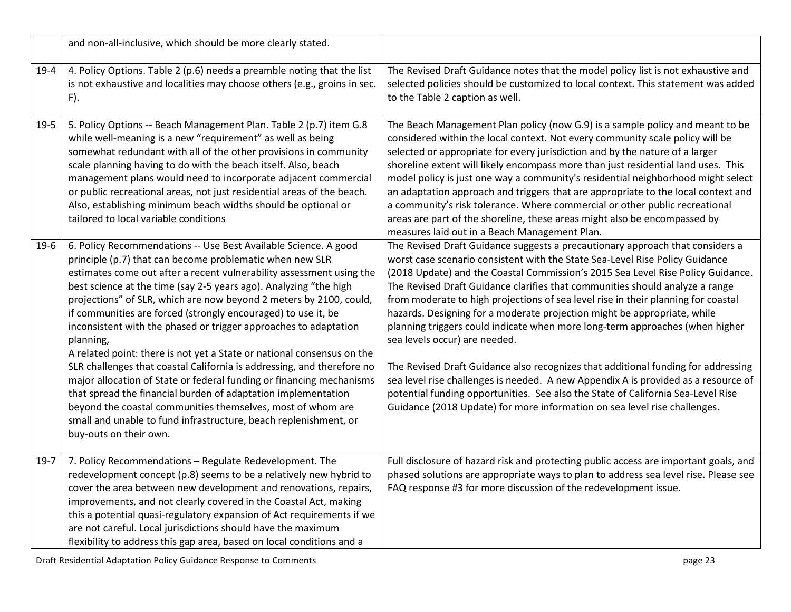|        | and non-all-inclusive, which should be more clearly stated.                                                                                                                                                                                                                                                                                                                                                                                                                                                                                                                                                                                                                                                                                                                                                                                                                                                                                                |                                                                                                                                                                                                                                                                                                                                                                                                                                                                                                                                                                                                                                                                                                                                                                                                                                                                                                                                                                |
|--------|------------------------------------------------------------------------------------------------------------------------------------------------------------------------------------------------------------------------------------------------------------------------------------------------------------------------------------------------------------------------------------------------------------------------------------------------------------------------------------------------------------------------------------------------------------------------------------------------------------------------------------------------------------------------------------------------------------------------------------------------------------------------------------------------------------------------------------------------------------------------------------------------------------------------------------------------------------|----------------------------------------------------------------------------------------------------------------------------------------------------------------------------------------------------------------------------------------------------------------------------------------------------------------------------------------------------------------------------------------------------------------------------------------------------------------------------------------------------------------------------------------------------------------------------------------------------------------------------------------------------------------------------------------------------------------------------------------------------------------------------------------------------------------------------------------------------------------------------------------------------------------------------------------------------------------|
| $19-4$ | 4. Policy Options. Table 2 (p.6) needs a preamble noting that the list<br>is not exhaustive and localities may choose others (e.g., groins in sec.<br>$F$ ).                                                                                                                                                                                                                                                                                                                                                                                                                                                                                                                                                                                                                                                                                                                                                                                               | The Revised Draft Guidance notes that the model policy list is not exhaustive and<br>selected policies should be customized to local context. This statement was added<br>to the Table 2 caption as well.                                                                                                                                                                                                                                                                                                                                                                                                                                                                                                                                                                                                                                                                                                                                                      |
| $19-5$ | 5. Policy Options -- Beach Management Plan. Table 2 (p.7) item G.8<br>while well-meaning is a new "requirement" as well as being<br>somewhat redundant with all of the other provisions in community<br>scale planning having to do with the beach itself. Also, beach<br>management plans would need to incorporate adjacent commercial<br>or public recreational areas, not just residential areas of the beach.<br>Also, establishing minimum beach widths should be optional or<br>tailored to local variable conditions                                                                                                                                                                                                                                                                                                                                                                                                                               | The Beach Management Plan policy (now G.9) is a sample policy and meant to be<br>considered within the local context. Not every community scale policy will be<br>selected or appropriate for every jurisdiction and by the nature of a larger<br>shoreline extent will likely encompass more than just residential land uses. This<br>model policy is just one way a community's residential neighborhood might select<br>an adaptation approach and triggers that are appropriate to the local context and<br>a community's risk tolerance. Where commercial or other public recreational<br>areas are part of the shoreline, these areas might also be encompassed by<br>measures laid out in a Beach Management Plan.                                                                                                                                                                                                                                      |
| $19-6$ | 6. Policy Recommendations -- Use Best Available Science. A good<br>principle (p.7) that can become problematic when new SLR<br>estimates come out after a recent vulnerability assessment using the<br>best science at the time (say 2-5 years ago). Analyzing "the high<br>projections" of SLR, which are now beyond 2 meters by 2100, could,<br>if communities are forced (strongly encouraged) to use it, be<br>inconsistent with the phased or trigger approaches to adaptation<br>planning,<br>A related point: there is not yet a State or national consensus on the<br>SLR challenges that coastal California is addressing, and therefore no<br>major allocation of State or federal funding or financing mechanisms<br>that spread the financial burden of adaptation implementation<br>beyond the coastal communities themselves, most of whom are<br>small and unable to fund infrastructure, beach replenishment, or<br>buy-outs on their own. | The Revised Draft Guidance suggests a precautionary approach that considers a<br>worst case scenario consistent with the State Sea-Level Rise Policy Guidance<br>(2018 Update) and the Coastal Commission's 2015 Sea Level Rise Policy Guidance.<br>The Revised Draft Guidance clarifies that communities should analyze a range<br>from moderate to high projections of sea level rise in their planning for coastal<br>hazards. Designing for a moderate projection might be appropriate, while<br>planning triggers could indicate when more long-term approaches (when higher<br>sea levels occur) are needed.<br>The Revised Draft Guidance also recognizes that additional funding for addressing<br>sea level rise challenges is needed. A new Appendix A is provided as a resource of<br>potential funding opportunities. See also the State of California Sea-Level Rise<br>Guidance (2018 Update) for more information on sea level rise challenges. |
| $19-7$ | 7. Policy Recommendations - Regulate Redevelopment. The<br>redevelopment concept (p.8) seems to be a relatively new hybrid to<br>cover the area between new development and renovations, repairs,<br>improvements, and not clearly covered in the Coastal Act, making<br>this a potential quasi-regulatory expansion of Act requirements if we<br>are not careful. Local jurisdictions should have the maximum<br>flexibility to address this gap area, based on local conditions and a                                                                                                                                                                                                                                                                                                                                                                                                                                                                    | Full disclosure of hazard risk and protecting public access are important goals, and<br>phased solutions are appropriate ways to plan to address sea level rise. Please see<br>FAQ response #3 for more discussion of the redevelopment issue.                                                                                                                                                                                                                                                                                                                                                                                                                                                                                                                                                                                                                                                                                                                 |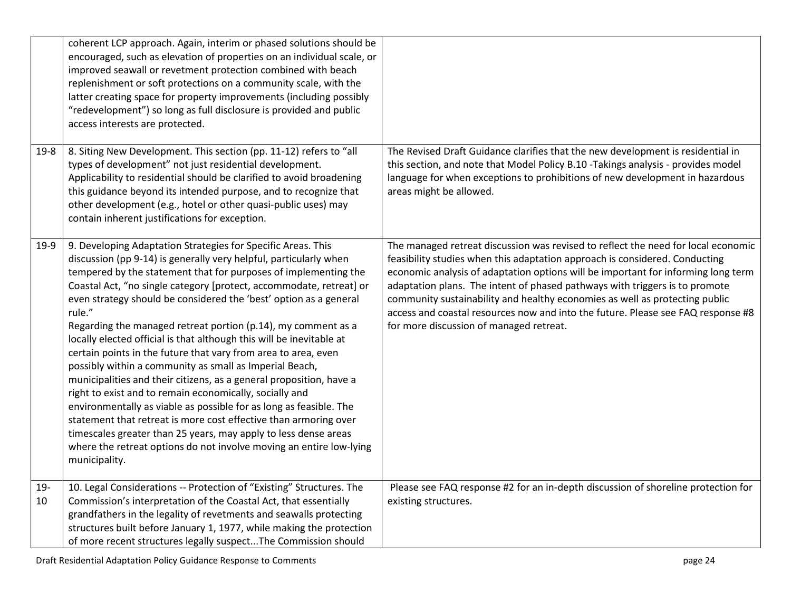|           | coherent LCP approach. Again, interim or phased solutions should be<br>encouraged, such as elevation of properties on an individual scale, or<br>improved seawall or revetment protection combined with beach<br>replenishment or soft protections on a community scale, with the<br>latter creating space for property improvements (including possibly<br>"redevelopment") so long as full disclosure is provided and public<br>access interests are protected.                                                                                                                                                                                                                                                                                                                                                                                                                                                                                                                                                                                                       |                                                                                                                                                                                                                                                                                                                                                                                                                                                                                                                                                    |
|-----------|-------------------------------------------------------------------------------------------------------------------------------------------------------------------------------------------------------------------------------------------------------------------------------------------------------------------------------------------------------------------------------------------------------------------------------------------------------------------------------------------------------------------------------------------------------------------------------------------------------------------------------------------------------------------------------------------------------------------------------------------------------------------------------------------------------------------------------------------------------------------------------------------------------------------------------------------------------------------------------------------------------------------------------------------------------------------------|----------------------------------------------------------------------------------------------------------------------------------------------------------------------------------------------------------------------------------------------------------------------------------------------------------------------------------------------------------------------------------------------------------------------------------------------------------------------------------------------------------------------------------------------------|
| 19-8      | 8. Siting New Development. This section (pp. 11-12) refers to "all<br>types of development" not just residential development.<br>Applicability to residential should be clarified to avoid broadening<br>this guidance beyond its intended purpose, and to recognize that<br>other development (e.g., hotel or other quasi-public uses) may<br>contain inherent justifications for exception.                                                                                                                                                                                                                                                                                                                                                                                                                                                                                                                                                                                                                                                                           | The Revised Draft Guidance clarifies that the new development is residential in<br>this section, and note that Model Policy B.10 -Takings analysis - provides model<br>language for when exceptions to prohibitions of new development in hazardous<br>areas might be allowed.                                                                                                                                                                                                                                                                     |
| 19-9      | 9. Developing Adaptation Strategies for Specific Areas. This<br>discussion (pp 9-14) is generally very helpful, particularly when<br>tempered by the statement that for purposes of implementing the<br>Coastal Act, "no single category [protect, accommodate, retreat] or<br>even strategy should be considered the 'best' option as a general<br>rule."<br>Regarding the managed retreat portion (p.14), my comment as a<br>locally elected official is that although this will be inevitable at<br>certain points in the future that vary from area to area, even<br>possibly within a community as small as Imperial Beach,<br>municipalities and their citizens, as a general proposition, have a<br>right to exist and to remain economically, socially and<br>environmentally as viable as possible for as long as feasible. The<br>statement that retreat is more cost effective than armoring over<br>timescales greater than 25 years, may apply to less dense areas<br>where the retreat options do not involve moving an entire low-lying<br>municipality. | The managed retreat discussion was revised to reflect the need for local economic<br>feasibility studies when this adaptation approach is considered. Conducting<br>economic analysis of adaptation options will be important for informing long term<br>adaptation plans. The intent of phased pathways with triggers is to promote<br>community sustainability and healthy economies as well as protecting public<br>access and coastal resources now and into the future. Please see FAQ response #8<br>for more discussion of managed retreat. |
| 19-<br>10 | 10. Legal Considerations -- Protection of "Existing" Structures. The<br>Commission's interpretation of the Coastal Act, that essentially<br>grandfathers in the legality of revetments and seawalls protecting<br>structures built before January 1, 1977, while making the protection<br>of more recent structures legally suspectThe Commission should                                                                                                                                                                                                                                                                                                                                                                                                                                                                                                                                                                                                                                                                                                                | Please see FAQ response #2 for an in-depth discussion of shoreline protection for<br>existing structures.                                                                                                                                                                                                                                                                                                                                                                                                                                          |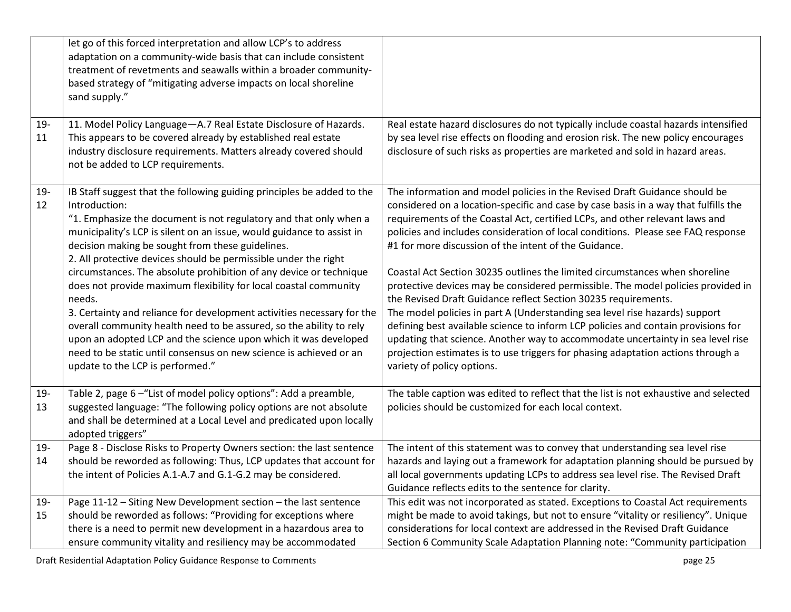|              | let go of this forced interpretation and allow LCP's to address<br>adaptation on a community-wide basis that can include consistent<br>treatment of revetments and seawalls within a broader community-<br>based strategy of "mitigating adverse impacts on local shoreline<br>sand supply."                                                                                                                                                                                                                                                                                                                                                                                                                                                                                                                                                   |                                                                                                                                                                                                                                                                                                                                                                                                                                                                                                                                                                                                                                                                                                                                                                                                                                                                                                                                                                                                              |
|--------------|------------------------------------------------------------------------------------------------------------------------------------------------------------------------------------------------------------------------------------------------------------------------------------------------------------------------------------------------------------------------------------------------------------------------------------------------------------------------------------------------------------------------------------------------------------------------------------------------------------------------------------------------------------------------------------------------------------------------------------------------------------------------------------------------------------------------------------------------|--------------------------------------------------------------------------------------------------------------------------------------------------------------------------------------------------------------------------------------------------------------------------------------------------------------------------------------------------------------------------------------------------------------------------------------------------------------------------------------------------------------------------------------------------------------------------------------------------------------------------------------------------------------------------------------------------------------------------------------------------------------------------------------------------------------------------------------------------------------------------------------------------------------------------------------------------------------------------------------------------------------|
| $19-$<br>11  | 11. Model Policy Language-A.7 Real Estate Disclosure of Hazards.<br>This appears to be covered already by established real estate<br>industry disclosure requirements. Matters already covered should<br>not be added to LCP requirements.                                                                                                                                                                                                                                                                                                                                                                                                                                                                                                                                                                                                     | Real estate hazard disclosures do not typically include coastal hazards intensified<br>by sea level rise effects on flooding and erosion risk. The new policy encourages<br>disclosure of such risks as properties are marketed and sold in hazard areas.                                                                                                                                                                                                                                                                                                                                                                                                                                                                                                                                                                                                                                                                                                                                                    |
| $19 -$<br>12 | IB Staff suggest that the following guiding principles be added to the<br>Introduction:<br>"1. Emphasize the document is not regulatory and that only when a<br>municipality's LCP is silent on an issue, would guidance to assist in<br>decision making be sought from these guidelines.<br>2. All protective devices should be permissible under the right<br>circumstances. The absolute prohibition of any device or technique<br>does not provide maximum flexibility for local coastal community<br>needs.<br>3. Certainty and reliance for development activities necessary for the<br>overall community health need to be assured, so the ability to rely<br>upon an adopted LCP and the science upon which it was developed<br>need to be static until consensus on new science is achieved or an<br>update to the LCP is performed." | The information and model policies in the Revised Draft Guidance should be<br>considered on a location-specific and case by case basis in a way that fulfills the<br>requirements of the Coastal Act, certified LCPs, and other relevant laws and<br>policies and includes consideration of local conditions. Please see FAQ response<br>#1 for more discussion of the intent of the Guidance.<br>Coastal Act Section 30235 outlines the limited circumstances when shoreline<br>protective devices may be considered permissible. The model policies provided in<br>the Revised Draft Guidance reflect Section 30235 requirements.<br>The model policies in part A (Understanding sea level rise hazards) support<br>defining best available science to inform LCP policies and contain provisions for<br>updating that science. Another way to accommodate uncertainty in sea level rise<br>projection estimates is to use triggers for phasing adaptation actions through a<br>variety of policy options. |
| $19-$<br>13  | Table 2, page 6 - "List of model policy options": Add a preamble,<br>suggested language: "The following policy options are not absolute<br>and shall be determined at a Local Level and predicated upon locally<br>adopted triggers"                                                                                                                                                                                                                                                                                                                                                                                                                                                                                                                                                                                                           | The table caption was edited to reflect that the list is not exhaustive and selected<br>policies should be customized for each local context.                                                                                                                                                                                                                                                                                                                                                                                                                                                                                                                                                                                                                                                                                                                                                                                                                                                                |
| $19 -$<br>14 | Page 8 - Disclose Risks to Property Owners section: the last sentence<br>should be reworded as following: Thus, LCP updates that account for<br>the intent of Policies A.1-A.7 and G.1-G.2 may be considered.                                                                                                                                                                                                                                                                                                                                                                                                                                                                                                                                                                                                                                  | The intent of this statement was to convey that understanding sea level rise<br>hazards and laying out a framework for adaptation planning should be pursued by<br>all local governments updating LCPs to address sea level rise. The Revised Draft<br>Guidance reflects edits to the sentence for clarity.                                                                                                                                                                                                                                                                                                                                                                                                                                                                                                                                                                                                                                                                                                  |
| $19 -$<br>15 | Page 11-12 - Siting New Development section - the last sentence<br>should be reworded as follows: "Providing for exceptions where<br>there is a need to permit new development in a hazardous area to<br>ensure community vitality and resiliency may be accommodated                                                                                                                                                                                                                                                                                                                                                                                                                                                                                                                                                                          | This edit was not incorporated as stated. Exceptions to Coastal Act requirements<br>might be made to avoid takings, but not to ensure "vitality or resiliency". Unique<br>considerations for local context are addressed in the Revised Draft Guidance<br>Section 6 Community Scale Adaptation Planning note: "Community participation                                                                                                                                                                                                                                                                                                                                                                                                                                                                                                                                                                                                                                                                       |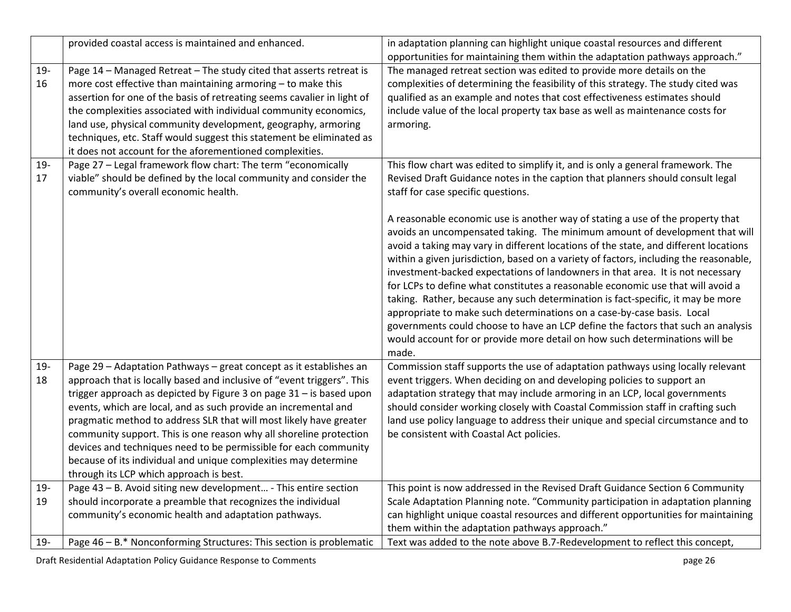|             | provided coastal access is maintained and enhanced.                                                                                                                                                                                                                                                                                                                                                                                                                                                                                                                                                                  | in adaptation planning can highlight unique coastal resources and different<br>opportunities for maintaining them within the adaptation pathways approach."                                                                                                                                                                                                                                                                                                                                                                                                                                                                                                                                                                                                                                                                                                                                                                                                                                                                                                             |
|-------------|----------------------------------------------------------------------------------------------------------------------------------------------------------------------------------------------------------------------------------------------------------------------------------------------------------------------------------------------------------------------------------------------------------------------------------------------------------------------------------------------------------------------------------------------------------------------------------------------------------------------|-------------------------------------------------------------------------------------------------------------------------------------------------------------------------------------------------------------------------------------------------------------------------------------------------------------------------------------------------------------------------------------------------------------------------------------------------------------------------------------------------------------------------------------------------------------------------------------------------------------------------------------------------------------------------------------------------------------------------------------------------------------------------------------------------------------------------------------------------------------------------------------------------------------------------------------------------------------------------------------------------------------------------------------------------------------------------|
| 19-<br>16   | Page 14 - Managed Retreat - The study cited that asserts retreat is<br>more cost effective than maintaining armoring - to make this<br>assertion for one of the basis of retreating seems cavalier in light of<br>the complexities associated with individual community economics,<br>land use, physical community development, geography, armoring<br>techniques, etc. Staff would suggest this statement be eliminated as<br>it does not account for the aforementioned complexities.                                                                                                                              | The managed retreat section was edited to provide more details on the<br>complexities of determining the feasibility of this strategy. The study cited was<br>qualified as an example and notes that cost effectiveness estimates should<br>include value of the local property tax base as well as maintenance costs for<br>armoring.                                                                                                                                                                                                                                                                                                                                                                                                                                                                                                                                                                                                                                                                                                                                  |
| $19-$<br>17 | Page 27 - Legal framework flow chart: The term "economically<br>viable" should be defined by the local community and consider the<br>community's overall economic health.                                                                                                                                                                                                                                                                                                                                                                                                                                            | This flow chart was edited to simplify it, and is only a general framework. The<br>Revised Draft Guidance notes in the caption that planners should consult legal<br>staff for case specific questions.<br>A reasonable economic use is another way of stating a use of the property that<br>avoids an uncompensated taking. The minimum amount of development that will<br>avoid a taking may vary in different locations of the state, and different locations<br>within a given jurisdiction, based on a variety of factors, including the reasonable,<br>investment-backed expectations of landowners in that area. It is not necessary<br>for LCPs to define what constitutes a reasonable economic use that will avoid a<br>taking. Rather, because any such determination is fact-specific, it may be more<br>appropriate to make such determinations on a case-by-case basis. Local<br>governments could choose to have an LCP define the factors that such an analysis<br>would account for or provide more detail on how such determinations will be<br>made. |
| 19-<br>18   | Page 29 - Adaptation Pathways - great concept as it establishes an<br>approach that is locally based and inclusive of "event triggers". This<br>trigger approach as depicted by Figure 3 on page 31 - is based upon<br>events, which are local, and as such provide an incremental and<br>pragmatic method to address SLR that will most likely have greater<br>community support. This is one reason why all shoreline protection<br>devices and techniques need to be permissible for each community<br>because of its individual and unique complexities may determine<br>through its LCP which approach is best. | Commission staff supports the use of adaptation pathways using locally relevant<br>event triggers. When deciding on and developing policies to support an<br>adaptation strategy that may include armoring in an LCP, local governments<br>should consider working closely with Coastal Commission staff in crafting such<br>land use policy language to address their unique and special circumstance and to<br>be consistent with Coastal Act policies.                                                                                                                                                                                                                                                                                                                                                                                                                                                                                                                                                                                                               |
| $19-$<br>19 | Page 43 - B. Avoid siting new development - This entire section<br>should incorporate a preamble that recognizes the individual<br>community's economic health and adaptation pathways.                                                                                                                                                                                                                                                                                                                                                                                                                              | This point is now addressed in the Revised Draft Guidance Section 6 Community<br>Scale Adaptation Planning note. "Community participation in adaptation planning<br>can highlight unique coastal resources and different opportunities for maintaining<br>them within the adaptation pathways approach."                                                                                                                                                                                                                                                                                                                                                                                                                                                                                                                                                                                                                                                                                                                                                                |
| $19 -$      | Page 46 - B.* Nonconforming Structures: This section is problematic                                                                                                                                                                                                                                                                                                                                                                                                                                                                                                                                                  | Text was added to the note above B.7-Redevelopment to reflect this concept,                                                                                                                                                                                                                                                                                                                                                                                                                                                                                                                                                                                                                                                                                                                                                                                                                                                                                                                                                                                             |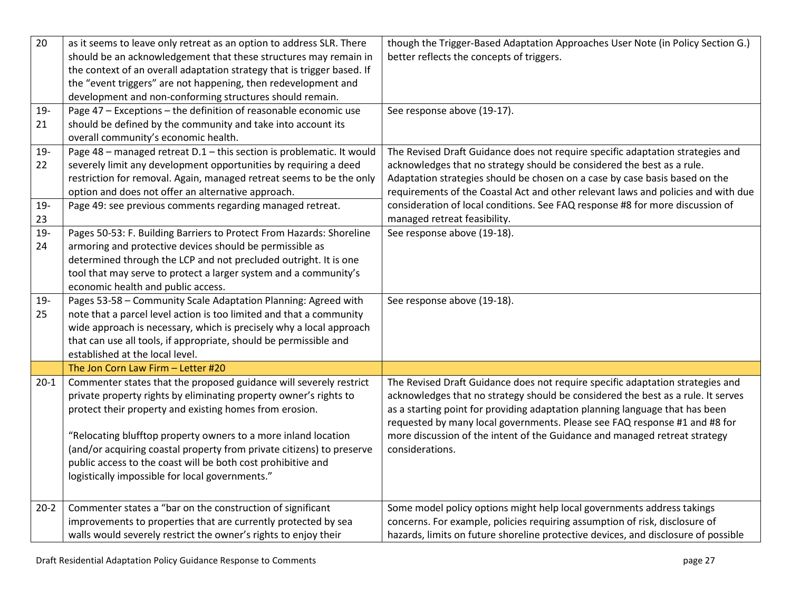| 20     | as it seems to leave only retreat as an option to address SLR. There    | though the Trigger-Based Adaptation Approaches User Note (in Policy Section G.)    |
|--------|-------------------------------------------------------------------------|------------------------------------------------------------------------------------|
|        | should be an acknowledgement that these structures may remain in        | better reflects the concepts of triggers.                                          |
|        | the context of an overall adaptation strategy that is trigger based. If |                                                                                    |
|        | the "event triggers" are not happening, then redevelopment and          |                                                                                    |
|        | development and non-conforming structures should remain.                |                                                                                    |
| 19-    | Page 47 - Exceptions - the definition of reasonable economic use        | See response above (19-17).                                                        |
| 21     | should be defined by the community and take into account its            |                                                                                    |
|        | overall community's economic health.                                    |                                                                                    |
| 19-    | Page 48 - managed retreat D.1 - this section is problematic. It would   | The Revised Draft Guidance does not require specific adaptation strategies and     |
| 22     | severely limit any development opportunities by requiring a deed        | acknowledges that no strategy should be considered the best as a rule.             |
|        | restriction for removal. Again, managed retreat seems to be the only    | Adaptation strategies should be chosen on a case by case basis based on the        |
|        | option and does not offer an alternative approach.                      | requirements of the Coastal Act and other relevant laws and policies and with due  |
| 19-    | Page 49: see previous comments regarding managed retreat.               | consideration of local conditions. See FAQ response #8 for more discussion of      |
| 23     |                                                                         | managed retreat feasibility.                                                       |
| 19-    | Pages 50-53: F. Building Barriers to Protect From Hazards: Shoreline    | See response above (19-18).                                                        |
| 24     | armoring and protective devices should be permissible as                |                                                                                    |
|        | determined through the LCP and not precluded outright. It is one        |                                                                                    |
|        | tool that may serve to protect a larger system and a community's        |                                                                                    |
|        | economic health and public access.                                      |                                                                                    |
| 19-    | Pages 53-58 - Community Scale Adaptation Planning: Agreed with          | See response above (19-18).                                                        |
| 25     | note that a parcel level action is too limited and that a community     |                                                                                    |
|        | wide approach is necessary, which is precisely why a local approach     |                                                                                    |
|        | that can use all tools, if appropriate, should be permissible and       |                                                                                    |
|        | established at the local level.                                         |                                                                                    |
|        | The Jon Corn Law Firm - Letter #20                                      |                                                                                    |
| $20-1$ | Commenter states that the proposed guidance will severely restrict      | The Revised Draft Guidance does not require specific adaptation strategies and     |
|        | private property rights by eliminating property owner's rights to       | acknowledges that no strategy should be considered the best as a rule. It serves   |
|        | protect their property and existing homes from erosion.                 | as a starting point for providing adaptation planning language that has been       |
|        |                                                                         | requested by many local governments. Please see FAQ response #1 and #8 for         |
|        | "Relocating blufftop property owners to a more inland location          | more discussion of the intent of the Guidance and managed retreat strategy         |
|        | (and/or acquiring coastal property from private citizens) to preserve   | considerations.                                                                    |
|        | public access to the coast will be both cost prohibitive and            |                                                                                    |
|        | logistically impossible for local governments."                         |                                                                                    |
|        |                                                                         |                                                                                    |
| $20-2$ | Commenter states a "bar on the construction of significant              | Some model policy options might help local governments address takings             |
|        | improvements to properties that are currently protected by sea          | concerns. For example, policies requiring assumption of risk, disclosure of        |
|        | walls would severely restrict the owner's rights to enjoy their         | hazards, limits on future shoreline protective devices, and disclosure of possible |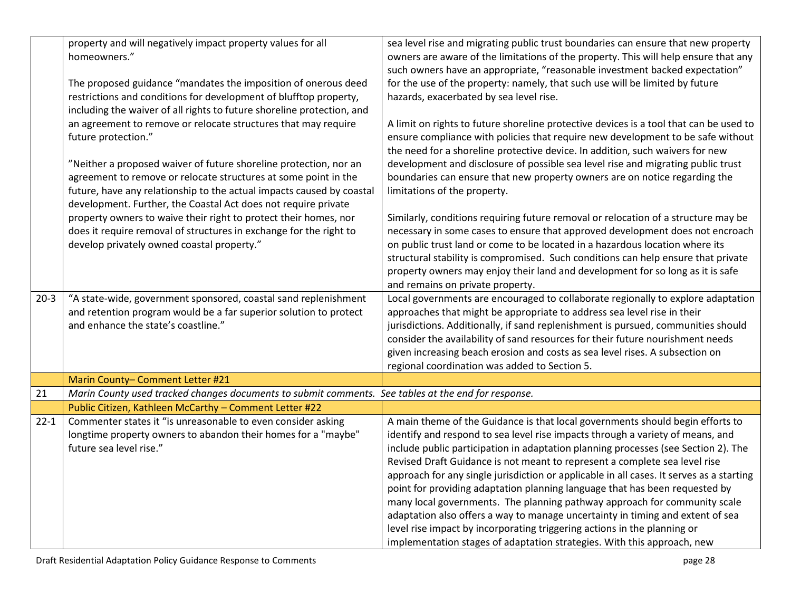| sea level rise and migrating public trust boundaries can ensure that new property<br>owners are aware of the limitations of the property. This will help ensure that any<br>such owners have an appropriate, "reasonable investment backed expectation"<br>for the use of the property: namely, that such use will be limited by future |
|-----------------------------------------------------------------------------------------------------------------------------------------------------------------------------------------------------------------------------------------------------------------------------------------------------------------------------------------|
|                                                                                                                                                                                                                                                                                                                                         |
|                                                                                                                                                                                                                                                                                                                                         |
|                                                                                                                                                                                                                                                                                                                                         |
|                                                                                                                                                                                                                                                                                                                                         |
|                                                                                                                                                                                                                                                                                                                                         |
|                                                                                                                                                                                                                                                                                                                                         |
| A limit on rights to future shoreline protective devices is a tool that can be used to                                                                                                                                                                                                                                                  |
| ensure compliance with policies that require new development to be safe without                                                                                                                                                                                                                                                         |
| the need for a shoreline protective device. In addition, such waivers for new                                                                                                                                                                                                                                                           |
| development and disclosure of possible sea level rise and migrating public trust                                                                                                                                                                                                                                                        |
| boundaries can ensure that new property owners are on notice regarding the                                                                                                                                                                                                                                                              |
|                                                                                                                                                                                                                                                                                                                                         |
|                                                                                                                                                                                                                                                                                                                                         |
| Similarly, conditions requiring future removal or relocation of a structure may be                                                                                                                                                                                                                                                      |
| necessary in some cases to ensure that approved development does not encroach                                                                                                                                                                                                                                                           |
| on public trust land or come to be located in a hazardous location where its                                                                                                                                                                                                                                                            |
| structural stability is compromised. Such conditions can help ensure that private                                                                                                                                                                                                                                                       |
| property owners may enjoy their land and development for so long as it is safe                                                                                                                                                                                                                                                          |
|                                                                                                                                                                                                                                                                                                                                         |
| Local governments are encouraged to collaborate regionally to explore adaptation                                                                                                                                                                                                                                                        |
| approaches that might be appropriate to address sea level rise in their                                                                                                                                                                                                                                                                 |
| jurisdictions. Additionally, if sand replenishment is pursued, communities should                                                                                                                                                                                                                                                       |
| consider the availability of sand resources for their future nourishment needs                                                                                                                                                                                                                                                          |
| given increasing beach erosion and costs as sea level rises. A subsection on                                                                                                                                                                                                                                                            |
|                                                                                                                                                                                                                                                                                                                                         |
|                                                                                                                                                                                                                                                                                                                                         |
|                                                                                                                                                                                                                                                                                                                                         |
| A main theme of the Guidance is that local governments should begin efforts to                                                                                                                                                                                                                                                          |
| identify and respond to sea level rise impacts through a variety of means, and                                                                                                                                                                                                                                                          |
| include public participation in adaptation planning processes (see Section 2). The                                                                                                                                                                                                                                                      |
| Revised Draft Guidance is not meant to represent a complete sea level rise                                                                                                                                                                                                                                                              |
| approach for any single jurisdiction or applicable in all cases. It serves as a starting                                                                                                                                                                                                                                                |
| point for providing adaptation planning language that has been requested by                                                                                                                                                                                                                                                             |
|                                                                                                                                                                                                                                                                                                                                         |
|                                                                                                                                                                                                                                                                                                                                         |
| many local governments. The planning pathway approach for community scale                                                                                                                                                                                                                                                               |
| adaptation also offers a way to manage uncertainty in timing and extent of sea<br>level rise impact by incorporating triggering actions in the planning or                                                                                                                                                                              |
|                                                                                                                                                                                                                                                                                                                                         |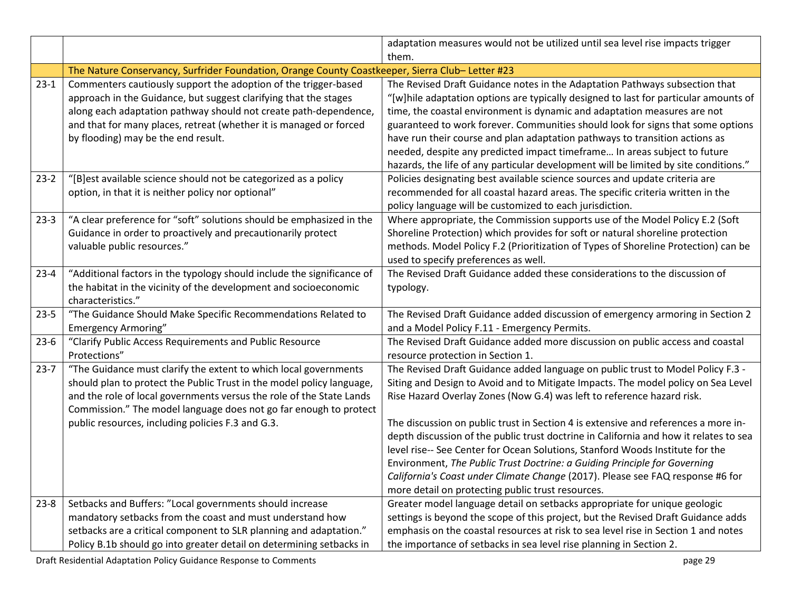|          |                                                                                                                                                                                                                                                                                                                                             | adaptation measures would not be utilized until sea level rise impacts trigger                                                                                                                                                                                                                                                                                                                                                                                                                                                                                                              |
|----------|---------------------------------------------------------------------------------------------------------------------------------------------------------------------------------------------------------------------------------------------------------------------------------------------------------------------------------------------|---------------------------------------------------------------------------------------------------------------------------------------------------------------------------------------------------------------------------------------------------------------------------------------------------------------------------------------------------------------------------------------------------------------------------------------------------------------------------------------------------------------------------------------------------------------------------------------------|
|          |                                                                                                                                                                                                                                                                                                                                             | them.                                                                                                                                                                                                                                                                                                                                                                                                                                                                                                                                                                                       |
|          | The Nature Conservancy, Surfrider Foundation, Orange County Coastkeeper, Sierra Club-Letter #23                                                                                                                                                                                                                                             |                                                                                                                                                                                                                                                                                                                                                                                                                                                                                                                                                                                             |
| $23-1$   | Commenters cautiously support the adoption of the trigger-based<br>approach in the Guidance, but suggest clarifying that the stages<br>along each adaptation pathway should not create path-dependence,<br>and that for many places, retreat (whether it is managed or forced<br>by flooding) may be the end result.                        | The Revised Draft Guidance notes in the Adaptation Pathways subsection that<br>"[w]hile adaptation options are typically designed to last for particular amounts of<br>time, the coastal environment is dynamic and adaptation measures are not<br>guaranteed to work forever. Communities should look for signs that some options<br>have run their course and plan adaptation pathways to transition actions as<br>needed, despite any predicted impact timeframe In areas subject to future<br>hazards, the life of any particular development will be limited by site conditions."      |
| $23-2$   | "[B]est available science should not be categorized as a policy<br>option, in that it is neither policy nor optional"                                                                                                                                                                                                                       | Policies designating best available science sources and update criteria are<br>recommended for all coastal hazard areas. The specific criteria written in the<br>policy language will be customized to each jurisdiction.                                                                                                                                                                                                                                                                                                                                                                   |
| $23-3$   | "A clear preference for "soft" solutions should be emphasized in the<br>Guidance in order to proactively and precautionarily protect<br>valuable public resources."                                                                                                                                                                         | Where appropriate, the Commission supports use of the Model Policy E.2 (Soft<br>Shoreline Protection) which provides for soft or natural shoreline protection<br>methods. Model Policy F.2 (Prioritization of Types of Shoreline Protection) can be<br>used to specify preferences as well.                                                                                                                                                                                                                                                                                                 |
| $23 - 4$ | "Additional factors in the typology should include the significance of<br>the habitat in the vicinity of the development and socioeconomic<br>characteristics."                                                                                                                                                                             | The Revised Draft Guidance added these considerations to the discussion of<br>typology.                                                                                                                                                                                                                                                                                                                                                                                                                                                                                                     |
| $23 - 5$ | "The Guidance Should Make Specific Recommendations Related to<br><b>Emergency Armoring"</b>                                                                                                                                                                                                                                                 | The Revised Draft Guidance added discussion of emergency armoring in Section 2<br>and a Model Policy F.11 - Emergency Permits.                                                                                                                                                                                                                                                                                                                                                                                                                                                              |
| $23-6$   | "Clarify Public Access Requirements and Public Resource<br>Protections"                                                                                                                                                                                                                                                                     | The Revised Draft Guidance added more discussion on public access and coastal<br>resource protection in Section 1.                                                                                                                                                                                                                                                                                                                                                                                                                                                                          |
| $23 - 7$ | "The Guidance must clarify the extent to which local governments<br>should plan to protect the Public Trust in the model policy language,<br>and the role of local governments versus the role of the State Lands<br>Commission." The model language does not go far enough to protect<br>public resources, including policies F.3 and G.3. | The Revised Draft Guidance added language on public trust to Model Policy F.3 -<br>Siting and Design to Avoid and to Mitigate Impacts. The model policy on Sea Level<br>Rise Hazard Overlay Zones (Now G.4) was left to reference hazard risk.<br>The discussion on public trust in Section 4 is extensive and references a more in-<br>depth discussion of the public trust doctrine in California and how it relates to sea<br>level rise-- See Center for Ocean Solutions, Stanford Woods Institute for the<br>Environment, The Public Trust Doctrine: a Guiding Principle for Governing |
|          |                                                                                                                                                                                                                                                                                                                                             | California's Coast under Climate Change (2017). Please see FAQ response #6 for<br>more detail on protecting public trust resources.                                                                                                                                                                                                                                                                                                                                                                                                                                                         |
| $23 - 8$ | Setbacks and Buffers: "Local governments should increase<br>mandatory setbacks from the coast and must understand how<br>setbacks are a critical component to SLR planning and adaptation."<br>Policy B.1b should go into greater detail on determining setbacks in                                                                         | Greater model language detail on setbacks appropriate for unique geologic<br>settings is beyond the scope of this project, but the Revised Draft Guidance adds<br>emphasis on the coastal resources at risk to sea level rise in Section 1 and notes<br>the importance of setbacks in sea level rise planning in Section 2.                                                                                                                                                                                                                                                                 |

Draft Residential Adaptation Policy Guidance Response to Comments **page 29** and the set of the set of the set of the set of the set of the set of the set of the set of the set of the set of the set of the set of the set of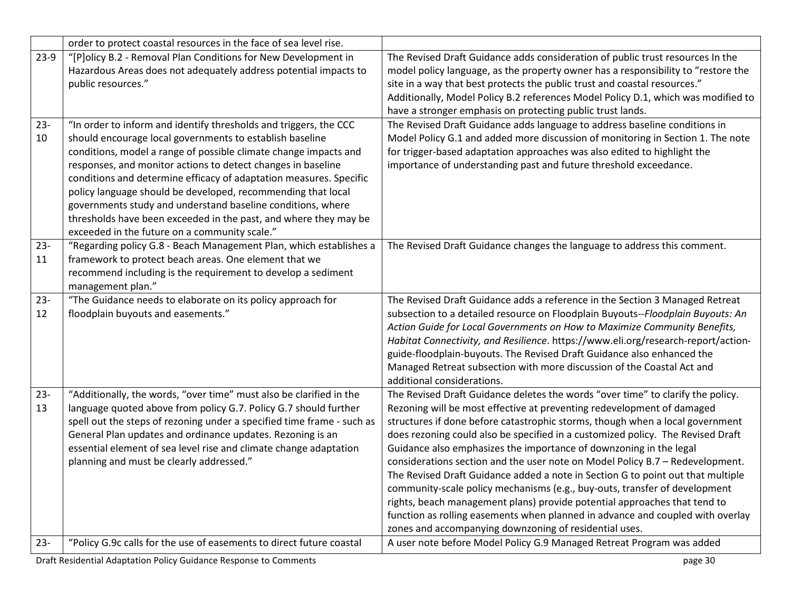|              | order to protect coastal resources in the face of sea level rise.                                                                                                                                                                                                                                                                                                                                                                                                                                                                                                                           |                                                                                                                                                                                                                                                                                                                                                                                                                                                                                                                                                                                                                                                                                                                                                                                                                                                                                |
|--------------|---------------------------------------------------------------------------------------------------------------------------------------------------------------------------------------------------------------------------------------------------------------------------------------------------------------------------------------------------------------------------------------------------------------------------------------------------------------------------------------------------------------------------------------------------------------------------------------------|--------------------------------------------------------------------------------------------------------------------------------------------------------------------------------------------------------------------------------------------------------------------------------------------------------------------------------------------------------------------------------------------------------------------------------------------------------------------------------------------------------------------------------------------------------------------------------------------------------------------------------------------------------------------------------------------------------------------------------------------------------------------------------------------------------------------------------------------------------------------------------|
| $23-9$       | "[P]olicy B.2 - Removal Plan Conditions for New Development in<br>Hazardous Areas does not adequately address potential impacts to<br>public resources."                                                                                                                                                                                                                                                                                                                                                                                                                                    | The Revised Draft Guidance adds consideration of public trust resources In the<br>model policy language, as the property owner has a responsibility to "restore the<br>site in a way that best protects the public trust and coastal resources."<br>Additionally, Model Policy B.2 references Model Policy D.1, which was modified to<br>have a stronger emphasis on protecting public trust lands.                                                                                                                                                                                                                                                                                                                                                                                                                                                                            |
| $23 -$<br>10 | "In order to inform and identify thresholds and triggers, the CCC<br>should encourage local governments to establish baseline<br>conditions, model a range of possible climate change impacts and<br>responses, and monitor actions to detect changes in baseline<br>conditions and determine efficacy of adaptation measures. Specific<br>policy language should be developed, recommending that local<br>governments study and understand baseline conditions, where<br>thresholds have been exceeded in the past, and where they may be<br>exceeded in the future on a community scale." | The Revised Draft Guidance adds language to address baseline conditions in<br>Model Policy G.1 and added more discussion of monitoring in Section 1. The note<br>for trigger-based adaptation approaches was also edited to highlight the<br>importance of understanding past and future threshold exceedance.                                                                                                                                                                                                                                                                                                                                                                                                                                                                                                                                                                 |
| $23 -$<br>11 | "Regarding policy G.8 - Beach Management Plan, which establishes a<br>framework to protect beach areas. One element that we<br>recommend including is the requirement to develop a sediment<br>management plan."                                                                                                                                                                                                                                                                                                                                                                            | The Revised Draft Guidance changes the language to address this comment.                                                                                                                                                                                                                                                                                                                                                                                                                                                                                                                                                                                                                                                                                                                                                                                                       |
| $23 -$<br>12 | "The Guidance needs to elaborate on its policy approach for<br>floodplain buyouts and easements."                                                                                                                                                                                                                                                                                                                                                                                                                                                                                           | The Revised Draft Guidance adds a reference in the Section 3 Managed Retreat<br>subsection to a detailed resource on Floodplain Buyouts--Floodplain Buyouts: An<br>Action Guide for Local Governments on How to Maximize Community Benefits,<br>Habitat Connectivity, and Resilience. https://www.eli.org/research-report/action-<br>guide-floodplain-buyouts. The Revised Draft Guidance also enhanced the<br>Managed Retreat subsection with more discussion of the Coastal Act and<br>additional considerations.                                                                                                                                                                                                                                                                                                                                                            |
| $23 -$<br>13 | "Additionally, the words, "over time" must also be clarified in the<br>language quoted above from policy G.7. Policy G.7 should further<br>spell out the steps of rezoning under a specified time frame - such as<br>General Plan updates and ordinance updates. Rezoning is an<br>essential element of sea level rise and climate change adaptation<br>planning and must be clearly addressed."                                                                                                                                                                                            | The Revised Draft Guidance deletes the words "over time" to clarify the policy.<br>Rezoning will be most effective at preventing redevelopment of damaged<br>structures if done before catastrophic storms, though when a local government<br>does rezoning could also be specified in a customized policy. The Revised Draft<br>Guidance also emphasizes the importance of downzoning in the legal<br>considerations section and the user note on Model Policy B.7 - Redevelopment.<br>The Revised Draft Guidance added a note in Section G to point out that multiple<br>community-scale policy mechanisms (e.g., buy-outs, transfer of development<br>rights, beach management plans) provide potential approaches that tend to<br>function as rolling easements when planned in advance and coupled with overlay<br>zones and accompanying downzoning of residential uses. |
| $23 -$       | "Policy G.9c calls for the use of easements to direct future coastal                                                                                                                                                                                                                                                                                                                                                                                                                                                                                                                        | A user note before Model Policy G.9 Managed Retreat Program was added                                                                                                                                                                                                                                                                                                                                                                                                                                                                                                                                                                                                                                                                                                                                                                                                          |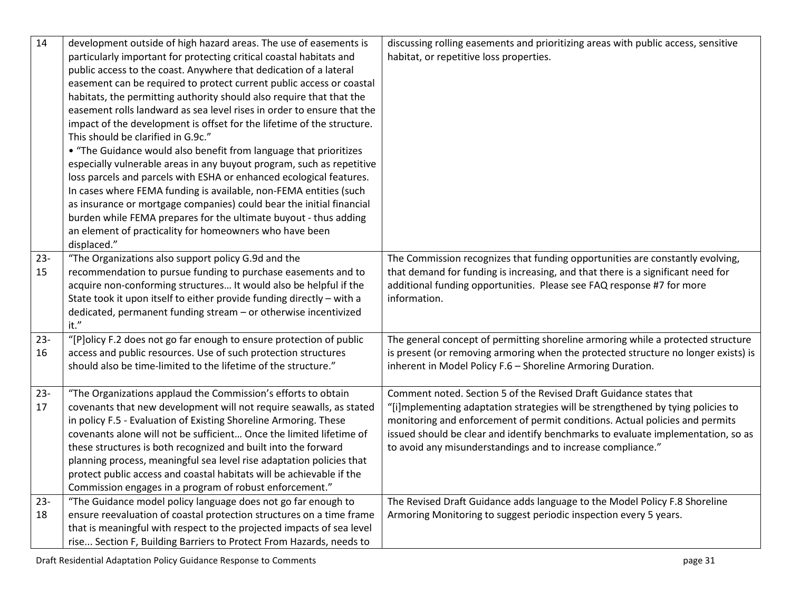| 14     | development outside of high hazard areas. The use of easements is      | discussing rolling easements and prioritizing areas with public access, sensitive  |
|--------|------------------------------------------------------------------------|------------------------------------------------------------------------------------|
|        | particularly important for protecting critical coastal habitats and    | habitat, or repetitive loss properties.                                            |
|        | public access to the coast. Anywhere that dedication of a lateral      |                                                                                    |
|        | easement can be required to protect current public access or coastal   |                                                                                    |
|        | habitats, the permitting authority should also require that that the   |                                                                                    |
|        | easement rolls landward as sea level rises in order to ensure that the |                                                                                    |
|        | impact of the development is offset for the lifetime of the structure. |                                                                                    |
|        | This should be clarified in G.9c."                                     |                                                                                    |
|        | • "The Guidance would also benefit from language that prioritizes      |                                                                                    |
|        | especially vulnerable areas in any buyout program, such as repetitive  |                                                                                    |
|        | loss parcels and parcels with ESHA or enhanced ecological features.    |                                                                                    |
|        | In cases where FEMA funding is available, non-FEMA entities (such      |                                                                                    |
|        | as insurance or mortgage companies) could bear the initial financial   |                                                                                    |
|        | burden while FEMA prepares for the ultimate buyout - thus adding       |                                                                                    |
|        | an element of practicality for homeowners who have been                |                                                                                    |
|        | displaced."                                                            |                                                                                    |
| $23 -$ | "The Organizations also support policy G.9d and the                    | The Commission recognizes that funding opportunities are constantly evolving,      |
| 15     | recommendation to pursue funding to purchase easements and to          | that demand for funding is increasing, and that there is a significant need for    |
|        | acquire non-conforming structures It would also be helpful if the      | additional funding opportunities. Please see FAQ response #7 for more              |
|        | State took it upon itself to either provide funding directly - with a  | information.                                                                       |
|        | dedicated, permanent funding stream - or otherwise incentivized        |                                                                                    |
|        | it."                                                                   |                                                                                    |
| $23 -$ | "[P]olicy F.2 does not go far enough to ensure protection of public    | The general concept of permitting shoreline armoring while a protected structure   |
| 16     | access and public resources. Use of such protection structures         | is present (or removing armoring when the protected structure no longer exists) is |
|        | should also be time-limited to the lifetime of the structure."         | inherent in Model Policy F.6 - Shoreline Armoring Duration.                        |
|        |                                                                        |                                                                                    |
| $23 -$ | "The Organizations applaud the Commission's efforts to obtain          | Comment noted. Section 5 of the Revised Draft Guidance states that                 |
| 17     | covenants that new development will not require seawalls, as stated    | "[i]mplementing adaptation strategies will be strengthened by tying policies to    |
|        | in policy F.5 - Evaluation of Existing Shoreline Armoring. These       | monitoring and enforcement of permit conditions. Actual policies and permits       |
|        | covenants alone will not be sufficient Once the limited lifetime of    | issued should be clear and identify benchmarks to evaluate implementation, so as   |
|        | these structures is both recognized and built into the forward         | to avoid any misunderstandings and to increase compliance."                        |
|        | planning process, meaningful sea level rise adaptation policies that   |                                                                                    |
|        | protect public access and coastal habitats will be achievable if the   |                                                                                    |
|        | Commission engages in a program of robust enforcement."                |                                                                                    |
| $23 -$ | "The Guidance model policy language does not go far enough to          | The Revised Draft Guidance adds language to the Model Policy F.8 Shoreline         |
| 18     | ensure reevaluation of coastal protection structures on a time frame   | Armoring Monitoring to suggest periodic inspection every 5 years.                  |
|        | that is meaningful with respect to the projected impacts of sea level  |                                                                                    |
|        | rise Section F, Building Barriers to Protect From Hazards, needs to    |                                                                                    |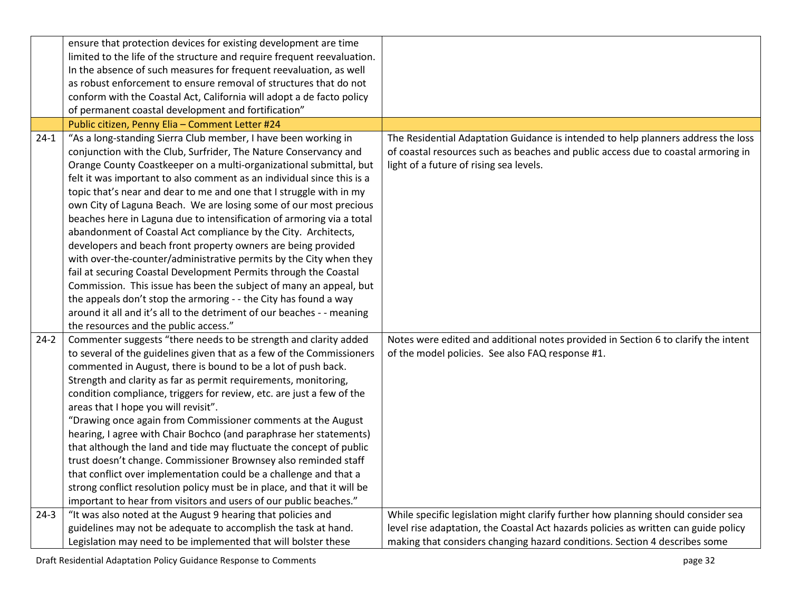| ensure that protection devices for existing development are time<br>limited to the life of the structure and require frequent reevaluation.<br>In the absence of such measures for frequent reevaluation, as well<br>as robust enforcement to ensure removal of structures that do not |  |
|----------------------------------------------------------------------------------------------------------------------------------------------------------------------------------------------------------------------------------------------------------------------------------------|--|
|                                                                                                                                                                                                                                                                                        |  |
|                                                                                                                                                                                                                                                                                        |  |
|                                                                                                                                                                                                                                                                                        |  |
|                                                                                                                                                                                                                                                                                        |  |
| conform with the Coastal Act, California will adopt a de facto policy                                                                                                                                                                                                                  |  |
| of permanent coastal development and fortification"                                                                                                                                                                                                                                    |  |
| Public citizen, Penny Elia - Comment Letter #24                                                                                                                                                                                                                                        |  |
| "As a long-standing Sierra Club member, I have been working in<br>The Residential Adaptation Guidance is intended to help planners address the loss<br>$24-1$                                                                                                                          |  |
| conjunction with the Club, Surfrider, The Nature Conservancy and<br>of coastal resources such as beaches and public access due to coastal armoring in                                                                                                                                  |  |
| Orange County Coastkeeper on a multi-organizational submittal, but<br>light of a future of rising sea levels.                                                                                                                                                                          |  |
| felt it was important to also comment as an individual since this is a                                                                                                                                                                                                                 |  |
| topic that's near and dear to me and one that I struggle with in my                                                                                                                                                                                                                    |  |
| own City of Laguna Beach. We are losing some of our most precious                                                                                                                                                                                                                      |  |
| beaches here in Laguna due to intensification of armoring via a total                                                                                                                                                                                                                  |  |
| abandonment of Coastal Act compliance by the City. Architects,                                                                                                                                                                                                                         |  |
| developers and beach front property owners are being provided                                                                                                                                                                                                                          |  |
| with over-the-counter/administrative permits by the City when they                                                                                                                                                                                                                     |  |
| fail at securing Coastal Development Permits through the Coastal                                                                                                                                                                                                                       |  |
| Commission. This issue has been the subject of many an appeal, but                                                                                                                                                                                                                     |  |
| the appeals don't stop the armoring - - the City has found a way                                                                                                                                                                                                                       |  |
| around it all and it's all to the detriment of our beaches - - meaning                                                                                                                                                                                                                 |  |
| the resources and the public access."                                                                                                                                                                                                                                                  |  |
| Commenter suggests "there needs to be strength and clarity added<br>Notes were edited and additional notes provided in Section 6 to clarify the intent<br>$24-2$                                                                                                                       |  |
| to several of the guidelines given that as a few of the Commissioners<br>of the model policies. See also FAQ response #1.                                                                                                                                                              |  |
| commented in August, there is bound to be a lot of push back.                                                                                                                                                                                                                          |  |
| Strength and clarity as far as permit requirements, monitoring,                                                                                                                                                                                                                        |  |
| condition compliance, triggers for review, etc. are just a few of the                                                                                                                                                                                                                  |  |
| areas that I hope you will revisit".                                                                                                                                                                                                                                                   |  |
| "Drawing once again from Commissioner comments at the August                                                                                                                                                                                                                           |  |
| hearing, I agree with Chair Bochco (and paraphrase her statements)                                                                                                                                                                                                                     |  |
| that although the land and tide may fluctuate the concept of public                                                                                                                                                                                                                    |  |
| trust doesn't change. Commissioner Brownsey also reminded staff                                                                                                                                                                                                                        |  |
| that conflict over implementation could be a challenge and that a                                                                                                                                                                                                                      |  |
| strong conflict resolution policy must be in place, and that it will be                                                                                                                                                                                                                |  |
| important to hear from visitors and users of our public beaches."                                                                                                                                                                                                                      |  |
| "It was also noted at the August 9 hearing that policies and<br>While specific legislation might clarify further how planning should consider sea<br>$24-3$                                                                                                                            |  |
| guidelines may not be adequate to accomplish the task at hand.<br>level rise adaptation, the Coastal Act hazards policies as written can guide policy                                                                                                                                  |  |
| making that considers changing hazard conditions. Section 4 describes some<br>Legislation may need to be implemented that will bolster these                                                                                                                                           |  |

Draft Residential Adaptation Policy Guidance Response to Comments **page 32** page 32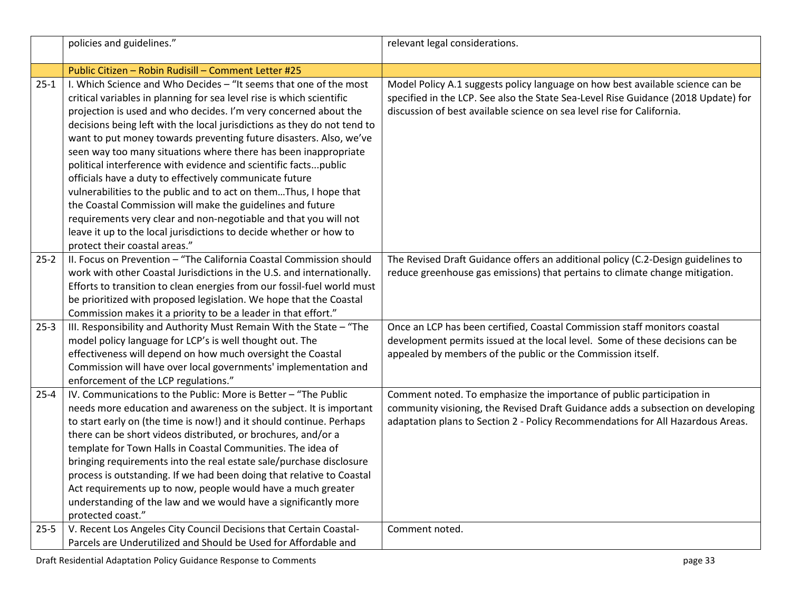|          | policies and guidelines."                                                                                                                                                                                                                                                                                                                                                                                                                                                                                                                                                                                                                                                                                                                                                                                                                                                       | relevant legal considerations.                                                                                                                                                                                                                 |
|----------|---------------------------------------------------------------------------------------------------------------------------------------------------------------------------------------------------------------------------------------------------------------------------------------------------------------------------------------------------------------------------------------------------------------------------------------------------------------------------------------------------------------------------------------------------------------------------------------------------------------------------------------------------------------------------------------------------------------------------------------------------------------------------------------------------------------------------------------------------------------------------------|------------------------------------------------------------------------------------------------------------------------------------------------------------------------------------------------------------------------------------------------|
|          | Public Citizen - Robin Rudisill - Comment Letter #25                                                                                                                                                                                                                                                                                                                                                                                                                                                                                                                                                                                                                                                                                                                                                                                                                            |                                                                                                                                                                                                                                                |
| $25 - 1$ | I. Which Science and Who Decides - "It seems that one of the most<br>critical variables in planning for sea level rise is which scientific<br>projection is used and who decides. I'm very concerned about the<br>decisions being left with the local jurisdictions as they do not tend to<br>want to put money towards preventing future disasters. Also, we've<br>seen way too many situations where there has been inappropriate<br>political interference with evidence and scientific factspublic<br>officials have a duty to effectively communicate future<br>vulnerabilities to the public and to act on themThus, I hope that<br>the Coastal Commission will make the guidelines and future<br>requirements very clear and non-negotiable and that you will not<br>leave it up to the local jurisdictions to decide whether or how to<br>protect their coastal areas." | Model Policy A.1 suggests policy language on how best available science can be<br>specified in the LCP. See also the State Sea-Level Rise Guidance (2018 Update) for<br>discussion of best available science on sea level rise for California. |
| $25 - 2$ | II. Focus on Prevention - "The California Coastal Commission should<br>work with other Coastal Jurisdictions in the U.S. and internationally.<br>Efforts to transition to clean energies from our fossil-fuel world must<br>be prioritized with proposed legislation. We hope that the Coastal<br>Commission makes it a priority to be a leader in that effort."                                                                                                                                                                                                                                                                                                                                                                                                                                                                                                                | The Revised Draft Guidance offers an additional policy (C.2-Design guidelines to<br>reduce greenhouse gas emissions) that pertains to climate change mitigation.                                                                               |
| $25-3$   | III. Responsibility and Authority Must Remain With the State - "The<br>model policy language for LCP's is well thought out. The<br>effectiveness will depend on how much oversight the Coastal<br>Commission will have over local governments' implementation and<br>enforcement of the LCP regulations."                                                                                                                                                                                                                                                                                                                                                                                                                                                                                                                                                                       | Once an LCP has been certified, Coastal Commission staff monitors coastal<br>development permits issued at the local level. Some of these decisions can be<br>appealed by members of the public or the Commission itself.                      |
| $25 - 4$ | IV. Communications to the Public: More is Better - "The Public<br>needs more education and awareness on the subject. It is important<br>to start early on (the time is now!) and it should continue. Perhaps<br>there can be short videos distributed, or brochures, and/or a<br>template for Town Halls in Coastal Communities. The idea of<br>bringing requirements into the real estate sale/purchase disclosure<br>process is outstanding. If we had been doing that relative to Coastal<br>Act requirements up to now, people would have a much greater<br>understanding of the law and we would have a significantly more<br>protected coast."                                                                                                                                                                                                                            | Comment noted. To emphasize the importance of public participation in<br>community visioning, the Revised Draft Guidance adds a subsection on developing<br>adaptation plans to Section 2 - Policy Recommendations for All Hazardous Areas.    |
| $25 - 5$ | V. Recent Los Angeles City Council Decisions that Certain Coastal-<br>Parcels are Underutilized and Should be Used for Affordable and                                                                                                                                                                                                                                                                                                                                                                                                                                                                                                                                                                                                                                                                                                                                           | Comment noted.                                                                                                                                                                                                                                 |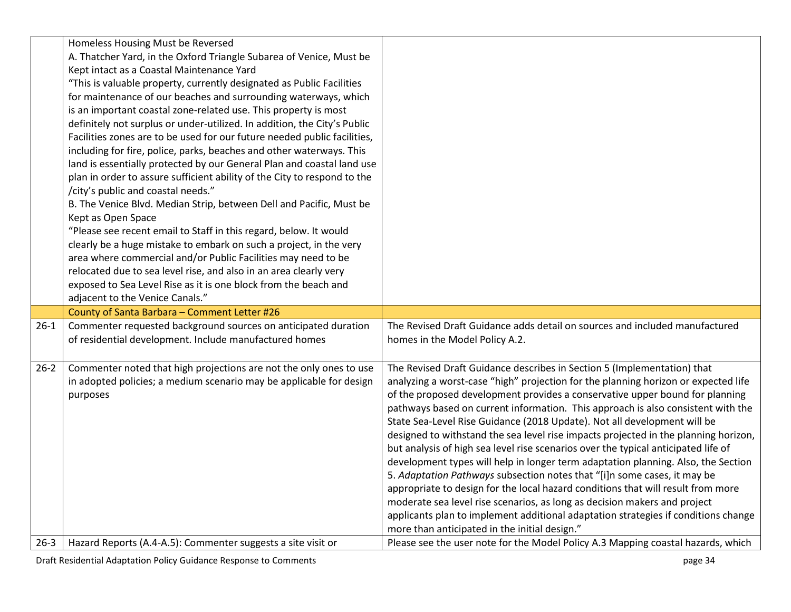|          | Homeless Housing Must be Reversed<br>A. Thatcher Yard, in the Oxford Triangle Subarea of Venice, Must be<br>Kept intact as a Coastal Maintenance Yard<br>"This is valuable property, currently designated as Public Facilities<br>for maintenance of our beaches and surrounding waterways, which<br>is an important coastal zone-related use. This property is most<br>definitely not surplus or under-utilized. In addition, the City's Public<br>Facilities zones are to be used for our future needed public facilities,<br>including for fire, police, parks, beaches and other waterways. This<br>land is essentially protected by our General Plan and coastal land use<br>plan in order to assure sufficient ability of the City to respond to the<br>/city's public and coastal needs."<br>B. The Venice Blvd. Median Strip, between Dell and Pacific, Must be<br>Kept as Open Space<br>"Please see recent email to Staff in this regard, below. It would<br>clearly be a huge mistake to embark on such a project, in the very<br>area where commercial and/or Public Facilities may need to be<br>relocated due to sea level rise, and also in an area clearly very<br>exposed to Sea Level Rise as it is one block from the beach and<br>adjacent to the Venice Canals." |                                                                                                                                                                                                                                                                                                                                                                                                                                                                                                                                                                                                                                                                                                                                                                                                                                                                                                                                                                                                                                                                     |
|----------|--------------------------------------------------------------------------------------------------------------------------------------------------------------------------------------------------------------------------------------------------------------------------------------------------------------------------------------------------------------------------------------------------------------------------------------------------------------------------------------------------------------------------------------------------------------------------------------------------------------------------------------------------------------------------------------------------------------------------------------------------------------------------------------------------------------------------------------------------------------------------------------------------------------------------------------------------------------------------------------------------------------------------------------------------------------------------------------------------------------------------------------------------------------------------------------------------------------------------------------------------------------------------------------|---------------------------------------------------------------------------------------------------------------------------------------------------------------------------------------------------------------------------------------------------------------------------------------------------------------------------------------------------------------------------------------------------------------------------------------------------------------------------------------------------------------------------------------------------------------------------------------------------------------------------------------------------------------------------------------------------------------------------------------------------------------------------------------------------------------------------------------------------------------------------------------------------------------------------------------------------------------------------------------------------------------------------------------------------------------------|
|          | County of Santa Barbara - Comment Letter #26                                                                                                                                                                                                                                                                                                                                                                                                                                                                                                                                                                                                                                                                                                                                                                                                                                                                                                                                                                                                                                                                                                                                                                                                                                         |                                                                                                                                                                                                                                                                                                                                                                                                                                                                                                                                                                                                                                                                                                                                                                                                                                                                                                                                                                                                                                                                     |
| $26-1$   | Commenter requested background sources on anticipated duration<br>of residential development. Include manufactured homes                                                                                                                                                                                                                                                                                                                                                                                                                                                                                                                                                                                                                                                                                                                                                                                                                                                                                                                                                                                                                                                                                                                                                             | The Revised Draft Guidance adds detail on sources and included manufactured<br>homes in the Model Policy A.2.                                                                                                                                                                                                                                                                                                                                                                                                                                                                                                                                                                                                                                                                                                                                                                                                                                                                                                                                                       |
| $26 - 2$ | Commenter noted that high projections are not the only ones to use<br>in adopted policies; a medium scenario may be applicable for design<br>purposes                                                                                                                                                                                                                                                                                                                                                                                                                                                                                                                                                                                                                                                                                                                                                                                                                                                                                                                                                                                                                                                                                                                                | The Revised Draft Guidance describes in Section 5 (Implementation) that<br>analyzing a worst-case "high" projection for the planning horizon or expected life<br>of the proposed development provides a conservative upper bound for planning<br>pathways based on current information. This approach is also consistent with the<br>State Sea-Level Rise Guidance (2018 Update). Not all development will be<br>designed to withstand the sea level rise impacts projected in the planning horizon,<br>but analysis of high sea level rise scenarios over the typical anticipated life of<br>development types will help in longer term adaptation planning. Also, the Section<br>5. Adaptation Pathways subsection notes that "[i]n some cases, it may be<br>appropriate to design for the local hazard conditions that will result from more<br>moderate sea level rise scenarios, as long as decision makers and project<br>applicants plan to implement additional adaptation strategies if conditions change<br>more than anticipated in the initial design." |
|          | 26-3   Hazard Reports (A.4-A.5): Commenter suggests a site visit or                                                                                                                                                                                                                                                                                                                                                                                                                                                                                                                                                                                                                                                                                                                                                                                                                                                                                                                                                                                                                                                                                                                                                                                                                  | Please see the user note for the Model Policy A.3 Mapping coastal hazards, which                                                                                                                                                                                                                                                                                                                                                                                                                                                                                                                                                                                                                                                                                                                                                                                                                                                                                                                                                                                    |

Draft Residential Adaptation Policy Guidance Response to Comments page 34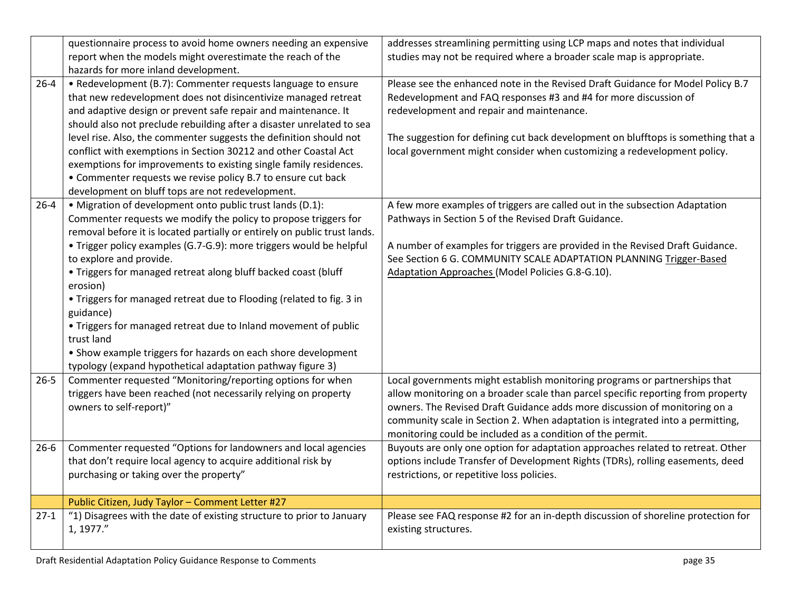|          | questionnaire process to avoid home owners needing an expensive<br>report when the models might overestimate the reach of the                                                                                                                                                                                                                                                                                                                                                                                                                                                                                                                                                                  | addresses streamlining permitting using LCP maps and notes that individual<br>studies may not be required where a broader scale map is appropriate.                                                                                                                                                                                                                                          |
|----------|------------------------------------------------------------------------------------------------------------------------------------------------------------------------------------------------------------------------------------------------------------------------------------------------------------------------------------------------------------------------------------------------------------------------------------------------------------------------------------------------------------------------------------------------------------------------------------------------------------------------------------------------------------------------------------------------|----------------------------------------------------------------------------------------------------------------------------------------------------------------------------------------------------------------------------------------------------------------------------------------------------------------------------------------------------------------------------------------------|
|          | hazards for more inland development.                                                                                                                                                                                                                                                                                                                                                                                                                                                                                                                                                                                                                                                           |                                                                                                                                                                                                                                                                                                                                                                                              |
| $26 - 4$ | • Redevelopment (B.7): Commenter requests language to ensure<br>that new redevelopment does not disincentivize managed retreat<br>and adaptive design or prevent safe repair and maintenance. It<br>should also not preclude rebuilding after a disaster unrelated to sea<br>level rise. Also, the commenter suggests the definition should not<br>conflict with exemptions in Section 30212 and other Coastal Act<br>exemptions for improvements to existing single family residences.<br>• Commenter requests we revise policy B.7 to ensure cut back<br>development on bluff tops are not redevelopment.                                                                                    | Please see the enhanced note in the Revised Draft Guidance for Model Policy B.7<br>Redevelopment and FAQ responses #3 and #4 for more discussion of<br>redevelopment and repair and maintenance.<br>The suggestion for defining cut back development on blufftops is something that a<br>local government might consider when customizing a redevelopment policy.                            |
| $26 - 4$ | • Migration of development onto public trust lands (D.1):<br>Commenter requests we modify the policy to propose triggers for<br>removal before it is located partially or entirely on public trust lands.<br>• Trigger policy examples (G.7-G.9): more triggers would be helpful<br>to explore and provide.<br>. Triggers for managed retreat along bluff backed coast (bluff<br>erosion)<br>. Triggers for managed retreat due to Flooding (related to fig. 3 in<br>guidance)<br>. Triggers for managed retreat due to Inland movement of public<br>trust land<br>• Show example triggers for hazards on each shore development<br>typology (expand hypothetical adaptation pathway figure 3) | A few more examples of triggers are called out in the subsection Adaptation<br>Pathways in Section 5 of the Revised Draft Guidance.<br>A number of examples for triggers are provided in the Revised Draft Guidance.<br>See Section 6 G. COMMUNITY SCALE ADAPTATION PLANNING Trigger-Based<br>Adaptation Approaches (Model Policies G.8-G.10).                                               |
| $26 - 5$ | Commenter requested "Monitoring/reporting options for when<br>triggers have been reached (not necessarily relying on property<br>owners to self-report)"                                                                                                                                                                                                                                                                                                                                                                                                                                                                                                                                       | Local governments might establish monitoring programs or partnerships that<br>allow monitoring on a broader scale than parcel specific reporting from property<br>owners. The Revised Draft Guidance adds more discussion of monitoring on a<br>community scale in Section 2. When adaptation is integrated into a permitting,<br>monitoring could be included as a condition of the permit. |
| $26 - 6$ | Commenter requested "Options for landowners and local agencies<br>that don't require local agency to acquire additional risk by<br>purchasing or taking over the property"                                                                                                                                                                                                                                                                                                                                                                                                                                                                                                                     | Buyouts are only one option for adaptation approaches related to retreat. Other<br>options include Transfer of Development Rights (TDRs), rolling easements, deed<br>restrictions, or repetitive loss policies.                                                                                                                                                                              |
|          | Public Citizen, Judy Taylor - Comment Letter #27                                                                                                                                                                                                                                                                                                                                                                                                                                                                                                                                                                                                                                               |                                                                                                                                                                                                                                                                                                                                                                                              |
| $27-1$   | "1) Disagrees with the date of existing structure to prior to January<br>1, 1977."                                                                                                                                                                                                                                                                                                                                                                                                                                                                                                                                                                                                             | Please see FAQ response #2 for an in-depth discussion of shoreline protection for<br>existing structures.                                                                                                                                                                                                                                                                                    |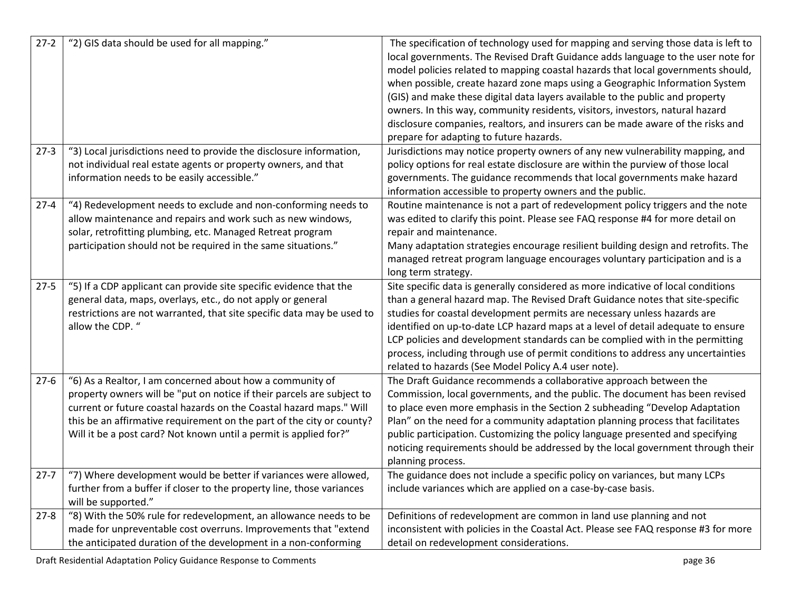| $27-2$   | "2) GIS data should be used for all mapping."                                                                                                                                                                                                                                                                                                            | The specification of technology used for mapping and serving those data is left to<br>local governments. The Revised Draft Guidance adds language to the user note for<br>model policies related to mapping coastal hazards that local governments should,<br>when possible, create hazard zone maps using a Geographic Information System<br>(GIS) and make these digital data layers available to the public and property<br>owners. In this way, community residents, visitors, investors, natural hazard<br>disclosure companies, realtors, and insurers can be made aware of the risks and<br>prepare for adapting to future hazards. |
|----------|----------------------------------------------------------------------------------------------------------------------------------------------------------------------------------------------------------------------------------------------------------------------------------------------------------------------------------------------------------|--------------------------------------------------------------------------------------------------------------------------------------------------------------------------------------------------------------------------------------------------------------------------------------------------------------------------------------------------------------------------------------------------------------------------------------------------------------------------------------------------------------------------------------------------------------------------------------------------------------------------------------------|
| $27-3$   | "3) Local jurisdictions need to provide the disclosure information,<br>not individual real estate agents or property owners, and that<br>information needs to be easily accessible."                                                                                                                                                                     | Jurisdictions may notice property owners of any new vulnerability mapping, and<br>policy options for real estate disclosure are within the purview of those local<br>governments. The guidance recommends that local governments make hazard<br>information accessible to property owners and the public.                                                                                                                                                                                                                                                                                                                                  |
| $27 - 4$ | "4) Redevelopment needs to exclude and non-conforming needs to<br>allow maintenance and repairs and work such as new windows,<br>solar, retrofitting plumbing, etc. Managed Retreat program<br>participation should not be required in the same situations."                                                                                             | Routine maintenance is not a part of redevelopment policy triggers and the note<br>was edited to clarify this point. Please see FAQ response #4 for more detail on<br>repair and maintenance.<br>Many adaptation strategies encourage resilient building design and retrofits. The<br>managed retreat program language encourages voluntary participation and is a<br>long term strategy.                                                                                                                                                                                                                                                  |
| $27 - 5$ | "5) If a CDP applicant can provide site specific evidence that the<br>general data, maps, overlays, etc., do not apply or general<br>restrictions are not warranted, that site specific data may be used to<br>allow the CDP. "                                                                                                                          | Site specific data is generally considered as more indicative of local conditions<br>than a general hazard map. The Revised Draft Guidance notes that site-specific<br>studies for coastal development permits are necessary unless hazards are<br>identified on up-to-date LCP hazard maps at a level of detail adequate to ensure<br>LCP policies and development standards can be complied with in the permitting<br>process, including through use of permit conditions to address any uncertainties<br>related to hazards (See Model Policy A.4 user note).                                                                           |
| $27-6$   | "6) As a Realtor, I am concerned about how a community of<br>property owners will be "put on notice if their parcels are subject to<br>current or future coastal hazards on the Coastal hazard maps." Will<br>this be an affirmative requirement on the part of the city or county?<br>Will it be a post card? Not known until a permit is applied for?" | The Draft Guidance recommends a collaborative approach between the<br>Commission, local governments, and the public. The document has been revised<br>to place even more emphasis in the Section 2 subheading "Develop Adaptation<br>Plan" on the need for a community adaptation planning process that facilitates<br>public participation. Customizing the policy language presented and specifying<br>noticing requirements should be addressed by the local government through their<br>planning process.                                                                                                                              |
| $27 - 7$ | "7) Where development would be better if variances were allowed,<br>further from a buffer if closer to the property line, those variances<br>will be supported."                                                                                                                                                                                         | The guidance does not include a specific policy on variances, but many LCPs<br>include variances which are applied on a case-by-case basis.                                                                                                                                                                                                                                                                                                                                                                                                                                                                                                |
| $27 - 8$ | "8) With the 50% rule for redevelopment, an allowance needs to be<br>made for unpreventable cost overruns. Improvements that "extend<br>the anticipated duration of the development in a non-conforming                                                                                                                                                  | Definitions of redevelopment are common in land use planning and not<br>inconsistent with policies in the Coastal Act. Please see FAQ response #3 for more<br>detail on redevelopment considerations.                                                                                                                                                                                                                                                                                                                                                                                                                                      |

Draft Residential Adaptation Policy Guidance Response to Comments **page 36** page 36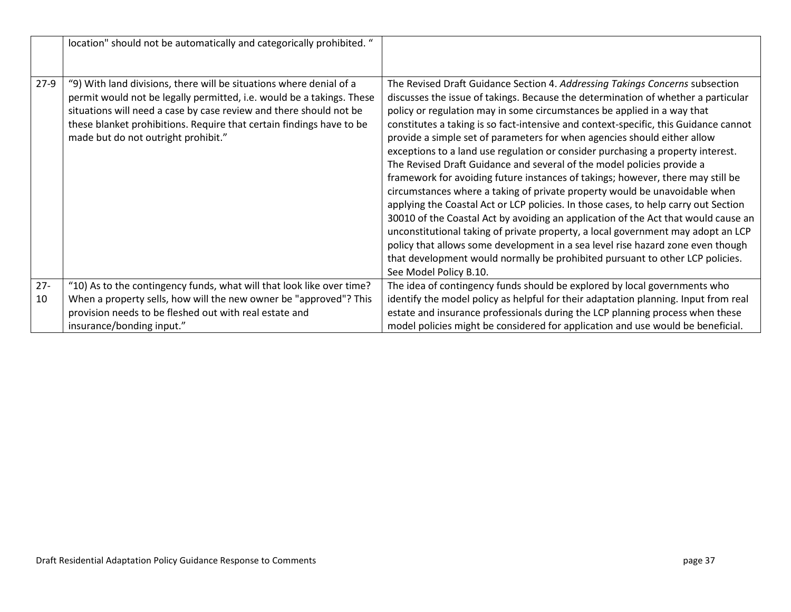|        | location" should not be automatically and categorically prohibited. "                                                                                                                                                                                                                                                             |                                                                                                                                                                                                                                                                                                                                                                                                                                                                                                                                                                                                                                                                                                                                                                                                                                                                                                                                                                                                                                                                                                                                                                                                               |
|--------|-----------------------------------------------------------------------------------------------------------------------------------------------------------------------------------------------------------------------------------------------------------------------------------------------------------------------------------|---------------------------------------------------------------------------------------------------------------------------------------------------------------------------------------------------------------------------------------------------------------------------------------------------------------------------------------------------------------------------------------------------------------------------------------------------------------------------------------------------------------------------------------------------------------------------------------------------------------------------------------------------------------------------------------------------------------------------------------------------------------------------------------------------------------------------------------------------------------------------------------------------------------------------------------------------------------------------------------------------------------------------------------------------------------------------------------------------------------------------------------------------------------------------------------------------------------|
| $27-9$ | "9) With land divisions, there will be situations where denial of a<br>permit would not be legally permitted, i.e. would be a takings. These<br>situations will need a case by case review and there should not be<br>these blanket prohibitions. Require that certain findings have to be<br>made but do not outright prohibit." | The Revised Draft Guidance Section 4. Addressing Takings Concerns subsection<br>discusses the issue of takings. Because the determination of whether a particular<br>policy or regulation may in some circumstances be applied in a way that<br>constitutes a taking is so fact-intensive and context-specific, this Guidance cannot<br>provide a simple set of parameters for when agencies should either allow<br>exceptions to a land use regulation or consider purchasing a property interest.<br>The Revised Draft Guidance and several of the model policies provide a<br>framework for avoiding future instances of takings; however, there may still be<br>circumstances where a taking of private property would be unavoidable when<br>applying the Coastal Act or LCP policies. In those cases, to help carry out Section<br>30010 of the Coastal Act by avoiding an application of the Act that would cause an<br>unconstitutional taking of private property, a local government may adopt an LCP<br>policy that allows some development in a sea level rise hazard zone even though<br>that development would normally be prohibited pursuant to other LCP policies.<br>See Model Policy B.10. |
| $27 -$ | "10) As to the contingency funds, what will that look like over time?                                                                                                                                                                                                                                                             | The idea of contingency funds should be explored by local governments who                                                                                                                                                                                                                                                                                                                                                                                                                                                                                                                                                                                                                                                                                                                                                                                                                                                                                                                                                                                                                                                                                                                                     |
| 10     | When a property sells, how will the new owner be "approved"? This                                                                                                                                                                                                                                                                 | identify the model policy as helpful for their adaptation planning. Input from real                                                                                                                                                                                                                                                                                                                                                                                                                                                                                                                                                                                                                                                                                                                                                                                                                                                                                                                                                                                                                                                                                                                           |
|        | provision needs to be fleshed out with real estate and                                                                                                                                                                                                                                                                            | estate and insurance professionals during the LCP planning process when these                                                                                                                                                                                                                                                                                                                                                                                                                                                                                                                                                                                                                                                                                                                                                                                                                                                                                                                                                                                                                                                                                                                                 |
|        | insurance/bonding input."                                                                                                                                                                                                                                                                                                         | model policies might be considered for application and use would be beneficial.                                                                                                                                                                                                                                                                                                                                                                                                                                                                                                                                                                                                                                                                                                                                                                                                                                                                                                                                                                                                                                                                                                                               |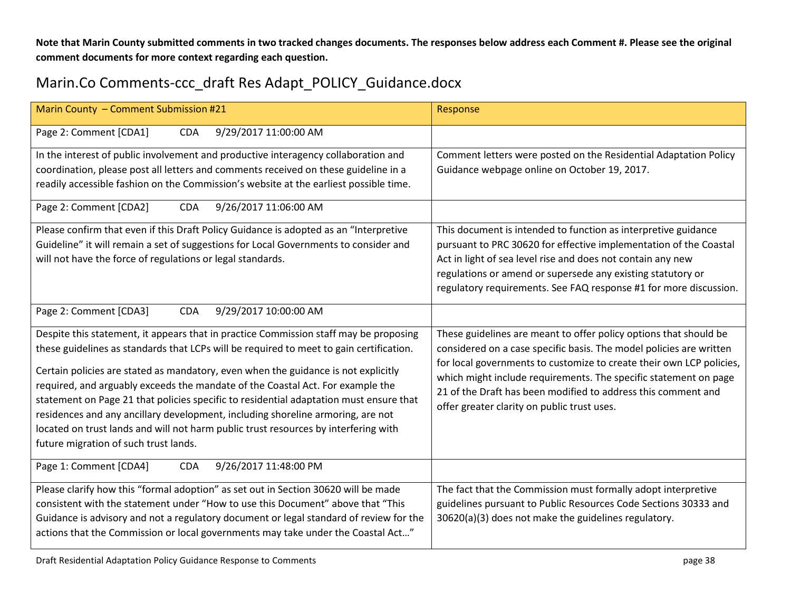**Note that Marin County submitted comments in two tracked changes documents. The responses below address each Comment #. Please see the original comment documents for more context regarding each question.** 

## Marin.Co Comments-ccc\_draft Res Adapt\_POLICY\_Guidance.docx

| Marin County - Comment Submission #21                                                                                                                                                                                                                                                                                                                                                                                                                                                                                                                                                                                                                                 | Response                                                                                                                                                                                                                                                                                                                                                                                             |
|-----------------------------------------------------------------------------------------------------------------------------------------------------------------------------------------------------------------------------------------------------------------------------------------------------------------------------------------------------------------------------------------------------------------------------------------------------------------------------------------------------------------------------------------------------------------------------------------------------------------------------------------------------------------------|------------------------------------------------------------------------------------------------------------------------------------------------------------------------------------------------------------------------------------------------------------------------------------------------------------------------------------------------------------------------------------------------------|
| Page 2: Comment [CDA1]<br>9/29/2017 11:00:00 AM<br><b>CDA</b>                                                                                                                                                                                                                                                                                                                                                                                                                                                                                                                                                                                                         |                                                                                                                                                                                                                                                                                                                                                                                                      |
| In the interest of public involvement and productive interagency collaboration and<br>coordination, please post all letters and comments received on these guideline in a<br>readily accessible fashion on the Commission's website at the earliest possible time.                                                                                                                                                                                                                                                                                                                                                                                                    | Comment letters were posted on the Residential Adaptation Policy<br>Guidance webpage online on October 19, 2017.                                                                                                                                                                                                                                                                                     |
| 9/26/2017 11:06:00 AM<br>Page 2: Comment [CDA2]<br><b>CDA</b>                                                                                                                                                                                                                                                                                                                                                                                                                                                                                                                                                                                                         |                                                                                                                                                                                                                                                                                                                                                                                                      |
| Please confirm that even if this Draft Policy Guidance is adopted as an "Interpretive<br>Guideline" it will remain a set of suggestions for Local Governments to consider and<br>will not have the force of regulations or legal standards.                                                                                                                                                                                                                                                                                                                                                                                                                           | This document is intended to function as interpretive guidance<br>pursuant to PRC 30620 for effective implementation of the Coastal<br>Act in light of sea level rise and does not contain any new<br>regulations or amend or supersede any existing statutory or<br>regulatory requirements. See FAQ response #1 for more discussion.                                                               |
| Page 2: Comment [CDA3]<br><b>CDA</b><br>9/29/2017 10:00:00 AM                                                                                                                                                                                                                                                                                                                                                                                                                                                                                                                                                                                                         |                                                                                                                                                                                                                                                                                                                                                                                                      |
| Despite this statement, it appears that in practice Commission staff may be proposing<br>these guidelines as standards that LCPs will be required to meet to gain certification.<br>Certain policies are stated as mandatory, even when the guidance is not explicitly<br>required, and arguably exceeds the mandate of the Coastal Act. For example the<br>statement on Page 21 that policies specific to residential adaptation must ensure that<br>residences and any ancillary development, including shoreline armoring, are not<br>located on trust lands and will not harm public trust resources by interfering with<br>future migration of such trust lands. | These guidelines are meant to offer policy options that should be<br>considered on a case specific basis. The model policies are written<br>for local governments to customize to create their own LCP policies,<br>which might include requirements. The specific statement on page<br>21 of the Draft has been modified to address this comment and<br>offer greater clarity on public trust uses. |
| Page 1: Comment [CDA4]<br>9/26/2017 11:48:00 PM<br><b>CDA</b>                                                                                                                                                                                                                                                                                                                                                                                                                                                                                                                                                                                                         |                                                                                                                                                                                                                                                                                                                                                                                                      |
| Please clarify how this "formal adoption" as set out in Section 30620 will be made<br>consistent with the statement under "How to use this Document" above that "This<br>Guidance is advisory and not a regulatory document or legal standard of review for the<br>actions that the Commission or local governments may take under the Coastal Act"                                                                                                                                                                                                                                                                                                                   | The fact that the Commission must formally adopt interpretive<br>guidelines pursuant to Public Resources Code Sections 30333 and<br>30620(a)(3) does not make the guidelines regulatory.                                                                                                                                                                                                             |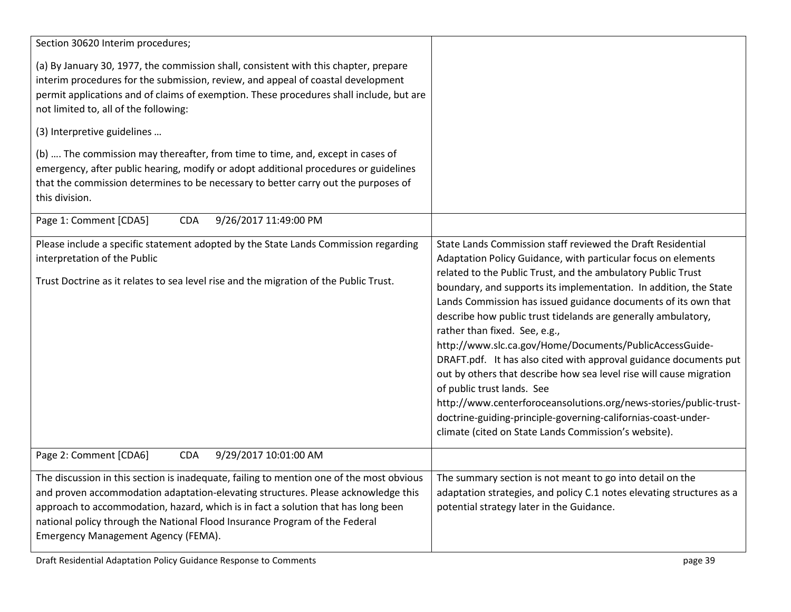| Section 30620 Interim procedures;                                                                                                                                                                                                                                                                                                                                                        |                                                                                                                                                                                                                                                                                                                                                                                                                                                                                                                                                                                                                                                                                                                                                                                                                                                                          |
|------------------------------------------------------------------------------------------------------------------------------------------------------------------------------------------------------------------------------------------------------------------------------------------------------------------------------------------------------------------------------------------|--------------------------------------------------------------------------------------------------------------------------------------------------------------------------------------------------------------------------------------------------------------------------------------------------------------------------------------------------------------------------------------------------------------------------------------------------------------------------------------------------------------------------------------------------------------------------------------------------------------------------------------------------------------------------------------------------------------------------------------------------------------------------------------------------------------------------------------------------------------------------|
| (a) By January 30, 1977, the commission shall, consistent with this chapter, prepare<br>interim procedures for the submission, review, and appeal of coastal development<br>permit applications and of claims of exemption. These procedures shall include, but are<br>not limited to, all of the following:                                                                             |                                                                                                                                                                                                                                                                                                                                                                                                                                                                                                                                                                                                                                                                                                                                                                                                                                                                          |
| (3) Interpretive guidelines                                                                                                                                                                                                                                                                                                                                                              |                                                                                                                                                                                                                                                                                                                                                                                                                                                                                                                                                                                                                                                                                                                                                                                                                                                                          |
| (b)  The commission may thereafter, from time to time, and, except in cases of<br>emergency, after public hearing, modify or adopt additional procedures or guidelines<br>that the commission determines to be necessary to better carry out the purposes of<br>this division.                                                                                                           |                                                                                                                                                                                                                                                                                                                                                                                                                                                                                                                                                                                                                                                                                                                                                                                                                                                                          |
| 9/26/2017 11:49:00 PM<br>Page 1: Comment [CDA5]<br><b>CDA</b>                                                                                                                                                                                                                                                                                                                            |                                                                                                                                                                                                                                                                                                                                                                                                                                                                                                                                                                                                                                                                                                                                                                                                                                                                          |
| Please include a specific statement adopted by the State Lands Commission regarding<br>interpretation of the Public<br>Trust Doctrine as it relates to sea level rise and the migration of the Public Trust.                                                                                                                                                                             | State Lands Commission staff reviewed the Draft Residential<br>Adaptation Policy Guidance, with particular focus on elements<br>related to the Public Trust, and the ambulatory Public Trust<br>boundary, and supports its implementation. In addition, the State<br>Lands Commission has issued guidance documents of its own that<br>describe how public trust tidelands are generally ambulatory,<br>rather than fixed. See, e.g.,<br>http://www.slc.ca.gov/Home/Documents/PublicAccessGuide-<br>DRAFT.pdf. It has also cited with approval guidance documents put<br>out by others that describe how sea level rise will cause migration<br>of public trust lands. See<br>http://www.centerforoceansolutions.org/news-stories/public-trust-<br>doctrine-guiding-principle-governing-californias-coast-under-<br>climate (cited on State Lands Commission's website). |
| Page 2: Comment [CDA6]<br><b>CDA</b><br>9/29/2017 10:01:00 AM                                                                                                                                                                                                                                                                                                                            |                                                                                                                                                                                                                                                                                                                                                                                                                                                                                                                                                                                                                                                                                                                                                                                                                                                                          |
| The discussion in this section is inadequate, failing to mention one of the most obvious<br>and proven accommodation adaptation-elevating structures. Please acknowledge this<br>approach to accommodation, hazard, which is in fact a solution that has long been<br>national policy through the National Flood Insurance Program of the Federal<br>Emergency Management Agency (FEMA). | The summary section is not meant to go into detail on the<br>adaptation strategies, and policy C.1 notes elevating structures as a<br>potential strategy later in the Guidance.                                                                                                                                                                                                                                                                                                                                                                                                                                                                                                                                                                                                                                                                                          |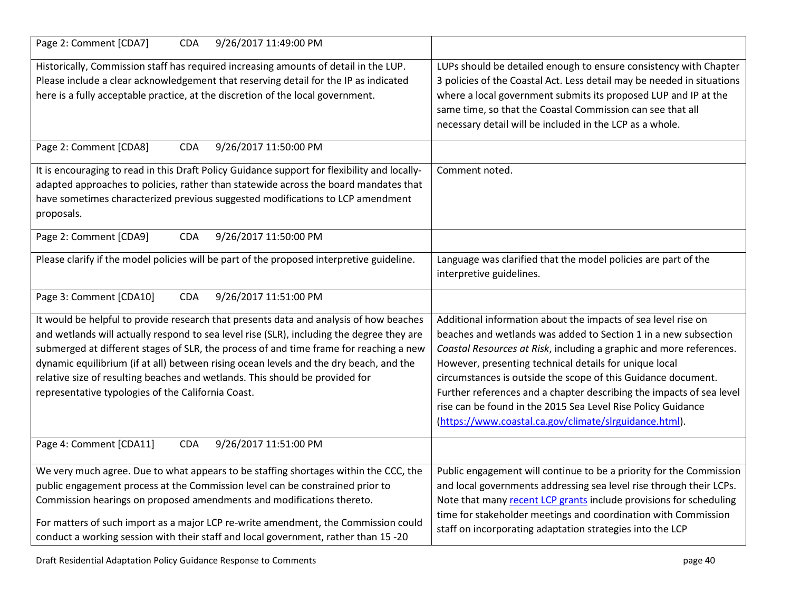| Page 2: Comment [CDA7]<br>9/26/2017 11:49:00 PM<br><b>CDA</b>                                                                                                                                                                                                                                                                                                                                                                                                                                                 |                                                                                                                                                                                                                                                                                                                                                                                                                                                                                                                                      |
|---------------------------------------------------------------------------------------------------------------------------------------------------------------------------------------------------------------------------------------------------------------------------------------------------------------------------------------------------------------------------------------------------------------------------------------------------------------------------------------------------------------|--------------------------------------------------------------------------------------------------------------------------------------------------------------------------------------------------------------------------------------------------------------------------------------------------------------------------------------------------------------------------------------------------------------------------------------------------------------------------------------------------------------------------------------|
| Historically, Commission staff has required increasing amounts of detail in the LUP.<br>Please include a clear acknowledgement that reserving detail for the IP as indicated<br>here is a fully acceptable practice, at the discretion of the local government.                                                                                                                                                                                                                                               | LUPs should be detailed enough to ensure consistency with Chapter<br>3 policies of the Coastal Act. Less detail may be needed in situations<br>where a local government submits its proposed LUP and IP at the<br>same time, so that the Coastal Commission can see that all<br>necessary detail will be included in the LCP as a whole.                                                                                                                                                                                             |
| 9/26/2017 11:50:00 PM<br>Page 2: Comment [CDA8]<br><b>CDA</b>                                                                                                                                                                                                                                                                                                                                                                                                                                                 |                                                                                                                                                                                                                                                                                                                                                                                                                                                                                                                                      |
| It is encouraging to read in this Draft Policy Guidance support for flexibility and locally-<br>adapted approaches to policies, rather than statewide across the board mandates that<br>have sometimes characterized previous suggested modifications to LCP amendment<br>proposals.                                                                                                                                                                                                                          | Comment noted.                                                                                                                                                                                                                                                                                                                                                                                                                                                                                                                       |
| Page 2: Comment [CDA9]<br>9/26/2017 11:50:00 PM<br><b>CDA</b>                                                                                                                                                                                                                                                                                                                                                                                                                                                 |                                                                                                                                                                                                                                                                                                                                                                                                                                                                                                                                      |
| Please clarify if the model policies will be part of the proposed interpretive guideline.                                                                                                                                                                                                                                                                                                                                                                                                                     | Language was clarified that the model policies are part of the<br>interpretive guidelines.                                                                                                                                                                                                                                                                                                                                                                                                                                           |
| 9/26/2017 11:51:00 PM<br>Page 3: Comment [CDA10]<br><b>CDA</b>                                                                                                                                                                                                                                                                                                                                                                                                                                                |                                                                                                                                                                                                                                                                                                                                                                                                                                                                                                                                      |
| It would be helpful to provide research that presents data and analysis of how beaches<br>and wetlands will actually respond to sea level rise (SLR), including the degree they are<br>submerged at different stages of SLR, the process of and time frame for reaching a new<br>dynamic equilibrium (if at all) between rising ocean levels and the dry beach, and the<br>relative size of resulting beaches and wetlands. This should be provided for<br>representative typologies of the California Coast. | Additional information about the impacts of sea level rise on<br>beaches and wetlands was added to Section 1 in a new subsection<br>Coastal Resources at Risk, including a graphic and more references.<br>However, presenting technical details for unique local<br>circumstances is outside the scope of this Guidance document.<br>Further references and a chapter describing the impacts of sea level<br>rise can be found in the 2015 Sea Level Rise Policy Guidance<br>(https://www.coastal.ca.gov/climate/slrguidance.html). |
| Page 4: Comment [CDA11]<br><b>CDA</b><br>9/26/2017 11:51:00 PM                                                                                                                                                                                                                                                                                                                                                                                                                                                |                                                                                                                                                                                                                                                                                                                                                                                                                                                                                                                                      |
| We very much agree. Due to what appears to be staffing shortages within the CCC, the<br>public engagement process at the Commission level can be constrained prior to<br>Commission hearings on proposed amendments and modifications thereto.<br>For matters of such import as a major LCP re-write amendment, the Commission could<br>conduct a working session with their staff and local government, rather than 15 -20                                                                                   | Public engagement will continue to be a priority for the Commission<br>and local governments addressing sea level rise through their LCPs.<br>Note that many recent LCP grants include provisions for scheduling<br>time for stakeholder meetings and coordination with Commission<br>staff on incorporating adaptation strategies into the LCP                                                                                                                                                                                      |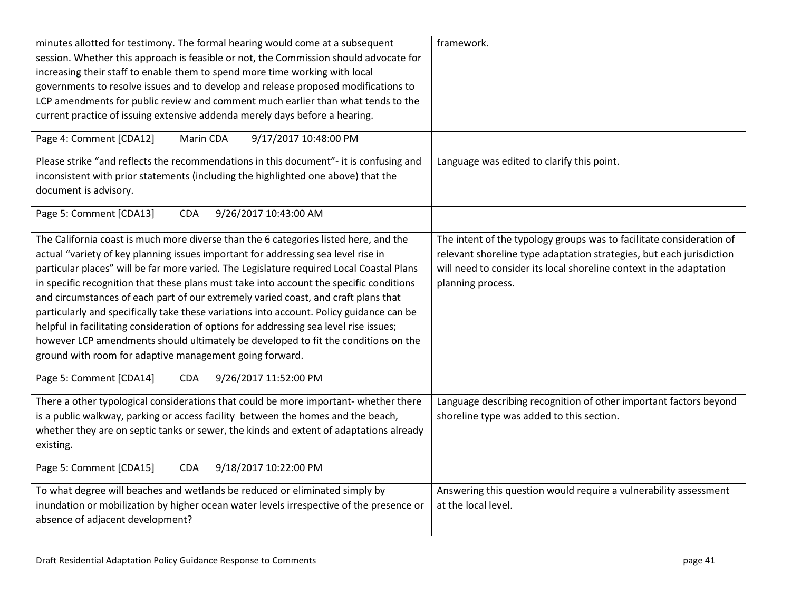| minutes allotted for testimony. The formal hearing would come at a subsequent<br>session. Whether this approach is feasible or not, the Commission should advocate for<br>increasing their staff to enable them to spend more time working with local<br>governments to resolve issues and to develop and release proposed modifications to                                                                                                                                                                                                                                                                                                                                                                                                                                                   | framework.                                                                                                                                                                                                                               |
|-----------------------------------------------------------------------------------------------------------------------------------------------------------------------------------------------------------------------------------------------------------------------------------------------------------------------------------------------------------------------------------------------------------------------------------------------------------------------------------------------------------------------------------------------------------------------------------------------------------------------------------------------------------------------------------------------------------------------------------------------------------------------------------------------|------------------------------------------------------------------------------------------------------------------------------------------------------------------------------------------------------------------------------------------|
| LCP amendments for public review and comment much earlier than what tends to the<br>current practice of issuing extensive addenda merely days before a hearing.                                                                                                                                                                                                                                                                                                                                                                                                                                                                                                                                                                                                                               |                                                                                                                                                                                                                                          |
| Page 4: Comment [CDA12]<br>Marin CDA<br>9/17/2017 10:48:00 PM                                                                                                                                                                                                                                                                                                                                                                                                                                                                                                                                                                                                                                                                                                                                 |                                                                                                                                                                                                                                          |
| Please strike "and reflects the recommendations in this document"- it is confusing and<br>inconsistent with prior statements (including the highlighted one above) that the<br>document is advisory.                                                                                                                                                                                                                                                                                                                                                                                                                                                                                                                                                                                          | Language was edited to clarify this point.                                                                                                                                                                                               |
| Page 5: Comment [CDA13]<br><b>CDA</b><br>9/26/2017 10:43:00 AM                                                                                                                                                                                                                                                                                                                                                                                                                                                                                                                                                                                                                                                                                                                                |                                                                                                                                                                                                                                          |
| The California coast is much more diverse than the 6 categories listed here, and the<br>actual "variety of key planning issues important for addressing sea level rise in<br>particular places" will be far more varied. The Legislature required Local Coastal Plans<br>in specific recognition that these plans must take into account the specific conditions<br>and circumstances of each part of our extremely varied coast, and craft plans that<br>particularly and specifically take these variations into account. Policy guidance can be<br>helpful in facilitating consideration of options for addressing sea level rise issues;<br>however LCP amendments should ultimately be developed to fit the conditions on the<br>ground with room for adaptive management going forward. | The intent of the typology groups was to facilitate consideration of<br>relevant shoreline type adaptation strategies, but each jurisdiction<br>will need to consider its local shoreline context in the adaptation<br>planning process. |
| Page 5: Comment [CDA14]<br><b>CDA</b><br>9/26/2017 11:52:00 PM                                                                                                                                                                                                                                                                                                                                                                                                                                                                                                                                                                                                                                                                                                                                |                                                                                                                                                                                                                                          |
| There a other typological considerations that could be more important- whether there<br>is a public walkway, parking or access facility between the homes and the beach,<br>whether they are on septic tanks or sewer, the kinds and extent of adaptations already<br>existing.                                                                                                                                                                                                                                                                                                                                                                                                                                                                                                               | Language describing recognition of other important factors beyond<br>shoreline type was added to this section.                                                                                                                           |
| Page 5: Comment [CDA15]<br>9/18/2017 10:22:00 PM<br><b>CDA</b>                                                                                                                                                                                                                                                                                                                                                                                                                                                                                                                                                                                                                                                                                                                                |                                                                                                                                                                                                                                          |
| To what degree will beaches and wetlands be reduced or eliminated simply by<br>inundation or mobilization by higher ocean water levels irrespective of the presence or<br>absence of adjacent development?                                                                                                                                                                                                                                                                                                                                                                                                                                                                                                                                                                                    | Answering this question would require a vulnerability assessment<br>at the local level.                                                                                                                                                  |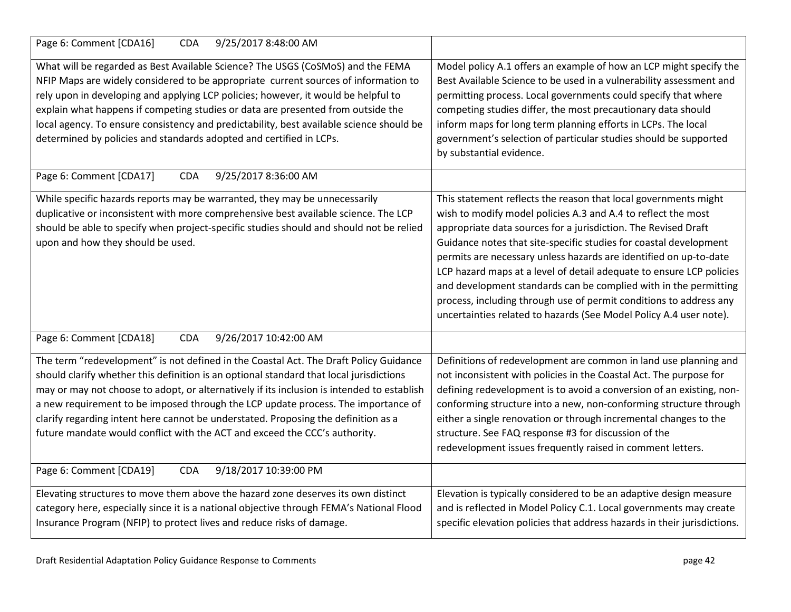| 9/25/2017 8:48:00 AM<br>Page 6: Comment [CDA16]<br><b>CDA</b>                                                                                                                                                                                                                                                                                                                                                                                                                                                                           |                                                                                                                                                                                                                                                                                                                                                                                                                                                                                                                                                                                                                                      |
|-----------------------------------------------------------------------------------------------------------------------------------------------------------------------------------------------------------------------------------------------------------------------------------------------------------------------------------------------------------------------------------------------------------------------------------------------------------------------------------------------------------------------------------------|--------------------------------------------------------------------------------------------------------------------------------------------------------------------------------------------------------------------------------------------------------------------------------------------------------------------------------------------------------------------------------------------------------------------------------------------------------------------------------------------------------------------------------------------------------------------------------------------------------------------------------------|
| What will be regarded as Best Available Science? The USGS (CoSMoS) and the FEMA<br>NFIP Maps are widely considered to be appropriate current sources of information to<br>rely upon in developing and applying LCP policies; however, it would be helpful to<br>explain what happens if competing studies or data are presented from outside the<br>local agency. To ensure consistency and predictability, best available science should be<br>determined by policies and standards adopted and certified in LCPs.                     | Model policy A.1 offers an example of how an LCP might specify the<br>Best Available Science to be used in a vulnerability assessment and<br>permitting process. Local governments could specify that where<br>competing studies differ, the most precautionary data should<br>inform maps for long term planning efforts in LCPs. The local<br>government's selection of particular studies should be supported<br>by substantial evidence.                                                                                                                                                                                         |
| Page 6: Comment [CDA17]<br><b>CDA</b><br>9/25/2017 8:36:00 AM                                                                                                                                                                                                                                                                                                                                                                                                                                                                           |                                                                                                                                                                                                                                                                                                                                                                                                                                                                                                                                                                                                                                      |
| While specific hazards reports may be warranted, they may be unnecessarily<br>duplicative or inconsistent with more comprehensive best available science. The LCP<br>should be able to specify when project-specific studies should and should not be relied<br>upon and how they should be used.                                                                                                                                                                                                                                       | This statement reflects the reason that local governments might<br>wish to modify model policies A.3 and A.4 to reflect the most<br>appropriate data sources for a jurisdiction. The Revised Draft<br>Guidance notes that site-specific studies for coastal development<br>permits are necessary unless hazards are identified on up-to-date<br>LCP hazard maps at a level of detail adequate to ensure LCP policies<br>and development standards can be complied with in the permitting<br>process, including through use of permit conditions to address any<br>uncertainties related to hazards (See Model Policy A.4 user note). |
| Page 6: Comment [CDA18]<br><b>CDA</b><br>9/26/2017 10:42:00 AM                                                                                                                                                                                                                                                                                                                                                                                                                                                                          |                                                                                                                                                                                                                                                                                                                                                                                                                                                                                                                                                                                                                                      |
| The term "redevelopment" is not defined in the Coastal Act. The Draft Policy Guidance<br>should clarify whether this definition is an optional standard that local jurisdictions<br>may or may not choose to adopt, or alternatively if its inclusion is intended to establish<br>a new requirement to be imposed through the LCP update process. The importance of<br>clarify regarding intent here cannot be understated. Proposing the definition as a<br>future mandate would conflict with the ACT and exceed the CCC's authority. | Definitions of redevelopment are common in land use planning and<br>not inconsistent with policies in the Coastal Act. The purpose for<br>defining redevelopment is to avoid a conversion of an existing, non-<br>conforming structure into a new, non-conforming structure through<br>either a single renovation or through incremental changes to the<br>structure. See FAQ response #3 for discussion of the<br>redevelopment issues frequently raised in comment letters.                                                                                                                                                        |
| Page 6: Comment [CDA19]<br>9/18/2017 10:39:00 PM<br><b>CDA</b>                                                                                                                                                                                                                                                                                                                                                                                                                                                                          |                                                                                                                                                                                                                                                                                                                                                                                                                                                                                                                                                                                                                                      |
| Elevating structures to move them above the hazard zone deserves its own distinct<br>category here, especially since it is a national objective through FEMA's National Flood<br>Insurance Program (NFIP) to protect lives and reduce risks of damage.                                                                                                                                                                                                                                                                                  | Elevation is typically considered to be an adaptive design measure<br>and is reflected in Model Policy C.1. Local governments may create<br>specific elevation policies that address hazards in their jurisdictions.                                                                                                                                                                                                                                                                                                                                                                                                                 |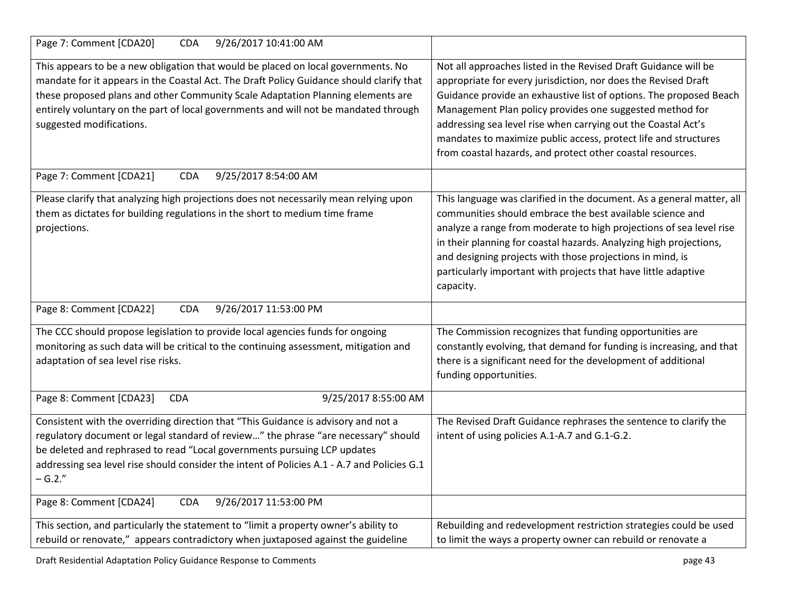| Page 7: Comment [CDA20]<br><b>CDA</b><br>9/26/2017 10:41:00 AM                                                                                                                                                                                                                                                                                                                       |                                                                                                                                                                                                                                                                                                                                                                                                                                                                       |
|--------------------------------------------------------------------------------------------------------------------------------------------------------------------------------------------------------------------------------------------------------------------------------------------------------------------------------------------------------------------------------------|-----------------------------------------------------------------------------------------------------------------------------------------------------------------------------------------------------------------------------------------------------------------------------------------------------------------------------------------------------------------------------------------------------------------------------------------------------------------------|
| This appears to be a new obligation that would be placed on local governments. No<br>mandate for it appears in the Coastal Act. The Draft Policy Guidance should clarify that<br>these proposed plans and other Community Scale Adaptation Planning elements are<br>entirely voluntary on the part of local governments and will not be mandated through<br>suggested modifications. | Not all approaches listed in the Revised Draft Guidance will be<br>appropriate for every jurisdiction, nor does the Revised Draft<br>Guidance provide an exhaustive list of options. The proposed Beach<br>Management Plan policy provides one suggested method for<br>addressing sea level rise when carrying out the Coastal Act's<br>mandates to maximize public access, protect life and structures<br>from coastal hazards, and protect other coastal resources. |
| Page 7: Comment [CDA21]<br><b>CDA</b><br>9/25/2017 8:54:00 AM                                                                                                                                                                                                                                                                                                                        |                                                                                                                                                                                                                                                                                                                                                                                                                                                                       |
| Please clarify that analyzing high projections does not necessarily mean relying upon<br>them as dictates for building regulations in the short to medium time frame<br>projections.                                                                                                                                                                                                 | This language was clarified in the document. As a general matter, all<br>communities should embrace the best available science and<br>analyze a range from moderate to high projections of sea level rise<br>in their planning for coastal hazards. Analyzing high projections,<br>and designing projects with those projections in mind, is<br>particularly important with projects that have little adaptive<br>capacity.                                           |
| Page 8: Comment [CDA22]<br>9/26/2017 11:53:00 PM<br><b>CDA</b>                                                                                                                                                                                                                                                                                                                       |                                                                                                                                                                                                                                                                                                                                                                                                                                                                       |
| The CCC should propose legislation to provide local agencies funds for ongoing<br>monitoring as such data will be critical to the continuing assessment, mitigation and<br>adaptation of sea level rise risks.                                                                                                                                                                       | The Commission recognizes that funding opportunities are<br>constantly evolving, that demand for funding is increasing, and that<br>there is a significant need for the development of additional<br>funding opportunities.                                                                                                                                                                                                                                           |
| Page 8: Comment [CDA23]<br>9/25/2017 8:55:00 AM<br><b>CDA</b>                                                                                                                                                                                                                                                                                                                        |                                                                                                                                                                                                                                                                                                                                                                                                                                                                       |
| Consistent with the overriding direction that "This Guidance is advisory and not a<br>regulatory document or legal standard of review" the phrase "are necessary" should<br>be deleted and rephrased to read "Local governments pursuing LCP updates<br>addressing sea level rise should consider the intent of Policies A.1 - A.7 and Policies G.1<br>$-G.2."$                      | The Revised Draft Guidance rephrases the sentence to clarify the<br>intent of using policies A.1-A.7 and G.1-G.2.                                                                                                                                                                                                                                                                                                                                                     |
| 9/26/2017 11:53:00 PM<br><b>CDA</b><br>Page 8: Comment [CDA24]                                                                                                                                                                                                                                                                                                                       |                                                                                                                                                                                                                                                                                                                                                                                                                                                                       |
| This section, and particularly the statement to "limit a property owner's ability to<br>rebuild or renovate," appears contradictory when juxtaposed against the guideline                                                                                                                                                                                                            | Rebuilding and redevelopment restriction strategies could be used<br>to limit the ways a property owner can rebuild or renovate a                                                                                                                                                                                                                                                                                                                                     |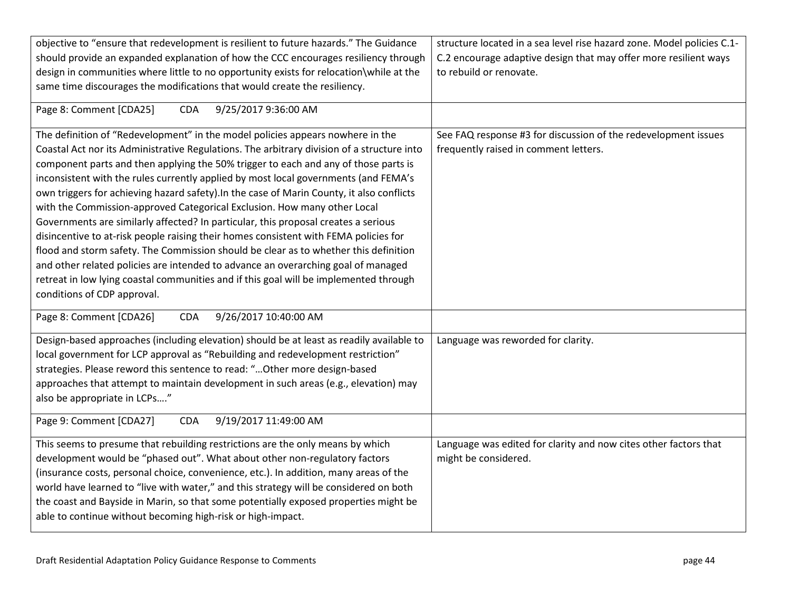| objective to "ensure that redevelopment is resilient to future hazards." The Guidance<br>should provide an expanded explanation of how the CCC encourages resiliency through<br>design in communities where little to no opportunity exists for relocation\while at the<br>same time discourages the modifications that would create the resiliency.<br>Page 8: Comment [CDA25]<br><b>CDA</b><br>9/25/2017 9:36:00 AM                                                                                                                                                                                                                                                                                                                                                                                                                                                                                                                                                                                                  | structure located in a sea level rise hazard zone. Model policies C.1-<br>C.2 encourage adaptive design that may offer more resilient ways<br>to rebuild or renovate. |
|------------------------------------------------------------------------------------------------------------------------------------------------------------------------------------------------------------------------------------------------------------------------------------------------------------------------------------------------------------------------------------------------------------------------------------------------------------------------------------------------------------------------------------------------------------------------------------------------------------------------------------------------------------------------------------------------------------------------------------------------------------------------------------------------------------------------------------------------------------------------------------------------------------------------------------------------------------------------------------------------------------------------|-----------------------------------------------------------------------------------------------------------------------------------------------------------------------|
|                                                                                                                                                                                                                                                                                                                                                                                                                                                                                                                                                                                                                                                                                                                                                                                                                                                                                                                                                                                                                        |                                                                                                                                                                       |
| The definition of "Redevelopment" in the model policies appears nowhere in the<br>Coastal Act nor its Administrative Regulations. The arbitrary division of a structure into<br>component parts and then applying the 50% trigger to each and any of those parts is<br>inconsistent with the rules currently applied by most local governments (and FEMA's<br>own triggers for achieving hazard safety). In the case of Marin County, it also conflicts<br>with the Commission-approved Categorical Exclusion. How many other Local<br>Governments are similarly affected? In particular, this proposal creates a serious<br>disincentive to at-risk people raising their homes consistent with FEMA policies for<br>flood and storm safety. The Commission should be clear as to whether this definition<br>and other related policies are intended to advance an overarching goal of managed<br>retreat in low lying coastal communities and if this goal will be implemented through<br>conditions of CDP approval. | See FAQ response #3 for discussion of the redevelopment issues<br>frequently raised in comment letters.                                                               |
| Page 8: Comment [CDA26]<br>9/26/2017 10:40:00 AM<br><b>CDA</b>                                                                                                                                                                                                                                                                                                                                                                                                                                                                                                                                                                                                                                                                                                                                                                                                                                                                                                                                                         |                                                                                                                                                                       |
| Design-based approaches (including elevation) should be at least as readily available to<br>local government for LCP approval as "Rebuilding and redevelopment restriction"<br>strategies. Please reword this sentence to read: " Other more design-based<br>approaches that attempt to maintain development in such areas (e.g., elevation) may<br>also be appropriate in LCPs"                                                                                                                                                                                                                                                                                                                                                                                                                                                                                                                                                                                                                                       | Language was reworded for clarity.                                                                                                                                    |
| Page 9: Comment [CDA27]<br>9/19/2017 11:49:00 AM<br><b>CDA</b>                                                                                                                                                                                                                                                                                                                                                                                                                                                                                                                                                                                                                                                                                                                                                                                                                                                                                                                                                         |                                                                                                                                                                       |
| This seems to presume that rebuilding restrictions are the only means by which<br>development would be "phased out". What about other non-regulatory factors<br>(insurance costs, personal choice, convenience, etc.). In addition, many areas of the<br>world have learned to "live with water," and this strategy will be considered on both<br>the coast and Bayside in Marin, so that some potentially exposed properties might be<br>able to continue without becoming high-risk or high-impact.                                                                                                                                                                                                                                                                                                                                                                                                                                                                                                                  | Language was edited for clarity and now cites other factors that<br>might be considered.                                                                              |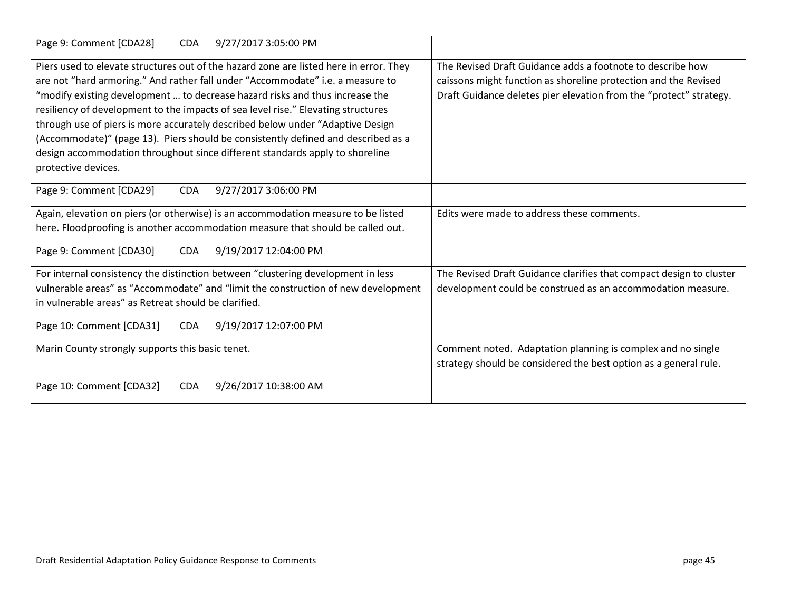| Page 9: Comment [CDA28]<br><b>CDA</b><br>9/27/2017 3:05:00 PM                                                                                                                                                                                                                                                                                 |                                                                                                                                                                                                     |
|-----------------------------------------------------------------------------------------------------------------------------------------------------------------------------------------------------------------------------------------------------------------------------------------------------------------------------------------------|-----------------------------------------------------------------------------------------------------------------------------------------------------------------------------------------------------|
| Piers used to elevate structures out of the hazard zone are listed here in error. They<br>are not "hard armoring." And rather fall under "Accommodate" i.e. a measure to<br>"modify existing development  to decrease hazard risks and thus increase the<br>resiliency of development to the impacts of sea level rise." Elevating structures | The Revised Draft Guidance adds a footnote to describe how<br>caissons might function as shoreline protection and the Revised<br>Draft Guidance deletes pier elevation from the "protect" strategy. |
| through use of piers is more accurately described below under "Adaptive Design<br>(Accommodate)" (page 13). Piers should be consistently defined and described as a<br>design accommodation throughout since different standards apply to shoreline<br>protective devices.                                                                    |                                                                                                                                                                                                     |
| Page 9: Comment [CDA29]<br>9/27/2017 3:06:00 PM<br><b>CDA</b>                                                                                                                                                                                                                                                                                 |                                                                                                                                                                                                     |
| Again, elevation on piers (or otherwise) is an accommodation measure to be listed<br>here. Floodproofing is another accommodation measure that should be called out.                                                                                                                                                                          | Edits were made to address these comments.                                                                                                                                                          |
| Page 9: Comment [CDA30]<br><b>CDA</b><br>9/19/2017 12:04:00 PM                                                                                                                                                                                                                                                                                |                                                                                                                                                                                                     |
| For internal consistency the distinction between "clustering development in less<br>vulnerable areas" as "Accommodate" and "limit the construction of new development<br>in vulnerable areas" as Retreat should be clarified.                                                                                                                 | The Revised Draft Guidance clarifies that compact design to cluster<br>development could be construed as an accommodation measure.                                                                  |
| Page 10: Comment [CDA31]<br>9/19/2017 12:07:00 PM<br><b>CDA</b>                                                                                                                                                                                                                                                                               |                                                                                                                                                                                                     |
| Marin County strongly supports this basic tenet.                                                                                                                                                                                                                                                                                              | Comment noted. Adaptation planning is complex and no single<br>strategy should be considered the best option as a general rule.                                                                     |
| Page 10: Comment [CDA32]<br><b>CDA</b><br>9/26/2017 10:38:00 AM                                                                                                                                                                                                                                                                               |                                                                                                                                                                                                     |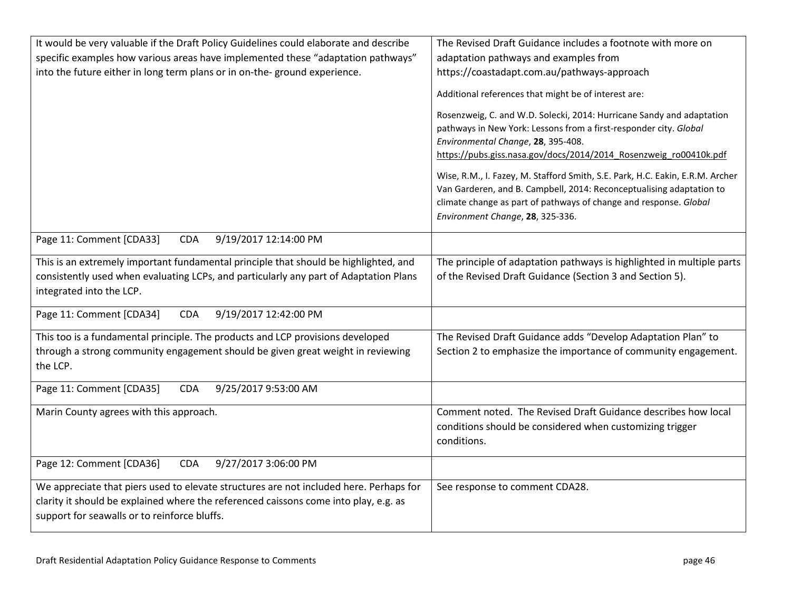| It would be very valuable if the Draft Policy Guidelines could elaborate and describe                                                                                                                                          | The Revised Draft Guidance includes a footnote with more on                                                                                                                                                                                                    |
|--------------------------------------------------------------------------------------------------------------------------------------------------------------------------------------------------------------------------------|----------------------------------------------------------------------------------------------------------------------------------------------------------------------------------------------------------------------------------------------------------------|
| specific examples how various areas have implemented these "adaptation pathways"                                                                                                                                               | adaptation pathways and examples from                                                                                                                                                                                                                          |
| into the future either in long term plans or in on-the- ground experience.                                                                                                                                                     | https://coastadapt.com.au/pathways-approach                                                                                                                                                                                                                    |
|                                                                                                                                                                                                                                | Additional references that might be of interest are:                                                                                                                                                                                                           |
|                                                                                                                                                                                                                                | Rosenzweig, C. and W.D. Solecki, 2014: Hurricane Sandy and adaptation<br>pathways in New York: Lessons from a first-responder city. Global<br>Environmental Change, 28, 395-408.<br>https://pubs.giss.nasa.gov/docs/2014/2014 Rosenzweig ro00410k.pdf          |
|                                                                                                                                                                                                                                | Wise, R.M., I. Fazey, M. Stafford Smith, S.E. Park, H.C. Eakin, E.R.M. Archer<br>Van Garderen, and B. Campbell, 2014: Reconceptualising adaptation to<br>climate change as part of pathways of change and response. Global<br>Environment Change, 28, 325-336. |
| Page 11: Comment [CDA33]<br>9/19/2017 12:14:00 PM<br><b>CDA</b>                                                                                                                                                                |                                                                                                                                                                                                                                                                |
| This is an extremely important fundamental principle that should be highlighted, and<br>consistently used when evaluating LCPs, and particularly any part of Adaptation Plans<br>integrated into the LCP.                      | The principle of adaptation pathways is highlighted in multiple parts<br>of the Revised Draft Guidance (Section 3 and Section 5).                                                                                                                              |
| 9/19/2017 12:42:00 PM<br>Page 11: Comment [CDA34]<br><b>CDA</b>                                                                                                                                                                |                                                                                                                                                                                                                                                                |
| This too is a fundamental principle. The products and LCP provisions developed<br>through a strong community engagement should be given great weight in reviewing<br>the LCP.                                                  | The Revised Draft Guidance adds "Develop Adaptation Plan" to<br>Section 2 to emphasize the importance of community engagement.                                                                                                                                 |
| Page 11: Comment [CDA35]<br><b>CDA</b><br>9/25/2017 9:53:00 AM                                                                                                                                                                 |                                                                                                                                                                                                                                                                |
| Marin County agrees with this approach.                                                                                                                                                                                        | Comment noted. The Revised Draft Guidance describes how local<br>conditions should be considered when customizing trigger<br>conditions.                                                                                                                       |
| Page 12: Comment [CDA36]<br>9/27/2017 3:06:00 PM<br><b>CDA</b>                                                                                                                                                                 |                                                                                                                                                                                                                                                                |
| We appreciate that piers used to elevate structures are not included here. Perhaps for<br>clarity it should be explained where the referenced caissons come into play, e.g. as<br>support for seawalls or to reinforce bluffs. | See response to comment CDA28.                                                                                                                                                                                                                                 |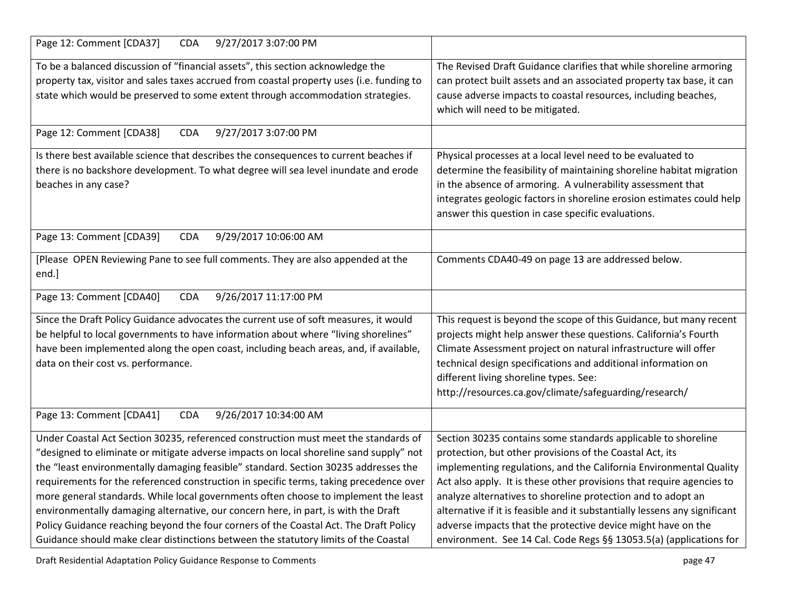| 9/27/2017 3:07:00 PM<br>Page 12: Comment [CDA37]<br><b>CDA</b>                                                                                                                                                                                                                                                                                                 |                                                                                                                                                                                                                                                                                                                                                                               |
|----------------------------------------------------------------------------------------------------------------------------------------------------------------------------------------------------------------------------------------------------------------------------------------------------------------------------------------------------------------|-------------------------------------------------------------------------------------------------------------------------------------------------------------------------------------------------------------------------------------------------------------------------------------------------------------------------------------------------------------------------------|
| To be a balanced discussion of "financial assets", this section acknowledge the<br>property tax, visitor and sales taxes accrued from coastal property uses (i.e. funding to<br>state which would be preserved to some extent through accommodation strategies.                                                                                                | The Revised Draft Guidance clarifies that while shoreline armoring<br>can protect built assets and an associated property tax base, it can<br>cause adverse impacts to coastal resources, including beaches,<br>which will need to be mitigated.                                                                                                                              |
| Page 12: Comment [CDA38]<br><b>CDA</b><br>9/27/2017 3:07:00 PM                                                                                                                                                                                                                                                                                                 |                                                                                                                                                                                                                                                                                                                                                                               |
| Is there best available science that describes the consequences to current beaches if<br>there is no backshore development. To what degree will sea level inundate and erode<br>beaches in any case?                                                                                                                                                           | Physical processes at a local level need to be evaluated to<br>determine the feasibility of maintaining shoreline habitat migration<br>in the absence of armoring. A vulnerability assessment that<br>integrates geologic factors in shoreline erosion estimates could help<br>answer this question in case specific evaluations.                                             |
| Page 13: Comment [CDA39]<br><b>CDA</b><br>9/29/2017 10:06:00 AM                                                                                                                                                                                                                                                                                                |                                                                                                                                                                                                                                                                                                                                                                               |
| [Please OPEN Reviewing Pane to see full comments. They are also appended at the<br>end.]                                                                                                                                                                                                                                                                       | Comments CDA40-49 on page 13 are addressed below.                                                                                                                                                                                                                                                                                                                             |
| 9/26/2017 11:17:00 PM<br>Page 13: Comment [CDA40]<br><b>CDA</b>                                                                                                                                                                                                                                                                                                |                                                                                                                                                                                                                                                                                                                                                                               |
| Since the Draft Policy Guidance advocates the current use of soft measures, it would<br>be helpful to local governments to have information about where "living shorelines"<br>have been implemented along the open coast, including beach areas, and, if available,<br>data on their cost vs. performance.                                                    | This request is beyond the scope of this Guidance, but many recent<br>projects might help answer these questions. California's Fourth<br>Climate Assessment project on natural infrastructure will offer<br>technical design specifications and additional information on<br>different living shoreline types. See:<br>http://resources.ca.gov/climate/safeguarding/research/ |
| Page 13: Comment [CDA41]<br>9/26/2017 10:34:00 AM<br><b>CDA</b>                                                                                                                                                                                                                                                                                                |                                                                                                                                                                                                                                                                                                                                                                               |
| Under Coastal Act Section 30235, referenced construction must meet the standards of<br>"designed to eliminate or mitigate adverse impacts on local shoreline sand supply" not<br>the "least environmentally damaging feasible" standard. Section 30235 addresses the<br>requirements for the referenced construction in specific terms, taking precedence over | Section 30235 contains some standards applicable to shoreline<br>protection, but other provisions of the Coastal Act, its<br>implementing regulations, and the California Environmental Quality<br>Act also apply. It is these other provisions that require agencies to                                                                                                      |
| more general standards. While local governments often choose to implement the least<br>environmentally damaging alternative, our concern here, in part, is with the Draft<br>Policy Guidance reaching beyond the four corners of the Coastal Act. The Draft Policy<br>Guidance should make clear distinctions between the statutory limits of the Coastal      | analyze alternatives to shoreline protection and to adopt an<br>alternative if it is feasible and it substantially lessens any significant<br>adverse impacts that the protective device might have on the<br>environment. See 14 Cal. Code Regs §§ 13053.5(a) (applications for                                                                                              |

Draft Residential Adaptation Policy Guidance Response to Comments **page 17** and the set of the set of the set of the set of the set of the set of the set of the set of the set of the set of the set of the set of the set of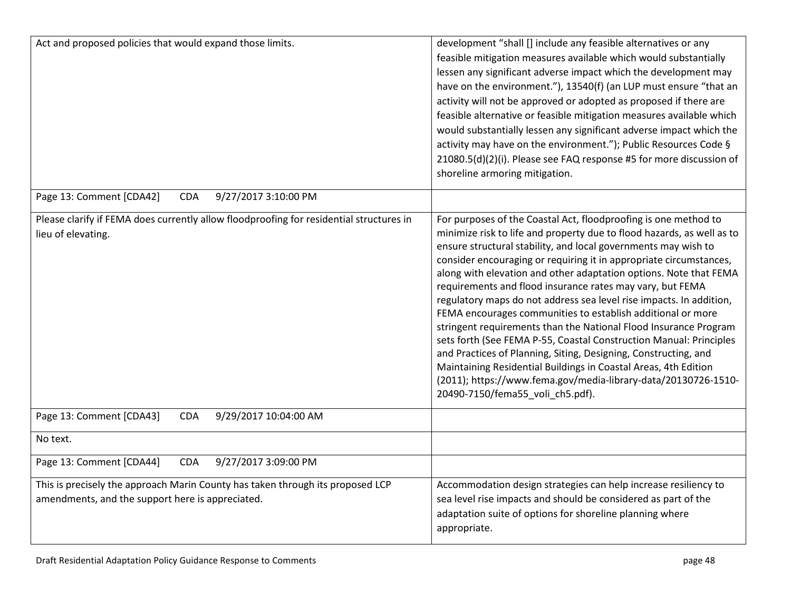| Act and proposed policies that would expand those limits.                                                                          | development "shall [] include any feasible alternatives or any<br>feasible mitigation measures available which would substantially<br>lessen any significant adverse impact which the development may<br>have on the environment."), 13540(f) (an LUP must ensure "that an<br>activity will not be approved or adopted as proposed if there are<br>feasible alternative or feasible mitigation measures available which<br>would substantially lessen any significant adverse impact which the<br>activity may have on the environment."); Public Resources Code §<br>21080.5(d)(2)(i). Please see FAQ response #5 for more discussion of<br>shoreline armoring mitigation.                                                                                                                                                                                                                                                                     |
|------------------------------------------------------------------------------------------------------------------------------------|-------------------------------------------------------------------------------------------------------------------------------------------------------------------------------------------------------------------------------------------------------------------------------------------------------------------------------------------------------------------------------------------------------------------------------------------------------------------------------------------------------------------------------------------------------------------------------------------------------------------------------------------------------------------------------------------------------------------------------------------------------------------------------------------------------------------------------------------------------------------------------------------------------------------------------------------------|
| Page 13: Comment [CDA42]<br>9/27/2017 3:10:00 PM<br><b>CDA</b>                                                                     |                                                                                                                                                                                                                                                                                                                                                                                                                                                                                                                                                                                                                                                                                                                                                                                                                                                                                                                                                 |
| Please clarify if FEMA does currently allow floodproofing for residential structures in<br>lieu of elevating.                      | For purposes of the Coastal Act, floodproofing is one method to<br>minimize risk to life and property due to flood hazards, as well as to<br>ensure structural stability, and local governments may wish to<br>consider encouraging or requiring it in appropriate circumstances,<br>along with elevation and other adaptation options. Note that FEMA<br>requirements and flood insurance rates may vary, but FEMA<br>regulatory maps do not address sea level rise impacts. In addition,<br>FEMA encourages communities to establish additional or more<br>stringent requirements than the National Flood Insurance Program<br>sets forth (See FEMA P-55, Coastal Construction Manual: Principles<br>and Practices of Planning, Siting, Designing, Constructing, and<br>Maintaining Residential Buildings in Coastal Areas, 4th Edition<br>(2011); https://www.fema.gov/media-library-data/20130726-1510-<br>20490-7150/fema55_voli_ch5.pdf). |
| Page 13: Comment [CDA43]<br>9/29/2017 10:04:00 AM<br><b>CDA</b>                                                                    |                                                                                                                                                                                                                                                                                                                                                                                                                                                                                                                                                                                                                                                                                                                                                                                                                                                                                                                                                 |
| No text.                                                                                                                           |                                                                                                                                                                                                                                                                                                                                                                                                                                                                                                                                                                                                                                                                                                                                                                                                                                                                                                                                                 |
| 9/27/2017 3:09:00 PM<br>Page 13: Comment [CDA44]<br><b>CDA</b>                                                                     |                                                                                                                                                                                                                                                                                                                                                                                                                                                                                                                                                                                                                                                                                                                                                                                                                                                                                                                                                 |
| This is precisely the approach Marin County has taken through its proposed LCP<br>amendments, and the support here is appreciated. | Accommodation design strategies can help increase resiliency to<br>sea level rise impacts and should be considered as part of the<br>adaptation suite of options for shoreline planning where<br>appropriate.                                                                                                                                                                                                                                                                                                                                                                                                                                                                                                                                                                                                                                                                                                                                   |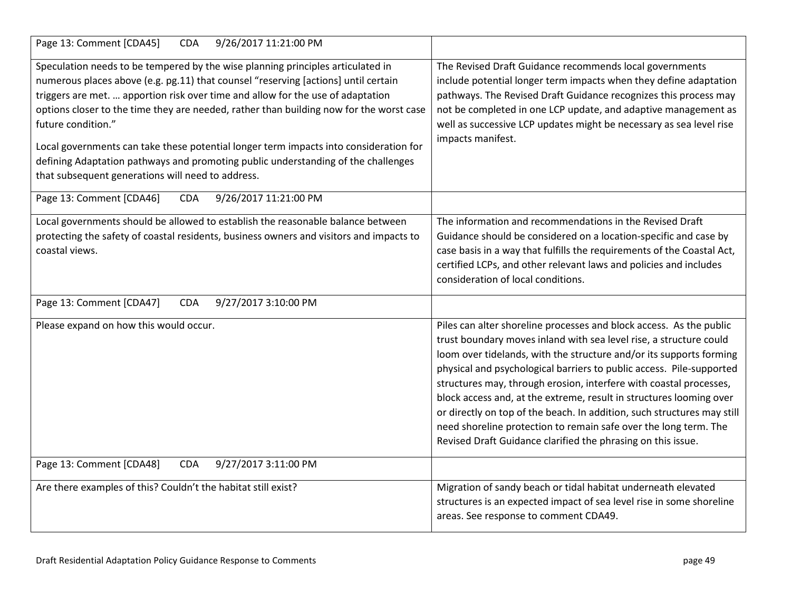| Page 13: Comment [CDA45]<br>9/26/2017 11:21:00 PM<br><b>CDA</b>                                                                                                                                                                                                                                                                                                                                                                                                                                                                                                                                              |                                                                                                                                                                                                                                                                                                                                                                                                                                                                                                                                                                                                                                                      |
|--------------------------------------------------------------------------------------------------------------------------------------------------------------------------------------------------------------------------------------------------------------------------------------------------------------------------------------------------------------------------------------------------------------------------------------------------------------------------------------------------------------------------------------------------------------------------------------------------------------|------------------------------------------------------------------------------------------------------------------------------------------------------------------------------------------------------------------------------------------------------------------------------------------------------------------------------------------------------------------------------------------------------------------------------------------------------------------------------------------------------------------------------------------------------------------------------------------------------------------------------------------------------|
| Speculation needs to be tempered by the wise planning principles articulated in<br>numerous places above (e.g. pg.11) that counsel "reserving [actions] until certain<br>triggers are met.  apportion risk over time and allow for the use of adaptation<br>options closer to the time they are needed, rather than building now for the worst case<br>future condition."<br>Local governments can take these potential longer term impacts into consideration for<br>defining Adaptation pathways and promoting public understanding of the challenges<br>that subsequent generations will need to address. | The Revised Draft Guidance recommends local governments<br>include potential longer term impacts when they define adaptation<br>pathways. The Revised Draft Guidance recognizes this process may<br>not be completed in one LCP update, and adaptive management as<br>well as successive LCP updates might be necessary as sea level rise<br>impacts manifest.                                                                                                                                                                                                                                                                                       |
| 9/26/2017 11:21:00 PM<br>Page 13: Comment [CDA46]<br><b>CDA</b>                                                                                                                                                                                                                                                                                                                                                                                                                                                                                                                                              |                                                                                                                                                                                                                                                                                                                                                                                                                                                                                                                                                                                                                                                      |
| Local governments should be allowed to establish the reasonable balance between<br>protecting the safety of coastal residents, business owners and visitors and impacts to<br>coastal views.                                                                                                                                                                                                                                                                                                                                                                                                                 | The information and recommendations in the Revised Draft<br>Guidance should be considered on a location-specific and case by<br>case basis in a way that fulfills the requirements of the Coastal Act,<br>certified LCPs, and other relevant laws and policies and includes<br>consideration of local conditions.                                                                                                                                                                                                                                                                                                                                    |
| 9/27/2017 3:10:00 PM<br>Page 13: Comment [CDA47]<br><b>CDA</b>                                                                                                                                                                                                                                                                                                                                                                                                                                                                                                                                               |                                                                                                                                                                                                                                                                                                                                                                                                                                                                                                                                                                                                                                                      |
| Please expand on how this would occur.                                                                                                                                                                                                                                                                                                                                                                                                                                                                                                                                                                       | Piles can alter shoreline processes and block access. As the public<br>trust boundary moves inland with sea level rise, a structure could<br>loom over tidelands, with the structure and/or its supports forming<br>physical and psychological barriers to public access. Pile-supported<br>structures may, through erosion, interfere with coastal processes,<br>block access and, at the extreme, result in structures looming over<br>or directly on top of the beach. In addition, such structures may still<br>need shoreline protection to remain safe over the long term. The<br>Revised Draft Guidance clarified the phrasing on this issue. |
| 9/27/2017 3:11:00 PM<br>Page 13: Comment [CDA48]<br><b>CDA</b>                                                                                                                                                                                                                                                                                                                                                                                                                                                                                                                                               |                                                                                                                                                                                                                                                                                                                                                                                                                                                                                                                                                                                                                                                      |
| Are there examples of this? Couldn't the habitat still exist?                                                                                                                                                                                                                                                                                                                                                                                                                                                                                                                                                | Migration of sandy beach or tidal habitat underneath elevated<br>structures is an expected impact of sea level rise in some shoreline<br>areas. See response to comment CDA49.                                                                                                                                                                                                                                                                                                                                                                                                                                                                       |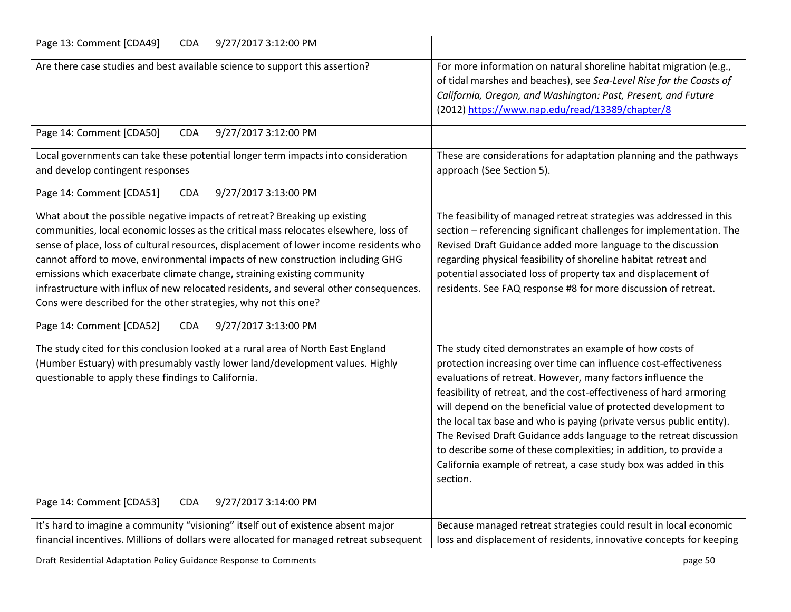| 9/27/2017 3:12:00 PM<br>Page 13: Comment [CDA49]<br><b>CDA</b>                                                                                                                                                                                                                                                                                                                                                                                                                                                                                                                        |                                                                                                                                                                                                                                                                                                                                                                                                                                                                                                                                                                                                                                          |
|---------------------------------------------------------------------------------------------------------------------------------------------------------------------------------------------------------------------------------------------------------------------------------------------------------------------------------------------------------------------------------------------------------------------------------------------------------------------------------------------------------------------------------------------------------------------------------------|------------------------------------------------------------------------------------------------------------------------------------------------------------------------------------------------------------------------------------------------------------------------------------------------------------------------------------------------------------------------------------------------------------------------------------------------------------------------------------------------------------------------------------------------------------------------------------------------------------------------------------------|
| Are there case studies and best available science to support this assertion?                                                                                                                                                                                                                                                                                                                                                                                                                                                                                                          | For more information on natural shoreline habitat migration (e.g.,<br>of tidal marshes and beaches), see Sea-Level Rise for the Coasts of<br>California, Oregon, and Washington: Past, Present, and Future<br>(2012) https://www.nap.edu/read/13389/chapter/8                                                                                                                                                                                                                                                                                                                                                                            |
| 9/27/2017 3:12:00 PM<br>Page 14: Comment [CDA50]<br><b>CDA</b>                                                                                                                                                                                                                                                                                                                                                                                                                                                                                                                        |                                                                                                                                                                                                                                                                                                                                                                                                                                                                                                                                                                                                                                          |
| Local governments can take these potential longer term impacts into consideration<br>and develop contingent responses                                                                                                                                                                                                                                                                                                                                                                                                                                                                 | These are considerations for adaptation planning and the pathways<br>approach (See Section 5).                                                                                                                                                                                                                                                                                                                                                                                                                                                                                                                                           |
| Page 14: Comment [CDA51]<br>9/27/2017 3:13:00 PM<br><b>CDA</b>                                                                                                                                                                                                                                                                                                                                                                                                                                                                                                                        |                                                                                                                                                                                                                                                                                                                                                                                                                                                                                                                                                                                                                                          |
| What about the possible negative impacts of retreat? Breaking up existing<br>communities, local economic losses as the critical mass relocates elsewhere, loss of<br>sense of place, loss of cultural resources, displacement of lower income residents who<br>cannot afford to move, environmental impacts of new construction including GHG<br>emissions which exacerbate climate change, straining existing community<br>infrastructure with influx of new relocated residents, and several other consequences.<br>Cons were described for the other strategies, why not this one? | The feasibility of managed retreat strategies was addressed in this<br>section - referencing significant challenges for implementation. The<br>Revised Draft Guidance added more language to the discussion<br>regarding physical feasibility of shoreline habitat retreat and<br>potential associated loss of property tax and displacement of<br>residents. See FAQ response #8 for more discussion of retreat.                                                                                                                                                                                                                        |
| Page 14: Comment [CDA52]<br><b>CDA</b><br>9/27/2017 3:13:00 PM                                                                                                                                                                                                                                                                                                                                                                                                                                                                                                                        |                                                                                                                                                                                                                                                                                                                                                                                                                                                                                                                                                                                                                                          |
| The study cited for this conclusion looked at a rural area of North East England<br>(Humber Estuary) with presumably vastly lower land/development values. Highly<br>questionable to apply these findings to California.                                                                                                                                                                                                                                                                                                                                                              | The study cited demonstrates an example of how costs of<br>protection increasing over time can influence cost-effectiveness<br>evaluations of retreat. However, many factors influence the<br>feasibility of retreat, and the cost-effectiveness of hard armoring<br>will depend on the beneficial value of protected development to<br>the local tax base and who is paying (private versus public entity).<br>The Revised Draft Guidance adds language to the retreat discussion<br>to describe some of these complexities; in addition, to provide a<br>California example of retreat, a case study box was added in this<br>section. |
| Page 14: Comment [CDA53]<br>9/27/2017 3:14:00 PM<br><b>CDA</b>                                                                                                                                                                                                                                                                                                                                                                                                                                                                                                                        |                                                                                                                                                                                                                                                                                                                                                                                                                                                                                                                                                                                                                                          |
| It's hard to imagine a community "visioning" itself out of existence absent major<br>financial incentives. Millions of dollars were allocated for managed retreat subsequent                                                                                                                                                                                                                                                                                                                                                                                                          | Because managed retreat strategies could result in local economic<br>loss and displacement of residents, innovative concepts for keeping                                                                                                                                                                                                                                                                                                                                                                                                                                                                                                 |

Draft Residential Adaptation Policy Guidance Response to Comments **page 10** and the set of the set of the set of the set of the set of the set of the set of the set of the set of the set of the set of the set of the set of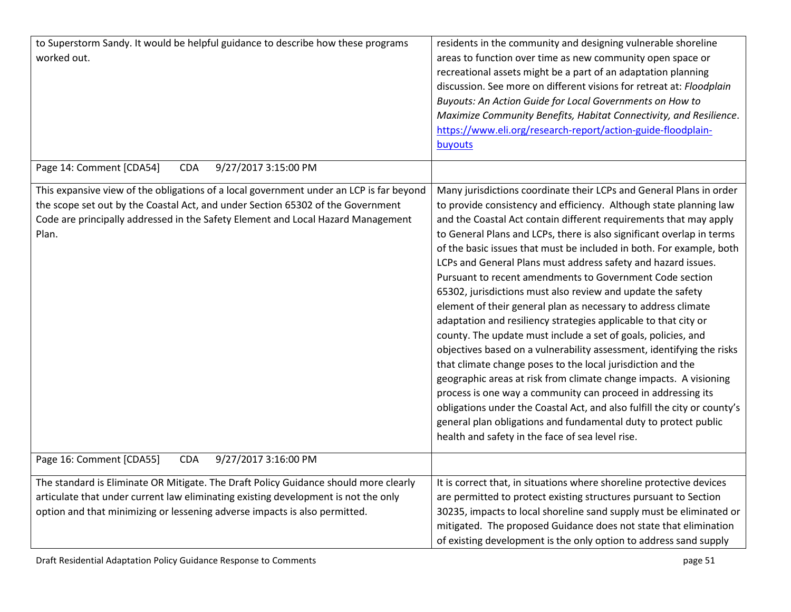| to Superstorm Sandy. It would be helpful guidance to describe how these programs<br>worked out.                                                                                                                                                                         | residents in the community and designing vulnerable shoreline<br>areas to function over time as new community open space or<br>recreational assets might be a part of an adaptation planning<br>discussion. See more on different visions for retreat at: Floodplain<br>Buyouts: An Action Guide for Local Governments on How to<br>Maximize Community Benefits, Habitat Connectivity, and Resilience.<br>https://www.eli.org/research-report/action-guide-floodplain-<br>buyouts                                                                                                                                                                                                                                                                                                                                                                                                                                                                                                                                                                                                                                                                                                                                                                |
|-------------------------------------------------------------------------------------------------------------------------------------------------------------------------------------------------------------------------------------------------------------------------|--------------------------------------------------------------------------------------------------------------------------------------------------------------------------------------------------------------------------------------------------------------------------------------------------------------------------------------------------------------------------------------------------------------------------------------------------------------------------------------------------------------------------------------------------------------------------------------------------------------------------------------------------------------------------------------------------------------------------------------------------------------------------------------------------------------------------------------------------------------------------------------------------------------------------------------------------------------------------------------------------------------------------------------------------------------------------------------------------------------------------------------------------------------------------------------------------------------------------------------------------|
| Page 14: Comment [CDA54]<br>9/27/2017 3:15:00 PM<br><b>CDA</b>                                                                                                                                                                                                          |                                                                                                                                                                                                                                                                                                                                                                                                                                                                                                                                                                                                                                                                                                                                                                                                                                                                                                                                                                                                                                                                                                                                                                                                                                                  |
| This expansive view of the obligations of a local government under an LCP is far beyond<br>the scope set out by the Coastal Act, and under Section 65302 of the Government<br>Code are principally addressed in the Safety Element and Local Hazard Management<br>Plan. | Many jurisdictions coordinate their LCPs and General Plans in order<br>to provide consistency and efficiency. Although state planning law<br>and the Coastal Act contain different requirements that may apply<br>to General Plans and LCPs, there is also significant overlap in terms<br>of the basic issues that must be included in both. For example, both<br>LCPs and General Plans must address safety and hazard issues.<br>Pursuant to recent amendments to Government Code section<br>65302, jurisdictions must also review and update the safety<br>element of their general plan as necessary to address climate<br>adaptation and resiliency strategies applicable to that city or<br>county. The update must include a set of goals, policies, and<br>objectives based on a vulnerability assessment, identifying the risks<br>that climate change poses to the local jurisdiction and the<br>geographic areas at risk from climate change impacts. A visioning<br>process is one way a community can proceed in addressing its<br>obligations under the Coastal Act, and also fulfill the city or county's<br>general plan obligations and fundamental duty to protect public<br>health and safety in the face of sea level rise. |
| 9/27/2017 3:16:00 PM<br>Page 16: Comment [CDA55]<br><b>CDA</b>                                                                                                                                                                                                          |                                                                                                                                                                                                                                                                                                                                                                                                                                                                                                                                                                                                                                                                                                                                                                                                                                                                                                                                                                                                                                                                                                                                                                                                                                                  |
| The standard is Eliminate OR Mitigate. The Draft Policy Guidance should more clearly<br>articulate that under current law eliminating existing development is not the only<br>option and that minimizing or lessening adverse impacts is also permitted.                | It is correct that, in situations where shoreline protective devices<br>are permitted to protect existing structures pursuant to Section<br>30235, impacts to local shoreline sand supply must be eliminated or<br>mitigated. The proposed Guidance does not state that elimination<br>of existing development is the only option to address sand supply                                                                                                                                                                                                                                                                                                                                                                                                                                                                                                                                                                                                                                                                                                                                                                                                                                                                                         |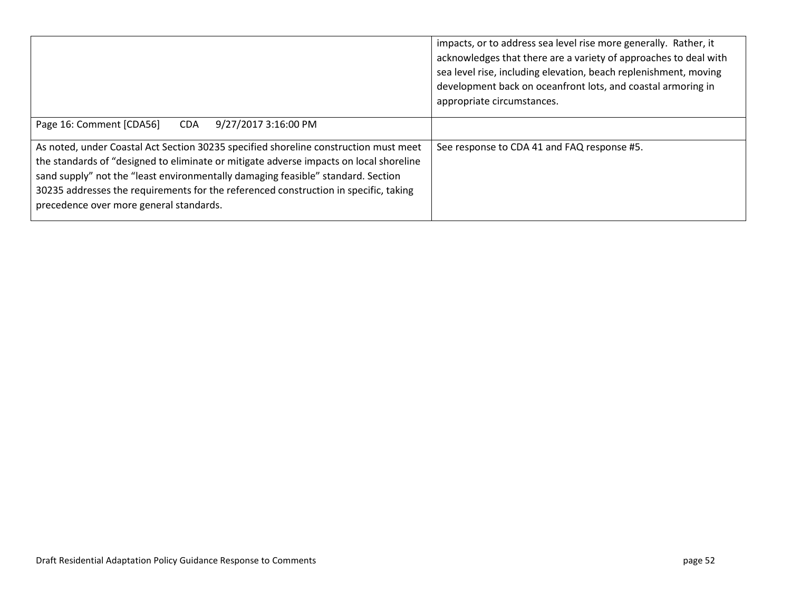|                                                                                                                                                                                                                                                                                                                                                                                                       | impacts, or to address sea level rise more generally. Rather, it<br>acknowledges that there are a variety of approaches to deal with<br>sea level rise, including elevation, beach replenishment, moving<br>development back on oceanfront lots, and coastal armoring in<br>appropriate circumstances. |
|-------------------------------------------------------------------------------------------------------------------------------------------------------------------------------------------------------------------------------------------------------------------------------------------------------------------------------------------------------------------------------------------------------|--------------------------------------------------------------------------------------------------------------------------------------------------------------------------------------------------------------------------------------------------------------------------------------------------------|
| Page 16: Comment [CDA56]<br>9/27/2017 3:16:00 PM<br><b>CDA</b>                                                                                                                                                                                                                                                                                                                                        |                                                                                                                                                                                                                                                                                                        |
| As noted, under Coastal Act Section 30235 specified shoreline construction must meet<br>the standards of "designed to eliminate or mitigate adverse impacts on local shoreline<br>sand supply" not the "least environmentally damaging feasible" standard. Section<br>30235 addresses the requirements for the referenced construction in specific, taking<br>precedence over more general standards. | See response to CDA 41 and FAQ response #5.                                                                                                                                                                                                                                                            |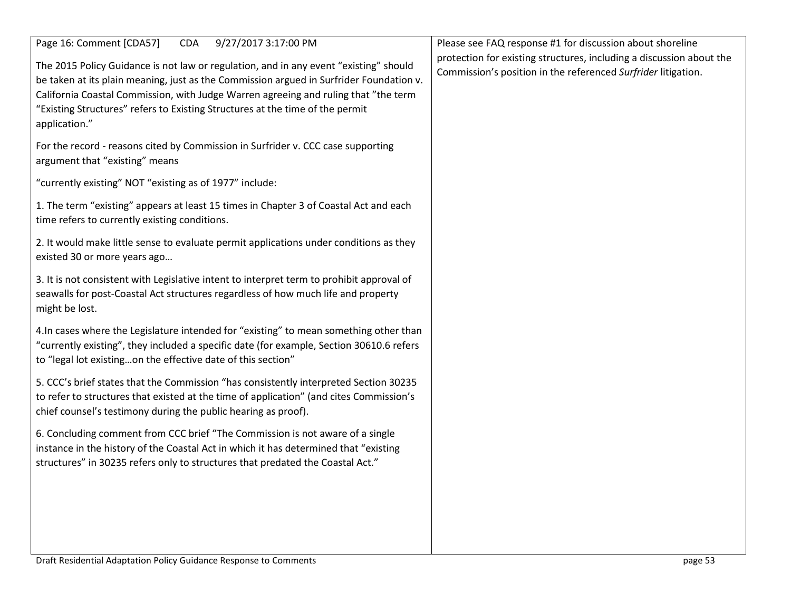| Page 16: Comment [CDA57]<br><b>CDA</b><br>9/27/2017 3:17:00 PM<br>The 2015 Policy Guidance is not law or regulation, and in any event "existing" should<br>be taken at its plain meaning, just as the Commission argued in Surfrider Foundation v.<br>California Coastal Commission, with Judge Warren agreeing and ruling that "the term<br>"Existing Structures" refers to Existing Structures at the time of the permit<br>application." | Please see FAQ response #1 for discussion about shoreline<br>protection for existing structures, including a discussion about the<br>Commission's position in the referenced Surfrider litigation. |
|---------------------------------------------------------------------------------------------------------------------------------------------------------------------------------------------------------------------------------------------------------------------------------------------------------------------------------------------------------------------------------------------------------------------------------------------|----------------------------------------------------------------------------------------------------------------------------------------------------------------------------------------------------|
| For the record - reasons cited by Commission in Surfrider v. CCC case supporting<br>argument that "existing" means                                                                                                                                                                                                                                                                                                                          |                                                                                                                                                                                                    |
| "currently existing" NOT "existing as of 1977" include:                                                                                                                                                                                                                                                                                                                                                                                     |                                                                                                                                                                                                    |
| 1. The term "existing" appears at least 15 times in Chapter 3 of Coastal Act and each<br>time refers to currently existing conditions.                                                                                                                                                                                                                                                                                                      |                                                                                                                                                                                                    |
| 2. It would make little sense to evaluate permit applications under conditions as they<br>existed 30 or more years ago                                                                                                                                                                                                                                                                                                                      |                                                                                                                                                                                                    |
| 3. It is not consistent with Legislative intent to interpret term to prohibit approval of<br>seawalls for post-Coastal Act structures regardless of how much life and property<br>might be lost.                                                                                                                                                                                                                                            |                                                                                                                                                                                                    |
| 4. In cases where the Legislature intended for "existing" to mean something other than<br>"currently existing", they included a specific date (for example, Section 30610.6 refers<br>to "legal lot existingon the effective date of this section"                                                                                                                                                                                          |                                                                                                                                                                                                    |
| 5. CCC's brief states that the Commission "has consistently interpreted Section 30235<br>to refer to structures that existed at the time of application" (and cites Commission's<br>chief counsel's testimony during the public hearing as proof).                                                                                                                                                                                          |                                                                                                                                                                                                    |
| 6. Concluding comment from CCC brief "The Commission is not aware of a single<br>instance in the history of the Coastal Act in which it has determined that "existing<br>structures" in 30235 refers only to structures that predated the Coastal Act."                                                                                                                                                                                     |                                                                                                                                                                                                    |
|                                                                                                                                                                                                                                                                                                                                                                                                                                             |                                                                                                                                                                                                    |
|                                                                                                                                                                                                                                                                                                                                                                                                                                             |                                                                                                                                                                                                    |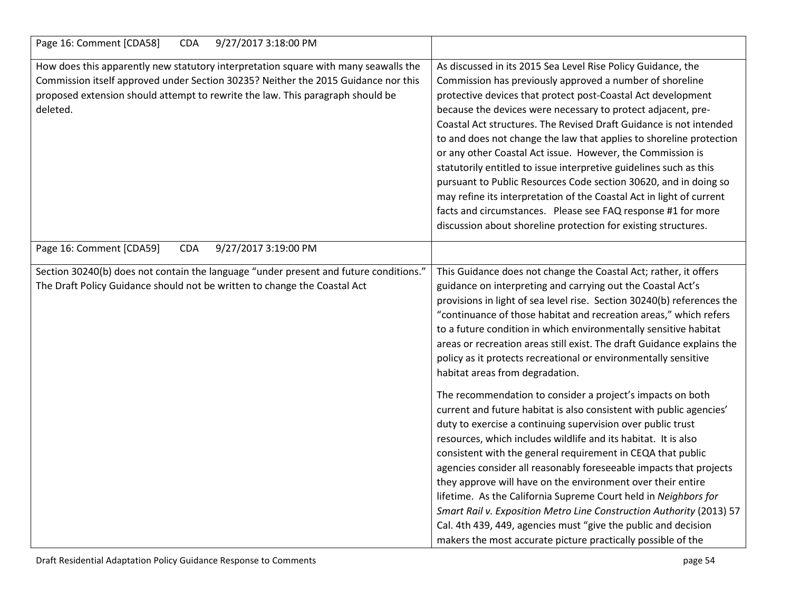| Page 16: Comment [CDA58]<br>9/27/2017 3:18:00 PM<br><b>CDA</b>                                                                                                                                                                                                          |                                                                                                                                                                                                                                                                                                                                                                                                                                                                                                                                                                                                                                                                                                                                                                                                                                                                                                                                                                                                                                                                                                                                                                                                                                                                                           |
|-------------------------------------------------------------------------------------------------------------------------------------------------------------------------------------------------------------------------------------------------------------------------|-------------------------------------------------------------------------------------------------------------------------------------------------------------------------------------------------------------------------------------------------------------------------------------------------------------------------------------------------------------------------------------------------------------------------------------------------------------------------------------------------------------------------------------------------------------------------------------------------------------------------------------------------------------------------------------------------------------------------------------------------------------------------------------------------------------------------------------------------------------------------------------------------------------------------------------------------------------------------------------------------------------------------------------------------------------------------------------------------------------------------------------------------------------------------------------------------------------------------------------------------------------------------------------------|
| How does this apparently new statutory interpretation square with many seawalls the<br>Commission itself approved under Section 30235? Neither the 2015 Guidance nor this<br>proposed extension should attempt to rewrite the law. This paragraph should be<br>deleted. | As discussed in its 2015 Sea Level Rise Policy Guidance, the<br>Commission has previously approved a number of shoreline<br>protective devices that protect post-Coastal Act development<br>because the devices were necessary to protect adjacent, pre-<br>Coastal Act structures. The Revised Draft Guidance is not intended<br>to and does not change the law that applies to shoreline protection<br>or any other Coastal Act issue. However, the Commission is<br>statutorily entitled to issue interpretive guidelines such as this<br>pursuant to Public Resources Code section 30620, and in doing so<br>may refine its interpretation of the Coastal Act in light of current<br>facts and circumstances. Please see FAQ response #1 for more<br>discussion about shoreline protection for existing structures.                                                                                                                                                                                                                                                                                                                                                                                                                                                                   |
| Page 16: Comment [CDA59]<br>9/27/2017 3:19:00 PM<br><b>CDA</b>                                                                                                                                                                                                          |                                                                                                                                                                                                                                                                                                                                                                                                                                                                                                                                                                                                                                                                                                                                                                                                                                                                                                                                                                                                                                                                                                                                                                                                                                                                                           |
| Section 30240(b) does not contain the language "under present and future conditions."<br>The Draft Policy Guidance should not be written to change the Coastal Act                                                                                                      | This Guidance does not change the Coastal Act; rather, it offers<br>guidance on interpreting and carrying out the Coastal Act's<br>provisions in light of sea level rise. Section 30240(b) references the<br>"continuance of those habitat and recreation areas," which refers<br>to a future condition in which environmentally sensitive habitat<br>areas or recreation areas still exist. The draft Guidance explains the<br>policy as it protects recreational or environmentally sensitive<br>habitat areas from degradation.<br>The recommendation to consider a project's impacts on both<br>current and future habitat is also consistent with public agencies'<br>duty to exercise a continuing supervision over public trust<br>resources, which includes wildlife and its habitat. It is also<br>consistent with the general requirement in CEQA that public<br>agencies consider all reasonably foreseeable impacts that projects<br>they approve will have on the environment over their entire<br>lifetime. As the California Supreme Court held in Neighbors for<br>Smart Rail v. Exposition Metro Line Construction Authority (2013) 57<br>Cal. 4th 439, 449, agencies must "give the public and decision<br>makers the most accurate picture practically possible of the |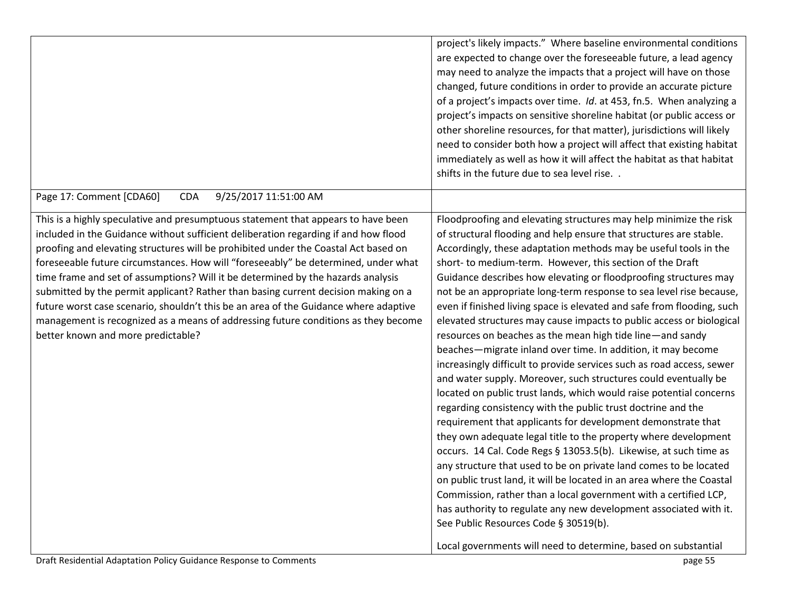|                                                                                                                                                                                                                                                                                                                                                                                                                                                                                                                                                                                                                                                                                                                                                     | project's likely impacts." Where baseline environmental conditions<br>are expected to change over the foreseeable future, a lead agency<br>may need to analyze the impacts that a project will have on those<br>changed, future conditions in order to provide an accurate picture<br>of a project's impacts over time. Id. at 453, fn.5. When analyzing a<br>project's impacts on sensitive shoreline habitat (or public access or<br>other shoreline resources, for that matter), jurisdictions will likely<br>need to consider both how a project will affect that existing habitat                                                                                                                                                                                                                                                                                                                                                                                                                                                                                                                                                                                                                                                                                                                                                                                                                                                                                                                                        |
|-----------------------------------------------------------------------------------------------------------------------------------------------------------------------------------------------------------------------------------------------------------------------------------------------------------------------------------------------------------------------------------------------------------------------------------------------------------------------------------------------------------------------------------------------------------------------------------------------------------------------------------------------------------------------------------------------------------------------------------------------------|-------------------------------------------------------------------------------------------------------------------------------------------------------------------------------------------------------------------------------------------------------------------------------------------------------------------------------------------------------------------------------------------------------------------------------------------------------------------------------------------------------------------------------------------------------------------------------------------------------------------------------------------------------------------------------------------------------------------------------------------------------------------------------------------------------------------------------------------------------------------------------------------------------------------------------------------------------------------------------------------------------------------------------------------------------------------------------------------------------------------------------------------------------------------------------------------------------------------------------------------------------------------------------------------------------------------------------------------------------------------------------------------------------------------------------------------------------------------------------------------------------------------------------|
|                                                                                                                                                                                                                                                                                                                                                                                                                                                                                                                                                                                                                                                                                                                                                     | immediately as well as how it will affect the habitat as that habitat<br>shifts in the future due to sea level rise. .                                                                                                                                                                                                                                                                                                                                                                                                                                                                                                                                                                                                                                                                                                                                                                                                                                                                                                                                                                                                                                                                                                                                                                                                                                                                                                                                                                                                        |
| Page 17: Comment [CDA60]<br>9/25/2017 11:51:00 AM<br><b>CDA</b>                                                                                                                                                                                                                                                                                                                                                                                                                                                                                                                                                                                                                                                                                     |                                                                                                                                                                                                                                                                                                                                                                                                                                                                                                                                                                                                                                                                                                                                                                                                                                                                                                                                                                                                                                                                                                                                                                                                                                                                                                                                                                                                                                                                                                                               |
| This is a highly speculative and presumptuous statement that appears to have been<br>included in the Guidance without sufficient deliberation regarding if and how flood<br>proofing and elevating structures will be prohibited under the Coastal Act based on<br>foreseeable future circumstances. How will "foreseeably" be determined, under what<br>time frame and set of assumptions? Will it be determined by the hazards analysis<br>submitted by the permit applicant? Rather than basing current decision making on a<br>future worst case scenario, shouldn't this be an area of the Guidance where adaptive<br>management is recognized as a means of addressing future conditions as they become<br>better known and more predictable? | Floodproofing and elevating structures may help minimize the risk<br>of structural flooding and help ensure that structures are stable.<br>Accordingly, these adaptation methods may be useful tools in the<br>short- to medium-term. However, this section of the Draft<br>Guidance describes how elevating or floodproofing structures may<br>not be an appropriate long-term response to sea level rise because,<br>even if finished living space is elevated and safe from flooding, such<br>elevated structures may cause impacts to public access or biological<br>resources on beaches as the mean high tide line-and sandy<br>beaches-migrate inland over time. In addition, it may become<br>increasingly difficult to provide services such as road access, sewer<br>and water supply. Moreover, such structures could eventually be<br>located on public trust lands, which would raise potential concerns<br>regarding consistency with the public trust doctrine and the<br>requirement that applicants for development demonstrate that<br>they own adequate legal title to the property where development<br>occurs. 14 Cal. Code Regs § 13053.5(b). Likewise, at such time as<br>any structure that used to be on private land comes to be located<br>on public trust land, it will be located in an area where the Coastal<br>Commission, rather than a local government with a certified LCP,<br>has authority to regulate any new development associated with it.<br>See Public Resources Code § 30519(b). |
|                                                                                                                                                                                                                                                                                                                                                                                                                                                                                                                                                                                                                                                                                                                                                     | Local governments will need to determine, based on substantial                                                                                                                                                                                                                                                                                                                                                                                                                                                                                                                                                                                                                                                                                                                                                                                                                                                                                                                                                                                                                                                                                                                                                                                                                                                                                                                                                                                                                                                                |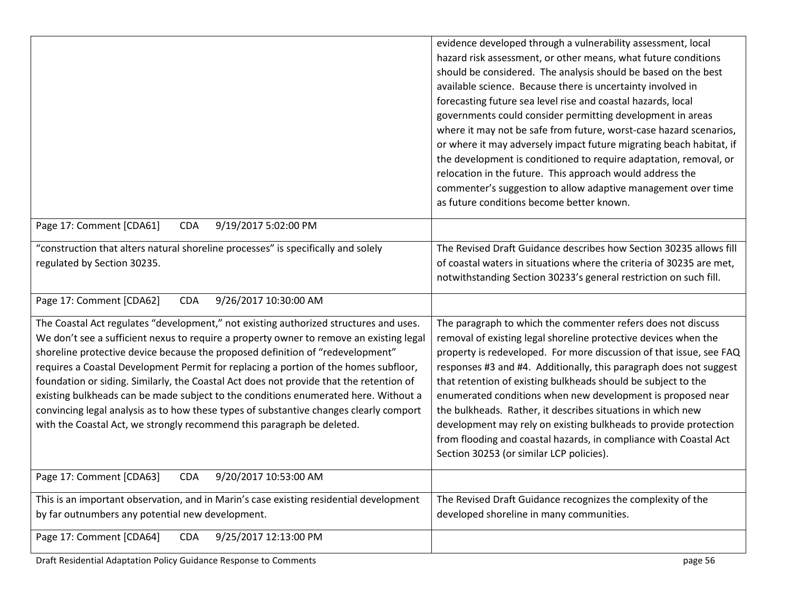|                                                                                         | evidence developed through a vulnerability assessment, local         |
|-----------------------------------------------------------------------------------------|----------------------------------------------------------------------|
|                                                                                         | hazard risk assessment, or other means, what future conditions       |
|                                                                                         | should be considered. The analysis should be based on the best       |
|                                                                                         | available science. Because there is uncertainty involved in          |
|                                                                                         | forecasting future sea level rise and coastal hazards, local         |
|                                                                                         | governments could consider permitting development in areas           |
|                                                                                         | where it may not be safe from future, worst-case hazard scenarios,   |
|                                                                                         | or where it may adversely impact future migrating beach habitat, if  |
|                                                                                         | the development is conditioned to require adaptation, removal, or    |
|                                                                                         | relocation in the future. This approach would address the            |
|                                                                                         | commenter's suggestion to allow adaptive management over time        |
|                                                                                         | as future conditions become better known.                            |
| Page 17: Comment [CDA61]<br><b>CDA</b><br>9/19/2017 5:02:00 PM                          |                                                                      |
| "construction that alters natural shoreline processes" is specifically and solely       | The Revised Draft Guidance describes how Section 30235 allows fill   |
| regulated by Section 30235.                                                             | of coastal waters in situations where the criteria of 30235 are met, |
|                                                                                         | notwithstanding Section 30233's general restriction on such fill.    |
|                                                                                         |                                                                      |
| 9/26/2017 10:30:00 AM<br>Page 17: Comment [CDA62]<br><b>CDA</b>                         |                                                                      |
| The Coastal Act regulates "development," not existing authorized structures and uses.   | The paragraph to which the commenter refers does not discuss         |
| We don't see a sufficient nexus to require a property owner to remove an existing legal | removal of existing legal shoreline protective devices when the      |
| shoreline protective device because the proposed definition of "redevelopment"          | property is redeveloped. For more discussion of that issue, see FAQ  |
| requires a Coastal Development Permit for replacing a portion of the homes subfloor,    | responses #3 and #4. Additionally, this paragraph does not suggest   |
| foundation or siding. Similarly, the Coastal Act does not provide that the retention of | that retention of existing bulkheads should be subject to the        |
| existing bulkheads can be made subject to the conditions enumerated here. Without a     | enumerated conditions when new development is proposed near          |
| convincing legal analysis as to how these types of substantive changes clearly comport  | the bulkheads. Rather, it describes situations in which new          |
| with the Coastal Act, we strongly recommend this paragraph be deleted.                  | development may rely on existing bulkheads to provide protection     |
|                                                                                         | from flooding and coastal hazards, in compliance with Coastal Act    |
|                                                                                         | Section 30253 (or similar LCP policies).                             |
| Page 17: Comment [CDA63]<br><b>CDA</b><br>9/20/2017 10:53:00 AM                         |                                                                      |
| This is an important observation, and in Marin's case existing residential development  | The Revised Draft Guidance recognizes the complexity of the          |
| by far outnumbers any potential new development.                                        | developed shoreline in many communities.                             |
| Page 17: Comment [CDA64]<br>9/25/2017 12:13:00 PM<br><b>CDA</b>                         |                                                                      |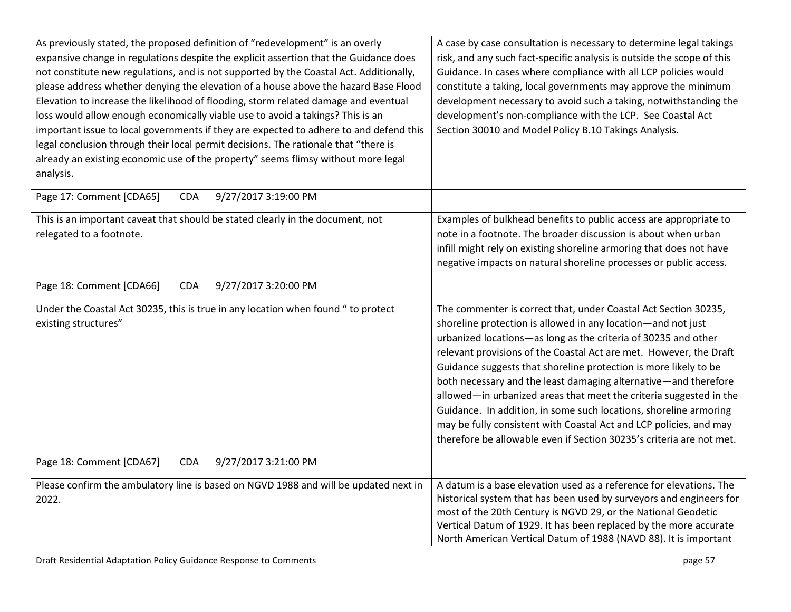| As previously stated, the proposed definition of "redevelopment" is an overly          | A case by case consultation is necessary to determine legal takings    |
|----------------------------------------------------------------------------------------|------------------------------------------------------------------------|
| expansive change in regulations despite the explicit assertion that the Guidance does  | risk, and any such fact-specific analysis is outside the scope of this |
| not constitute new regulations, and is not supported by the Coastal Act. Additionally, | Guidance. In cases where compliance with all LCP policies would        |
| please address whether denying the elevation of a house above the hazard Base Flood    | constitute a taking, local governments may approve the minimum         |
| Elevation to increase the likelihood of flooding, storm related damage and eventual    | development necessary to avoid such a taking, notwithstanding the      |
|                                                                                        |                                                                        |
| loss would allow enough economically viable use to avoid a takings? This is an         | development's non-compliance with the LCP. See Coastal Act             |
| important issue to local governments if they are expected to adhere to and defend this | Section 30010 and Model Policy B.10 Takings Analysis.                  |
| legal conclusion through their local permit decisions. The rationale that "there is    |                                                                        |
| already an existing economic use of the property" seems flimsy without more legal      |                                                                        |
| analysis.                                                                              |                                                                        |
| Page 17: Comment [CDA65]<br>9/27/2017 3:19:00 PM<br><b>CDA</b>                         |                                                                        |
|                                                                                        |                                                                        |
| This is an important caveat that should be stated clearly in the document, not         | Examples of bulkhead benefits to public access are appropriate to      |
| relegated to a footnote.                                                               | note in a footnote. The broader discussion is about when urban         |
|                                                                                        | infill might rely on existing shoreline armoring that does not have    |
|                                                                                        | negative impacts on natural shoreline processes or public access.      |
|                                                                                        |                                                                        |
| Page 18: Comment [CDA66]<br>9/27/2017 3:20:00 PM<br><b>CDA</b>                         |                                                                        |
| Under the Coastal Act 30235, this is true in any location when found " to protect      | The commenter is correct that, under Coastal Act Section 30235,        |
| existing structures"                                                                   | shoreline protection is allowed in any location-and not just           |
|                                                                                        | urbanized locations-as long as the criteria of 30235 and other         |
|                                                                                        | relevant provisions of the Coastal Act are met. However, the Draft     |
|                                                                                        | Guidance suggests that shoreline protection is more likely to be       |
|                                                                                        | both necessary and the least damaging alternative-and therefore        |
|                                                                                        | allowed-in urbanized areas that meet the criteria suggested in the     |
|                                                                                        |                                                                        |
|                                                                                        | Guidance. In addition, in some such locations, shoreline armoring      |
|                                                                                        | may be fully consistent with Coastal Act and LCP policies, and may     |
|                                                                                        | therefore be allowable even if Section 30235's criteria are not met.   |
| Page 18: Comment [CDA67]<br>9/27/2017 3:21:00 PM<br><b>CDA</b>                         |                                                                        |
| Please confirm the ambulatory line is based on NGVD 1988 and will be updated next in   | A datum is a base elevation used as a reference for elevations. The    |
| 2022.                                                                                  | historical system that has been used by surveyors and engineers for    |
|                                                                                        | most of the 20th Century is NGVD 29, or the National Geodetic          |
|                                                                                        | Vertical Datum of 1929. It has been replaced by the more accurate      |
|                                                                                        | North American Vertical Datum of 1988 (NAVD 88). It is important       |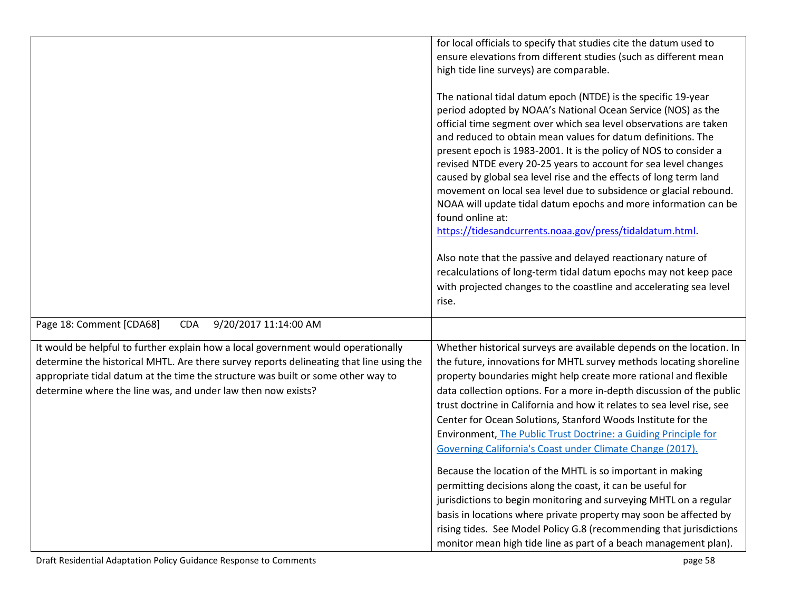|                                                                                                                                                                                                                                                                                                                                  | for local officials to specify that studies cite the datum used to<br>ensure elevations from different studies (such as different mean<br>high tide line surveys) are comparable.                                                                                                                                                                                                                                                                                                                                                                                                                                                                                                                       |
|----------------------------------------------------------------------------------------------------------------------------------------------------------------------------------------------------------------------------------------------------------------------------------------------------------------------------------|---------------------------------------------------------------------------------------------------------------------------------------------------------------------------------------------------------------------------------------------------------------------------------------------------------------------------------------------------------------------------------------------------------------------------------------------------------------------------------------------------------------------------------------------------------------------------------------------------------------------------------------------------------------------------------------------------------|
|                                                                                                                                                                                                                                                                                                                                  | The national tidal datum epoch (NTDE) is the specific 19-year<br>period adopted by NOAA's National Ocean Service (NOS) as the<br>official time segment over which sea level observations are taken<br>and reduced to obtain mean values for datum definitions. The<br>present epoch is 1983-2001. It is the policy of NOS to consider a<br>revised NTDE every 20-25 years to account for sea level changes<br>caused by global sea level rise and the effects of long term land<br>movement on local sea level due to subsidence or glacial rebound.<br>NOAA will update tidal datum epochs and more information can be<br>found online at:<br>https://tidesandcurrents.noaa.gov/press/tidaldatum.html. |
|                                                                                                                                                                                                                                                                                                                                  | Also note that the passive and delayed reactionary nature of<br>recalculations of long-term tidal datum epochs may not keep pace<br>with projected changes to the coastline and accelerating sea level<br>rise.                                                                                                                                                                                                                                                                                                                                                                                                                                                                                         |
| Page 18: Comment [CDA68]<br><b>CDA</b><br>9/20/2017 11:14:00 AM                                                                                                                                                                                                                                                                  |                                                                                                                                                                                                                                                                                                                                                                                                                                                                                                                                                                                                                                                                                                         |
| It would be helpful to further explain how a local government would operationally<br>determine the historical MHTL. Are there survey reports delineating that line using the<br>appropriate tidal datum at the time the structure was built or some other way to<br>determine where the line was, and under law then now exists? | Whether historical surveys are available depends on the location. In<br>the future, innovations for MHTL survey methods locating shoreline<br>property boundaries might help create more rational and flexible<br>data collection options. For a more in-depth discussion of the public<br>trust doctrine in California and how it relates to sea level rise, see<br>Center for Ocean Solutions, Stanford Woods Institute for the<br>Environment, The Public Trust Doctrine: a Guiding Principle for<br>Governing California's Coast under Climate Change (2017).                                                                                                                                       |
|                                                                                                                                                                                                                                                                                                                                  | Because the location of the MHTL is so important in making<br>permitting decisions along the coast, it can be useful for<br>jurisdictions to begin monitoring and surveying MHTL on a regular<br>basis in locations where private property may soon be affected by<br>rising tides. See Model Policy G.8 (recommending that jurisdictions<br>monitor mean high tide line as part of a beach management plan).                                                                                                                                                                                                                                                                                           |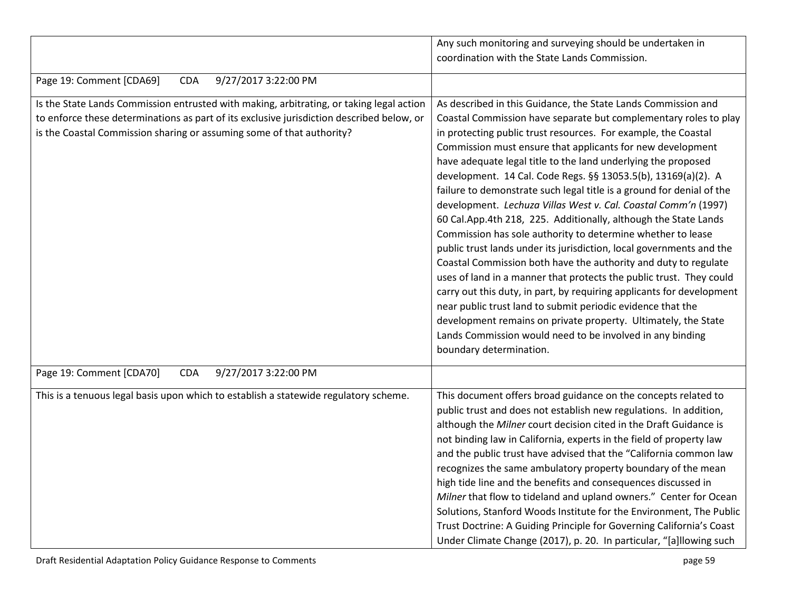|                                                                                                                                                                                                                                                                | Any such monitoring and surveying should be undertaken in<br>coordination with the State Lands Commission.                                                                                                                                                                                                                                                                                                                                                                                                                                                                                                                                                                                                                                                                                                                                                                                                                                                                                                                                                                                                                                                                                           |
|----------------------------------------------------------------------------------------------------------------------------------------------------------------------------------------------------------------------------------------------------------------|------------------------------------------------------------------------------------------------------------------------------------------------------------------------------------------------------------------------------------------------------------------------------------------------------------------------------------------------------------------------------------------------------------------------------------------------------------------------------------------------------------------------------------------------------------------------------------------------------------------------------------------------------------------------------------------------------------------------------------------------------------------------------------------------------------------------------------------------------------------------------------------------------------------------------------------------------------------------------------------------------------------------------------------------------------------------------------------------------------------------------------------------------------------------------------------------------|
|                                                                                                                                                                                                                                                                |                                                                                                                                                                                                                                                                                                                                                                                                                                                                                                                                                                                                                                                                                                                                                                                                                                                                                                                                                                                                                                                                                                                                                                                                      |
| 9/27/2017 3:22:00 PM<br>Page 19: Comment [CDA69]<br><b>CDA</b>                                                                                                                                                                                                 |                                                                                                                                                                                                                                                                                                                                                                                                                                                                                                                                                                                                                                                                                                                                                                                                                                                                                                                                                                                                                                                                                                                                                                                                      |
| Is the State Lands Commission entrusted with making, arbitrating, or taking legal action<br>to enforce these determinations as part of its exclusive jurisdiction described below, or<br>is the Coastal Commission sharing or assuming some of that authority? | As described in this Guidance, the State Lands Commission and<br>Coastal Commission have separate but complementary roles to play<br>in protecting public trust resources. For example, the Coastal<br>Commission must ensure that applicants for new development<br>have adequate legal title to the land underlying the proposed<br>development. 14 Cal. Code Regs. §§ 13053.5(b), 13169(a)(2). A<br>failure to demonstrate such legal title is a ground for denial of the<br>development. Lechuza Villas West v. Cal. Coastal Comm'n (1997)<br>60 Cal.App.4th 218, 225. Additionally, although the State Lands<br>Commission has sole authority to determine whether to lease<br>public trust lands under its jurisdiction, local governments and the<br>Coastal Commission both have the authority and duty to regulate<br>uses of land in a manner that protects the public trust. They could<br>carry out this duty, in part, by requiring applicants for development<br>near public trust land to submit periodic evidence that the<br>development remains on private property. Ultimately, the State<br>Lands Commission would need to be involved in any binding<br>boundary determination. |
| Page 19: Comment [CDA70]<br><b>CDA</b><br>9/27/2017 3:22:00 PM                                                                                                                                                                                                 |                                                                                                                                                                                                                                                                                                                                                                                                                                                                                                                                                                                                                                                                                                                                                                                                                                                                                                                                                                                                                                                                                                                                                                                                      |
| This is a tenuous legal basis upon which to establish a statewide regulatory scheme.                                                                                                                                                                           | This document offers broad guidance on the concepts related to<br>public trust and does not establish new regulations. In addition,<br>although the Milner court decision cited in the Draft Guidance is<br>not binding law in California, experts in the field of property law<br>and the public trust have advised that the "California common law<br>recognizes the same ambulatory property boundary of the mean<br>high tide line and the benefits and consequences discussed in<br>Milner that flow to tideland and upland owners." Center for Ocean<br>Solutions, Stanford Woods Institute for the Environment, The Public<br>Trust Doctrine: A Guiding Principle for Governing California's Coast<br>Under Climate Change (2017), p. 20. In particular, "[a]llowing such                                                                                                                                                                                                                                                                                                                                                                                                                     |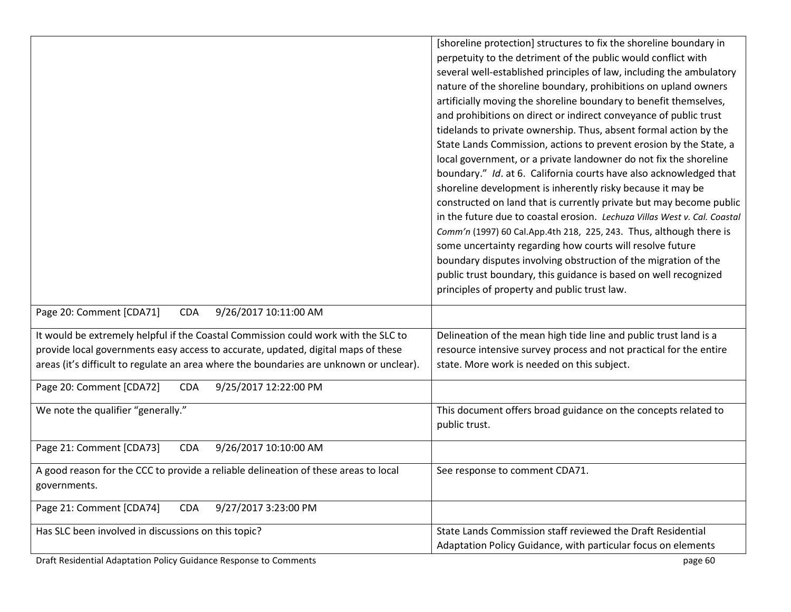| perpetuity to the detriment of the public would conflict with<br>several well-established principles of law, including the ambulatory<br>nature of the shoreline boundary, prohibitions on upland owners<br>artificially moving the shoreline boundary to benefit themselves,<br>and prohibitions on direct or indirect conveyance of public trust<br>tidelands to private ownership. Thus, absent formal action by the<br>State Lands Commission, actions to prevent erosion by the State, a<br>local government, or a private landowner do not fix the shoreline<br>boundary." Id. at 6. California courts have also acknowledged that<br>shoreline development is inherently risky because it may be<br>constructed on land that is currently private but may become public<br>in the future due to coastal erosion. Lechuza Villas West v. Cal. Coastal<br>Comm'n (1997) 60 Cal.App.4th 218, 225, 243. Thus, although there is<br>some uncertainty regarding how courts will resolve future<br>boundary disputes involving obstruction of the migration of the<br>public trust boundary, this guidance is based on well recognized<br>principles of property and public trust law.<br>Page 20: Comment [CDA71]<br>9/26/2017 10:11:00 AM<br><b>CDA</b><br>It would be extremely helpful if the Coastal Commission could work with the SLC to<br>Delineation of the mean high tide line and public trust land is a<br>provide local governments easy access to accurate, updated, digital maps of these<br>resource intensive survey process and not practical for the entire<br>areas (it's difficult to regulate an area where the boundaries are unknown or unclear).<br>state. More work is needed on this subject.<br>Page 20: Comment [CDA72]<br>9/25/2017 12:22:00 PM<br><b>CDA</b><br>We note the qualifier "generally."<br>This document offers broad guidance on the concepts related to<br>public trust.<br>Page 21: Comment [CDA73]<br>9/26/2017 10:10:00 AM<br><b>CDA</b><br>A good reason for the CCC to provide a reliable delineation of these areas to local<br>See response to comment CDA71.<br>governments.<br>Page 21: Comment [CDA74]<br><b>CDA</b><br>9/27/2017 3:23:00 PM<br>State Lands Commission staff reviewed the Draft Residential<br>Has SLC been involved in discussions on this topic?<br>Adaptation Policy Guidance, with particular focus on elements | [shoreline protection] structures to fix the shoreline boundary in |
|--------------------------------------------------------------------------------------------------------------------------------------------------------------------------------------------------------------------------------------------------------------------------------------------------------------------------------------------------------------------------------------------------------------------------------------------------------------------------------------------------------------------------------------------------------------------------------------------------------------------------------------------------------------------------------------------------------------------------------------------------------------------------------------------------------------------------------------------------------------------------------------------------------------------------------------------------------------------------------------------------------------------------------------------------------------------------------------------------------------------------------------------------------------------------------------------------------------------------------------------------------------------------------------------------------------------------------------------------------------------------------------------------------------------------------------------------------------------------------------------------------------------------------------------------------------------------------------------------------------------------------------------------------------------------------------------------------------------------------------------------------------------------------------------------------------------------------------------------------------------------------------------------------------------------------------------------------------------------------------------------------------------------------------------------------------------------------------------------------------------------------------------------------------------------------------------------------------------------------------------------------------------------------------------------------------------------------------------------------------------------------------------|--------------------------------------------------------------------|
|                                                                                                                                                                                                                                                                                                                                                                                                                                                                                                                                                                                                                                                                                                                                                                                                                                                                                                                                                                                                                                                                                                                                                                                                                                                                                                                                                                                                                                                                                                                                                                                                                                                                                                                                                                                                                                                                                                                                                                                                                                                                                                                                                                                                                                                                                                                                                                                            |                                                                    |
|                                                                                                                                                                                                                                                                                                                                                                                                                                                                                                                                                                                                                                                                                                                                                                                                                                                                                                                                                                                                                                                                                                                                                                                                                                                                                                                                                                                                                                                                                                                                                                                                                                                                                                                                                                                                                                                                                                                                                                                                                                                                                                                                                                                                                                                                                                                                                                                            |                                                                    |
|                                                                                                                                                                                                                                                                                                                                                                                                                                                                                                                                                                                                                                                                                                                                                                                                                                                                                                                                                                                                                                                                                                                                                                                                                                                                                                                                                                                                                                                                                                                                                                                                                                                                                                                                                                                                                                                                                                                                                                                                                                                                                                                                                                                                                                                                                                                                                                                            |                                                                    |
|                                                                                                                                                                                                                                                                                                                                                                                                                                                                                                                                                                                                                                                                                                                                                                                                                                                                                                                                                                                                                                                                                                                                                                                                                                                                                                                                                                                                                                                                                                                                                                                                                                                                                                                                                                                                                                                                                                                                                                                                                                                                                                                                                                                                                                                                                                                                                                                            |                                                                    |
|                                                                                                                                                                                                                                                                                                                                                                                                                                                                                                                                                                                                                                                                                                                                                                                                                                                                                                                                                                                                                                                                                                                                                                                                                                                                                                                                                                                                                                                                                                                                                                                                                                                                                                                                                                                                                                                                                                                                                                                                                                                                                                                                                                                                                                                                                                                                                                                            |                                                                    |
|                                                                                                                                                                                                                                                                                                                                                                                                                                                                                                                                                                                                                                                                                                                                                                                                                                                                                                                                                                                                                                                                                                                                                                                                                                                                                                                                                                                                                                                                                                                                                                                                                                                                                                                                                                                                                                                                                                                                                                                                                                                                                                                                                                                                                                                                                                                                                                                            |                                                                    |
|                                                                                                                                                                                                                                                                                                                                                                                                                                                                                                                                                                                                                                                                                                                                                                                                                                                                                                                                                                                                                                                                                                                                                                                                                                                                                                                                                                                                                                                                                                                                                                                                                                                                                                                                                                                                                                                                                                                                                                                                                                                                                                                                                                                                                                                                                                                                                                                            |                                                                    |
|                                                                                                                                                                                                                                                                                                                                                                                                                                                                                                                                                                                                                                                                                                                                                                                                                                                                                                                                                                                                                                                                                                                                                                                                                                                                                                                                                                                                                                                                                                                                                                                                                                                                                                                                                                                                                                                                                                                                                                                                                                                                                                                                                                                                                                                                                                                                                                                            |                                                                    |
|                                                                                                                                                                                                                                                                                                                                                                                                                                                                                                                                                                                                                                                                                                                                                                                                                                                                                                                                                                                                                                                                                                                                                                                                                                                                                                                                                                                                                                                                                                                                                                                                                                                                                                                                                                                                                                                                                                                                                                                                                                                                                                                                                                                                                                                                                                                                                                                            |                                                                    |
|                                                                                                                                                                                                                                                                                                                                                                                                                                                                                                                                                                                                                                                                                                                                                                                                                                                                                                                                                                                                                                                                                                                                                                                                                                                                                                                                                                                                                                                                                                                                                                                                                                                                                                                                                                                                                                                                                                                                                                                                                                                                                                                                                                                                                                                                                                                                                                                            |                                                                    |
|                                                                                                                                                                                                                                                                                                                                                                                                                                                                                                                                                                                                                                                                                                                                                                                                                                                                                                                                                                                                                                                                                                                                                                                                                                                                                                                                                                                                                                                                                                                                                                                                                                                                                                                                                                                                                                                                                                                                                                                                                                                                                                                                                                                                                                                                                                                                                                                            |                                                                    |
|                                                                                                                                                                                                                                                                                                                                                                                                                                                                                                                                                                                                                                                                                                                                                                                                                                                                                                                                                                                                                                                                                                                                                                                                                                                                                                                                                                                                                                                                                                                                                                                                                                                                                                                                                                                                                                                                                                                                                                                                                                                                                                                                                                                                                                                                                                                                                                                            |                                                                    |
|                                                                                                                                                                                                                                                                                                                                                                                                                                                                                                                                                                                                                                                                                                                                                                                                                                                                                                                                                                                                                                                                                                                                                                                                                                                                                                                                                                                                                                                                                                                                                                                                                                                                                                                                                                                                                                                                                                                                                                                                                                                                                                                                                                                                                                                                                                                                                                                            |                                                                    |
|                                                                                                                                                                                                                                                                                                                                                                                                                                                                                                                                                                                                                                                                                                                                                                                                                                                                                                                                                                                                                                                                                                                                                                                                                                                                                                                                                                                                                                                                                                                                                                                                                                                                                                                                                                                                                                                                                                                                                                                                                                                                                                                                                                                                                                                                                                                                                                                            |                                                                    |
|                                                                                                                                                                                                                                                                                                                                                                                                                                                                                                                                                                                                                                                                                                                                                                                                                                                                                                                                                                                                                                                                                                                                                                                                                                                                                                                                                                                                                                                                                                                                                                                                                                                                                                                                                                                                                                                                                                                                                                                                                                                                                                                                                                                                                                                                                                                                                                                            |                                                                    |
|                                                                                                                                                                                                                                                                                                                                                                                                                                                                                                                                                                                                                                                                                                                                                                                                                                                                                                                                                                                                                                                                                                                                                                                                                                                                                                                                                                                                                                                                                                                                                                                                                                                                                                                                                                                                                                                                                                                                                                                                                                                                                                                                                                                                                                                                                                                                                                                            |                                                                    |
|                                                                                                                                                                                                                                                                                                                                                                                                                                                                                                                                                                                                                                                                                                                                                                                                                                                                                                                                                                                                                                                                                                                                                                                                                                                                                                                                                                                                                                                                                                                                                                                                                                                                                                                                                                                                                                                                                                                                                                                                                                                                                                                                                                                                                                                                                                                                                                                            |                                                                    |
|                                                                                                                                                                                                                                                                                                                                                                                                                                                                                                                                                                                                                                                                                                                                                                                                                                                                                                                                                                                                                                                                                                                                                                                                                                                                                                                                                                                                                                                                                                                                                                                                                                                                                                                                                                                                                                                                                                                                                                                                                                                                                                                                                                                                                                                                                                                                                                                            |                                                                    |
|                                                                                                                                                                                                                                                                                                                                                                                                                                                                                                                                                                                                                                                                                                                                                                                                                                                                                                                                                                                                                                                                                                                                                                                                                                                                                                                                                                                                                                                                                                                                                                                                                                                                                                                                                                                                                                                                                                                                                                                                                                                                                                                                                                                                                                                                                                                                                                                            |                                                                    |
|                                                                                                                                                                                                                                                                                                                                                                                                                                                                                                                                                                                                                                                                                                                                                                                                                                                                                                                                                                                                                                                                                                                                                                                                                                                                                                                                                                                                                                                                                                                                                                                                                                                                                                                                                                                                                                                                                                                                                                                                                                                                                                                                                                                                                                                                                                                                                                                            |                                                                    |
|                                                                                                                                                                                                                                                                                                                                                                                                                                                                                                                                                                                                                                                                                                                                                                                                                                                                                                                                                                                                                                                                                                                                                                                                                                                                                                                                                                                                                                                                                                                                                                                                                                                                                                                                                                                                                                                                                                                                                                                                                                                                                                                                                                                                                                                                                                                                                                                            |                                                                    |
|                                                                                                                                                                                                                                                                                                                                                                                                                                                                                                                                                                                                                                                                                                                                                                                                                                                                                                                                                                                                                                                                                                                                                                                                                                                                                                                                                                                                                                                                                                                                                                                                                                                                                                                                                                                                                                                                                                                                                                                                                                                                                                                                                                                                                                                                                                                                                                                            |                                                                    |
|                                                                                                                                                                                                                                                                                                                                                                                                                                                                                                                                                                                                                                                                                                                                                                                                                                                                                                                                                                                                                                                                                                                                                                                                                                                                                                                                                                                                                                                                                                                                                                                                                                                                                                                                                                                                                                                                                                                                                                                                                                                                                                                                                                                                                                                                                                                                                                                            |                                                                    |
|                                                                                                                                                                                                                                                                                                                                                                                                                                                                                                                                                                                                                                                                                                                                                                                                                                                                                                                                                                                                                                                                                                                                                                                                                                                                                                                                                                                                                                                                                                                                                                                                                                                                                                                                                                                                                                                                                                                                                                                                                                                                                                                                                                                                                                                                                                                                                                                            |                                                                    |
|                                                                                                                                                                                                                                                                                                                                                                                                                                                                                                                                                                                                                                                                                                                                                                                                                                                                                                                                                                                                                                                                                                                                                                                                                                                                                                                                                                                                                                                                                                                                                                                                                                                                                                                                                                                                                                                                                                                                                                                                                                                                                                                                                                                                                                                                                                                                                                                            |                                                                    |
|                                                                                                                                                                                                                                                                                                                                                                                                                                                                                                                                                                                                                                                                                                                                                                                                                                                                                                                                                                                                                                                                                                                                                                                                                                                                                                                                                                                                                                                                                                                                                                                                                                                                                                                                                                                                                                                                                                                                                                                                                                                                                                                                                                                                                                                                                                                                                                                            |                                                                    |
|                                                                                                                                                                                                                                                                                                                                                                                                                                                                                                                                                                                                                                                                                                                                                                                                                                                                                                                                                                                                                                                                                                                                                                                                                                                                                                                                                                                                                                                                                                                                                                                                                                                                                                                                                                                                                                                                                                                                                                                                                                                                                                                                                                                                                                                                                                                                                                                            |                                                                    |
|                                                                                                                                                                                                                                                                                                                                                                                                                                                                                                                                                                                                                                                                                                                                                                                                                                                                                                                                                                                                                                                                                                                                                                                                                                                                                                                                                                                                                                                                                                                                                                                                                                                                                                                                                                                                                                                                                                                                                                                                                                                                                                                                                                                                                                                                                                                                                                                            |                                                                    |
|                                                                                                                                                                                                                                                                                                                                                                                                                                                                                                                                                                                                                                                                                                                                                                                                                                                                                                                                                                                                                                                                                                                                                                                                                                                                                                                                                                                                                                                                                                                                                                                                                                                                                                                                                                                                                                                                                                                                                                                                                                                                                                                                                                                                                                                                                                                                                                                            |                                                                    |
|                                                                                                                                                                                                                                                                                                                                                                                                                                                                                                                                                                                                                                                                                                                                                                                                                                                                                                                                                                                                                                                                                                                                                                                                                                                                                                                                                                                                                                                                                                                                                                                                                                                                                                                                                                                                                                                                                                                                                                                                                                                                                                                                                                                                                                                                                                                                                                                            |                                                                    |
|                                                                                                                                                                                                                                                                                                                                                                                                                                                                                                                                                                                                                                                                                                                                                                                                                                                                                                                                                                                                                                                                                                                                                                                                                                                                                                                                                                                                                                                                                                                                                                                                                                                                                                                                                                                                                                                                                                                                                                                                                                                                                                                                                                                                                                                                                                                                                                                            |                                                                    |
|                                                                                                                                                                                                                                                                                                                                                                                                                                                                                                                                                                                                                                                                                                                                                                                                                                                                                                                                                                                                                                                                                                                                                                                                                                                                                                                                                                                                                                                                                                                                                                                                                                                                                                                                                                                                                                                                                                                                                                                                                                                                                                                                                                                                                                                                                                                                                                                            |                                                                    |
|                                                                                                                                                                                                                                                                                                                                                                                                                                                                                                                                                                                                                                                                                                                                                                                                                                                                                                                                                                                                                                                                                                                                                                                                                                                                                                                                                                                                                                                                                                                                                                                                                                                                                                                                                                                                                                                                                                                                                                                                                                                                                                                                                                                                                                                                                                                                                                                            |                                                                    |
|                                                                                                                                                                                                                                                                                                                                                                                                                                                                                                                                                                                                                                                                                                                                                                                                                                                                                                                                                                                                                                                                                                                                                                                                                                                                                                                                                                                                                                                                                                                                                                                                                                                                                                                                                                                                                                                                                                                                                                                                                                                                                                                                                                                                                                                                                                                                                                                            |                                                                    |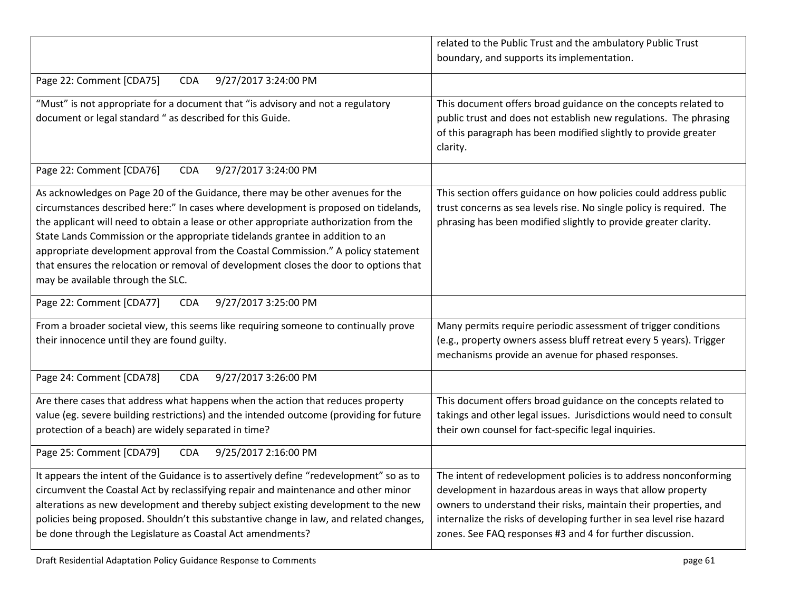|                                                                                                                                                                                                                                                                                                                                                                                                                                                                                                                                                                    | related to the Public Trust and the ambulatory Public Trust<br>boundary, and supports its implementation.                                                                                                                                                                                                                               |
|--------------------------------------------------------------------------------------------------------------------------------------------------------------------------------------------------------------------------------------------------------------------------------------------------------------------------------------------------------------------------------------------------------------------------------------------------------------------------------------------------------------------------------------------------------------------|-----------------------------------------------------------------------------------------------------------------------------------------------------------------------------------------------------------------------------------------------------------------------------------------------------------------------------------------|
|                                                                                                                                                                                                                                                                                                                                                                                                                                                                                                                                                                    |                                                                                                                                                                                                                                                                                                                                         |
| Page 22: Comment [CDA75]<br>9/27/2017 3:24:00 PM<br><b>CDA</b>                                                                                                                                                                                                                                                                                                                                                                                                                                                                                                     |                                                                                                                                                                                                                                                                                                                                         |
| "Must" is not appropriate for a document that "is advisory and not a regulatory<br>document or legal standard " as described for this Guide.                                                                                                                                                                                                                                                                                                                                                                                                                       | This document offers broad guidance on the concepts related to<br>public trust and does not establish new regulations. The phrasing<br>of this paragraph has been modified slightly to provide greater<br>clarity.                                                                                                                      |
| Page 22: Comment [CDA76]<br>9/27/2017 3:24:00 PM<br><b>CDA</b>                                                                                                                                                                                                                                                                                                                                                                                                                                                                                                     |                                                                                                                                                                                                                                                                                                                                         |
| As acknowledges on Page 20 of the Guidance, there may be other avenues for the<br>circumstances described here:" In cases where development is proposed on tidelands,<br>the applicant will need to obtain a lease or other appropriate authorization from the<br>State Lands Commission or the appropriate tidelands grantee in addition to an<br>appropriate development approval from the Coastal Commission." A policy statement<br>that ensures the relocation or removal of development closes the door to options that<br>may be available through the SLC. | This section offers guidance on how policies could address public<br>trust concerns as sea levels rise. No single policy is required. The<br>phrasing has been modified slightly to provide greater clarity.                                                                                                                            |
| Page 22: Comment [CDA77]<br>9/27/2017 3:25:00 PM<br><b>CDA</b>                                                                                                                                                                                                                                                                                                                                                                                                                                                                                                     |                                                                                                                                                                                                                                                                                                                                         |
| From a broader societal view, this seems like requiring someone to continually prove<br>their innocence until they are found guilty.                                                                                                                                                                                                                                                                                                                                                                                                                               | Many permits require periodic assessment of trigger conditions<br>(e.g., property owners assess bluff retreat every 5 years). Trigger<br>mechanisms provide an avenue for phased responses.                                                                                                                                             |
| 9/27/2017 3:26:00 PM<br>Page 24: Comment [CDA78]<br><b>CDA</b>                                                                                                                                                                                                                                                                                                                                                                                                                                                                                                     |                                                                                                                                                                                                                                                                                                                                         |
| Are there cases that address what happens when the action that reduces property<br>value (eg. severe building restrictions) and the intended outcome (providing for future<br>protection of a beach) are widely separated in time?                                                                                                                                                                                                                                                                                                                                 | This document offers broad guidance on the concepts related to<br>takings and other legal issues. Jurisdictions would need to consult<br>their own counsel for fact-specific legal inquiries.                                                                                                                                           |
| Page 25: Comment [CDA79]<br>9/25/2017 2:16:00 PM<br><b>CDA</b>                                                                                                                                                                                                                                                                                                                                                                                                                                                                                                     |                                                                                                                                                                                                                                                                                                                                         |
| It appears the intent of the Guidance is to assertively define "redevelopment" so as to<br>circumvent the Coastal Act by reclassifying repair and maintenance and other minor<br>alterations as new development and thereby subject existing development to the new<br>policies being proposed. Shouldn't this substantive change in law, and related changes,<br>be done through the Legislature as Coastal Act amendments?                                                                                                                                       | The intent of redevelopment policies is to address nonconforming<br>development in hazardous areas in ways that allow property<br>owners to understand their risks, maintain their properties, and<br>internalize the risks of developing further in sea level rise hazard<br>zones. See FAQ responses #3 and 4 for further discussion. |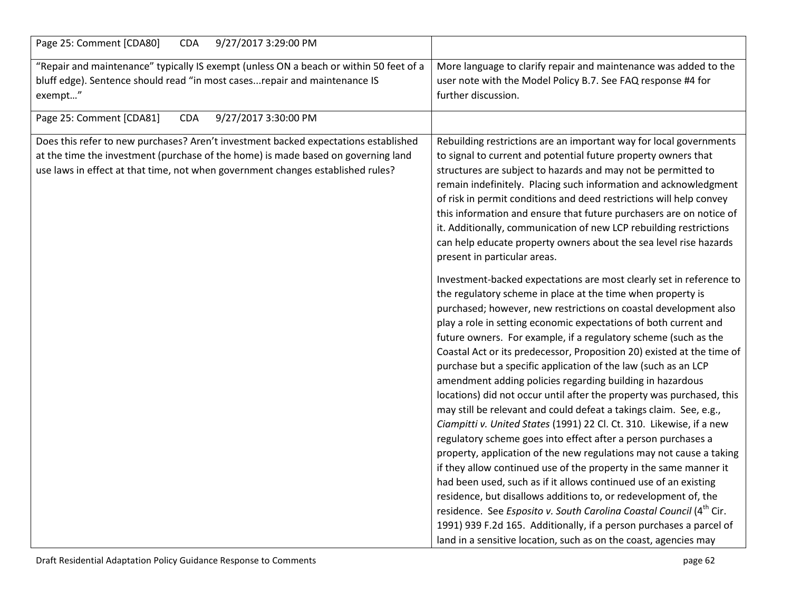| Page 25: Comment [CDA80]<br><b>CDA</b><br>9/27/2017 3:29:00 PM                                                                                                                                                                                              |                                                                                                                                                                                                                                                                                                                                                                                                                                                                                                                                                                                                                                                                                                                                                                                                                                                                                                                                                                                                                                                                                                                                                                                                                                                                                                                                                                 |
|-------------------------------------------------------------------------------------------------------------------------------------------------------------------------------------------------------------------------------------------------------------|-----------------------------------------------------------------------------------------------------------------------------------------------------------------------------------------------------------------------------------------------------------------------------------------------------------------------------------------------------------------------------------------------------------------------------------------------------------------------------------------------------------------------------------------------------------------------------------------------------------------------------------------------------------------------------------------------------------------------------------------------------------------------------------------------------------------------------------------------------------------------------------------------------------------------------------------------------------------------------------------------------------------------------------------------------------------------------------------------------------------------------------------------------------------------------------------------------------------------------------------------------------------------------------------------------------------------------------------------------------------|
| "Repair and maintenance" typically IS exempt (unless ON a beach or within 50 feet of a<br>bluff edge). Sentence should read "in most cases repair and maintenance IS<br>exempt"                                                                             | More language to clarify repair and maintenance was added to the<br>user note with the Model Policy B.7. See FAQ response #4 for<br>further discussion.                                                                                                                                                                                                                                                                                                                                                                                                                                                                                                                                                                                                                                                                                                                                                                                                                                                                                                                                                                                                                                                                                                                                                                                                         |
| Page 25: Comment [CDA81]<br>9/27/2017 3:30:00 PM<br><b>CDA</b>                                                                                                                                                                                              |                                                                                                                                                                                                                                                                                                                                                                                                                                                                                                                                                                                                                                                                                                                                                                                                                                                                                                                                                                                                                                                                                                                                                                                                                                                                                                                                                                 |
| Does this refer to new purchases? Aren't investment backed expectations established<br>at the time the investment (purchase of the home) is made based on governing land<br>use laws in effect at that time, not when government changes established rules? | Rebuilding restrictions are an important way for local governments<br>to signal to current and potential future property owners that<br>structures are subject to hazards and may not be permitted to<br>remain indefinitely. Placing such information and acknowledgment<br>of risk in permit conditions and deed restrictions will help convey<br>this information and ensure that future purchasers are on notice of<br>it. Additionally, communication of new LCP rebuilding restrictions<br>can help educate property owners about the sea level rise hazards<br>present in particular areas.                                                                                                                                                                                                                                                                                                                                                                                                                                                                                                                                                                                                                                                                                                                                                              |
|                                                                                                                                                                                                                                                             | Investment-backed expectations are most clearly set in reference to<br>the regulatory scheme in place at the time when property is<br>purchased; however, new restrictions on coastal development also<br>play a role in setting economic expectations of both current and<br>future owners. For example, if a regulatory scheme (such as the<br>Coastal Act or its predecessor, Proposition 20) existed at the time of<br>purchase but a specific application of the law (such as an LCP<br>amendment adding policies regarding building in hazardous<br>locations) did not occur until after the property was purchased, this<br>may still be relevant and could defeat a takings claim. See, e.g.,<br>Ciampitti v. United States (1991) 22 Cl. Ct. 310. Likewise, if a new<br>regulatory scheme goes into effect after a person purchases a<br>property, application of the new regulations may not cause a taking<br>if they allow continued use of the property in the same manner it<br>had been used, such as if it allows continued use of an existing<br>residence, but disallows additions to, or redevelopment of, the<br>residence. See Esposito v. South Carolina Coastal Council (4 <sup>th</sup> Cir.<br>1991) 939 F.2d 165. Additionally, if a person purchases a parcel of<br>land in a sensitive location, such as on the coast, agencies may |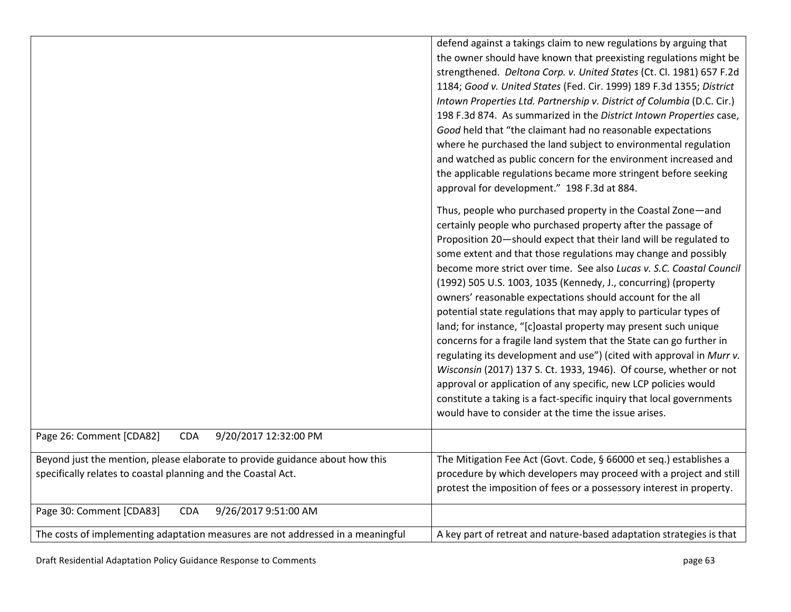|                                                                                                                                               | defend against a takings claim to new regulations by arguing that<br>the owner should have known that preexisting regulations might be<br>strengthened. Deltona Corp. v. United States (Ct. Cl. 1981) 657 F.2d<br>1184; Good v. United States (Fed. Cir. 1999) 189 F.3d 1355; District<br>Intown Properties Ltd. Partnership v. District of Columbia (D.C. Cir.)<br>198 F.3d 874. As summarized in the District Intown Properties case,<br>Good held that "the claimant had no reasonable expectations<br>where he purchased the land subject to environmental regulation<br>and watched as public concern for the environment increased and<br>the applicable regulations became more stringent before seeking                                                                                                                                                                                                                                                              |
|-----------------------------------------------------------------------------------------------------------------------------------------------|------------------------------------------------------------------------------------------------------------------------------------------------------------------------------------------------------------------------------------------------------------------------------------------------------------------------------------------------------------------------------------------------------------------------------------------------------------------------------------------------------------------------------------------------------------------------------------------------------------------------------------------------------------------------------------------------------------------------------------------------------------------------------------------------------------------------------------------------------------------------------------------------------------------------------------------------------------------------------|
|                                                                                                                                               | approval for development." 198 F.3d at 884.<br>Thus, people who purchased property in the Coastal Zone-and                                                                                                                                                                                                                                                                                                                                                                                                                                                                                                                                                                                                                                                                                                                                                                                                                                                                   |
|                                                                                                                                               | certainly people who purchased property after the passage of<br>Proposition 20-should expect that their land will be regulated to<br>some extent and that those regulations may change and possibly<br>become more strict over time. See also Lucas v. S.C. Coastal Council<br>(1992) 505 U.S. 1003, 1035 (Kennedy, J., concurring) (property<br>owners' reasonable expectations should account for the all<br>potential state regulations that may apply to particular types of<br>land; for instance, "[c]oastal property may present such unique<br>concerns for a fragile land system that the State can go further in<br>regulating its development and use") (cited with approval in Murr v.<br>Wisconsin (2017) 137 S. Ct. 1933, 1946). Of course, whether or not<br>approval or application of any specific, new LCP policies would<br>constitute a taking is a fact-specific inquiry that local governments<br>would have to consider at the time the issue arises. |
| Page 26: Comment [CDA82]<br>9/20/2017 12:32:00 PM<br><b>CDA</b>                                                                               |                                                                                                                                                                                                                                                                                                                                                                                                                                                                                                                                                                                                                                                                                                                                                                                                                                                                                                                                                                              |
| Beyond just the mention, please elaborate to provide guidance about how this<br>specifically relates to coastal planning and the Coastal Act. | The Mitigation Fee Act (Govt. Code, § 66000 et seq.) establishes a<br>procedure by which developers may proceed with a project and still<br>protest the imposition of fees or a possessory interest in property.                                                                                                                                                                                                                                                                                                                                                                                                                                                                                                                                                                                                                                                                                                                                                             |
| Page 30: Comment [CDA83]<br><b>CDA</b><br>9/26/2017 9:51:00 AM                                                                                |                                                                                                                                                                                                                                                                                                                                                                                                                                                                                                                                                                                                                                                                                                                                                                                                                                                                                                                                                                              |
| The costs of implementing adaptation measures are not addressed in a meaningful                                                               | A key part of retreat and nature-based adaptation strategies is that                                                                                                                                                                                                                                                                                                                                                                                                                                                                                                                                                                                                                                                                                                                                                                                                                                                                                                         |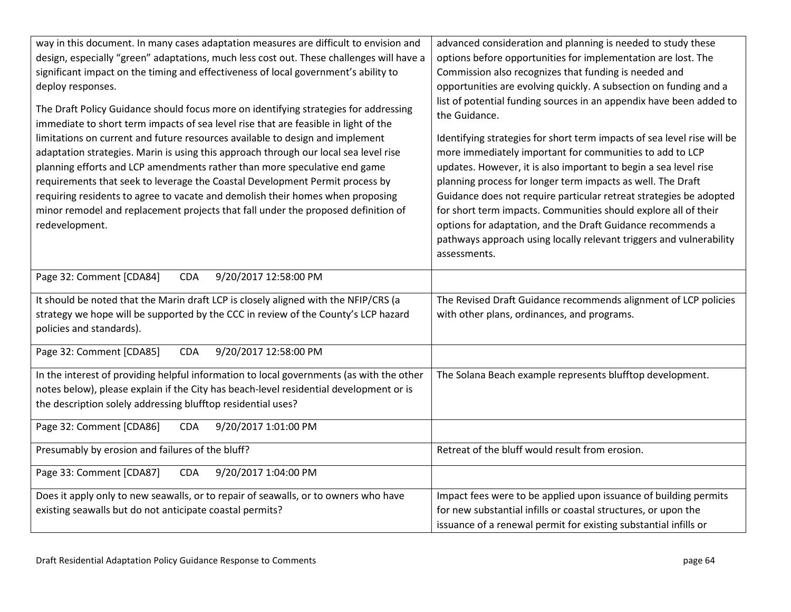| way in this document. In many cases adaptation measures are difficult to envision and                                                                                       | advanced consideration and planning is needed to study these                         |
|-----------------------------------------------------------------------------------------------------------------------------------------------------------------------------|--------------------------------------------------------------------------------------|
| design, especially "green" adaptations, much less cost out. These challenges will have a                                                                                    | options before opportunities for implementation are lost. The                        |
| significant impact on the timing and effectiveness of local government's ability to                                                                                         | Commission also recognizes that funding is needed and                                |
| deploy responses.                                                                                                                                                           | opportunities are evolving quickly. A subsection on funding and a                    |
| The Draft Policy Guidance should focus more on identifying strategies for addressing<br>immediate to short term impacts of sea level rise that are feasible in light of the | list of potential funding sources in an appendix have been added to<br>the Guidance. |
| limitations on current and future resources available to design and implement                                                                                               | Identifying strategies for short term impacts of sea level rise will be              |
| adaptation strategies. Marin is using this approach through our local sea level rise                                                                                        | more immediately important for communities to add to LCP                             |
| planning efforts and LCP amendments rather than more speculative end game                                                                                                   | updates. However, it is also important to begin a sea level rise                     |
| requirements that seek to leverage the Coastal Development Permit process by                                                                                                | planning process for longer term impacts as well. The Draft                          |
| requiring residents to agree to vacate and demolish their homes when proposing                                                                                              | Guidance does not require particular retreat strategies be adopted                   |
| minor remodel and replacement projects that fall under the proposed definition of                                                                                           | for short term impacts. Communities should explore all of their                      |
| redevelopment.                                                                                                                                                              | options for adaptation, and the Draft Guidance recommends a                          |
|                                                                                                                                                                             | pathways approach using locally relevant triggers and vulnerability                  |
|                                                                                                                                                                             | assessments.                                                                         |
| 9/20/2017 12:58:00 PM<br>Page 32: Comment [CDA84]<br><b>CDA</b>                                                                                                             |                                                                                      |
|                                                                                                                                                                             |                                                                                      |
| It should be noted that the Marin draft LCP is closely aligned with the NFIP/CRS (a                                                                                         | The Revised Draft Guidance recommends alignment of LCP policies                      |
| strategy we hope will be supported by the CCC in review of the County's LCP hazard                                                                                          | with other plans, ordinances, and programs.                                          |
| policies and standards).                                                                                                                                                    |                                                                                      |
| 9/20/2017 12:58:00 PM<br>Page 32: Comment [CDA85]<br><b>CDA</b>                                                                                                             |                                                                                      |
|                                                                                                                                                                             |                                                                                      |
| In the interest of providing helpful information to local governments (as with the other                                                                                    | The Solana Beach example represents blufftop development.                            |
| notes below), please explain if the City has beach-level residential development or is                                                                                      |                                                                                      |
| the description solely addressing blufftop residential uses?                                                                                                                |                                                                                      |
|                                                                                                                                                                             |                                                                                      |
| Page 32: Comment [CDA86]<br>9/20/2017 1:01:00 PM<br><b>CDA</b>                                                                                                              |                                                                                      |
| Presumably by erosion and failures of the bluff?                                                                                                                            | Retreat of the bluff would result from erosion.                                      |
|                                                                                                                                                                             |                                                                                      |
| 9/20/2017 1:04:00 PM<br>Page 33: Comment [CDA87]<br><b>CDA</b>                                                                                                              |                                                                                      |
| Does it apply only to new seawalls, or to repair of seawalls, or to owners who have                                                                                         | Impact fees were to be applied upon issuance of building permits                     |
| existing seawalls but do not anticipate coastal permits?                                                                                                                    | for new substantial infills or coastal structures, or upon the                       |
|                                                                                                                                                                             | issuance of a renewal permit for existing substantial infills or                     |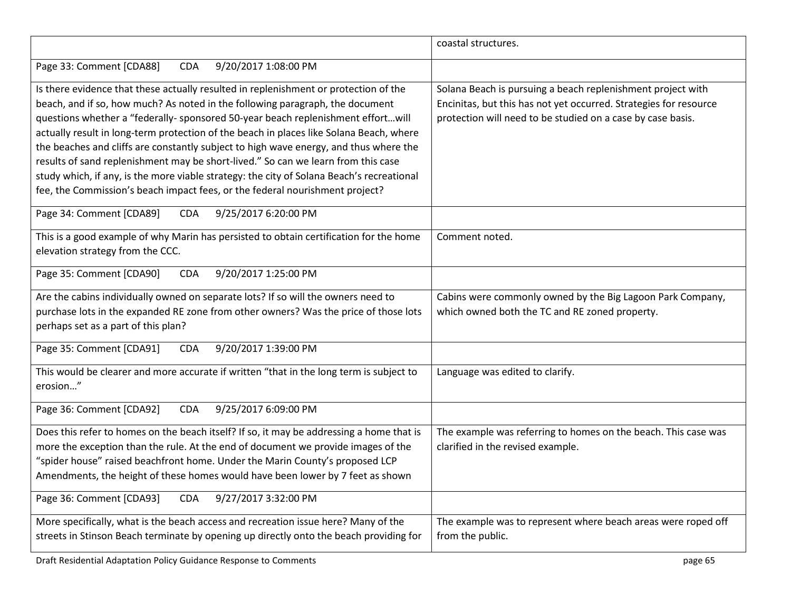|                                                                                                                                                                                                                                                                                                                                                                                                                                                                                                                                                                                                                                                                                                                 | coastal structures.                                                                                                                                                                             |
|-----------------------------------------------------------------------------------------------------------------------------------------------------------------------------------------------------------------------------------------------------------------------------------------------------------------------------------------------------------------------------------------------------------------------------------------------------------------------------------------------------------------------------------------------------------------------------------------------------------------------------------------------------------------------------------------------------------------|-------------------------------------------------------------------------------------------------------------------------------------------------------------------------------------------------|
| 9/20/2017 1:08:00 PM<br>Page 33: Comment [CDA88]<br><b>CDA</b>                                                                                                                                                                                                                                                                                                                                                                                                                                                                                                                                                                                                                                                  |                                                                                                                                                                                                 |
| Is there evidence that these actually resulted in replenishment or protection of the<br>beach, and if so, how much? As noted in the following paragraph, the document<br>questions whether a "federally- sponsored 50-year beach replenishment effortwill<br>actually result in long-term protection of the beach in places like Solana Beach, where<br>the beaches and cliffs are constantly subject to high wave energy, and thus where the<br>results of sand replenishment may be short-lived." So can we learn from this case<br>study which, if any, is the more viable strategy: the city of Solana Beach's recreational<br>fee, the Commission's beach impact fees, or the federal nourishment project? | Solana Beach is pursuing a beach replenishment project with<br>Encinitas, but this has not yet occurred. Strategies for resource<br>protection will need to be studied on a case by case basis. |
| Page 34: Comment [CDA89]<br><b>CDA</b><br>9/25/2017 6:20:00 PM                                                                                                                                                                                                                                                                                                                                                                                                                                                                                                                                                                                                                                                  |                                                                                                                                                                                                 |
| This is a good example of why Marin has persisted to obtain certification for the home<br>elevation strategy from the CCC.                                                                                                                                                                                                                                                                                                                                                                                                                                                                                                                                                                                      | Comment noted.                                                                                                                                                                                  |
| Page 35: Comment [CDA90]<br><b>CDA</b><br>9/20/2017 1:25:00 PM                                                                                                                                                                                                                                                                                                                                                                                                                                                                                                                                                                                                                                                  |                                                                                                                                                                                                 |
| Are the cabins individually owned on separate lots? If so will the owners need to<br>purchase lots in the expanded RE zone from other owners? Was the price of those lots<br>perhaps set as a part of this plan?                                                                                                                                                                                                                                                                                                                                                                                                                                                                                                | Cabins were commonly owned by the Big Lagoon Park Company,<br>which owned both the TC and RE zoned property.                                                                                    |
| Page 35: Comment [CDA91]<br><b>CDA</b><br>9/20/2017 1:39:00 PM                                                                                                                                                                                                                                                                                                                                                                                                                                                                                                                                                                                                                                                  |                                                                                                                                                                                                 |
| This would be clearer and more accurate if written "that in the long term is subject to<br>erosion"                                                                                                                                                                                                                                                                                                                                                                                                                                                                                                                                                                                                             | Language was edited to clarify.                                                                                                                                                                 |
| 9/25/2017 6:09:00 PM<br>Page 36: Comment [CDA92]<br><b>CDA</b>                                                                                                                                                                                                                                                                                                                                                                                                                                                                                                                                                                                                                                                  |                                                                                                                                                                                                 |
| Does this refer to homes on the beach itself? If so, it may be addressing a home that is<br>more the exception than the rule. At the end of document we provide images of the<br>"spider house" raised beachfront home. Under the Marin County's proposed LCP<br>Amendments, the height of these homes would have been lower by 7 feet as shown                                                                                                                                                                                                                                                                                                                                                                 | The example was referring to homes on the beach. This case was<br>clarified in the revised example.                                                                                             |
| Page 36: Comment [CDA93]<br><b>CDA</b><br>9/27/2017 3:32:00 PM                                                                                                                                                                                                                                                                                                                                                                                                                                                                                                                                                                                                                                                  |                                                                                                                                                                                                 |
| More specifically, what is the beach access and recreation issue here? Many of the<br>streets in Stinson Beach terminate by opening up directly onto the beach providing for                                                                                                                                                                                                                                                                                                                                                                                                                                                                                                                                    | The example was to represent where beach areas were roped off<br>from the public.                                                                                                               |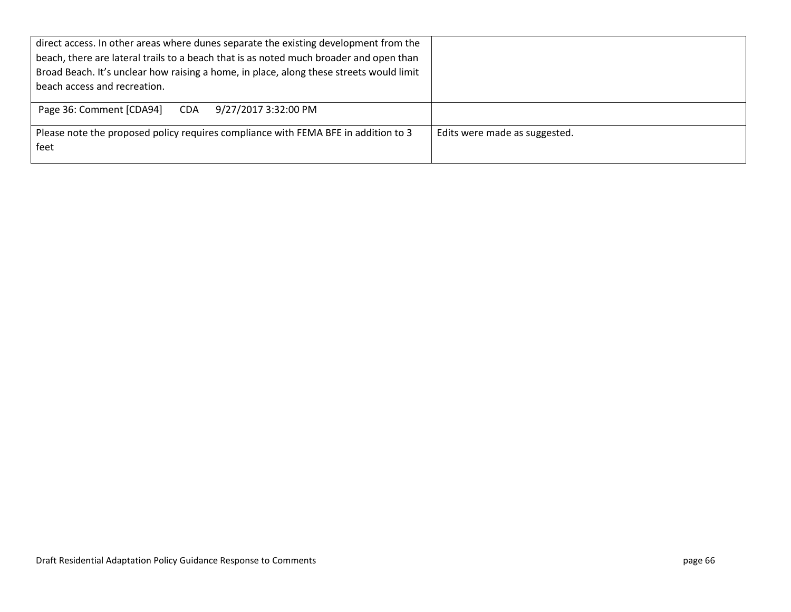| direct access. In other areas where dunes separate the existing development from the       |                               |
|--------------------------------------------------------------------------------------------|-------------------------------|
| beach, there are lateral trails to a beach that is as noted much broader and open than     |                               |
| Broad Beach. It's unclear how raising a home, in place, along these streets would limit    |                               |
| beach access and recreation.                                                               |                               |
| Page 36: Comment [CDA94]<br>9/27/2017 3:32:00 PM<br><b>CDA</b>                             |                               |
| Please note the proposed policy requires compliance with FEMA BFE in addition to 3<br>feet | Edits were made as suggested. |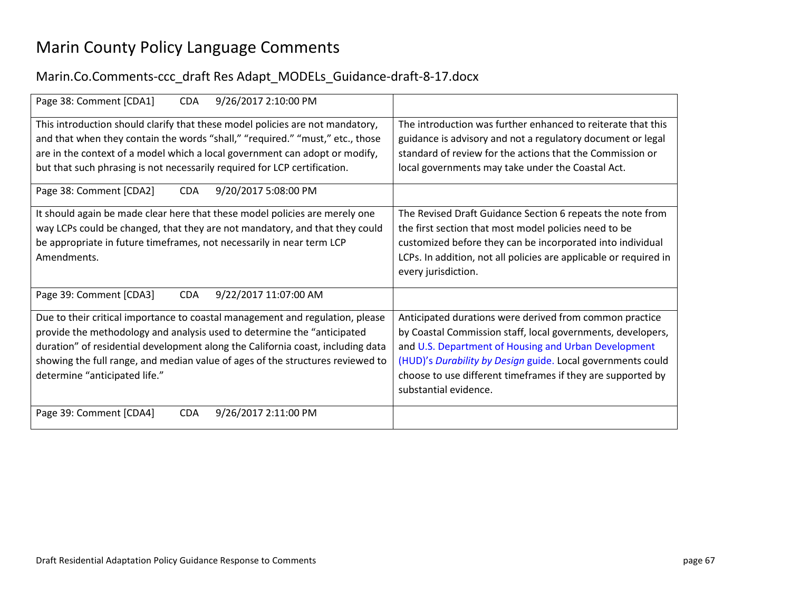## Marin County Policy Language Comments

## Marin.Co.Comments-ccc\_draft Res Adapt\_MODELs\_Guidance-draft-8-17.docx

| Page 38: Comment [CDA1]<br>9/26/2017 2:10:00 PM<br><b>CDA</b>                   |                                                                   |
|---------------------------------------------------------------------------------|-------------------------------------------------------------------|
| This introduction should clarify that these model policies are not mandatory,   | The introduction was further enhanced to reiterate that this      |
| and that when they contain the words "shall," "required." "must," etc., those   | guidance is advisory and not a regulatory document or legal       |
| are in the context of a model which a local government can adopt or modify,     | standard of review for the actions that the Commission or         |
| but that such phrasing is not necessarily required for LCP certification.       | local governments may take under the Coastal Act.                 |
|                                                                                 |                                                                   |
| Page 38: Comment [CDA2]<br>9/20/2017 5:08:00 PM<br><b>CDA</b>                   |                                                                   |
|                                                                                 |                                                                   |
| It should again be made clear here that these model policies are merely one     | The Revised Draft Guidance Section 6 repeats the note from        |
| way LCPs could be changed, that they are not mandatory, and that they could     | the first section that most model policies need to be             |
| be appropriate in future timeframes, not necessarily in near term LCP           | customized before they can be incorporated into individual        |
| Amendments.                                                                     | LCPs. In addition, not all policies are applicable or required in |
|                                                                                 | every jurisdiction.                                               |
|                                                                                 |                                                                   |
| Page 39: Comment [CDA3]<br><b>CDA</b><br>9/22/2017 11:07:00 AM                  |                                                                   |
|                                                                                 |                                                                   |
| Due to their critical importance to coastal management and regulation, please   | Anticipated durations were derived from common practice           |
| provide the methodology and analysis used to determine the "anticipated         | by Coastal Commission staff, local governments, developers,       |
| duration" of residential development along the California coast, including data | and U.S. Department of Housing and Urban Development              |
| showing the full range, and median value of ages of the structures reviewed to  | (HUD)'s Durability by Design guide. Local governments could       |
| determine "anticipated life."                                                   | choose to use different timeframes if they are supported by       |
|                                                                                 | substantial evidence.                                             |
|                                                                                 |                                                                   |
| Page 39: Comment [CDA4]<br><b>CDA</b><br>9/26/2017 2:11:00 PM                   |                                                                   |
|                                                                                 |                                                                   |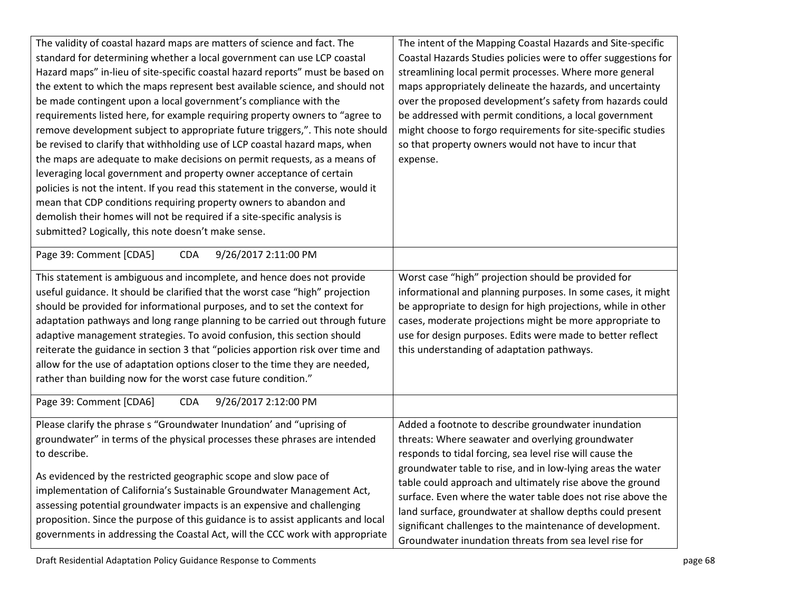| The validity of coastal hazard maps are matters of science and fact. The<br>standard for determining whether a local government can use LCP coastal<br>Hazard maps" in-lieu of site-specific coastal hazard reports" must be based on<br>the extent to which the maps represent best available science, and should not<br>be made contingent upon a local government's compliance with the<br>requirements listed here, for example requiring property owners to "agree to<br>remove development subject to appropriate future triggers,". This note should<br>be revised to clarify that withholding use of LCP coastal hazard maps, when<br>the maps are adequate to make decisions on permit requests, as a means of<br>leveraging local government and property owner acceptance of certain<br>policies is not the intent. If you read this statement in the converse, would it<br>mean that CDP conditions requiring property owners to abandon and<br>demolish their homes will not be required if a site-specific analysis is<br>submitted? Logically, this note doesn't make sense.<br>Page 39: Comment [CDA5]<br><b>CDA</b><br>9/26/2017 2:11:00 PM<br>This statement is ambiguous and incomplete, and hence does not provide<br>useful guidance. It should be clarified that the worst case "high" projection<br>should be provided for informational purposes, and to set the context for<br>adaptation pathways and long range planning to be carried out through future | The intent of the Mapping Coastal Hazards and Site-specific<br>Coastal Hazards Studies policies were to offer suggestions for<br>streamlining local permit processes. Where more general<br>maps appropriately delineate the hazards, and uncertainty<br>over the proposed development's safety from hazards could<br>be addressed with permit conditions, a local government<br>might choose to forgo requirements for site-specific studies<br>so that property owners would not have to incur that<br>expense.<br>Worst case "high" projection should be provided for<br>informational and planning purposes. In some cases, it might<br>be appropriate to design for high projections, while in other<br>cases, moderate projections might be more appropriate to |
|--------------------------------------------------------------------------------------------------------------------------------------------------------------------------------------------------------------------------------------------------------------------------------------------------------------------------------------------------------------------------------------------------------------------------------------------------------------------------------------------------------------------------------------------------------------------------------------------------------------------------------------------------------------------------------------------------------------------------------------------------------------------------------------------------------------------------------------------------------------------------------------------------------------------------------------------------------------------------------------------------------------------------------------------------------------------------------------------------------------------------------------------------------------------------------------------------------------------------------------------------------------------------------------------------------------------------------------------------------------------------------------------------------------------------------------------------------------------------------------|-----------------------------------------------------------------------------------------------------------------------------------------------------------------------------------------------------------------------------------------------------------------------------------------------------------------------------------------------------------------------------------------------------------------------------------------------------------------------------------------------------------------------------------------------------------------------------------------------------------------------------------------------------------------------------------------------------------------------------------------------------------------------|
| adaptive management strategies. To avoid confusion, this section should<br>reiterate the guidance in section 3 that "policies apportion risk over time and<br>allow for the use of adaptation options closer to the time they are needed,<br>rather than building now for the worst case future condition."                                                                                                                                                                                                                                                                                                                                                                                                                                                                                                                                                                                                                                                                                                                                                                                                                                                                                                                                                                                                                                                                                                                                                                          | use for design purposes. Edits were made to better reflect<br>this understanding of adaptation pathways.                                                                                                                                                                                                                                                                                                                                                                                                                                                                                                                                                                                                                                                              |
| Page 39: Comment [CDA6]<br><b>CDA</b><br>9/26/2017 2:12:00 PM                                                                                                                                                                                                                                                                                                                                                                                                                                                                                                                                                                                                                                                                                                                                                                                                                                                                                                                                                                                                                                                                                                                                                                                                                                                                                                                                                                                                                        |                                                                                                                                                                                                                                                                                                                                                                                                                                                                                                                                                                                                                                                                                                                                                                       |
| Please clarify the phrase s "Groundwater Inundation' and "uprising of<br>groundwater" in terms of the physical processes these phrases are intended<br>to describe.<br>As evidenced by the restricted geographic scope and slow pace of<br>implementation of California's Sustainable Groundwater Management Act,<br>assessing potential groundwater impacts is an expensive and challenging<br>proposition. Since the purpose of this guidance is to assist applicants and local<br>governments in addressing the Coastal Act, will the CCC work with appropriate                                                                                                                                                                                                                                                                                                                                                                                                                                                                                                                                                                                                                                                                                                                                                                                                                                                                                                                   | Added a footnote to describe groundwater inundation<br>threats: Where seawater and overlying groundwater<br>responds to tidal forcing, sea level rise will cause the<br>groundwater table to rise, and in low-lying areas the water<br>table could approach and ultimately rise above the ground<br>surface. Even where the water table does not rise above the<br>land surface, groundwater at shallow depths could present<br>significant challenges to the maintenance of development.<br>Groundwater inundation threats from sea level rise for                                                                                                                                                                                                                   |

Draft Residential Adaptation Policy Guidance Response to Comments **page 68** page 68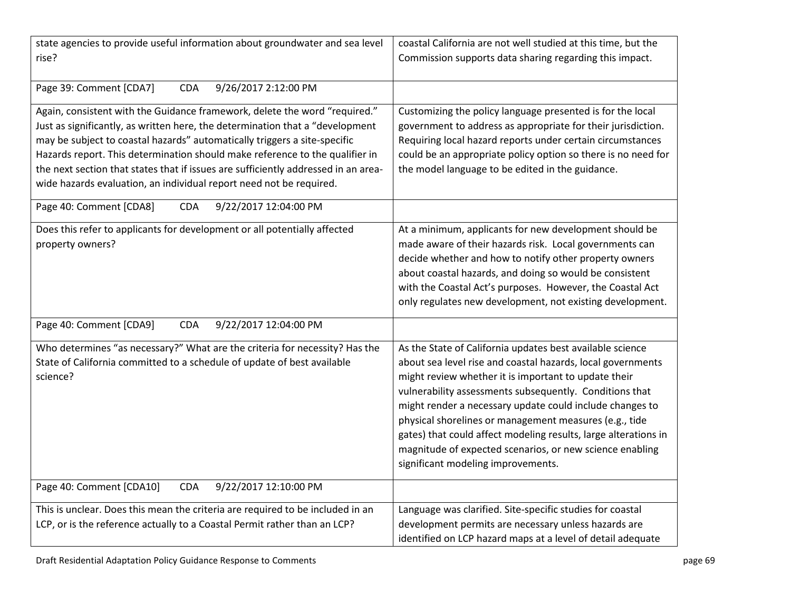| state agencies to provide useful information about groundwater and sea level       | coastal California are not well studied at this time, but the   |
|------------------------------------------------------------------------------------|-----------------------------------------------------------------|
| rise?                                                                              | Commission supports data sharing regarding this impact.         |
|                                                                                    |                                                                 |
| <b>CDA</b>                                                                         |                                                                 |
| Page 39: Comment [CDA7]<br>9/26/2017 2:12:00 PM                                    |                                                                 |
| Again, consistent with the Guidance framework, delete the word "required."         | Customizing the policy language presented is for the local      |
| Just as significantly, as written here, the determination that a "development      | government to address as appropriate for their jurisdiction.    |
| may be subject to coastal hazards" automatically triggers a site-specific          | Requiring local hazard reports under certain circumstances      |
| Hazards report. This determination should make reference to the qualifier in       | could be an appropriate policy option so there is no need for   |
| the next section that states that if issues are sufficiently addressed in an area- |                                                                 |
|                                                                                    | the model language to be edited in the guidance.                |
| wide hazards evaluation, an individual report need not be required.                |                                                                 |
| Page 40: Comment [CDA8]<br><b>CDA</b><br>9/22/2017 12:04:00 PM                     |                                                                 |
|                                                                                    |                                                                 |
| Does this refer to applicants for development or all potentially affected          | At a minimum, applicants for new development should be          |
| property owners?                                                                   | made aware of their hazards risk. Local governments can         |
|                                                                                    | decide whether and how to notify other property owners          |
|                                                                                    | about coastal hazards, and doing so would be consistent         |
|                                                                                    | with the Coastal Act's purposes. However, the Coastal Act       |
|                                                                                    | only regulates new development, not existing development.       |
|                                                                                    |                                                                 |
| 9/22/2017 12:04:00 PM<br>Page 40: Comment [CDA9]<br><b>CDA</b>                     |                                                                 |
| Who determines "as necessary?" What are the criteria for necessity? Has the        | As the State of California updates best available science       |
| State of California committed to a schedule of update of best available            | about sea level rise and coastal hazards, local governments     |
| science?                                                                           | might review whether it is important to update their            |
|                                                                                    | vulnerability assessments subsequently. Conditions that         |
|                                                                                    |                                                                 |
|                                                                                    | might render a necessary update could include changes to        |
|                                                                                    | physical shorelines or management measures (e.g., tide          |
|                                                                                    | gates) that could affect modeling results, large alterations in |
|                                                                                    | magnitude of expected scenarios, or new science enabling        |
|                                                                                    | significant modeling improvements.                              |
| Page 40: Comment [CDA10]<br>9/22/2017 12:10:00 PM<br><b>CDA</b>                    |                                                                 |
|                                                                                    |                                                                 |
| This is unclear. Does this mean the criteria are required to be included in an     | Language was clarified. Site-specific studies for coastal       |
| LCP, or is the reference actually to a Coastal Permit rather than an LCP?          | development permits are necessary unless hazards are            |
|                                                                                    | identified on LCP hazard maps at a level of detail adequate     |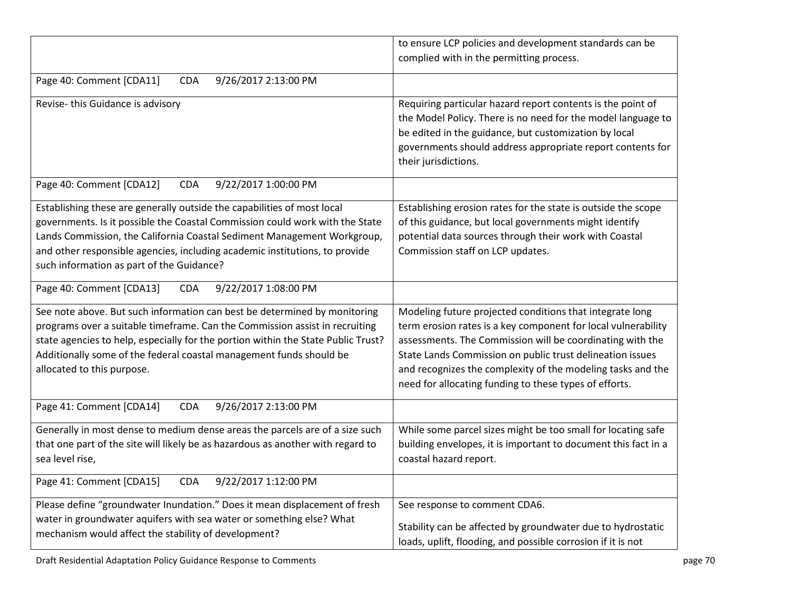|                                                                                                                                                                                                                                                                                                                                                                | to ensure LCP policies and development standards can be<br>complied with in the permitting process.                                                                                                                                                                                                                                                                          |
|----------------------------------------------------------------------------------------------------------------------------------------------------------------------------------------------------------------------------------------------------------------------------------------------------------------------------------------------------------------|------------------------------------------------------------------------------------------------------------------------------------------------------------------------------------------------------------------------------------------------------------------------------------------------------------------------------------------------------------------------------|
| Page 40: Comment [CDA11]<br>9/26/2017 2:13:00 PM<br><b>CDA</b>                                                                                                                                                                                                                                                                                                 |                                                                                                                                                                                                                                                                                                                                                                              |
| Revise-this Guidance is advisory                                                                                                                                                                                                                                                                                                                               | Requiring particular hazard report contents is the point of<br>the Model Policy. There is no need for the model language to<br>be edited in the guidance, but customization by local<br>governments should address appropriate report contents for<br>their jurisdictions.                                                                                                   |
| Page 40: Comment [CDA12]<br>9/22/2017 1:00:00 PM<br><b>CDA</b>                                                                                                                                                                                                                                                                                                 |                                                                                                                                                                                                                                                                                                                                                                              |
| Establishing these are generally outside the capabilities of most local<br>governments. Is it possible the Coastal Commission could work with the State<br>Lands Commission, the California Coastal Sediment Management Workgroup,<br>and other responsible agencies, including academic institutions, to provide<br>such information as part of the Guidance? | Establishing erosion rates for the state is outside the scope<br>of this guidance, but local governments might identify<br>potential data sources through their work with Coastal<br>Commission staff on LCP updates.                                                                                                                                                        |
| Page 40: Comment [CDA13]<br>9/22/2017 1:08:00 PM<br><b>CDA</b>                                                                                                                                                                                                                                                                                                 |                                                                                                                                                                                                                                                                                                                                                                              |
| See note above. But such information can best be determined by monitoring<br>programs over a suitable timeframe. Can the Commission assist in recruiting<br>state agencies to help, especially for the portion within the State Public Trust?<br>Additionally some of the federal coastal management funds should be<br>allocated to this purpose.             | Modeling future projected conditions that integrate long<br>term erosion rates is a key component for local vulnerability<br>assessments. The Commission will be coordinating with the<br>State Lands Commission on public trust delineation issues<br>and recognizes the complexity of the modeling tasks and the<br>need for allocating funding to these types of efforts. |
| Page 41: Comment [CDA14]<br>9/26/2017 2:13:00 PM<br><b>CDA</b>                                                                                                                                                                                                                                                                                                 |                                                                                                                                                                                                                                                                                                                                                                              |
| Generally in most dense to medium dense areas the parcels are of a size such<br>that one part of the site will likely be as hazardous as another with regard to<br>sea level rise,                                                                                                                                                                             | While some parcel sizes might be too small for locating safe<br>building envelopes, it is important to document this fact in a<br>coastal hazard report.                                                                                                                                                                                                                     |
| Page 41: Comment [CDA15]<br>9/22/2017 1:12:00 PM<br><b>CDA</b>                                                                                                                                                                                                                                                                                                 |                                                                                                                                                                                                                                                                                                                                                                              |
| Please define "groundwater Inundation." Does it mean displacement of fresh<br>water in groundwater aquifers with sea water or something else? What<br>mechanism would affect the stability of development?                                                                                                                                                     | See response to comment CDA6.<br>Stability can be affected by groundwater due to hydrostatic<br>loads, uplift, flooding, and possible corrosion if it is not                                                                                                                                                                                                                 |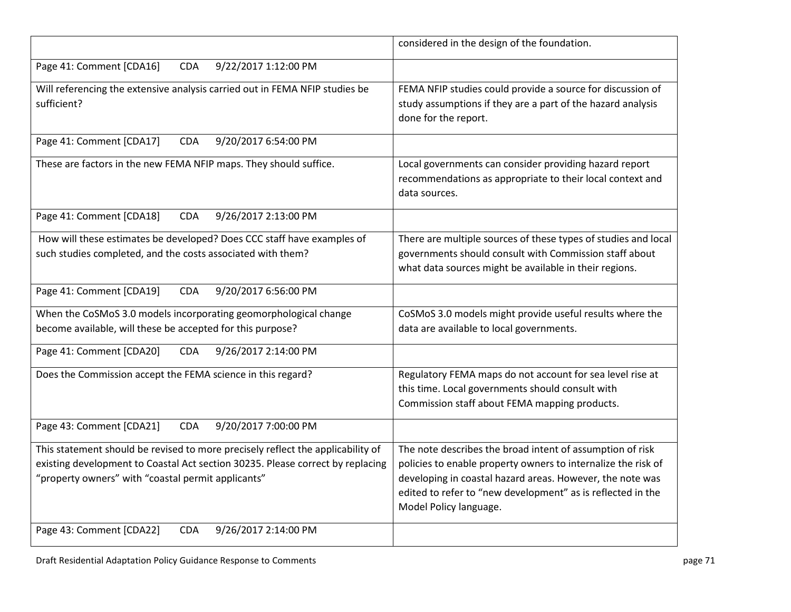|                                                                                                                                                                                                                         | considered in the design of the foundation.                                                                                                                                                                                                                                      |
|-------------------------------------------------------------------------------------------------------------------------------------------------------------------------------------------------------------------------|----------------------------------------------------------------------------------------------------------------------------------------------------------------------------------------------------------------------------------------------------------------------------------|
| 9/22/2017 1:12:00 PM<br>Page 41: Comment [CDA16]<br><b>CDA</b>                                                                                                                                                          |                                                                                                                                                                                                                                                                                  |
| Will referencing the extensive analysis carried out in FEMA NFIP studies be<br>sufficient?                                                                                                                              | FEMA NFIP studies could provide a source for discussion of<br>study assumptions if they are a part of the hazard analysis<br>done for the report.                                                                                                                                |
| Page 41: Comment [CDA17]<br>9/20/2017 6:54:00 PM<br><b>CDA</b>                                                                                                                                                          |                                                                                                                                                                                                                                                                                  |
| These are factors in the new FEMA NFIP maps. They should suffice.                                                                                                                                                       | Local governments can consider providing hazard report<br>recommendations as appropriate to their local context and<br>data sources.                                                                                                                                             |
| Page 41: Comment [CDA18]<br>9/26/2017 2:13:00 PM<br><b>CDA</b>                                                                                                                                                          |                                                                                                                                                                                                                                                                                  |
| How will these estimates be developed? Does CCC staff have examples of<br>such studies completed, and the costs associated with them?                                                                                   | There are multiple sources of these types of studies and local<br>governments should consult with Commission staff about<br>what data sources might be available in their regions.                                                                                               |
| Page 41: Comment [CDA19]<br>9/20/2017 6:56:00 PM<br><b>CDA</b>                                                                                                                                                          |                                                                                                                                                                                                                                                                                  |
| When the CoSMoS 3.0 models incorporating geomorphological change<br>become available, will these be accepted for this purpose?                                                                                          | CoSMoS 3.0 models might provide useful results where the<br>data are available to local governments.                                                                                                                                                                             |
| Page 41: Comment [CDA20]<br>9/26/2017 2:14:00 PM<br><b>CDA</b>                                                                                                                                                          |                                                                                                                                                                                                                                                                                  |
| Does the Commission accept the FEMA science in this regard?                                                                                                                                                             | Regulatory FEMA maps do not account for sea level rise at<br>this time. Local governments should consult with<br>Commission staff about FEMA mapping products.                                                                                                                   |
| Page 43: Comment [CDA21]<br>9/20/2017 7:00:00 PM<br><b>CDA</b>                                                                                                                                                          |                                                                                                                                                                                                                                                                                  |
| This statement should be revised to more precisely reflect the applicability of<br>existing development to Coastal Act section 30235. Please correct by replacing<br>"property owners" with "coastal permit applicants" | The note describes the broad intent of assumption of risk<br>policies to enable property owners to internalize the risk of<br>developing in coastal hazard areas. However, the note was<br>edited to refer to "new development" as is reflected in the<br>Model Policy language. |
| Page 43: Comment [CDA22]<br>9/26/2017 2:14:00 PM<br><b>CDA</b>                                                                                                                                                          |                                                                                                                                                                                                                                                                                  |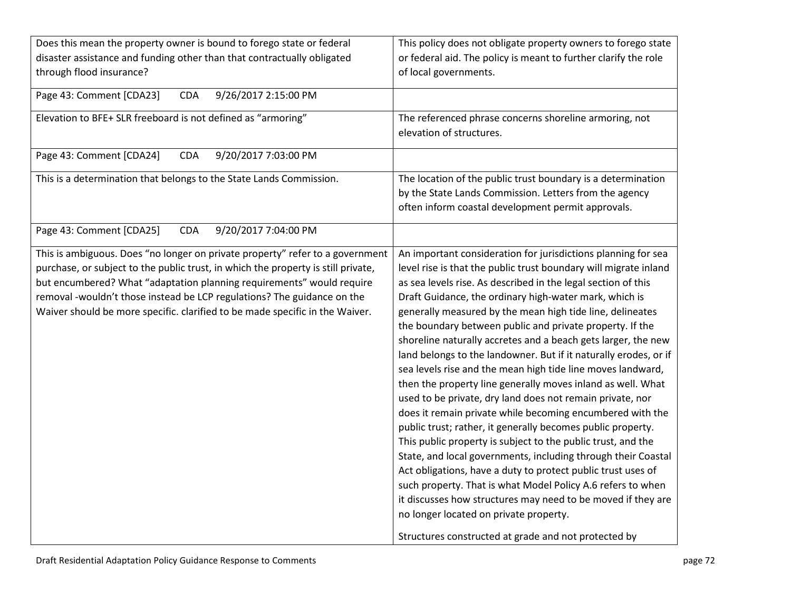| Does this mean the property owner is bound to forego state or federal<br>disaster assistance and funding other than that contractually obligated<br>through flood insurance?                                                                                                                                                                                                                           | This policy does not obligate property owners to forego state<br>or federal aid. The policy is meant to further clarify the role<br>of local governments.                                                                                                                                                                                                                                                                                                                                                                                                                                                                                                                                                                                                                                                                                                                                                                                                                                                                                                                                                                                                                                                                                                                           |
|--------------------------------------------------------------------------------------------------------------------------------------------------------------------------------------------------------------------------------------------------------------------------------------------------------------------------------------------------------------------------------------------------------|-------------------------------------------------------------------------------------------------------------------------------------------------------------------------------------------------------------------------------------------------------------------------------------------------------------------------------------------------------------------------------------------------------------------------------------------------------------------------------------------------------------------------------------------------------------------------------------------------------------------------------------------------------------------------------------------------------------------------------------------------------------------------------------------------------------------------------------------------------------------------------------------------------------------------------------------------------------------------------------------------------------------------------------------------------------------------------------------------------------------------------------------------------------------------------------------------------------------------------------------------------------------------------------|
| Page 43: Comment [CDA23]<br><b>CDA</b><br>9/26/2017 2:15:00 PM                                                                                                                                                                                                                                                                                                                                         |                                                                                                                                                                                                                                                                                                                                                                                                                                                                                                                                                                                                                                                                                                                                                                                                                                                                                                                                                                                                                                                                                                                                                                                                                                                                                     |
| Elevation to BFE+ SLR freeboard is not defined as "armoring"                                                                                                                                                                                                                                                                                                                                           | The referenced phrase concerns shoreline armoring, not<br>elevation of structures.                                                                                                                                                                                                                                                                                                                                                                                                                                                                                                                                                                                                                                                                                                                                                                                                                                                                                                                                                                                                                                                                                                                                                                                                  |
| Page 43: Comment [CDA24]<br><b>CDA</b><br>9/20/2017 7:03:00 PM                                                                                                                                                                                                                                                                                                                                         |                                                                                                                                                                                                                                                                                                                                                                                                                                                                                                                                                                                                                                                                                                                                                                                                                                                                                                                                                                                                                                                                                                                                                                                                                                                                                     |
| This is a determination that belongs to the State Lands Commission.                                                                                                                                                                                                                                                                                                                                    | The location of the public trust boundary is a determination<br>by the State Lands Commission. Letters from the agency<br>often inform coastal development permit approvals.                                                                                                                                                                                                                                                                                                                                                                                                                                                                                                                                                                                                                                                                                                                                                                                                                                                                                                                                                                                                                                                                                                        |
| Page 43: Comment [CDA25]<br><b>CDA</b><br>9/20/2017 7:04:00 PM                                                                                                                                                                                                                                                                                                                                         |                                                                                                                                                                                                                                                                                                                                                                                                                                                                                                                                                                                                                                                                                                                                                                                                                                                                                                                                                                                                                                                                                                                                                                                                                                                                                     |
| This is ambiguous. Does "no longer on private property" refer to a government<br>purchase, or subject to the public trust, in which the property is still private,<br>but encumbered? What "adaptation planning requirements" would require<br>removal -wouldn't those instead be LCP regulations? The guidance on the<br>Waiver should be more specific. clarified to be made specific in the Waiver. | An important consideration for jurisdictions planning for sea<br>level rise is that the public trust boundary will migrate inland<br>as sea levels rise. As described in the legal section of this<br>Draft Guidance, the ordinary high-water mark, which is<br>generally measured by the mean high tide line, delineates<br>the boundary between public and private property. If the<br>shoreline naturally accretes and a beach gets larger, the new<br>land belongs to the landowner. But if it naturally erodes, or if<br>sea levels rise and the mean high tide line moves landward,<br>then the property line generally moves inland as well. What<br>used to be private, dry land does not remain private, nor<br>does it remain private while becoming encumbered with the<br>public trust; rather, it generally becomes public property.<br>This public property is subject to the public trust, and the<br>State, and local governments, including through their Coastal<br>Act obligations, have a duty to protect public trust uses of<br>such property. That is what Model Policy A.6 refers to when<br>it discusses how structures may need to be moved if they are<br>no longer located on private property.<br>Structures constructed at grade and not protected by |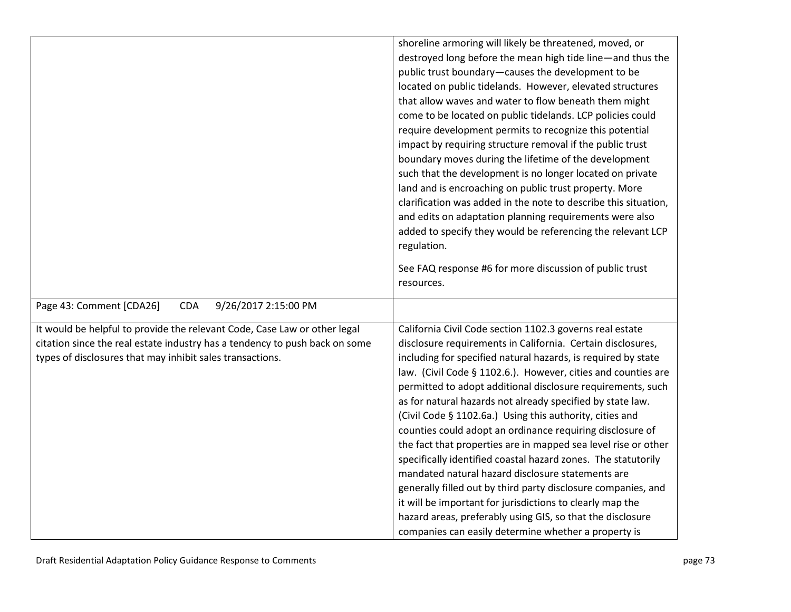|                                                                             | shoreline armoring will likely be threatened, moved, or         |
|-----------------------------------------------------------------------------|-----------------------------------------------------------------|
|                                                                             | destroyed long before the mean high tide line-and thus the      |
|                                                                             | public trust boundary-causes the development to be              |
|                                                                             | located on public tidelands. However, elevated structures       |
|                                                                             | that allow waves and water to flow beneath them might           |
|                                                                             | come to be located on public tidelands. LCP policies could      |
|                                                                             | require development permits to recognize this potential         |
|                                                                             | impact by requiring structure removal if the public trust       |
|                                                                             | boundary moves during the lifetime of the development           |
|                                                                             | such that the development is no longer located on private       |
|                                                                             | land and is encroaching on public trust property. More          |
|                                                                             | clarification was added in the note to describe this situation, |
|                                                                             | and edits on adaptation planning requirements were also         |
|                                                                             | added to specify they would be referencing the relevant LCP     |
|                                                                             | regulation.                                                     |
|                                                                             | See FAQ response #6 for more discussion of public trust         |
|                                                                             | resources.                                                      |
|                                                                             |                                                                 |
| 9/26/2017 2:15:00 PM<br>Page 43: Comment [CDA26]<br><b>CDA</b>              |                                                                 |
| It would be helpful to provide the relevant Code, Case Law or other legal   | California Civil Code section 1102.3 governs real estate        |
| citation since the real estate industry has a tendency to push back on some | disclosure requirements in California. Certain disclosures,     |
| types of disclosures that may inhibit sales transactions.                   | including for specified natural hazards, is required by state   |
|                                                                             | law. (Civil Code § 1102.6.). However, cities and counties are   |
|                                                                             | permitted to adopt additional disclosure requirements, such     |
|                                                                             | as for natural hazards not already specified by state law.      |
|                                                                             | (Civil Code § 1102.6a.) Using this authority, cities and        |
|                                                                             | counties could adopt an ordinance requiring disclosure of       |
|                                                                             | the fact that properties are in mapped sea level rise or other  |
|                                                                             | specifically identified coastal hazard zones. The statutorily   |
|                                                                             | mandated natural hazard disclosure statements are               |
|                                                                             | generally filled out by third party disclosure companies, and   |
|                                                                             | it will be important for jurisdictions to clearly map the       |
|                                                                             | hazard areas, preferably using GIS, so that the disclosure      |
|                                                                             | companies can easily determine whether a property is            |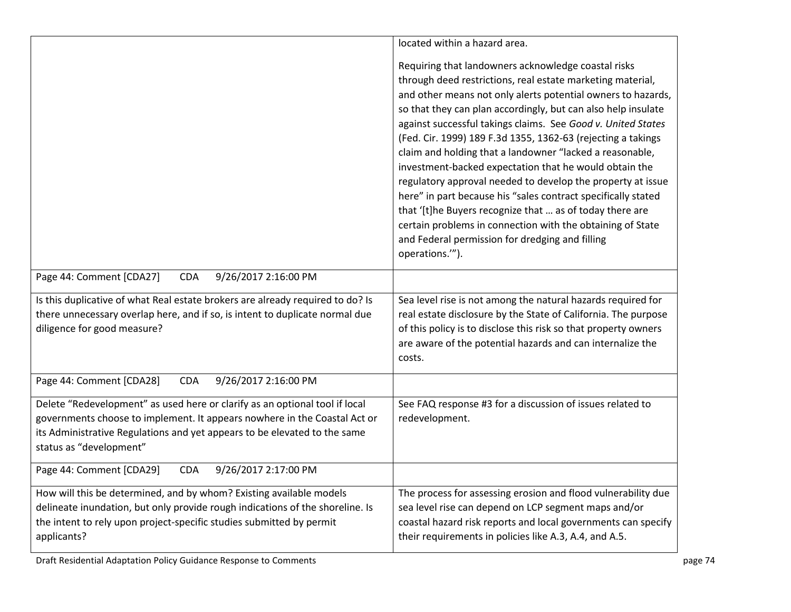|                                                                                                                                                                                                                                                                  | located within a hazard area.                                                                                                                                                                                                                                                                                                                                                                                                                                                                                                                                                                                                                                                                                                                                                                                                            |
|------------------------------------------------------------------------------------------------------------------------------------------------------------------------------------------------------------------------------------------------------------------|------------------------------------------------------------------------------------------------------------------------------------------------------------------------------------------------------------------------------------------------------------------------------------------------------------------------------------------------------------------------------------------------------------------------------------------------------------------------------------------------------------------------------------------------------------------------------------------------------------------------------------------------------------------------------------------------------------------------------------------------------------------------------------------------------------------------------------------|
|                                                                                                                                                                                                                                                                  | Requiring that landowners acknowledge coastal risks<br>through deed restrictions, real estate marketing material,<br>and other means not only alerts potential owners to hazards,<br>so that they can plan accordingly, but can also help insulate<br>against successful takings claims. See Good v. United States<br>(Fed. Cir. 1999) 189 F.3d 1355, 1362-63 (rejecting a takings<br>claim and holding that a landowner "lacked a reasonable,<br>investment-backed expectation that he would obtain the<br>regulatory approval needed to develop the property at issue<br>here" in part because his "sales contract specifically stated<br>that '[t]he Buyers recognize that  as of today there are<br>certain problems in connection with the obtaining of State<br>and Federal permission for dredging and filling<br>operations.""). |
| Page 44: Comment [CDA27]<br>9/26/2017 2:16:00 PM<br><b>CDA</b>                                                                                                                                                                                                   |                                                                                                                                                                                                                                                                                                                                                                                                                                                                                                                                                                                                                                                                                                                                                                                                                                          |
| Is this duplicative of what Real estate brokers are already required to do? Is<br>there unnecessary overlap here, and if so, is intent to duplicate normal due<br>diligence for good measure?                                                                    | Sea level rise is not among the natural hazards required for<br>real estate disclosure by the State of California. The purpose<br>of this policy is to disclose this risk so that property owners<br>are aware of the potential hazards and can internalize the<br>costs.                                                                                                                                                                                                                                                                                                                                                                                                                                                                                                                                                                |
| Page 44: Comment [CDA28]<br>9/26/2017 2:16:00 PM<br><b>CDA</b>                                                                                                                                                                                                   |                                                                                                                                                                                                                                                                                                                                                                                                                                                                                                                                                                                                                                                                                                                                                                                                                                          |
| Delete "Redevelopment" as used here or clarify as an optional tool if local<br>governments choose to implement. It appears nowhere in the Coastal Act or<br>its Administrative Regulations and yet appears to be elevated to the same<br>status as "development" | See FAQ response #3 for a discussion of issues related to<br>redevelopment.                                                                                                                                                                                                                                                                                                                                                                                                                                                                                                                                                                                                                                                                                                                                                              |
| 9/26/2017 2:17:00 PM<br>Page 44: Comment [CDA29]<br><b>CDA</b>                                                                                                                                                                                                   |                                                                                                                                                                                                                                                                                                                                                                                                                                                                                                                                                                                                                                                                                                                                                                                                                                          |
| How will this be determined, and by whom? Existing available models<br>delineate inundation, but only provide rough indications of the shoreline. Is<br>the intent to rely upon project-specific studies submitted by permit<br>applicants?                      | The process for assessing erosion and flood vulnerability due<br>sea level rise can depend on LCP segment maps and/or<br>coastal hazard risk reports and local governments can specify<br>their requirements in policies like A.3, A.4, and A.5.                                                                                                                                                                                                                                                                                                                                                                                                                                                                                                                                                                                         |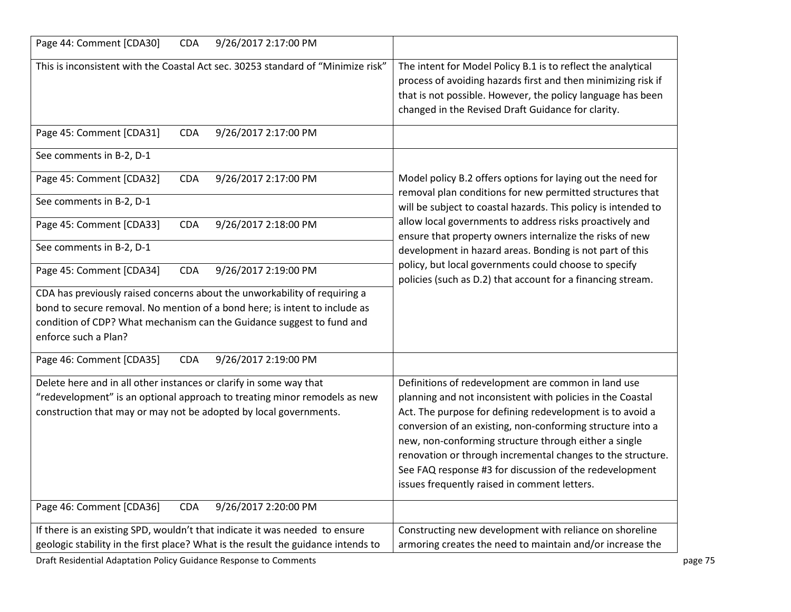| Page 44: Comment [CDA30]<br><b>CDA</b><br>9/26/2017 2:17:00 PM                                                                                                                                                                                           |                                                                                                                                                                                                                                                                                                                                                                                                                                                                                 |
|----------------------------------------------------------------------------------------------------------------------------------------------------------------------------------------------------------------------------------------------------------|---------------------------------------------------------------------------------------------------------------------------------------------------------------------------------------------------------------------------------------------------------------------------------------------------------------------------------------------------------------------------------------------------------------------------------------------------------------------------------|
| This is inconsistent with the Coastal Act sec. 30253 standard of "Minimize risk"                                                                                                                                                                         | The intent for Model Policy B.1 is to reflect the analytical<br>process of avoiding hazards first and then minimizing risk if<br>that is not possible. However, the policy language has been<br>changed in the Revised Draft Guidance for clarity.                                                                                                                                                                                                                              |
| Page 45: Comment [CDA31]<br>9/26/2017 2:17:00 PM<br><b>CDA</b>                                                                                                                                                                                           |                                                                                                                                                                                                                                                                                                                                                                                                                                                                                 |
| See comments in B-2, D-1                                                                                                                                                                                                                                 |                                                                                                                                                                                                                                                                                                                                                                                                                                                                                 |
| Page 45: Comment [CDA32]<br>9/26/2017 2:17:00 PM<br><b>CDA</b>                                                                                                                                                                                           | Model policy B.2 offers options for laying out the need for<br>removal plan conditions for new permitted structures that                                                                                                                                                                                                                                                                                                                                                        |
| See comments in B-2, D-1                                                                                                                                                                                                                                 | will be subject to coastal hazards. This policy is intended to                                                                                                                                                                                                                                                                                                                                                                                                                  |
| Page 45: Comment [CDA33]<br>9/26/2017 2:18:00 PM<br><b>CDA</b>                                                                                                                                                                                           | allow local governments to address risks proactively and<br>ensure that property owners internalize the risks of new                                                                                                                                                                                                                                                                                                                                                            |
| See comments in B-2, D-1                                                                                                                                                                                                                                 | development in hazard areas. Bonding is not part of this                                                                                                                                                                                                                                                                                                                                                                                                                        |
| Page 45: Comment [CDA34]<br>CDA<br>9/26/2017 2:19:00 PM                                                                                                                                                                                                  | policy, but local governments could choose to specify<br>policies (such as D.2) that account for a financing stream.                                                                                                                                                                                                                                                                                                                                                            |
| CDA has previously raised concerns about the unworkability of requiring a<br>bond to secure removal. No mention of a bond here; is intent to include as<br>condition of CDP? What mechanism can the Guidance suggest to fund and<br>enforce such a Plan? |                                                                                                                                                                                                                                                                                                                                                                                                                                                                                 |
| Page 46: Comment [CDA35]<br>9/26/2017 2:19:00 PM<br><b>CDA</b>                                                                                                                                                                                           |                                                                                                                                                                                                                                                                                                                                                                                                                                                                                 |
| Delete here and in all other instances or clarify in some way that<br>"redevelopment" is an optional approach to treating minor remodels as new<br>construction that may or may not be adopted by local governments.                                     | Definitions of redevelopment are common in land use<br>planning and not inconsistent with policies in the Coastal<br>Act. The purpose for defining redevelopment is to avoid a<br>conversion of an existing, non-conforming structure into a<br>new, non-conforming structure through either a single<br>renovation or through incremental changes to the structure.<br>See FAQ response #3 for discussion of the redevelopment<br>issues frequently raised in comment letters. |
| Page 46: Comment [CDA36]<br>9/26/2017 2:20:00 PM<br><b>CDA</b>                                                                                                                                                                                           |                                                                                                                                                                                                                                                                                                                                                                                                                                                                                 |
| If there is an existing SPD, wouldn't that indicate it was needed to ensure                                                                                                                                                                              | Constructing new development with reliance on shoreline                                                                                                                                                                                                                                                                                                                                                                                                                         |
| geologic stability in the first place? What is the result the guidance intends to                                                                                                                                                                        | armoring creates the need to maintain and/or increase the                                                                                                                                                                                                                                                                                                                                                                                                                       |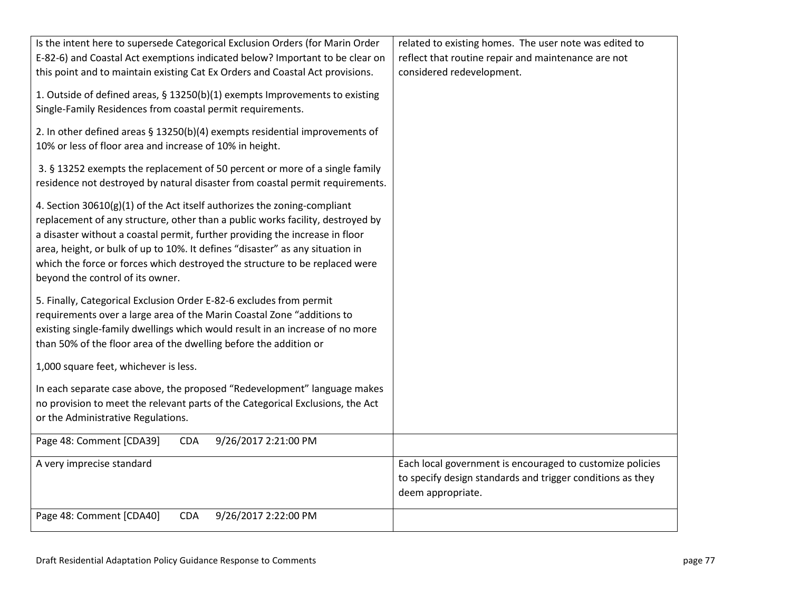| Is the intent here to supersede Categorical Exclusion Orders (for Marin Order<br>E-82-6) and Coastal Act exemptions indicated below? Important to be clear on<br>this point and to maintain existing Cat Ex Orders and Coastal Act provisions.                                                                                                                                                                                                 | related to existing homes. The user note was edited to<br>reflect that routine repair and maintenance are not<br>considered redevelopment.   |
|------------------------------------------------------------------------------------------------------------------------------------------------------------------------------------------------------------------------------------------------------------------------------------------------------------------------------------------------------------------------------------------------------------------------------------------------|----------------------------------------------------------------------------------------------------------------------------------------------|
| 1. Outside of defined areas, § 13250(b)(1) exempts Improvements to existing<br>Single-Family Residences from coastal permit requirements.                                                                                                                                                                                                                                                                                                      |                                                                                                                                              |
| 2. In other defined areas § 13250(b)(4) exempts residential improvements of<br>10% or less of floor area and increase of 10% in height.                                                                                                                                                                                                                                                                                                        |                                                                                                                                              |
| 3. § 13252 exempts the replacement of 50 percent or more of a single family<br>residence not destroyed by natural disaster from coastal permit requirements.                                                                                                                                                                                                                                                                                   |                                                                                                                                              |
| 4. Section 30610(g)(1) of the Act itself authorizes the zoning-compliant<br>replacement of any structure, other than a public works facility, destroyed by<br>a disaster without a coastal permit, further providing the increase in floor<br>area, height, or bulk of up to 10%. It defines "disaster" as any situation in<br>which the force or forces which destroyed the structure to be replaced were<br>beyond the control of its owner. |                                                                                                                                              |
| 5. Finally, Categorical Exclusion Order E-82-6 excludes from permit<br>requirements over a large area of the Marin Coastal Zone "additions to<br>existing single-family dwellings which would result in an increase of no more<br>than 50% of the floor area of the dwelling before the addition or                                                                                                                                            |                                                                                                                                              |
| 1,000 square feet, whichever is less.                                                                                                                                                                                                                                                                                                                                                                                                          |                                                                                                                                              |
| In each separate case above, the proposed "Redevelopment" language makes<br>no provision to meet the relevant parts of the Categorical Exclusions, the Act<br>or the Administrative Regulations.                                                                                                                                                                                                                                               |                                                                                                                                              |
| 9/26/2017 2:21:00 PM<br>Page 48: Comment [CDA39]<br><b>CDA</b>                                                                                                                                                                                                                                                                                                                                                                                 |                                                                                                                                              |
| A very imprecise standard                                                                                                                                                                                                                                                                                                                                                                                                                      | Each local government is encouraged to customize policies<br>to specify design standards and trigger conditions as they<br>deem appropriate. |
| Page 48: Comment [CDA40]<br><b>CDA</b><br>9/26/2017 2:22:00 PM                                                                                                                                                                                                                                                                                                                                                                                 |                                                                                                                                              |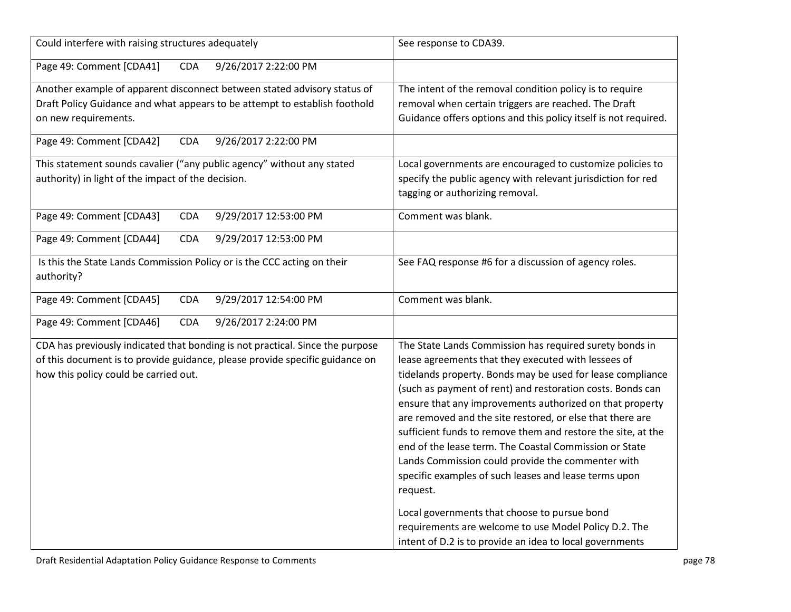| Could interfere with raising structures adequately                                                                                                                                                     | See response to CDA39.                                                                                                                                                                                                                                                                                                                                                                                                                                                                                                                                                                                                                                                                                                                                                                       |
|--------------------------------------------------------------------------------------------------------------------------------------------------------------------------------------------------------|----------------------------------------------------------------------------------------------------------------------------------------------------------------------------------------------------------------------------------------------------------------------------------------------------------------------------------------------------------------------------------------------------------------------------------------------------------------------------------------------------------------------------------------------------------------------------------------------------------------------------------------------------------------------------------------------------------------------------------------------------------------------------------------------|
| Page 49: Comment [CDA41]<br>CDA<br>9/26/2017 2:22:00 PM                                                                                                                                                |                                                                                                                                                                                                                                                                                                                                                                                                                                                                                                                                                                                                                                                                                                                                                                                              |
| Another example of apparent disconnect between stated advisory status of<br>Draft Policy Guidance and what appears to be attempt to establish foothold<br>on new requirements.                         | The intent of the removal condition policy is to require<br>removal when certain triggers are reached. The Draft<br>Guidance offers options and this policy itself is not required.                                                                                                                                                                                                                                                                                                                                                                                                                                                                                                                                                                                                          |
| Page 49: Comment [CDA42]<br>9/26/2017 2:22:00 PM<br><b>CDA</b>                                                                                                                                         |                                                                                                                                                                                                                                                                                                                                                                                                                                                                                                                                                                                                                                                                                                                                                                                              |
| This statement sounds cavalier ("any public agency" without any stated<br>authority) in light of the impact of the decision.                                                                           | Local governments are encouraged to customize policies to<br>specify the public agency with relevant jurisdiction for red<br>tagging or authorizing removal.                                                                                                                                                                                                                                                                                                                                                                                                                                                                                                                                                                                                                                 |
| 9/29/2017 12:53:00 PM<br>Page 49: Comment [CDA43]<br><b>CDA</b>                                                                                                                                        | Comment was blank.                                                                                                                                                                                                                                                                                                                                                                                                                                                                                                                                                                                                                                                                                                                                                                           |
| Page 49: Comment [CDA44]<br>9/29/2017 12:53:00 PM<br><b>CDA</b>                                                                                                                                        |                                                                                                                                                                                                                                                                                                                                                                                                                                                                                                                                                                                                                                                                                                                                                                                              |
| Is this the State Lands Commission Policy or is the CCC acting on their<br>authority?                                                                                                                  | See FAQ response #6 for a discussion of agency roles.                                                                                                                                                                                                                                                                                                                                                                                                                                                                                                                                                                                                                                                                                                                                        |
| Page 49: Comment [CDA45]<br><b>CDA</b><br>9/29/2017 12:54:00 PM                                                                                                                                        | Comment was blank.                                                                                                                                                                                                                                                                                                                                                                                                                                                                                                                                                                                                                                                                                                                                                                           |
| Page 49: Comment [CDA46]<br>9/26/2017 2:24:00 PM<br><b>CDA</b>                                                                                                                                         |                                                                                                                                                                                                                                                                                                                                                                                                                                                                                                                                                                                                                                                                                                                                                                                              |
| CDA has previously indicated that bonding is not practical. Since the purpose<br>of this document is to provide guidance, please provide specific guidance on<br>how this policy could be carried out. | The State Lands Commission has required surety bonds in<br>lease agreements that they executed with lessees of<br>tidelands property. Bonds may be used for lease compliance<br>(such as payment of rent) and restoration costs. Bonds can<br>ensure that any improvements authorized on that property<br>are removed and the site restored, or else that there are<br>sufficient funds to remove them and restore the site, at the<br>end of the lease term. The Coastal Commission or State<br>Lands Commission could provide the commenter with<br>specific examples of such leases and lease terms upon<br>request.<br>Local governments that choose to pursue bond<br>requirements are welcome to use Model Policy D.2. The<br>intent of D.2 is to provide an idea to local governments |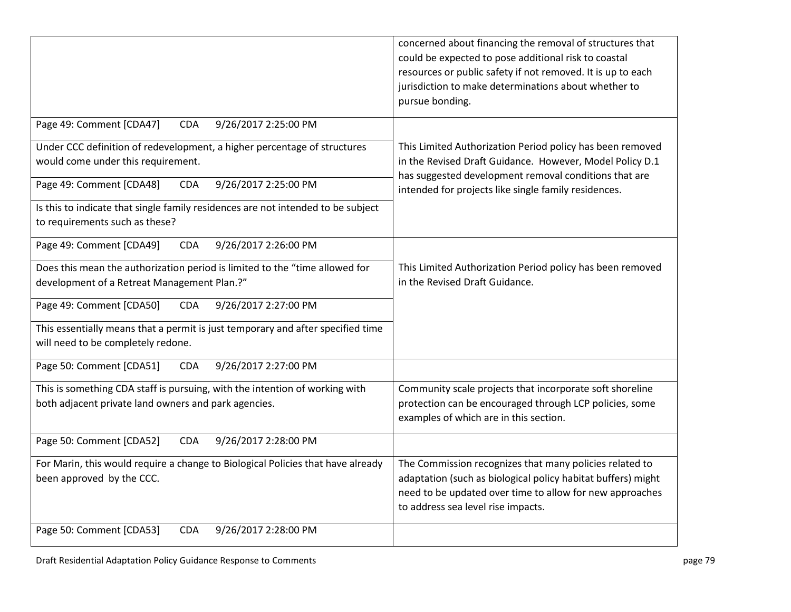|                                                                                                                                     | concerned about financing the removal of structures that<br>could be expected to pose additional risk to coastal<br>resources or public safety if not removed. It is up to each<br>jurisdiction to make determinations about whether to<br>pursue bonding. |
|-------------------------------------------------------------------------------------------------------------------------------------|------------------------------------------------------------------------------------------------------------------------------------------------------------------------------------------------------------------------------------------------------------|
| Page 49: Comment [CDA47]<br><b>CDA</b><br>9/26/2017 2:25:00 PM                                                                      |                                                                                                                                                                                                                                                            |
| Under CCC definition of redevelopment, a higher percentage of structures<br>would come under this requirement.                      | This Limited Authorization Period policy has been removed<br>in the Revised Draft Guidance. However, Model Policy D.1<br>has suggested development removal conditions that are                                                                             |
| Page 49: Comment [CDA48]<br>9/26/2017 2:25:00 PM<br><b>CDA</b>                                                                      | intended for projects like single family residences.                                                                                                                                                                                                       |
| Is this to indicate that single family residences are not intended to be subject<br>to requirements such as these?                  |                                                                                                                                                                                                                                                            |
| Page 49: Comment [CDA49]<br>9/26/2017 2:26:00 PM<br><b>CDA</b>                                                                      |                                                                                                                                                                                                                                                            |
| Does this mean the authorization period is limited to the "time allowed for<br>development of a Retreat Management Plan.?"          | This Limited Authorization Period policy has been removed<br>in the Revised Draft Guidance.                                                                                                                                                                |
| Page 49: Comment [CDA50]<br><b>CDA</b><br>9/26/2017 2:27:00 PM                                                                      |                                                                                                                                                                                                                                                            |
| This essentially means that a permit is just temporary and after specified time<br>will need to be completely redone.               |                                                                                                                                                                                                                                                            |
| Page 50: Comment [CDA51]<br>9/26/2017 2:27:00 PM<br><b>CDA</b>                                                                      |                                                                                                                                                                                                                                                            |
| This is something CDA staff is pursuing, with the intention of working with<br>both adjacent private land owners and park agencies. | Community scale projects that incorporate soft shoreline<br>protection can be encouraged through LCP policies, some<br>examples of which are in this section.                                                                                              |
| Page 50: Comment [CDA52]<br>9/26/2017 2:28:00 PM<br><b>CDA</b>                                                                      |                                                                                                                                                                                                                                                            |
| For Marin, this would require a change to Biological Policies that have already<br>been approved by the CCC.                        | The Commission recognizes that many policies related to<br>adaptation (such as biological policy habitat buffers) might<br>need to be updated over time to allow for new approaches<br>to address sea level rise impacts.                                  |
| Page 50: Comment [CDA53]<br>9/26/2017 2:28:00 PM<br><b>CDA</b>                                                                      |                                                                                                                                                                                                                                                            |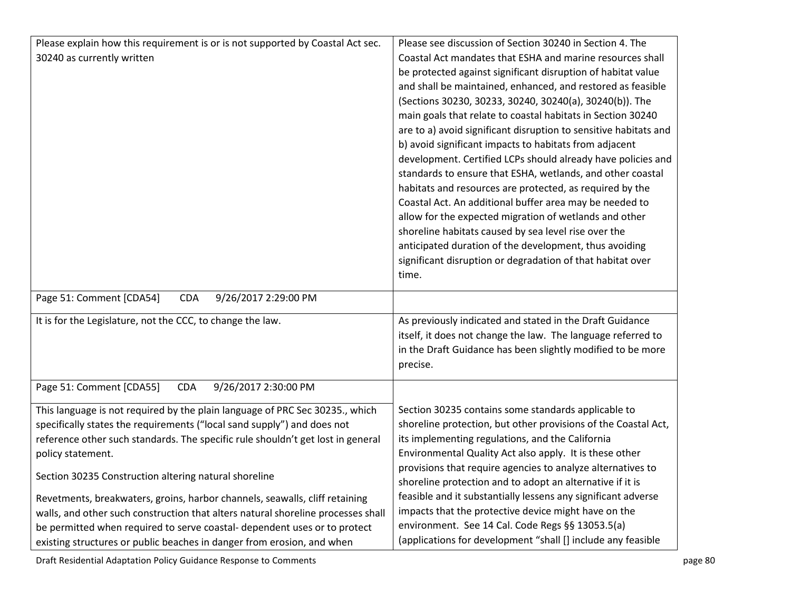| Please explain how this requirement is or is not supported by Coastal Act sec.   | Please see discussion of Section 30240 in Section 4. The         |
|----------------------------------------------------------------------------------|------------------------------------------------------------------|
| 30240 as currently written                                                       | Coastal Act mandates that ESHA and marine resources shall        |
|                                                                                  | be protected against significant disruption of habitat value     |
|                                                                                  | and shall be maintained, enhanced, and restored as feasible      |
|                                                                                  | (Sections 30230, 30233, 30240, 30240(a), 30240(b)). The          |
|                                                                                  | main goals that relate to coastal habitats in Section 30240      |
|                                                                                  | are to a) avoid significant disruption to sensitive habitats and |
|                                                                                  | b) avoid significant impacts to habitats from adjacent           |
|                                                                                  | development. Certified LCPs should already have policies and     |
|                                                                                  | standards to ensure that ESHA, wetlands, and other coastal       |
|                                                                                  | habitats and resources are protected, as required by the         |
|                                                                                  | Coastal Act. An additional buffer area may be needed to          |
|                                                                                  | allow for the expected migration of wetlands and other           |
|                                                                                  | shoreline habitats caused by sea level rise over the             |
|                                                                                  | anticipated duration of the development, thus avoiding           |
|                                                                                  | significant disruption or degradation of that habitat over       |
|                                                                                  | time.                                                            |
| Page 51: Comment [CDA54]<br>9/26/2017 2:29:00 PM<br><b>CDA</b>                   |                                                                  |
|                                                                                  |                                                                  |
| It is for the Legislature, not the CCC, to change the law.                       | As previously indicated and stated in the Draft Guidance         |
|                                                                                  | itself, it does not change the law. The language referred to     |
|                                                                                  | in the Draft Guidance has been slightly modified to be more      |
|                                                                                  | precise.                                                         |
| Page 51: Comment [CDA55]<br><b>CDA</b><br>9/26/2017 2:30:00 PM                   |                                                                  |
|                                                                                  |                                                                  |
| This language is not required by the plain language of PRC Sec 30235., which     | Section 30235 contains some standards applicable to              |
| specifically states the requirements ("local sand supply") and does not          | shoreline protection, but other provisions of the Coastal Act,   |
| reference other such standards. The specific rule shouldn't get lost in general  | its implementing regulations, and the California                 |
| policy statement.                                                                | Environmental Quality Act also apply. It is these other          |
| Section 30235 Construction altering natural shoreline                            | provisions that require agencies to analyze alternatives to      |
|                                                                                  | shoreline protection and to adopt an alternative if it is        |
| Revetments, breakwaters, groins, harbor channels, seawalls, cliff retaining      | feasible and it substantially lessens any significant adverse    |
| walls, and other such construction that alters natural shoreline processes shall | impacts that the protective device might have on the             |
| be permitted when required to serve coastal- dependent uses or to protect        | environment. See 14 Cal. Code Regs §§ 13053.5(a)                 |
| existing structures or public beaches in danger from erosion, and when           | (applications for development "shall [] include any feasible     |

Draft Residential Adaptation Policy Guidance Response to Comments **page 1996** and page 80 page 80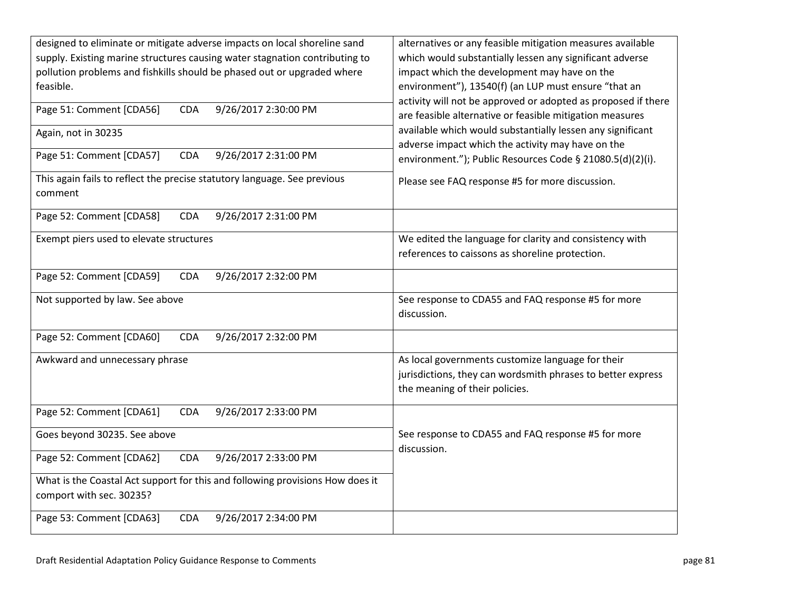| designed to eliminate or mitigate adverse impacts on local shoreline sand<br>supply. Existing marine structures causing water stagnation contributing to<br>pollution problems and fishkills should be phased out or upgraded where<br>feasible. | alternatives or any feasible mitigation measures available<br>which would substantially lessen any significant adverse<br>impact which the development may have on the<br>environment"), 13540(f) (an LUP must ensure "that an<br>activity will not be approved or adopted as proposed if there |
|--------------------------------------------------------------------------------------------------------------------------------------------------------------------------------------------------------------------------------------------------|-------------------------------------------------------------------------------------------------------------------------------------------------------------------------------------------------------------------------------------------------------------------------------------------------|
| 9/26/2017 2:30:00 PM<br>Page 51: Comment [CDA56]<br>CDA                                                                                                                                                                                          | are feasible alternative or feasible mitigation measures                                                                                                                                                                                                                                        |
| Again, not in 30235                                                                                                                                                                                                                              | available which would substantially lessen any significant<br>adverse impact which the activity may have on the                                                                                                                                                                                 |
| Page 51: Comment [CDA57]<br>9/26/2017 2:31:00 PM<br><b>CDA</b>                                                                                                                                                                                   | environment."); Public Resources Code § 21080.5(d)(2)(i).                                                                                                                                                                                                                                       |
| This again fails to reflect the precise statutory language. See previous<br>comment                                                                                                                                                              | Please see FAQ response #5 for more discussion.                                                                                                                                                                                                                                                 |
| Page 52: Comment [CDA58]<br>9/26/2017 2:31:00 PM<br><b>CDA</b>                                                                                                                                                                                   |                                                                                                                                                                                                                                                                                                 |
| Exempt piers used to elevate structures                                                                                                                                                                                                          | We edited the language for clarity and consistency with<br>references to caissons as shoreline protection.                                                                                                                                                                                      |
| Page 52: Comment [CDA59]<br>9/26/2017 2:32:00 PM<br><b>CDA</b>                                                                                                                                                                                   |                                                                                                                                                                                                                                                                                                 |
| Not supported by law. See above                                                                                                                                                                                                                  | See response to CDA55 and FAQ response #5 for more<br>discussion.                                                                                                                                                                                                                               |
| Page 52: Comment [CDA60]<br>9/26/2017 2:32:00 PM<br>CDA                                                                                                                                                                                          |                                                                                                                                                                                                                                                                                                 |
| Awkward and unnecessary phrase                                                                                                                                                                                                                   | As local governments customize language for their<br>jurisdictions, they can wordsmith phrases to better express<br>the meaning of their policies.                                                                                                                                              |
| 9/26/2017 2:33:00 PM<br>Page 52: Comment [CDA61]<br><b>CDA</b>                                                                                                                                                                                   |                                                                                                                                                                                                                                                                                                 |
| Goes beyond 30235. See above                                                                                                                                                                                                                     | See response to CDA55 and FAQ response #5 for more<br>discussion.                                                                                                                                                                                                                               |
| Page 52: Comment [CDA62]<br>9/26/2017 2:33:00 PM<br>CDA                                                                                                                                                                                          |                                                                                                                                                                                                                                                                                                 |
| What is the Coastal Act support for this and following provisions How does it<br>comport with sec. 30235?                                                                                                                                        |                                                                                                                                                                                                                                                                                                 |
| Page 53: Comment [CDA63]<br><b>CDA</b><br>9/26/2017 2:34:00 PM                                                                                                                                                                                   |                                                                                                                                                                                                                                                                                                 |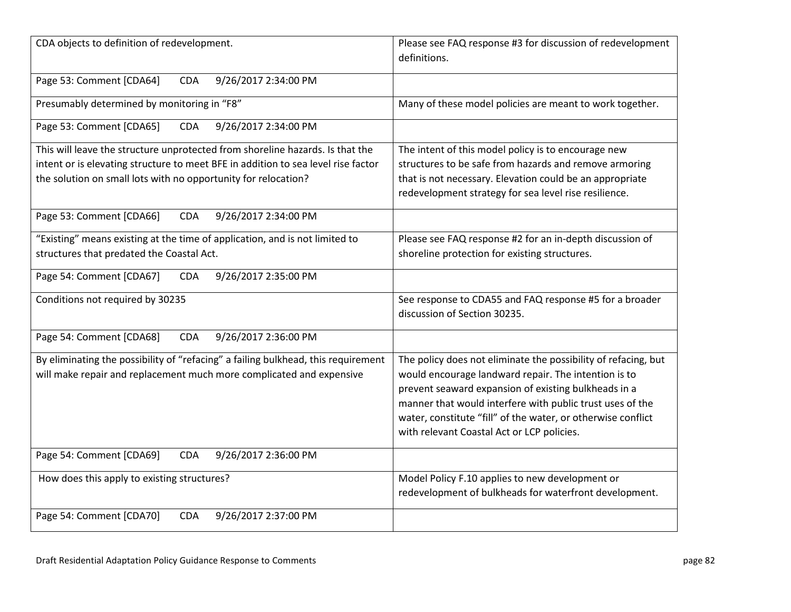| CDA objects to definition of redevelopment.                                                                                                                                                                                          | Please see FAQ response #3 for discussion of redevelopment<br>definitions.                                                                                                                                                                                                                                                                                |
|--------------------------------------------------------------------------------------------------------------------------------------------------------------------------------------------------------------------------------------|-----------------------------------------------------------------------------------------------------------------------------------------------------------------------------------------------------------------------------------------------------------------------------------------------------------------------------------------------------------|
| Page 53: Comment [CDA64]<br><b>CDA</b><br>9/26/2017 2:34:00 PM                                                                                                                                                                       |                                                                                                                                                                                                                                                                                                                                                           |
| Presumably determined by monitoring in "F8"                                                                                                                                                                                          | Many of these model policies are meant to work together.                                                                                                                                                                                                                                                                                                  |
| Page 53: Comment [CDA65]<br><b>CDA</b><br>9/26/2017 2:34:00 PM                                                                                                                                                                       |                                                                                                                                                                                                                                                                                                                                                           |
| This will leave the structure unprotected from shoreline hazards. Is that the<br>intent or is elevating structure to meet BFE in addition to sea level rise factor<br>the solution on small lots with no opportunity for relocation? | The intent of this model policy is to encourage new<br>structures to be safe from hazards and remove armoring<br>that is not necessary. Elevation could be an appropriate<br>redevelopment strategy for sea level rise resilience.                                                                                                                        |
| Page 53: Comment [CDA66]<br>9/26/2017 2:34:00 PM<br><b>CDA</b>                                                                                                                                                                       |                                                                                                                                                                                                                                                                                                                                                           |
| "Existing" means existing at the time of application, and is not limited to<br>structures that predated the Coastal Act.                                                                                                             | Please see FAQ response #2 for an in-depth discussion of<br>shoreline protection for existing structures.                                                                                                                                                                                                                                                 |
| Page 54: Comment [CDA67]<br>9/26/2017 2:35:00 PM<br><b>CDA</b>                                                                                                                                                                       |                                                                                                                                                                                                                                                                                                                                                           |
| Conditions not required by 30235                                                                                                                                                                                                     | See response to CDA55 and FAQ response #5 for a broader<br>discussion of Section 30235.                                                                                                                                                                                                                                                                   |
| Page 54: Comment [CDA68]<br>9/26/2017 2:36:00 PM<br><b>CDA</b>                                                                                                                                                                       |                                                                                                                                                                                                                                                                                                                                                           |
| By eliminating the possibility of "refacing" a failing bulkhead, this requirement<br>will make repair and replacement much more complicated and expensive                                                                            | The policy does not eliminate the possibility of refacing, but<br>would encourage landward repair. The intention is to<br>prevent seaward expansion of existing bulkheads in a<br>manner that would interfere with public trust uses of the<br>water, constitute "fill" of the water, or otherwise conflict<br>with relevant Coastal Act or LCP policies. |
| Page 54: Comment [CDA69]<br>9/26/2017 2:36:00 PM<br><b>CDA</b>                                                                                                                                                                       |                                                                                                                                                                                                                                                                                                                                                           |
| How does this apply to existing structures?                                                                                                                                                                                          | Model Policy F.10 applies to new development or<br>redevelopment of bulkheads for waterfront development.                                                                                                                                                                                                                                                 |
| Page 54: Comment [CDA70]<br>9/26/2017 2:37:00 PM<br><b>CDA</b>                                                                                                                                                                       |                                                                                                                                                                                                                                                                                                                                                           |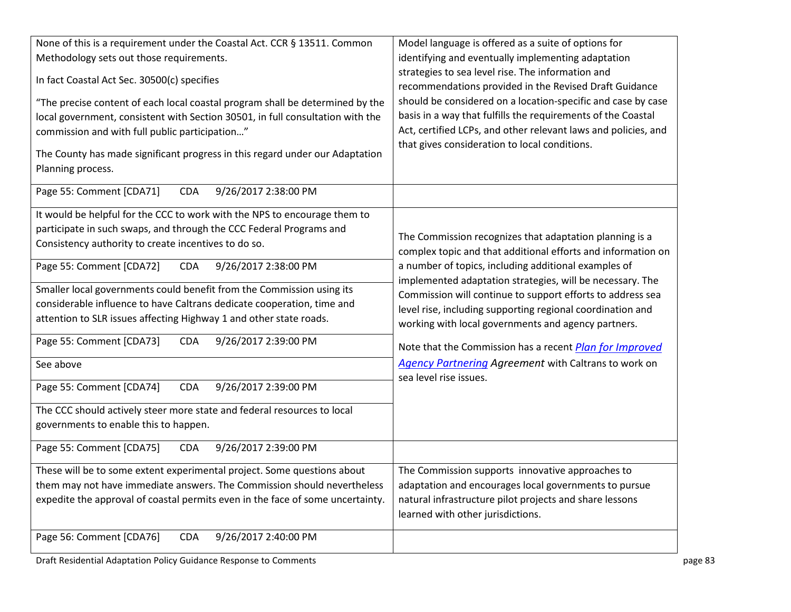| None of this is a requirement under the Coastal Act. CCR § 13511. Common                          | Model language is offered as a suite of options for                                                                     |
|---------------------------------------------------------------------------------------------------|-------------------------------------------------------------------------------------------------------------------------|
| Methodology sets out those requirements.                                                          | identifying and eventually implementing adaptation                                                                      |
|                                                                                                   | strategies to sea level rise. The information and                                                                       |
| In fact Coastal Act Sec. 30500(c) specifies                                                       | recommendations provided in the Revised Draft Guidance                                                                  |
| "The precise content of each local coastal program shall be determined by the                     | should be considered on a location-specific and case by case                                                            |
| local government, consistent with Section 30501, in full consultation with the                    | basis in a way that fulfills the requirements of the Coastal                                                            |
| commission and with full public participation"                                                    | Act, certified LCPs, and other relevant laws and policies, and                                                          |
|                                                                                                   | that gives consideration to local conditions.                                                                           |
| The County has made significant progress in this regard under our Adaptation<br>Planning process. |                                                                                                                         |
|                                                                                                   |                                                                                                                         |
| Page 55: Comment [CDA71]<br>9/26/2017 2:38:00 PM<br><b>CDA</b>                                    |                                                                                                                         |
| It would be helpful for the CCC to work with the NPS to encourage them to                         |                                                                                                                         |
| participate in such swaps, and through the CCC Federal Programs and                               |                                                                                                                         |
| Consistency authority to create incentives to do so.                                              | The Commission recognizes that adaptation planning is a<br>complex topic and that additional efforts and information on |
| Page 55: Comment [CDA72]<br><b>CDA</b><br>9/26/2017 2:38:00 PM                                    | a number of topics, including additional examples of                                                                    |
|                                                                                                   | implemented adaptation strategies, will be necessary. The                                                               |
| Smaller local governments could benefit from the Commission using its                             | Commission will continue to support efforts to address sea                                                              |
| considerable influence to have Caltrans dedicate cooperation, time and                            | level rise, including supporting regional coordination and                                                              |
| attention to SLR issues affecting Highway 1 and other state roads.                                | working with local governments and agency partners.                                                                     |
| 9/26/2017 2:39:00 PM<br>Page 55: Comment [CDA73]<br><b>CDA</b>                                    |                                                                                                                         |
|                                                                                                   | Note that the Commission has a recent <i>Plan for Improved</i>                                                          |
| See above                                                                                         | Agency Partnering Agreement with Caltrans to work on                                                                    |
| Page 55: Comment [CDA74]<br><b>CDA</b><br>9/26/2017 2:39:00 PM                                    | sea level rise issues.                                                                                                  |
|                                                                                                   |                                                                                                                         |
| The CCC should actively steer more state and federal resources to local                           |                                                                                                                         |
| governments to enable this to happen.                                                             |                                                                                                                         |
| Page 55: Comment [CDA75]<br>9/26/2017 2:39:00 PM<br><b>CDA</b>                                    |                                                                                                                         |
|                                                                                                   |                                                                                                                         |
| These will be to some extent experimental project. Some questions about                           | The Commission supports innovative approaches to                                                                        |
| them may not have immediate answers. The Commission should nevertheless                           | adaptation and encourages local governments to pursue                                                                   |
| expedite the approval of coastal permits even in the face of some uncertainty.                    | natural infrastructure pilot projects and share lessons<br>learned with other jurisdictions.                            |
|                                                                                                   |                                                                                                                         |
| Page 56: Comment [CDA76]<br>9/26/2017 2:40:00 PM<br><b>CDA</b>                                    |                                                                                                                         |
|                                                                                                   |                                                                                                                         |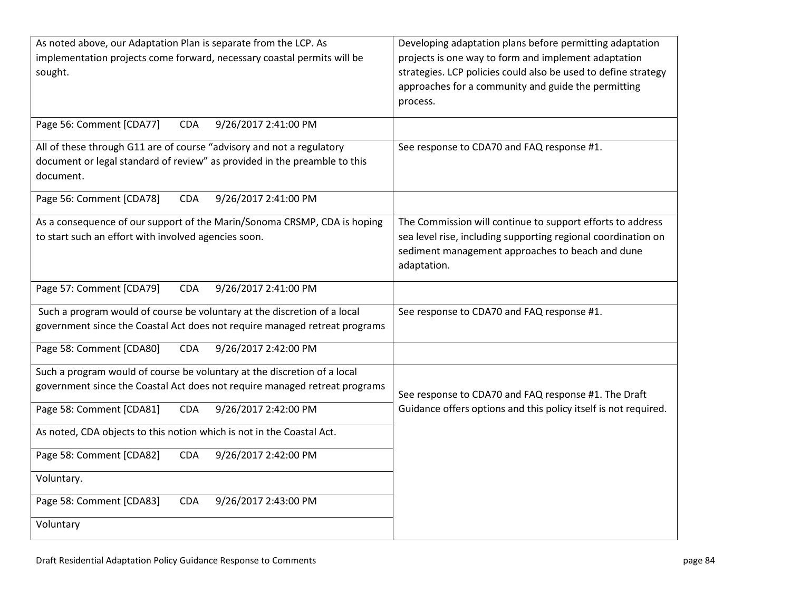| As noted above, our Adaptation Plan is separate from the LCP. As<br>implementation projects come forward, necessary coastal permits will be<br>sought.          | Developing adaptation plans before permitting adaptation<br>projects is one way to form and implement adaptation<br>strategies. LCP policies could also be used to define strategy<br>approaches for a community and guide the permitting<br>process. |
|-----------------------------------------------------------------------------------------------------------------------------------------------------------------|-------------------------------------------------------------------------------------------------------------------------------------------------------------------------------------------------------------------------------------------------------|
| Page 56: Comment [CDA77]<br>9/26/2017 2:41:00 PM<br><b>CDA</b>                                                                                                  |                                                                                                                                                                                                                                                       |
| All of these through G11 are of course "advisory and not a regulatory<br>document or legal standard of review" as provided in the preamble to this<br>document. | See response to CDA70 and FAQ response #1.                                                                                                                                                                                                            |
| 9/26/2017 2:41:00 PM<br>Page 56: Comment [CDA78]<br><b>CDA</b>                                                                                                  |                                                                                                                                                                                                                                                       |
| As a consequence of our support of the Marin/Sonoma CRSMP, CDA is hoping<br>to start such an effort with involved agencies soon.                                | The Commission will continue to support efforts to address<br>sea level rise, including supporting regional coordination on<br>sediment management approaches to beach and dune<br>adaptation.                                                        |
| Page 57: Comment [CDA79]<br><b>CDA</b><br>9/26/2017 2:41:00 PM                                                                                                  |                                                                                                                                                                                                                                                       |
| Such a program would of course be voluntary at the discretion of a local<br>government since the Coastal Act does not require managed retreat programs          | See response to CDA70 and FAQ response #1.                                                                                                                                                                                                            |
| Page 58: Comment [CDA80]<br>9/26/2017 2:42:00 PM<br><b>CDA</b>                                                                                                  |                                                                                                                                                                                                                                                       |
| Such a program would of course be voluntary at the discretion of a local<br>government since the Coastal Act does not require managed retreat programs          | See response to CDA70 and FAQ response #1. The Draft                                                                                                                                                                                                  |
| Page 58: Comment [CDA81]<br>9/26/2017 2:42:00 PM<br><b>CDA</b>                                                                                                  | Guidance offers options and this policy itself is not required.                                                                                                                                                                                       |
| As noted, CDA objects to this notion which is not in the Coastal Act.                                                                                           |                                                                                                                                                                                                                                                       |
| 9/26/2017 2:42:00 PM<br>Page 58: Comment [CDA82]<br><b>CDA</b>                                                                                                  |                                                                                                                                                                                                                                                       |
| Voluntary.                                                                                                                                                      |                                                                                                                                                                                                                                                       |
| Page 58: Comment [CDA83]<br>9/26/2017 2:43:00 PM<br><b>CDA</b>                                                                                                  |                                                                                                                                                                                                                                                       |
| Voluntary                                                                                                                                                       |                                                                                                                                                                                                                                                       |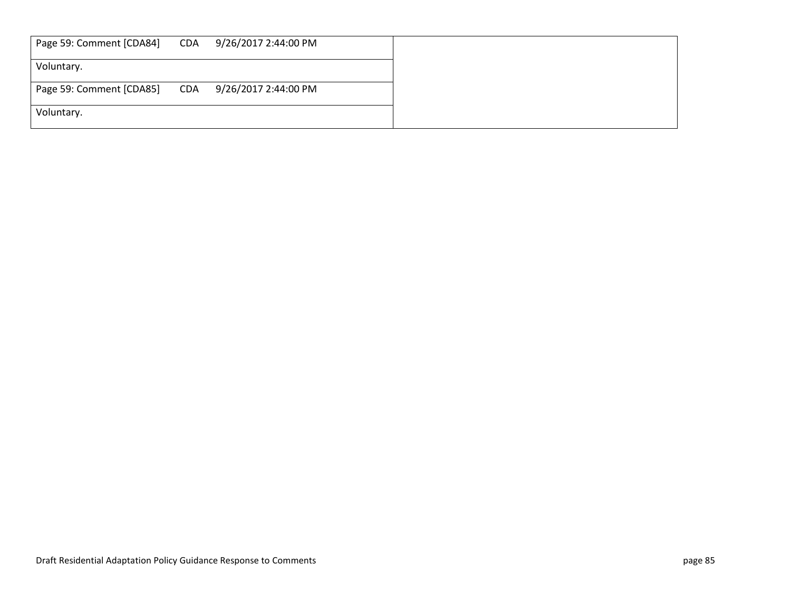| Page 59: Comment [CDA84] | CDA | 9/26/2017 2:44:00 PM |
|--------------------------|-----|----------------------|
| Voluntary.               |     |                      |
| Page 59: Comment [CDA85] | CDA | 9/26/2017 2:44:00 PM |
| Voluntary.               |     |                      |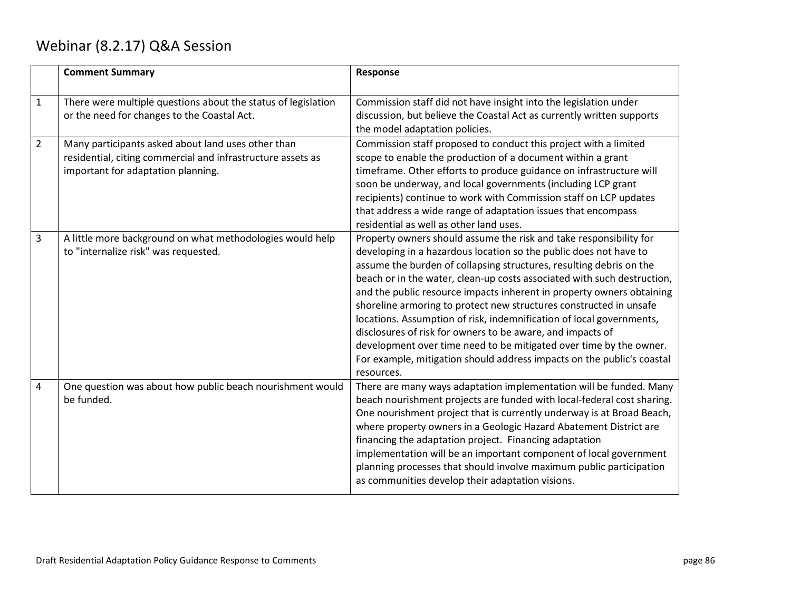## Webinar (8.2.17) Q&A Session

|                | <b>Comment Summary</b>                                                                                                                                  | Response                                                                                                                                                                                                                                                                                                                                                                                                                                                                                                                                                                                                                                                                                                                                     |
|----------------|---------------------------------------------------------------------------------------------------------------------------------------------------------|----------------------------------------------------------------------------------------------------------------------------------------------------------------------------------------------------------------------------------------------------------------------------------------------------------------------------------------------------------------------------------------------------------------------------------------------------------------------------------------------------------------------------------------------------------------------------------------------------------------------------------------------------------------------------------------------------------------------------------------------|
| $\mathbf{1}$   | There were multiple questions about the status of legislation<br>or the need for changes to the Coastal Act.                                            | Commission staff did not have insight into the legislation under<br>discussion, but believe the Coastal Act as currently written supports<br>the model adaptation policies.                                                                                                                                                                                                                                                                                                                                                                                                                                                                                                                                                                  |
| $\overline{2}$ | Many participants asked about land uses other than<br>residential, citing commercial and infrastructure assets as<br>important for adaptation planning. | Commission staff proposed to conduct this project with a limited<br>scope to enable the production of a document within a grant<br>timeframe. Other efforts to produce guidance on infrastructure will<br>soon be underway, and local governments (including LCP grant<br>recipients) continue to work with Commission staff on LCP updates<br>that address a wide range of adaptation issues that encompass<br>residential as well as other land uses.                                                                                                                                                                                                                                                                                      |
| 3              | A little more background on what methodologies would help<br>to "internalize risk" was requested.                                                       | Property owners should assume the risk and take responsibility for<br>developing in a hazardous location so the public does not have to<br>assume the burden of collapsing structures, resulting debris on the<br>beach or in the water, clean-up costs associated with such destruction,<br>and the public resource impacts inherent in property owners obtaining<br>shoreline armoring to protect new structures constructed in unsafe<br>locations. Assumption of risk, indemnification of local governments,<br>disclosures of risk for owners to be aware, and impacts of<br>development over time need to be mitigated over time by the owner.<br>For example, mitigation should address impacts on the public's coastal<br>resources. |
| 4              | One question was about how public beach nourishment would<br>be funded.                                                                                 | There are many ways adaptation implementation will be funded. Many<br>beach nourishment projects are funded with local-federal cost sharing.<br>One nourishment project that is currently underway is at Broad Beach,<br>where property owners in a Geologic Hazard Abatement District are<br>financing the adaptation project. Financing adaptation<br>implementation will be an important component of local government<br>planning processes that should involve maximum public participation<br>as communities develop their adaptation visions.                                                                                                                                                                                         |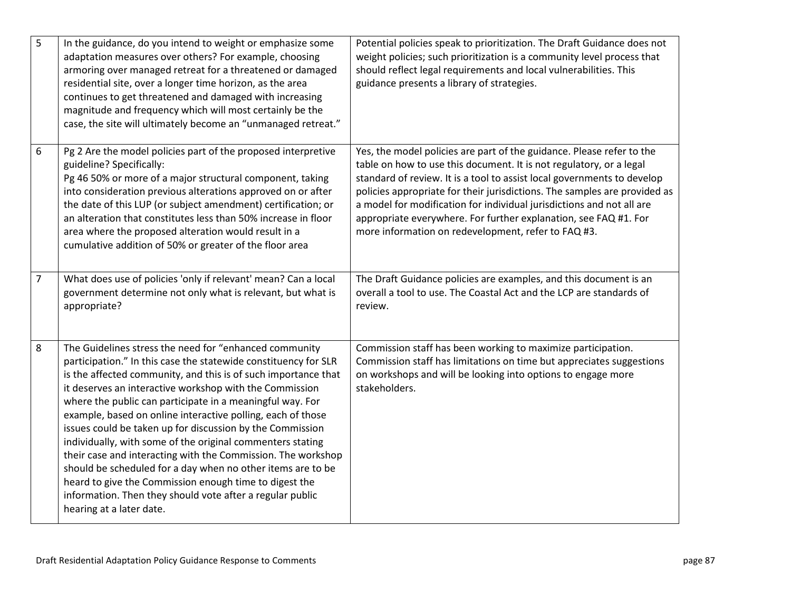| 5              | In the guidance, do you intend to weight or emphasize some<br>adaptation measures over others? For example, choosing<br>armoring over managed retreat for a threatened or damaged<br>residential site, over a longer time horizon, as the area<br>continues to get threatened and damaged with increasing<br>magnitude and frequency which will most certainly be the<br>case, the site will ultimately become an "unmanaged retreat."                                                                                                                                                                                                                                                                                                                                                          | Potential policies speak to prioritization. The Draft Guidance does not<br>weight policies; such prioritization is a community level process that<br>should reflect legal requirements and local vulnerabilities. This<br>guidance presents a library of strategies.                                                                                                                                                                                                                                     |
|----------------|-------------------------------------------------------------------------------------------------------------------------------------------------------------------------------------------------------------------------------------------------------------------------------------------------------------------------------------------------------------------------------------------------------------------------------------------------------------------------------------------------------------------------------------------------------------------------------------------------------------------------------------------------------------------------------------------------------------------------------------------------------------------------------------------------|----------------------------------------------------------------------------------------------------------------------------------------------------------------------------------------------------------------------------------------------------------------------------------------------------------------------------------------------------------------------------------------------------------------------------------------------------------------------------------------------------------|
| 6              | Pg 2 Are the model policies part of the proposed interpretive<br>guideline? Specifically:<br>Pg 46 50% or more of a major structural component, taking<br>into consideration previous alterations approved on or after<br>the date of this LUP (or subject amendment) certification; or<br>an alteration that constitutes less than 50% increase in floor<br>area where the proposed alteration would result in a<br>cumulative addition of 50% or greater of the floor area                                                                                                                                                                                                                                                                                                                    | Yes, the model policies are part of the guidance. Please refer to the<br>table on how to use this document. It is not regulatory, or a legal<br>standard of review. It is a tool to assist local governments to develop<br>policies appropriate for their jurisdictions. The samples are provided as<br>a model for modification for individual jurisdictions and not all are<br>appropriate everywhere. For further explanation, see FAQ #1. For<br>more information on redevelopment, refer to FAQ #3. |
| $\overline{7}$ | What does use of policies 'only if relevant' mean? Can a local<br>government determine not only what is relevant, but what is<br>appropriate?                                                                                                                                                                                                                                                                                                                                                                                                                                                                                                                                                                                                                                                   | The Draft Guidance policies are examples, and this document is an<br>overall a tool to use. The Coastal Act and the LCP are standards of<br>review.                                                                                                                                                                                                                                                                                                                                                      |
| $\bf 8$        | The Guidelines stress the need for "enhanced community<br>participation." In this case the statewide constituency for SLR<br>is the affected community, and this is of such importance that<br>it deserves an interactive workshop with the Commission<br>where the public can participate in a meaningful way. For<br>example, based on online interactive polling, each of those<br>issues could be taken up for discussion by the Commission<br>individually, with some of the original commenters stating<br>their case and interacting with the Commission. The workshop<br>should be scheduled for a day when no other items are to be<br>heard to give the Commission enough time to digest the<br>information. Then they should vote after a regular public<br>hearing at a later date. | Commission staff has been working to maximize participation.<br>Commission staff has limitations on time but appreciates suggestions<br>on workshops and will be looking into options to engage more<br>stakeholders.                                                                                                                                                                                                                                                                                    |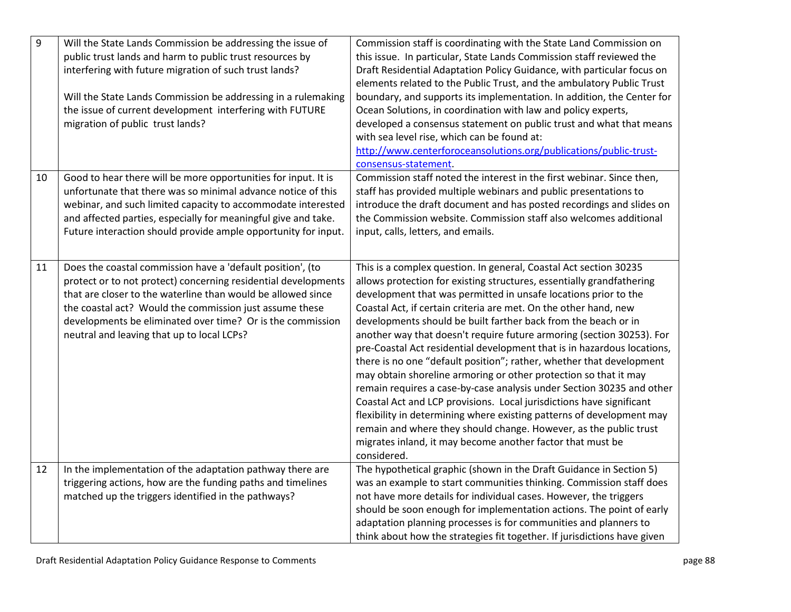| 9  | Will the State Lands Commission be addressing the issue of<br>public trust lands and harm to public trust resources by<br>interfering with future migration of such trust lands?<br>Will the State Lands Commission be addressing in a rulemaking<br>the issue of current development interfering with FUTURE<br>migration of public trust lands?                   | Commission staff is coordinating with the State Land Commission on<br>this issue. In particular, State Lands Commission staff reviewed the<br>Draft Residential Adaptation Policy Guidance, with particular focus on<br>elements related to the Public Trust, and the ambulatory Public Trust<br>boundary, and supports its implementation. In addition, the Center for<br>Ocean Solutions, in coordination with law and policy experts,<br>developed a consensus statement on public trust and what that means<br>with sea level rise, which can be found at:<br>http://www.centerforoceansolutions.org/publications/public-trust-<br>consensus-statement.                                                                                                                                                                                                                                                                                                                                                                     |
|----|---------------------------------------------------------------------------------------------------------------------------------------------------------------------------------------------------------------------------------------------------------------------------------------------------------------------------------------------------------------------|---------------------------------------------------------------------------------------------------------------------------------------------------------------------------------------------------------------------------------------------------------------------------------------------------------------------------------------------------------------------------------------------------------------------------------------------------------------------------------------------------------------------------------------------------------------------------------------------------------------------------------------------------------------------------------------------------------------------------------------------------------------------------------------------------------------------------------------------------------------------------------------------------------------------------------------------------------------------------------------------------------------------------------|
| 10 | Good to hear there will be more opportunities for input. It is<br>unfortunate that there was so minimal advance notice of this<br>webinar, and such limited capacity to accommodate interested<br>and affected parties, especially for meaningful give and take.<br>Future interaction should provide ample opportunity for input.                                  | Commission staff noted the interest in the first webinar. Since then,<br>staff has provided multiple webinars and public presentations to<br>introduce the draft document and has posted recordings and slides on<br>the Commission website. Commission staff also welcomes additional<br>input, calls, letters, and emails.                                                                                                                                                                                                                                                                                                                                                                                                                                                                                                                                                                                                                                                                                                    |
| 11 | Does the coastal commission have a 'default position', (to<br>protect or to not protect) concerning residential developments<br>that are closer to the waterline than would be allowed since<br>the coastal act? Would the commission just assume these<br>developments be eliminated over time? Or is the commission<br>neutral and leaving that up to local LCPs? | This is a complex question. In general, Coastal Act section 30235<br>allows protection for existing structures, essentially grandfathering<br>development that was permitted in unsafe locations prior to the<br>Coastal Act, if certain criteria are met. On the other hand, new<br>developments should be built farther back from the beach or in<br>another way that doesn't require future armoring (section 30253). For<br>pre-Coastal Act residential development that is in hazardous locations,<br>there is no one "default position"; rather, whether that development<br>may obtain shoreline armoring or other protection so that it may<br>remain requires a case-by-case analysis under Section 30235 and other<br>Coastal Act and LCP provisions. Local jurisdictions have significant<br>flexibility in determining where existing patterns of development may<br>remain and where they should change. However, as the public trust<br>migrates inland, it may become another factor that must be<br>considered. |
| 12 | In the implementation of the adaptation pathway there are<br>triggering actions, how are the funding paths and timelines<br>matched up the triggers identified in the pathways?                                                                                                                                                                                     | The hypothetical graphic (shown in the Draft Guidance in Section 5)<br>was an example to start communities thinking. Commission staff does<br>not have more details for individual cases. However, the triggers<br>should be soon enough for implementation actions. The point of early<br>adaptation planning processes is for communities and planners to<br>think about how the strategies fit together. If jurisdictions have given                                                                                                                                                                                                                                                                                                                                                                                                                                                                                                                                                                                         |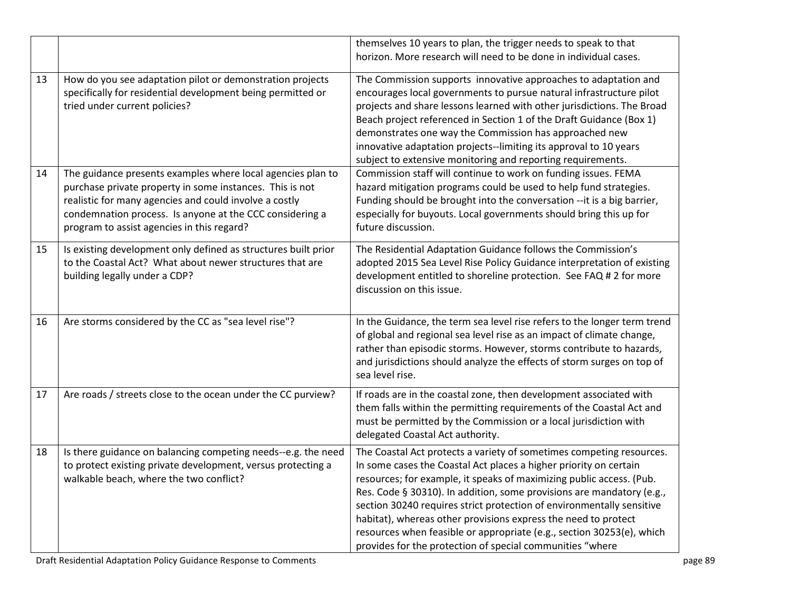|    |                                                                                                                                                                                                                                                                                             | themselves 10 years to plan, the trigger needs to speak to that<br>horizon. More research will need to be done in individual cases.                                                                                                                                                                                                                                                                                                                                                                                                                                         |
|----|---------------------------------------------------------------------------------------------------------------------------------------------------------------------------------------------------------------------------------------------------------------------------------------------|-----------------------------------------------------------------------------------------------------------------------------------------------------------------------------------------------------------------------------------------------------------------------------------------------------------------------------------------------------------------------------------------------------------------------------------------------------------------------------------------------------------------------------------------------------------------------------|
| 13 | How do you see adaptation pilot or demonstration projects<br>specifically for residential development being permitted or<br>tried under current policies?                                                                                                                                   | The Commission supports innovative approaches to adaptation and<br>encourages local governments to pursue natural infrastructure pilot<br>projects and share lessons learned with other jurisdictions. The Broad<br>Beach project referenced in Section 1 of the Draft Guidance (Box 1)<br>demonstrates one way the Commission has approached new<br>innovative adaptation projects--limiting its approval to 10 years<br>subject to extensive monitoring and reporting requirements.                                                                                       |
| 14 | The guidance presents examples where local agencies plan to<br>purchase private property in some instances. This is not<br>realistic for many agencies and could involve a costly<br>condemnation process. Is anyone at the CCC considering a<br>program to assist agencies in this regard? | Commission staff will continue to work on funding issues. FEMA<br>hazard mitigation programs could be used to help fund strategies.<br>Funding should be brought into the conversation --it is a big barrier,<br>especially for buyouts. Local governments should bring this up for<br>future discussion.                                                                                                                                                                                                                                                                   |
| 15 | Is existing development only defined as structures built prior<br>to the Coastal Act? What about newer structures that are<br>building legally under a CDP?                                                                                                                                 | The Residential Adaptation Guidance follows the Commission's<br>adopted 2015 Sea Level Rise Policy Guidance interpretation of existing<br>development entitled to shoreline protection. See FAQ # 2 for more<br>discussion on this issue.                                                                                                                                                                                                                                                                                                                                   |
| 16 | Are storms considered by the CC as "sea level rise"?                                                                                                                                                                                                                                        | In the Guidance, the term sea level rise refers to the longer term trend<br>of global and regional sea level rise as an impact of climate change,<br>rather than episodic storms. However, storms contribute to hazards,<br>and jurisdictions should analyze the effects of storm surges on top of<br>sea level rise.                                                                                                                                                                                                                                                       |
| 17 | Are roads / streets close to the ocean under the CC purview?                                                                                                                                                                                                                                | If roads are in the coastal zone, then development associated with<br>them falls within the permitting requirements of the Coastal Act and<br>must be permitted by the Commission or a local jurisdiction with<br>delegated Coastal Act authority.                                                                                                                                                                                                                                                                                                                          |
| 18 | Is there guidance on balancing competing needs--e.g. the need<br>to protect existing private development, versus protecting a<br>walkable beach, where the two conflict?                                                                                                                    | The Coastal Act protects a variety of sometimes competing resources.<br>In some cases the Coastal Act places a higher priority on certain<br>resources; for example, it speaks of maximizing public access. (Pub.<br>Res. Code § 30310). In addition, some provisions are mandatory (e.g.,<br>section 30240 requires strict protection of environmentally sensitive<br>habitat), whereas other provisions express the need to protect<br>resources when feasible or appropriate (e.g., section 30253(e), which<br>provides for the protection of special communities "where |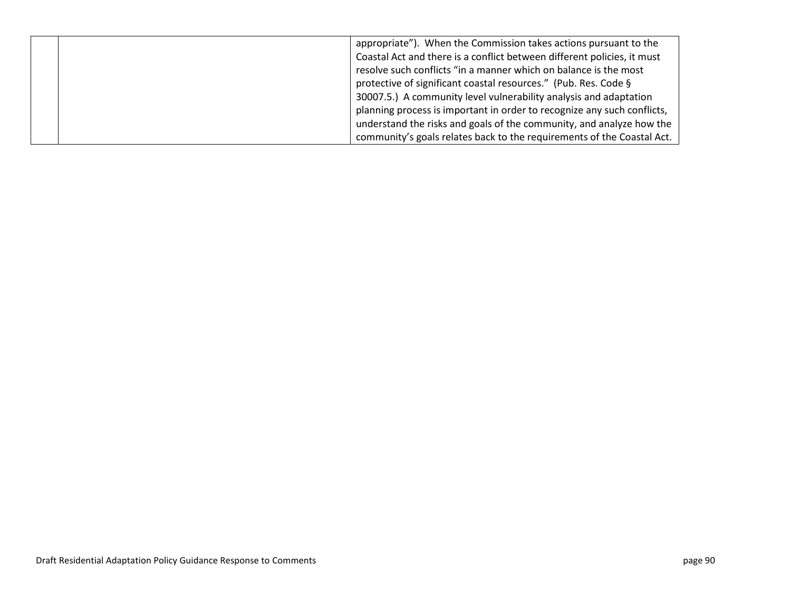|  | appropriate"). When the Commission takes actions pursuant to the        |
|--|-------------------------------------------------------------------------|
|  | Coastal Act and there is a conflict between different policies, it must |
|  | resolve such conflicts "in a manner which on balance is the most        |
|  | protective of significant coastal resources." (Pub. Res. Code §         |
|  | 30007.5.) A community level vulnerability analysis and adaptation       |
|  | planning process is important in order to recognize any such conflicts, |
|  | understand the risks and goals of the community, and analyze how the    |
|  | community's goals relates back to the requirements of the Coastal Act.  |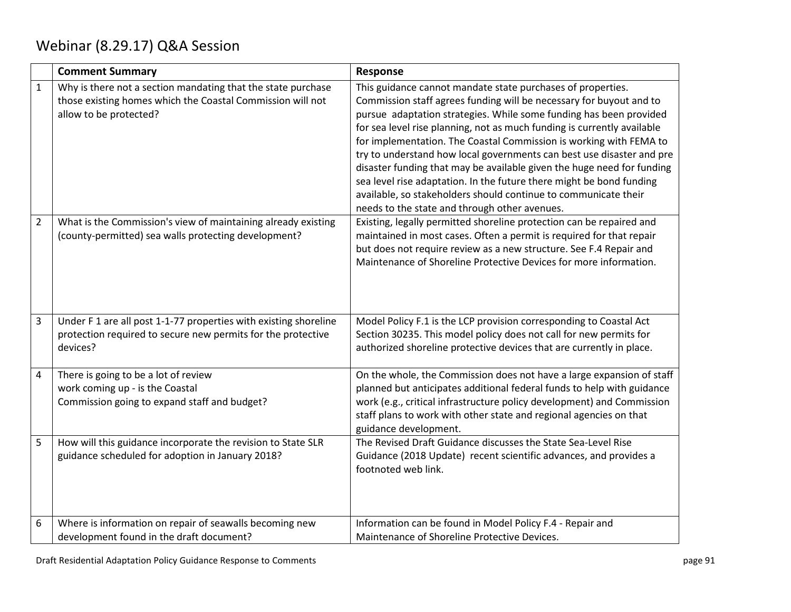## Webinar (8.29.17) Q&A Session

|                | <b>Comment Summary</b>                                                                                                                               | Response                                                                                                                                                                                                                                                                                                                                                                                                                                                                                                                                                                                                                                                                                                 |
|----------------|------------------------------------------------------------------------------------------------------------------------------------------------------|----------------------------------------------------------------------------------------------------------------------------------------------------------------------------------------------------------------------------------------------------------------------------------------------------------------------------------------------------------------------------------------------------------------------------------------------------------------------------------------------------------------------------------------------------------------------------------------------------------------------------------------------------------------------------------------------------------|
| $\mathbf{1}$   | Why is there not a section mandating that the state purchase<br>those existing homes which the Coastal Commission will not<br>allow to be protected? | This guidance cannot mandate state purchases of properties.<br>Commission staff agrees funding will be necessary for buyout and to<br>pursue adaptation strategies. While some funding has been provided<br>for sea level rise planning, not as much funding is currently available<br>for implementation. The Coastal Commission is working with FEMA to<br>try to understand how local governments can best use disaster and pre<br>disaster funding that may be available given the huge need for funding<br>sea level rise adaptation. In the future there might be bond funding<br>available, so stakeholders should continue to communicate their<br>needs to the state and through other avenues. |
| $\overline{2}$ | What is the Commission's view of maintaining already existing<br>(county-permitted) sea walls protecting development?                                | Existing, legally permitted shoreline protection can be repaired and<br>maintained in most cases. Often a permit is required for that repair<br>but does not require review as a new structure. See F.4 Repair and<br>Maintenance of Shoreline Protective Devices for more information.                                                                                                                                                                                                                                                                                                                                                                                                                  |
| $\overline{3}$ | Under F 1 are all post 1-1-77 properties with existing shoreline<br>protection required to secure new permits for the protective<br>devices?         | Model Policy F.1 is the LCP provision corresponding to Coastal Act<br>Section 30235. This model policy does not call for new permits for<br>authorized shoreline protective devices that are currently in place.                                                                                                                                                                                                                                                                                                                                                                                                                                                                                         |
| $\overline{4}$ | There is going to be a lot of review<br>work coming up - is the Coastal<br>Commission going to expand staff and budget?                              | On the whole, the Commission does not have a large expansion of staff<br>planned but anticipates additional federal funds to help with guidance<br>work (e.g., critical infrastructure policy development) and Commission<br>staff plans to work with other state and regional agencies on that<br>guidance development.                                                                                                                                                                                                                                                                                                                                                                                 |
| $\mathsf S$    | How will this guidance incorporate the revision to State SLR<br>guidance scheduled for adoption in January 2018?                                     | The Revised Draft Guidance discusses the State Sea-Level Rise<br>Guidance (2018 Update) recent scientific advances, and provides a<br>footnoted web link.                                                                                                                                                                                                                                                                                                                                                                                                                                                                                                                                                |
| 6              | Where is information on repair of seawalls becoming new<br>development found in the draft document?                                                  | Information can be found in Model Policy F.4 - Repair and<br>Maintenance of Shoreline Protective Devices.                                                                                                                                                                                                                                                                                                                                                                                                                                                                                                                                                                                                |